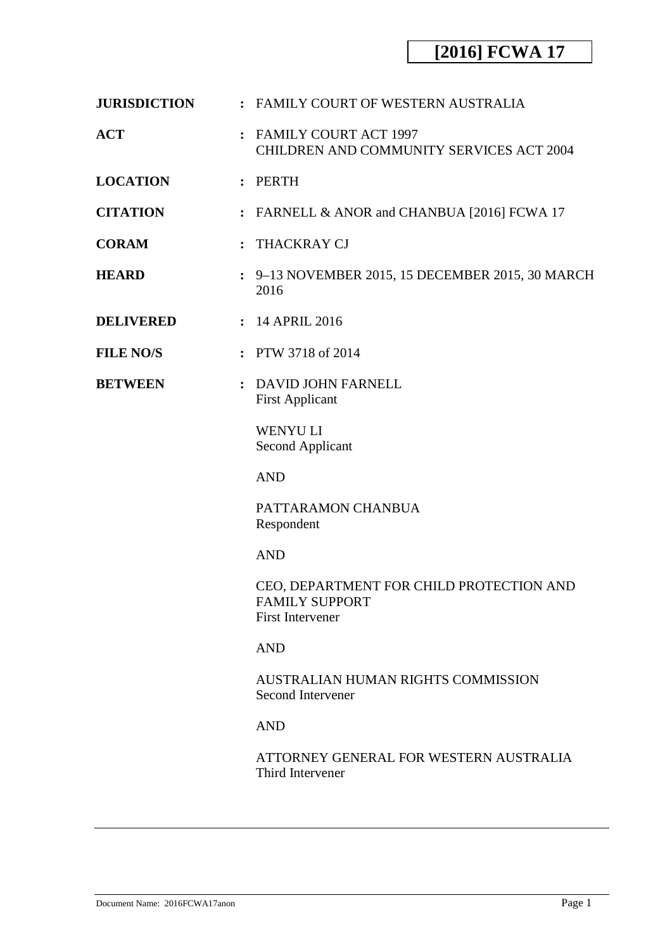| <b>JURISDICTION</b> |  | : FAMILY COURT OF WESTERN AUSTRALIA |  |
|---------------------|--|-------------------------------------|--|
|---------------------|--|-------------------------------------|--|

- **ACT :** FAMILY COURT ACT 1997 CHILDREN AND COMMUNITY SERVICES ACT 2004
- **LOCATION :** PERTH
- **CITATION :** FARNELL & ANOR and CHANBUA [2016] FCWA 17
- **CORAM :** THACKRAY CJ
- **HEARD :** 9–13 NOVEMBER 2015, 15 DECEMBER 2015, 30 MARCH 2016
- **DELIVERED :** 14 APRIL 2016
- **FILE NO/S :** PTW 3718 of 2014
- **BETWEEN :** DAVID JOHN FARNELL First Applicant

WENYU LI Second Applicant

AND

PATTARAMON CHANBUA Respondent

AND

CEO, DEPARTMENT FOR CHILD PROTECTION AND FAMILY SUPPORT First Intervener

### AND

AUSTRALIAN HUMAN RIGHTS COMMISSION Second Intervener

### AND

ATTORNEY GENERAL FOR WESTERN AUSTRALIA Third Intervener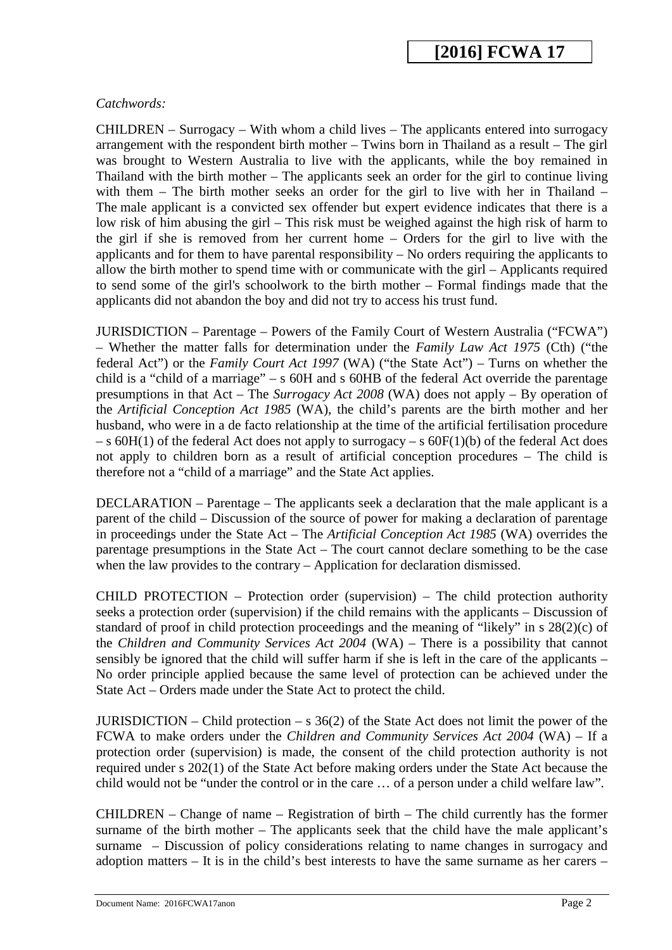#### *Catchwords:*

CHILDREN – Surrogacy – With whom a child lives – The applicants entered into surrogacy arrangement with the respondent birth mother – Twins born in Thailand as a result – The girl was brought to Western Australia to live with the applicants, while the boy remained in Thailand with the birth mother – The applicants seek an order for the girl to continue living with them – The birth mother seeks an order for the girl to live with her in Thailand – The male applicant is a convicted sex offender but expert evidence indicates that there is a low risk of him abusing the girl – This risk must be weighed against the high risk of harm to the girl if she is removed from her current home – Orders for the girl to live with the applicants and for them to have parental responsibility – No orders requiring the applicants to allow the birth mother to spend time with or communicate with the girl – Applicants required to send some of the girl's schoolwork to the birth mother – Formal findings made that the applicants did not abandon the boy and did not try to access his trust fund.

JURISDICTION – Parentage – Powers of the Family Court of Western Australia ("FCWA") – Whether the matter falls for determination under the *Family Law Act 1975* (Cth) ("the federal Act") or the *Family Court Act 1997* (WA) ("the State Act") – Turns on whether the child is a "child of a marriage" – s 60H and s 60HB of the federal Act override the parentage presumptions in that Act – The *Surrogacy Act 2008* (WA) does not apply – By operation of the *Artificial Conception Act 1985* (WA), the child's parents are the birth mother and her husband, who were in a de facto relationship at the time of the artificial fertilisation procedure  $-$  s 60H(1) of the federal Act does not apply to surrogacy  $-$  s 60F(1)(b) of the federal Act does not apply to children born as a result of artificial conception procedures – The child is therefore not a "child of a marriage" and the State Act applies.

DECLARATION – Parentage – The applicants seek a declaration that the male applicant is a parent of the child – Discussion of the source of power for making a declaration of parentage in proceedings under the State Act – The *Artificial Conception Act 1985* (WA) overrides the parentage presumptions in the State Act – The court cannot declare something to be the case when the law provides to the contrary – Application for declaration dismissed.

CHILD PROTECTION – Protection order (supervision) – The child protection authority seeks a protection order (supervision) if the child remains with the applicants – Discussion of standard of proof in child protection proceedings and the meaning of "likely" in s 28(2)(c) of the *Children and Community Services Act 2004* (WA) – There is a possibility that cannot sensibly be ignored that the child will suffer harm if she is left in the care of the applicants – No order principle applied because the same level of protection can be achieved under the State Act – Orders made under the State Act to protect the child.

JURISDICTION – Child protection – s  $36(2)$  of the State Act does not limit the power of the FCWA to make orders under the *Children and Community Services Act 2004* (WA) – If a protection order (supervision) is made, the consent of the child protection authority is not required under s 202(1) of the State Act before making orders under the State Act because the child would not be "under the control or in the care … of a person under a child welfare law".

CHILDREN – Change of name – Registration of birth – The child currently has the former surname of the birth mother – The applicants seek that the child have the male applicant's surname – Discussion of policy considerations relating to name changes in surrogacy and adoption matters – It is in the child's best interests to have the same surname as her carers –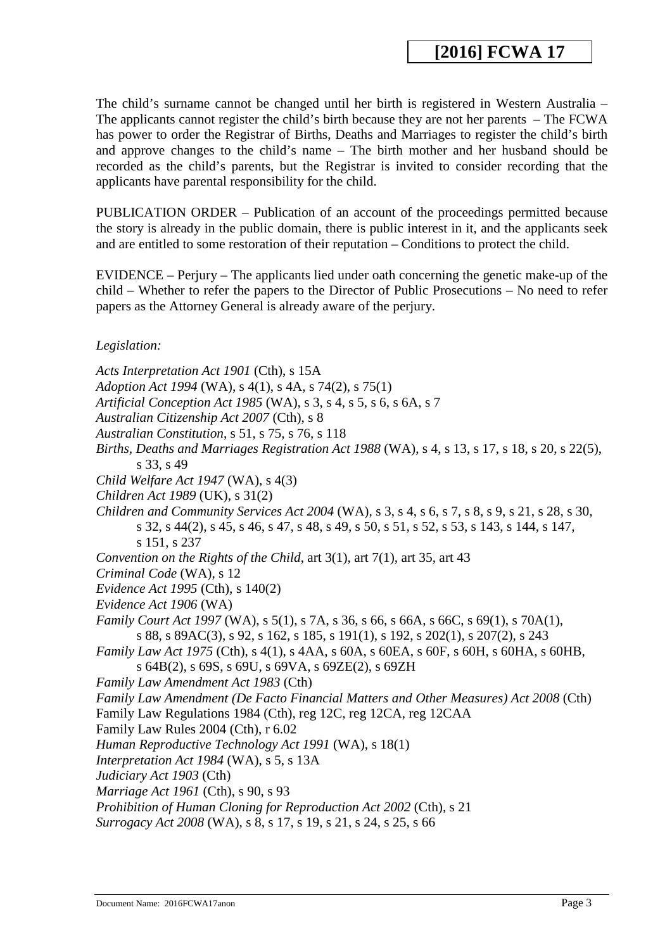The child's surname cannot be changed until her birth is registered in Western Australia – The applicants cannot register the child's birth because they are not her parents – The FCWA has power to order the Registrar of Births, Deaths and Marriages to register the child's birth and approve changes to the child's name – The birth mother and her husband should be recorded as the child's parents, but the Registrar is invited to consider recording that the applicants have parental responsibility for the child.

PUBLICATION ORDER – Publication of an account of the proceedings permitted because the story is already in the public domain, there is public interest in it, and the applicants seek and are entitled to some restoration of their reputation – Conditions to protect the child.

EVIDENCE – Perjury – The applicants lied under oath concerning the genetic make-up of the child – Whether to refer the papers to the Director of Public Prosecutions – No need to refer papers as the Attorney General is already aware of the perjury.

*Legislation:*

*Acts Interpretation Act 1901* (Cth), s 15A *Adoption Act 1994* (WA), s 4(1), s 4A, s 74(2), s 75(1) *Artificial Conception Act 1985* (WA), s 3, s 4, s 5, s 6, s 6A, s 7 *Australian Citizenship Act 2007* (Cth), s 8 *Australian Constitution*, s 51, s 75, s 76, s 118 *Births, Deaths and Marriages Registration Act 1988* (WA), s 4, s 13, s 17, s 18, s 20, s 22(5), s 33, s 49 *Child Welfare Act 1947* (WA), s 4(3) *Children Act 1989* (UK), s 31(2) *Children and Community Services Act 2004* (WA), s 3, s 4, s 6, s 7, s 8, s 9, s 21, s 28, s 30, s 32, s 44(2), s 45, s 46, s 47, s 48, s 49, s 50, s 51, s 52, s 53, s 143, s 144, s 147, s 151, s 237 *Convention on the Rights of the Child*, art 3(1), art 7(1), art 35, art 43 *Criminal Code* (WA), s 12 *Evidence Act 1995* (Cth), s 140(2) *Evidence Act 1906* (WA) *Family Court Act 1997* (WA), s 5(1), s 7A, s 36, s 66, s 66A, s 66C, s 69(1), s 70A(1), s 88, s 89AC(3), s 92, s 162, s 185, s 191(1), s 192, s 202(1), s 207(2), s 243 *Family Law Act 1975* (Cth), s 4(1), s 4AA, s 60A, s 60EA, s 60F, s 60H, s 60HA, s 60HB, s 64B(2), s 69S, s 69U, s 69VA, s 69ZE(2), s 69ZH *Family Law Amendment Act 1983* (Cth) *Family Law Amendment (De Facto Financial Matters and Other Measures) Act 2008* (Cth) Family Law Regulations 1984 (Cth), reg 12C, reg 12CA, reg 12CAA Family Law Rules 2004 (Cth), r 6.02 *Human Reproductive Technology Act 1991* (WA), s 18(1) *Interpretation Act 1984* (WA), s 5, s 13A *Judiciary Act 1903* (Cth) *Marriage Act 1961* (Cth), s 90, s 93 *Prohibition of Human Cloning for Reproduction Act 2002* (Cth), s 21 *Surrogacy Act 2008* (WA), s 8, s 17, s 19, s 21, s 24, s 25, s 66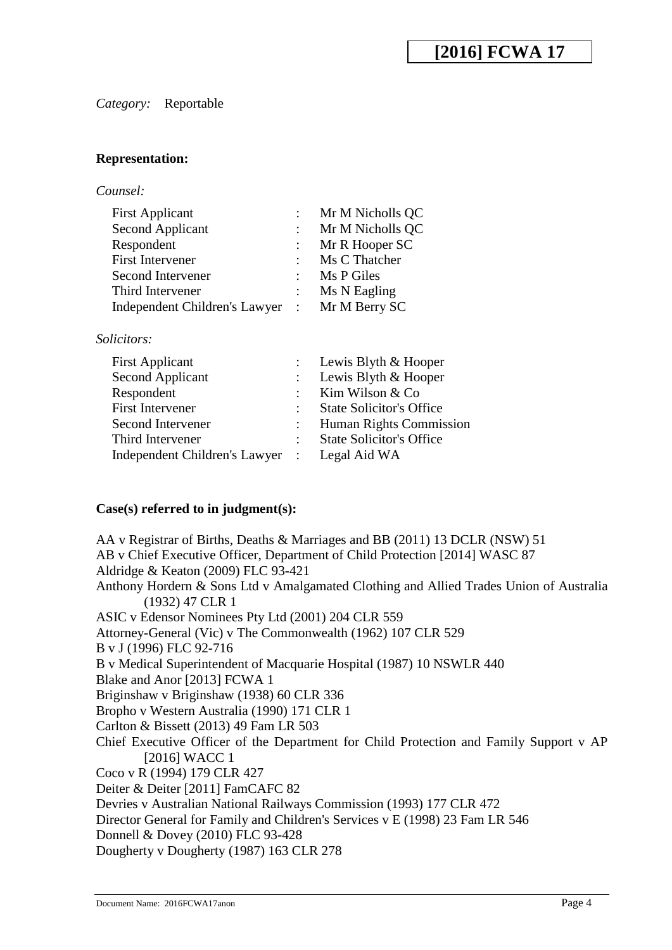#### *Category:* Reportable

#### **Representation:**

| Counsel: |
|----------|
|----------|

|                           | Mr M Nicholls QC |
|---------------------------|------------------|
| $\mathbb{R}^{\mathbb{Z}}$ | Mr M Nicholls QC |
|                           | Mr R Hooper SC   |
|                           | Ms C Thatcher    |
|                           | Ms P Giles       |
|                           | Ms N Eagling     |
|                           | : Mr M Berry SC  |
|                           |                  |

#### *Solicitors:*

| <b>First Applicant</b>          |                | : Lewis Blyth $& \text{Hooper}$ |
|---------------------------------|----------------|---------------------------------|
| Second Applicant                |                | : Lewis Blyth $& \text{Hooper}$ |
| Respondent                      |                | Kim Wilson & Co                 |
| <b>First Intervener</b>         |                | <b>State Solicitor's Office</b> |
| Second Intervener               | $\mathbb{R}^n$ | <b>Human Rights Commission</b>  |
| Third Intervener                |                | <b>State Solicitor's Office</b> |
| Independent Children's Lawyer : |                | Legal Aid WA                    |

#### **Case(s) referred to in judgment(s):**

AA v Registrar of Births, Deaths & Marriages and BB (2011) 13 DCLR (NSW) 51 AB v Chief Executive Officer, Department of Child Protection [2014] WASC 87 Aldridge & Keaton (2009) FLC 93-421 Anthony Hordern & Sons Ltd v Amalgamated Clothing and Allied Trades Union of Australia (1932) 47 CLR 1 ASIC v Edensor Nominees Pty Ltd (2001) 204 CLR 559 Attorney-General (Vic) v The Commonwealth (1962) 107 CLR 529 B v J (1996) FLC 92-716 B v Medical Superintendent of Macquarie Hospital (1987) 10 NSWLR 440 Blake and Anor [2013] FCWA 1 Briginshaw v Briginshaw (1938) 60 CLR 336 Bropho v Western Australia (1990) 171 CLR 1 Carlton & Bissett (2013) 49 Fam LR 503 Chief Executive Officer of the Department for Child Protection and Family Support v AP [2016] WACC 1 Coco v R (1994) 179 CLR 427 Deiter & Deiter [2011] FamCAFC 82 Devries v Australian National Railways Commission (1993) 177 CLR 472 Director General for Family and Children's Services v E (1998) 23 Fam LR 546 Donnell & Dovey (2010) FLC 93-428 Dougherty v Dougherty (1987) 163 CLR 278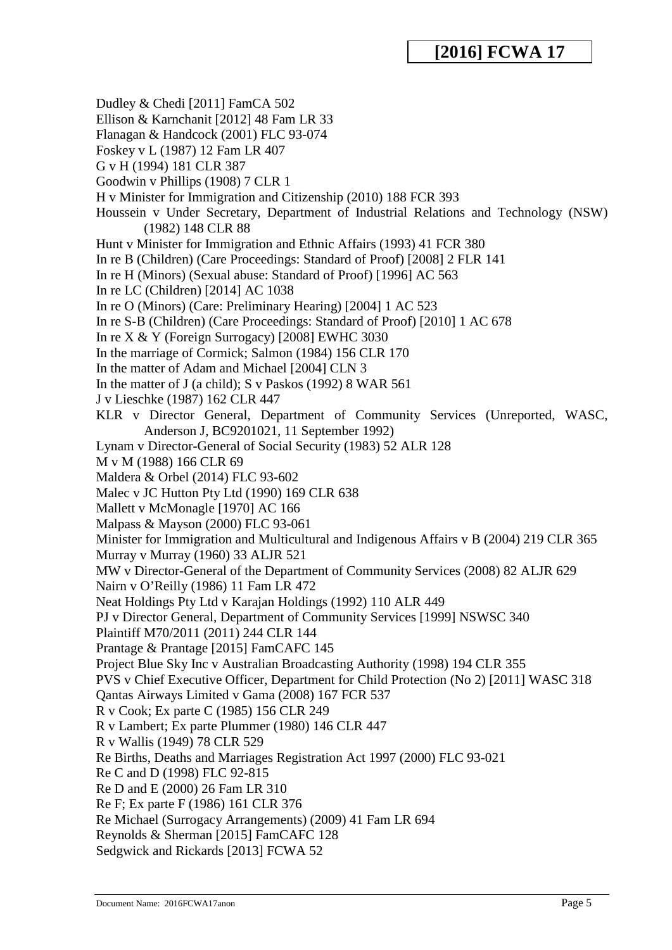Dudley & Chedi [2011] FamCA 502 Ellison & Karnchanit [2012] 48 Fam LR 33 Flanagan & Handcock (2001) FLC 93-074 Foskey v L (1987) 12 Fam LR 407 G v H (1994) 181 CLR 387 Goodwin v Phillips (1908) 7 CLR 1 H v Minister for Immigration and Citizenship (2010) 188 FCR 393 Houssein v Under Secretary, Department of Industrial Relations and Technology (NSW) (1982) 148 CLR 88 Hunt v Minister for Immigration and Ethnic Affairs (1993) 41 FCR 380 In re B (Children) (Care Proceedings: Standard of Proof) [2008] 2 FLR 141 In re H (Minors) (Sexual abuse: Standard of Proof) [1996] AC 563 In re LC (Children) [2014] AC 1038 In re O (Minors) (Care: Preliminary Hearing) [2004] 1 AC 523 In re S-B (Children) (Care Proceedings: Standard of Proof) [2010] 1 AC 678 In re X & Y (Foreign Surrogacy) [2008] EWHC 3030 In the marriage of Cormick; Salmon (1984) 156 CLR 170 In the matter of Adam and Michael [2004] CLN 3 In the matter of J (a child); S v Paskos (1992) 8 WAR 561 J v Lieschke (1987) 162 CLR 447 KLR v Director General, Department of Community Services (Unreported, WASC, Anderson J, BC9201021, 11 September 1992) Lynam v Director-General of Social Security (1983) 52 ALR 128 M v M (1988) 166 CLR 69 Maldera & Orbel (2014) FLC 93-602 Malec v JC Hutton Pty Ltd (1990) 169 CLR 638 Mallett v McMonagle [1970] AC 166 Malpass & Mayson (2000) FLC 93-061 Minister for Immigration and Multicultural and Indigenous Affairs v B (2004) 219 CLR 365 Murray v Murray (1960) 33 ALJR 521 MW v Director-General of the Department of Community Services (2008) 82 ALJR 629 Nairn v O'Reilly (1986) 11 Fam LR 472 Neat Holdings Pty Ltd v Karajan Holdings (1992) 110 ALR 449 PJ v Director General, Department of Community Services [1999] NSWSC 340 Plaintiff M70/2011 (2011) 244 CLR 144 Prantage & Prantage [2015] FamCAFC 145 Project Blue Sky Inc v Australian Broadcasting Authority (1998) 194 CLR 355 PVS v Chief Executive Officer, Department for Child Protection (No 2) [2011] WASC 318 Qantas Airways Limited v Gama (2008) 167 FCR 537 R v Cook; Ex parte C (1985) 156 CLR 249 R v Lambert; Ex parte Plummer (1980) 146 CLR 447 R v Wallis (1949) 78 CLR 529 Re Births, Deaths and Marriages Registration Act 1997 (2000) FLC 93-021 Re C and D (1998) FLC 92-815 Re D and E (2000) 26 Fam LR 310 Re F; Ex parte F (1986) 161 CLR 376 Re Michael (Surrogacy Arrangements) (2009) 41 Fam LR 694 Reynolds & Sherman [2015] FamCAFC 128 Sedgwick and Rickards [2013] FCWA 52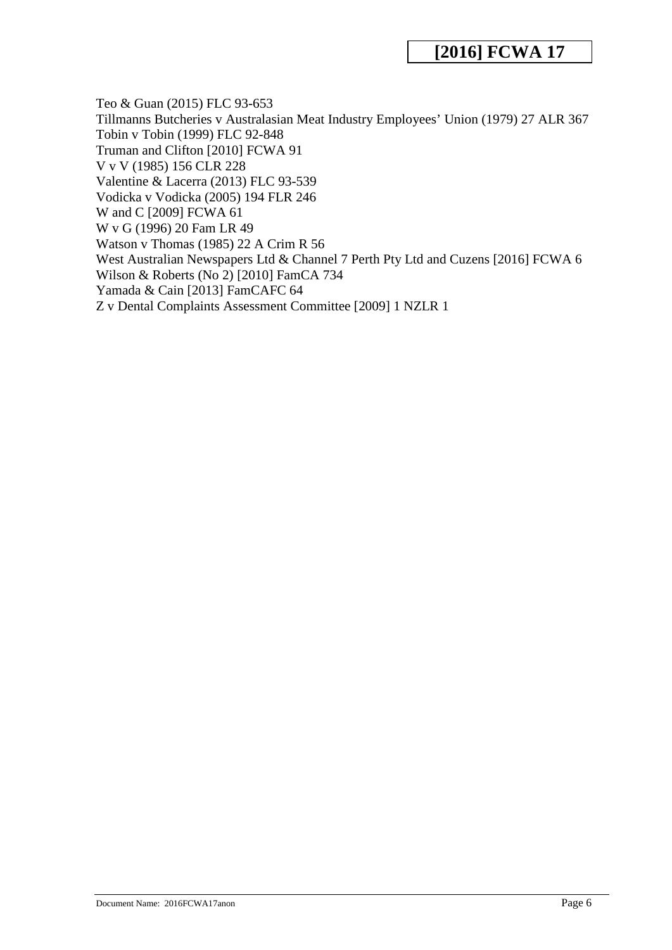Teo & Guan (2015) FLC 93-653 Tillmanns Butcheries v Australasian Meat Industry Employees' Union (1979) 27 ALR 367 Tobin v Tobin (1999) FLC 92-848 Truman and Clifton [2010] FCWA 91 V v V (1985) 156 CLR 228 Valentine & Lacerra (2013) FLC 93-539 Vodicka v Vodicka (2005) 194 FLR 246 W and C [2009] FCWA 61 W v G (1996) 20 Fam LR 49 Watson v Thomas (1985) 22 A Crim R 56 West Australian Newspapers Ltd & Channel 7 Perth Pty Ltd and Cuzens [2016] FCWA 6 Wilson & Roberts (No 2) [2010] FamCA 734 Yamada & Cain [2013] FamCAFC 64 Z v Dental Complaints Assessment Committee [2009] 1 NZLR 1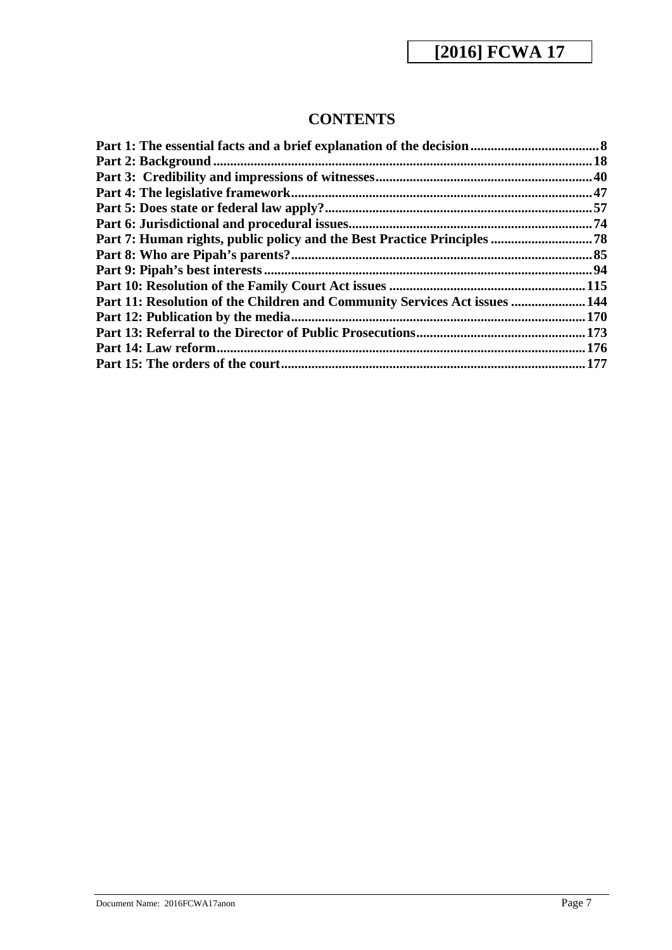## **CONTENTS**

| Part 7: Human rights, public policy and the Best Practice Principles  78   |       |
|----------------------------------------------------------------------------|-------|
|                                                                            |       |
|                                                                            |       |
|                                                                            |       |
| Part 11: Resolution of the Children and Community Services Act issues  144 |       |
|                                                                            | 170   |
|                                                                            |       |
|                                                                            | . 176 |
|                                                                            |       |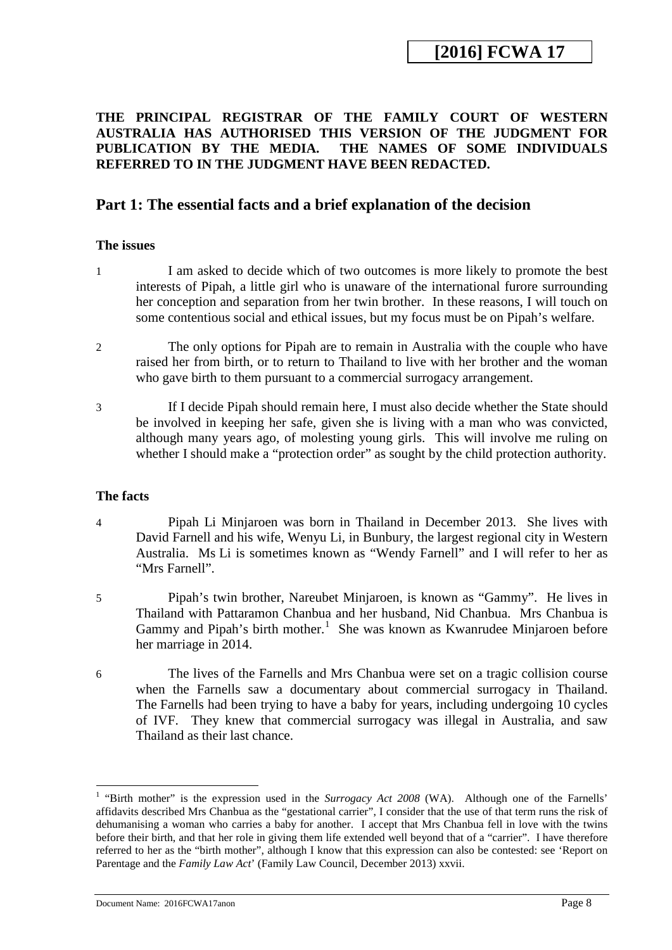### <span id="page-7-0"></span>**THE PRINCIPAL REGISTRAR OF THE FAMILY COURT OF WESTERN AUSTRALIA HAS AUTHORISED THIS VERSION OF THE JUDGMENT FOR PUBLICATION BY THE MEDIA. THE NAMES OF SOME INDIVIDUALS REFERRED TO IN THE JUDGMENT HAVE BEEN REDACTED.**

### **Part 1: The essential facts and a brief explanation of the decision**

### **The issues**

- 1 I am asked to decide which of two outcomes is more likely to promote the best interests of Pipah, a little girl who is unaware of the international furore surrounding her conception and separation from her twin brother. In these reasons, I will touch on some contentious social and ethical issues, but my focus must be on Pipah's welfare.
- 2 The only options for Pipah are to remain in Australia with the couple who have raised her from birth, or to return to Thailand to live with her brother and the woman who gave birth to them pursuant to a commercial surrogacy arrangement.
- 3 If I decide Pipah should remain here, I must also decide whether the State should be involved in keeping her safe, given she is living with a man who was convicted, although many years ago, of molesting young girls. This will involve me ruling on whether I should make a "protection order" as sought by the child protection authority.

### **The facts**

- 4 Pipah Li Minjaroen was born in Thailand in December 2013. She lives with David Farnell and his wife, Wenyu Li, in Bunbury, the largest regional city in Western Australia. Ms Li is sometimes known as "Wendy Farnell" and I will refer to her as "Mrs Farnell".
- 5 Pipah's twin brother, Nareubet Minjaroen, is known as "Gammy". He lives in Thailand with Pattaramon Chanbua and her husband, Nid Chanbua. Mrs Chanbua is Gammy and Pipah's birth mother.<sup>[1](#page-7-1)</sup> She was known as Kwanrudee Minjaroen before her marriage in 2014.
- 6 The lives of the Farnells and Mrs Chanbua were set on a tragic collision course when the Farnells saw a documentary about commercial surrogacy in Thailand. The Farnells had been trying to have a baby for years, including undergoing 10 cycles of IVF. They knew that commercial surrogacy was illegal in Australia, and saw Thailand as their last chance.

<span id="page-7-1"></span><sup>&</sup>lt;sup>1</sup> "Birth mother" is the expression used in the *Surrogacy Act 2008* (WA). Although one of the Farnells' affidavits described Mrs Chanbua as the "gestational carrier", I consider that the use of that term runs the risk of dehumanising a woman who carries a baby for another. I accept that Mrs Chanbua fell in love with the twins before their birth, and that her role in giving them life extended well beyond that of a "carrier". I have therefore referred to her as the "birth mother", although I know that this expression can also be contested: see 'Report on Parentage and the *Family Law Act*' (Family Law Council, December 2013) xxvii. -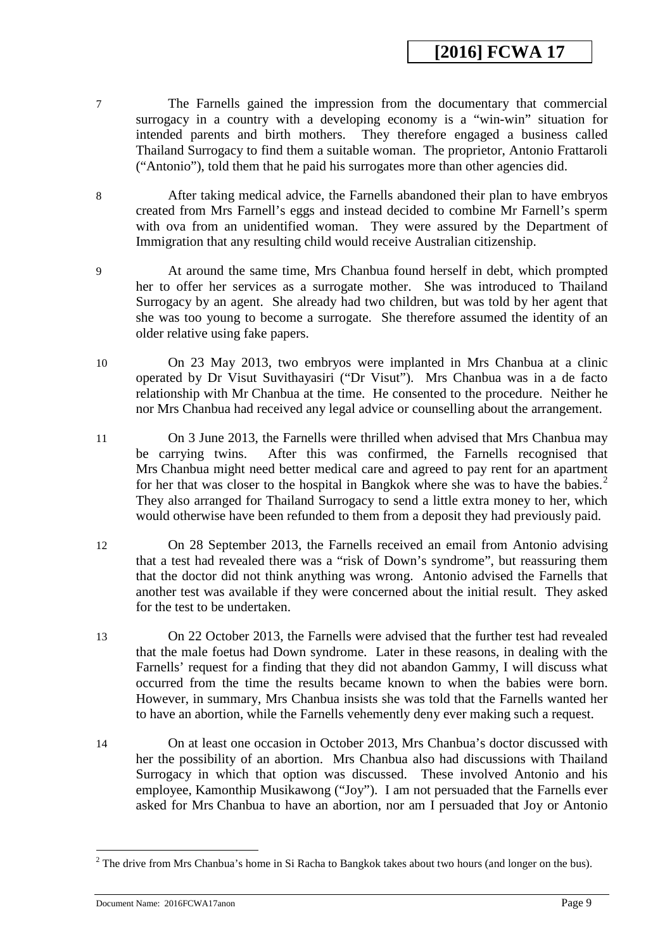- 7 The Farnells gained the impression from the documentary that commercial surrogacy in a country with a developing economy is a "win-win" situation for intended parents and birth mothers. They therefore engaged a business called Thailand Surrogacy to find them a suitable woman. The proprietor, Antonio Frattaroli ("Antonio"), told them that he paid his surrogates more than other agencies did.
- 8 After taking medical advice, the Farnells abandoned their plan to have embryos created from Mrs Farnell's eggs and instead decided to combine Mr Farnell's sperm with ova from an unidentified woman. They were assured by the Department of Immigration that any resulting child would receive Australian citizenship.
- 9 At around the same time, Mrs Chanbua found herself in debt, which prompted her to offer her services as a surrogate mother. She was introduced to Thailand Surrogacy by an agent. She already had two children, but was told by her agent that she was too young to become a surrogate. She therefore assumed the identity of an older relative using fake papers.
- 10 On 23 May 2013, two embryos were implanted in Mrs Chanbua at a clinic operated by Dr Visut Suvithayasiri ("Dr Visut"). Mrs Chanbua was in a de facto relationship with Mr Chanbua at the time. He consented to the procedure. Neither he nor Mrs Chanbua had received any legal advice or counselling about the arrangement.
- 11 On 3 June 2013, the Farnells were thrilled when advised that Mrs Chanbua may be carrying twins. After this was confirmed, the Farnells recognised that Mrs Chanbua might need better medical care and agreed to pay rent for an apartment for her that was closer to the hospital in Bangkok where she was to have the babies.<sup>[2](#page-8-0)</sup> They also arranged for Thailand Surrogacy to send a little extra money to her, which would otherwise have been refunded to them from a deposit they had previously paid.
- 12 On 28 September 2013, the Farnells received an email from Antonio advising that a test had revealed there was a "risk of Down's syndrome", but reassuring them that the doctor did not think anything was wrong. Antonio advised the Farnells that another test was available if they were concerned about the initial result. They asked for the test to be undertaken.
- 13 On 22 October 2013, the Farnells were advised that the further test had revealed that the male foetus had Down syndrome. Later in these reasons, in dealing with the Farnells' request for a finding that they did not abandon Gammy, I will discuss what occurred from the time the results became known to when the babies were born. However, in summary, Mrs Chanbua insists she was told that the Farnells wanted her to have an abortion, while the Farnells vehemently deny ever making such a request.
- 14 On at least one occasion in October 2013, Mrs Chanbua's doctor discussed with her the possibility of an abortion. Mrs Chanbua also had discussions with Thailand Surrogacy in which that option was discussed. These involved Antonio and his employee, Kamonthip Musikawong ("Joy"). I am not persuaded that the Farnells ever asked for Mrs Chanbua to have an abortion, nor am I persuaded that Joy or Antonio

<u>.</u>

<span id="page-8-0"></span> $2$  The drive from Mrs Chanbua's home in Si Racha to Bangkok takes about two hours (and longer on the bus).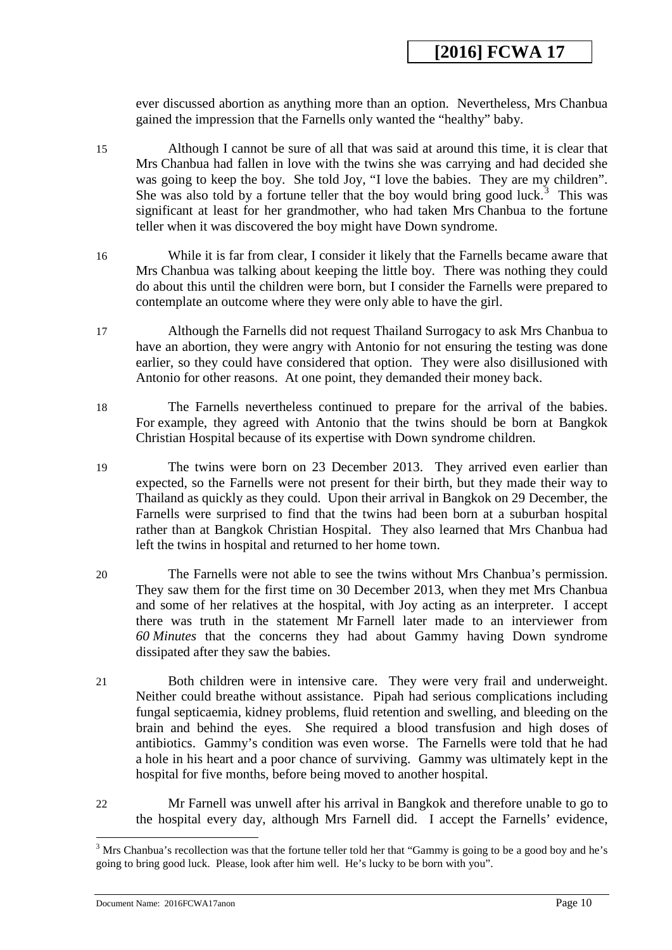ever discussed abortion as anything more than an option. Nevertheless, Mrs Chanbua gained the impression that the Farnells only wanted the "healthy" baby.

- 15 Although I cannot be sure of all that was said at around this time, it is clear that Mrs Chanbua had fallen in love with the twins she was carrying and had decided she was going to keep the boy. She told Joy, "I love the babies. They are my children". She was also told by a fortune teller that the boy would bring good luck.<sup>[3](#page-9-0)</sup> This was significant at least for her grandmother, who had taken Mrs Chanbua to the fortune teller when it was discovered the boy might have Down syndrome.
- 16 While it is far from clear, I consider it likely that the Farnells became aware that Mrs Chanbua was talking about keeping the little boy. There was nothing they could do about this until the children were born, but I consider the Farnells were prepared to contemplate an outcome where they were only able to have the girl.
- 17 Although the Farnells did not request Thailand Surrogacy to ask Mrs Chanbua to have an abortion, they were angry with Antonio for not ensuring the testing was done earlier, so they could have considered that option. They were also disillusioned with Antonio for other reasons. At one point, they demanded their money back.
- 18 The Farnells nevertheless continued to prepare for the arrival of the babies. For example, they agreed with Antonio that the twins should be born at Bangkok Christian Hospital because of its expertise with Down syndrome children.
- 19 The twins were born on 23 December 2013. They arrived even earlier than expected, so the Farnells were not present for their birth, but they made their way to Thailand as quickly as they could. Upon their arrival in Bangkok on 29 December, the Farnells were surprised to find that the twins had been born at a suburban hospital rather than at Bangkok Christian Hospital. They also learned that Mrs Chanbua had left the twins in hospital and returned to her home town.
- 20 The Farnells were not able to see the twins without Mrs Chanbua's permission. They saw them for the first time on 30 December 2013, when they met Mrs Chanbua and some of her relatives at the hospital, with Joy acting as an interpreter. I accept there was truth in the statement Mr Farnell later made to an interviewer from *60 Minutes* that the concerns they had about Gammy having Down syndrome dissipated after they saw the babies.
- 21 Both children were in intensive care. They were very frail and underweight. Neither could breathe without assistance. Pipah had serious complications including fungal septicaemia, kidney problems, fluid retention and swelling, and bleeding on the brain and behind the eyes. She required a blood transfusion and high doses of antibiotics. Gammy's condition was even worse. The Farnells were told that he had a hole in his heart and a poor chance of surviving. Gammy was ultimately kept in the hospital for five months, before being moved to another hospital.
- 22 Mr Farnell was unwell after his arrival in Bangkok and therefore unable to go to the hospital every day, although Mrs Farnell did. I accept the Farnells' evidence,

-

<span id="page-9-0"></span><sup>&</sup>lt;sup>3</sup> Mrs Chanbua's recollection was that the fortune teller told her that "Gammy is going to be a good boy and he's going to bring good luck. Please, look after him well. He's lucky to be born with you".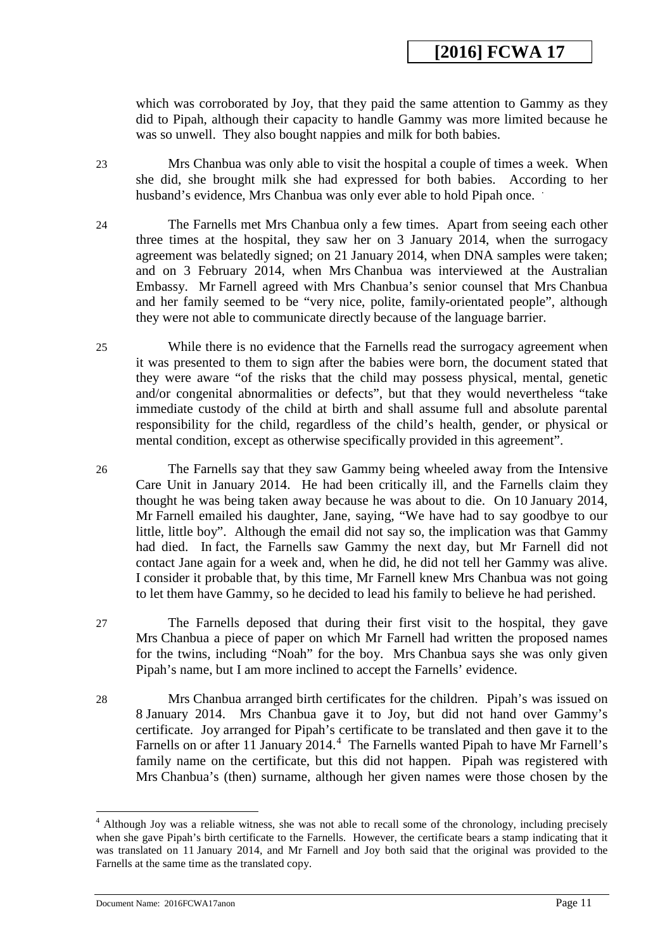which was corroborated by Joy, that they paid the same attention to Gammy as they did to Pipah, although their capacity to handle Gammy was more limited because he was so unwell. They also bought nappies and milk for both babies.

- 23 Mrs Chanbua was only able to visit the hospital a couple of times a week. When she did, she brought milk she had expressed for both babies. According to her husband's evidence, Mrs Chanbua was only ever able to hold Pipah once.
- 24 The Farnells met Mrs Chanbua only a few times. Apart from seeing each other three times at the hospital, they saw her on 3 January 2014, when the surrogacy agreement was belatedly signed; on 21 January 2014, when DNA samples were taken; and on 3 February 2014, when Mrs Chanbua was interviewed at the Australian Embassy. Mr Farnell agreed with Mrs Chanbua's senior counsel that Mrs Chanbua and her family seemed to be "very nice, polite, family-orientated people", although they were not able to communicate directly because of the language barrier.
- 25 While there is no evidence that the Farnells read the surrogacy agreement when it was presented to them to sign after the babies were born, the document stated that they were aware "of the risks that the child may possess physical, mental, genetic and/or congenital abnormalities or defects", but that they would nevertheless "take immediate custody of the child at birth and shall assume full and absolute parental responsibility for the child, regardless of the child's health, gender, or physical or mental condition, except as otherwise specifically provided in this agreement".
- 26 The Farnells say that they saw Gammy being wheeled away from the Intensive Care Unit in January 2014. He had been critically ill, and the Farnells claim they thought he was being taken away because he was about to die. On 10 January 2014, Mr Farnell emailed his daughter, Jane, saying, "We have had to say goodbye to our little, little boy". Although the email did not say so, the implication was that Gammy had died. In fact, the Farnells saw Gammy the next day, but Mr Farnell did not contact Jane again for a week and, when he did, he did not tell her Gammy was alive. I consider it probable that, by this time, Mr Farnell knew Mrs Chanbua was not going to let them have Gammy, so he decided to lead his family to believe he had perished.
- 27 The Farnells deposed that during their first visit to the hospital, they gave Mrs Chanbua a piece of paper on which Mr Farnell had written the proposed names for the twins, including "Noah" for the boy. Mrs Chanbua says she was only given Pipah's name, but I am more inclined to accept the Farnells' evidence.
- 28 Mrs Chanbua arranged birth certificates for the children. Pipah's was issued on 8 January 2014. Mrs Chanbua gave it to Joy, but did not hand over Gammy's certificate. Joy arranged for Pipah's certificate to be translated and then gave it to the Farnells on or after 11 January  $2014.<sup>4</sup>$  $2014.<sup>4</sup>$  $2014.<sup>4</sup>$  The Farnells wanted Pipah to have Mr Farnell's family name on the certificate, but this did not happen. Pipah was registered with Mrs Chanbua's (then) surname, although her given names were those chosen by the

-

<span id="page-10-0"></span><sup>4</sup> Although Joy was a reliable witness, she was not able to recall some of the chronology, including precisely when she gave Pipah's birth certificate to the Farnells. However, the certificate bears a stamp indicating that it was translated on 11 January 2014, and Mr Farnell and Joy both said that the original was provided to the Farnells at the same time as the translated copy.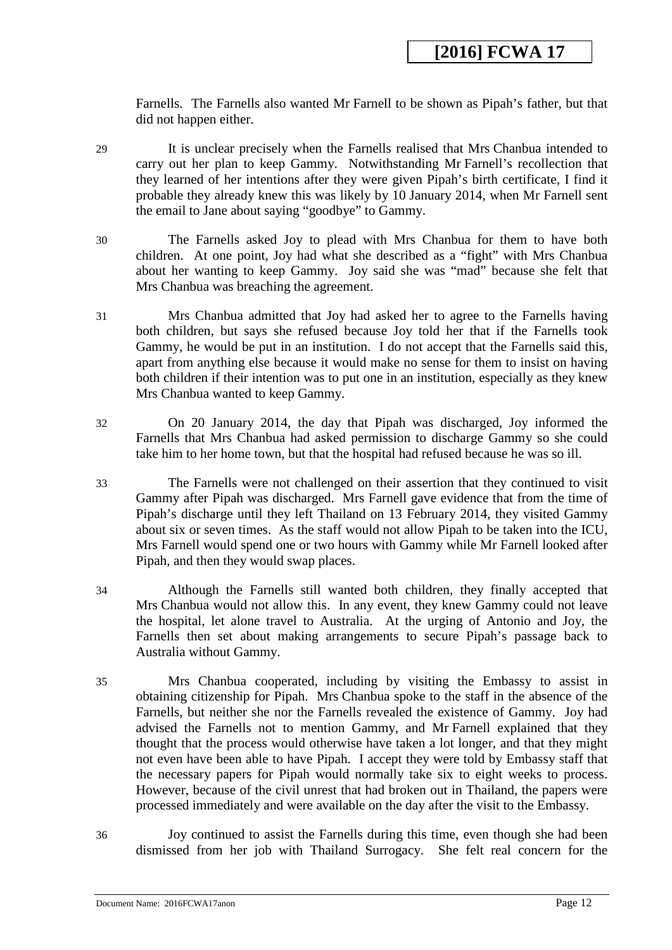Farnells. The Farnells also wanted Mr Farnell to be shown as Pipah's father, but that did not happen either.

- 29 It is unclear precisely when the Farnells realised that Mrs Chanbua intended to carry out her plan to keep Gammy. Notwithstanding Mr Farnell's recollection that they learned of her intentions after they were given Pipah's birth certificate, I find it probable they already knew this was likely by 10 January 2014, when Mr Farnell sent the email to Jane about saying "goodbye" to Gammy.
- 30 The Farnells asked Joy to plead with Mrs Chanbua for them to have both children. At one point, Joy had what she described as a "fight" with Mrs Chanbua about her wanting to keep Gammy. Joy said she was "mad" because she felt that Mrs Chanbua was breaching the agreement.
- 31 Mrs Chanbua admitted that Joy had asked her to agree to the Farnells having both children, but says she refused because Joy told her that if the Farnells took Gammy, he would be put in an institution. I do not accept that the Farnells said this, apart from anything else because it would make no sense for them to insist on having both children if their intention was to put one in an institution, especially as they knew Mrs Chanbua wanted to keep Gammy.
- 32 On 20 January 2014, the day that Pipah was discharged, Joy informed the Farnells that Mrs Chanbua had asked permission to discharge Gammy so she could take him to her home town, but that the hospital had refused because he was so ill.
- 33 The Farnells were not challenged on their assertion that they continued to visit Gammy after Pipah was discharged. Mrs Farnell gave evidence that from the time of Pipah's discharge until they left Thailand on 13 February 2014, they visited Gammy about six or seven times. As the staff would not allow Pipah to be taken into the ICU, Mrs Farnell would spend one or two hours with Gammy while Mr Farnell looked after Pipah, and then they would swap places.
- 34 Although the Farnells still wanted both children, they finally accepted that Mrs Chanbua would not allow this. In any event, they knew Gammy could not leave the hospital, let alone travel to Australia. At the urging of Antonio and Joy, the Farnells then set about making arrangements to secure Pipah's passage back to Australia without Gammy.
- 35 Mrs Chanbua cooperated, including by visiting the Embassy to assist in obtaining citizenship for Pipah. Mrs Chanbua spoke to the staff in the absence of the Farnells, but neither she nor the Farnells revealed the existence of Gammy. Joy had advised the Farnells not to mention Gammy, and Mr Farnell explained that they thought that the process would otherwise have taken a lot longer, and that they might not even have been able to have Pipah. I accept they were told by Embassy staff that the necessary papers for Pipah would normally take six to eight weeks to process. However, because of the civil unrest that had broken out in Thailand, the papers were processed immediately and were available on the day after the visit to the Embassy.
- 36 Joy continued to assist the Farnells during this time, even though she had been dismissed from her job with Thailand Surrogacy. She felt real concern for the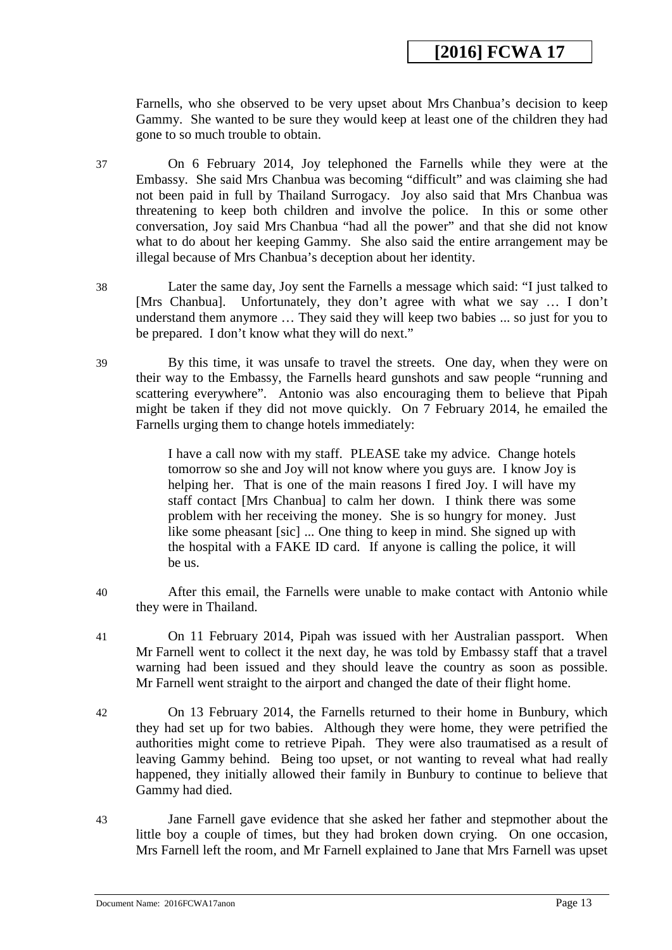Farnells, who she observed to be very upset about Mrs Chanbua's decision to keep Gammy. She wanted to be sure they would keep at least one of the children they had gone to so much trouble to obtain.

37 On 6 February 2014, Joy telephoned the Farnells while they were at the Embassy. She said Mrs Chanbua was becoming "difficult" and was claiming she had not been paid in full by Thailand Surrogacy. Joy also said that Mrs Chanbua was threatening to keep both children and involve the police. In this or some other conversation, Joy said Mrs Chanbua "had all the power" and that she did not know what to do about her keeping Gammy. She also said the entire arrangement may be illegal because of Mrs Chanbua's deception about her identity.

38 Later the same day, Joy sent the Farnells a message which said: "I just talked to [Mrs Chanbua]. Unfortunately, they don't agree with what we say … I don't understand them anymore … They said they will keep two babies ... so just for you to be prepared. I don't know what they will do next."

39 By this time, it was unsafe to travel the streets. One day, when they were on their way to the Embassy, the Farnells heard gunshots and saw people "running and scattering everywhere". Antonio was also encouraging them to believe that Pipah might be taken if they did not move quickly. On 7 February 2014, he emailed the Farnells urging them to change hotels immediately:

> I have a call now with my staff. PLEASE take my advice. Change hotels tomorrow so she and Joy will not know where you guys are. I know Joy is helping her. That is one of the main reasons I fired Joy. I will have my staff contact [Mrs Chanbua] to calm her down. I think there was some problem with her receiving the money. She is so hungry for money. Just like some pheasant [sic] ... One thing to keep in mind. She signed up with the hospital with a FAKE ID card. If anyone is calling the police, it will be us.

- 40 After this email, the Farnells were unable to make contact with Antonio while they were in Thailand.
- 41 On 11 February 2014, Pipah was issued with her Australian passport. When Mr Farnell went to collect it the next day, he was told by Embassy staff that a travel warning had been issued and they should leave the country as soon as possible. Mr Farnell went straight to the airport and changed the date of their flight home.
- 42 On 13 February 2014, the Farnells returned to their home in Bunbury, which they had set up for two babies. Although they were home, they were petrified the authorities might come to retrieve Pipah. They were also traumatised as a result of leaving Gammy behind. Being too upset, or not wanting to reveal what had really happened, they initially allowed their family in Bunbury to continue to believe that Gammy had died.
- 43 Jane Farnell gave evidence that she asked her father and stepmother about the little boy a couple of times, but they had broken down crying. On one occasion, Mrs Farnell left the room, and Mr Farnell explained to Jane that Mrs Farnell was upset

Document Name: 2016FCWA17anon Page 13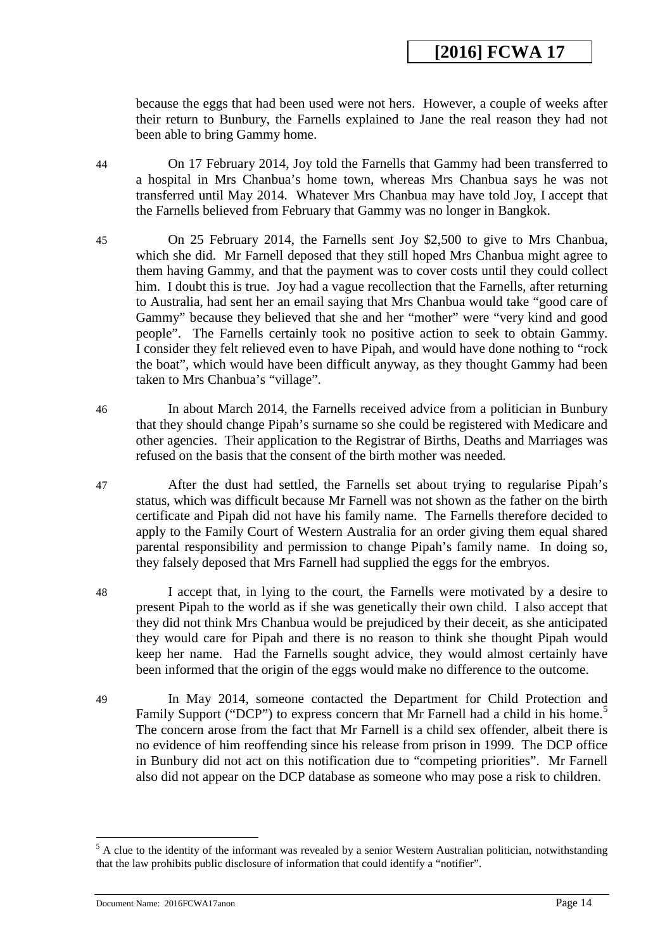because the eggs that had been used were not hers. However, a couple of weeks after their return to Bunbury, the Farnells explained to Jane the real reason they had not been able to bring Gammy home.

44 On 17 February 2014, Joy told the Farnells that Gammy had been transferred to a hospital in Mrs Chanbua's home town, whereas Mrs Chanbua says he was not transferred until May 2014. Whatever Mrs Chanbua may have told Joy, I accept that the Farnells believed from February that Gammy was no longer in Bangkok.

- 45 On 25 February 2014, the Farnells sent Joy \$2,500 to give to Mrs Chanbua, which she did. Mr Farnell deposed that they still hoped Mrs Chanbua might agree to them having Gammy, and that the payment was to cover costs until they could collect him. I doubt this is true. Joy had a vague recollection that the Farnells, after returning to Australia, had sent her an email saying that Mrs Chanbua would take "good care of Gammy" because they believed that she and her "mother" were "very kind and good people". The Farnells certainly took no positive action to seek to obtain Gammy. I consider they felt relieved even to have Pipah, and would have done nothing to "rock the boat", which would have been difficult anyway, as they thought Gammy had been taken to Mrs Chanbua's "village".
- 46 In about March 2014, the Farnells received advice from a politician in Bunbury that they should change Pipah's surname so she could be registered with Medicare and other agencies. Their application to the Registrar of Births, Deaths and Marriages was refused on the basis that the consent of the birth mother was needed.
- 47 After the dust had settled, the Farnells set about trying to regularise Pipah's status, which was difficult because Mr Farnell was not shown as the father on the birth certificate and Pipah did not have his family name. The Farnells therefore decided to apply to the Family Court of Western Australia for an order giving them equal shared parental responsibility and permission to change Pipah's family name. In doing so, they falsely deposed that Mrs Farnell had supplied the eggs for the embryos.
- 48 I accept that, in lying to the court, the Farnells were motivated by a desire to present Pipah to the world as if she was genetically their own child. I also accept that they did not think Mrs Chanbua would be prejudiced by their deceit, as she anticipated they would care for Pipah and there is no reason to think she thought Pipah would keep her name. Had the Farnells sought advice, they would almost certainly have been informed that the origin of the eggs would make no difference to the outcome.
- 49 In May 2014, someone contacted the Department for Child Protection and Family Support ("DCP") to express concern that Mr Farnell had a child in his home.<sup>[5](#page-13-0)</sup> The concern arose from the fact that Mr Farnell is a child sex offender, albeit there is no evidence of him reoffending since his release from prison in 1999. The DCP office in Bunbury did not act on this notification due to "competing priorities". Mr Farnell also did not appear on the DCP database as someone who may pose a risk to children.

-

<span id="page-13-0"></span><sup>&</sup>lt;sup>5</sup> A clue to the identity of the informant was revealed by a senior Western Australian politician, notwithstanding that the law prohibits public disclosure of information that could identify a "notifier".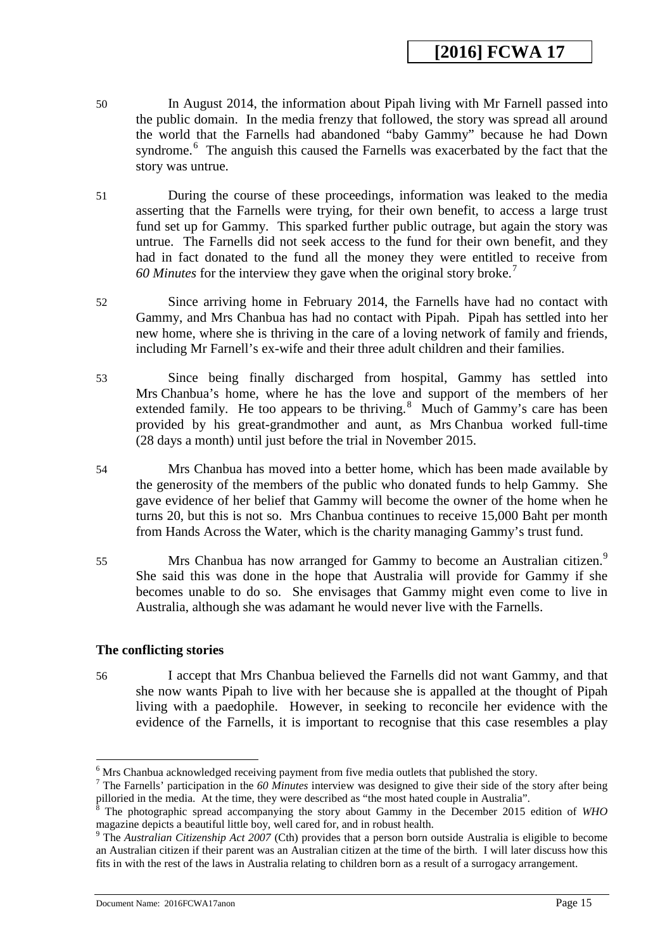- 50 In August 2014, the information about Pipah living with Mr Farnell passed into the public domain. In the media frenzy that followed, the story was spread all around the world that the Farnells had abandoned "baby Gammy" because he had Down syndrome.<sup>[6](#page-14-0)</sup> The anguish this caused the Farnells was exacerbated by the fact that the story was untrue.
- 51 During the course of these proceedings, information was leaked to the media asserting that the Farnells were trying, for their own benefit, to access a large trust fund set up for Gammy. This sparked further public outrage, but again the story was untrue. The Farnells did not seek access to the fund for their own benefit, and they had in fact donated to the fund all the money they were entitled to receive from *60 Minutes* for the interview they gave when the original story broke.[7](#page-14-1)
- 52 Since arriving home in February 2014, the Farnells have had no contact with Gammy, and Mrs Chanbua has had no contact with Pipah. Pipah has settled into her new home, where she is thriving in the care of a loving network of family and friends, including Mr Farnell's ex-wife and their three adult children and their families.
- 53 Since being finally discharged from hospital, Gammy has settled into Mrs Chanbua's home, where he has the love and support of the members of her extended family. He too appears to be thriving. $8$  Much of Gammy's care has been provided by his great-grandmother and aunt, as Mrs Chanbua worked full-time (28 days a month) until just before the trial in November 2015.
- 54 Mrs Chanbua has moved into a better home, which has been made available by the generosity of the members of the public who donated funds to help Gammy. She gave evidence of her belief that Gammy will become the owner of the home when he turns 20, but this is not so. Mrs Chanbua continues to receive 15,000 Baht per month from Hands Across the Water, which is the charity managing Gammy's trust fund.
- 55 Mrs Chanbua has now arranged for Gammy to become an Australian citizen.<sup>[9](#page-14-3)</sup> She said this was done in the hope that Australia will provide for Gammy if she becomes unable to do so. She envisages that Gammy might even come to live in Australia, although she was adamant he would never live with the Farnells.

### **The conflicting stories**

-

56 I accept that Mrs Chanbua believed the Farnells did not want Gammy, and that she now wants Pipah to live with her because she is appalled at the thought of Pipah living with a paedophile. However, in seeking to reconcile her evidence with the evidence of the Farnells, it is important to recognise that this case resembles a play

Document Name: 2016FCWA17anon Page 15

 $<sup>6</sup>$  Mrs Chanbua acknowledged receiving payment from five media outlets that published the story.</sup>

<span id="page-14-1"></span><span id="page-14-0"></span><sup>7</sup> The Farnells' participation in the *60 Minutes* interview was designed to give their side of the story after being pilloried in the media. At the time, they were described as "the most hated couple in Australia".

<span id="page-14-2"></span><sup>8</sup> The photographic spread accompanying the story about Gammy in the December 2015 edition of *WHO* magazine depicts a beautiful little boy, well cared for, and in robust health.

<span id="page-14-3"></span><sup>9</sup> The *Australian Citizenship Act 2007* (Cth) provides that a person born outside Australia is eligible to become an Australian citizen if their parent was an Australian citizen at the time of the birth. I will later discuss how this fits in with the rest of the laws in Australia relating to children born as a result of a surrogacy arrangement.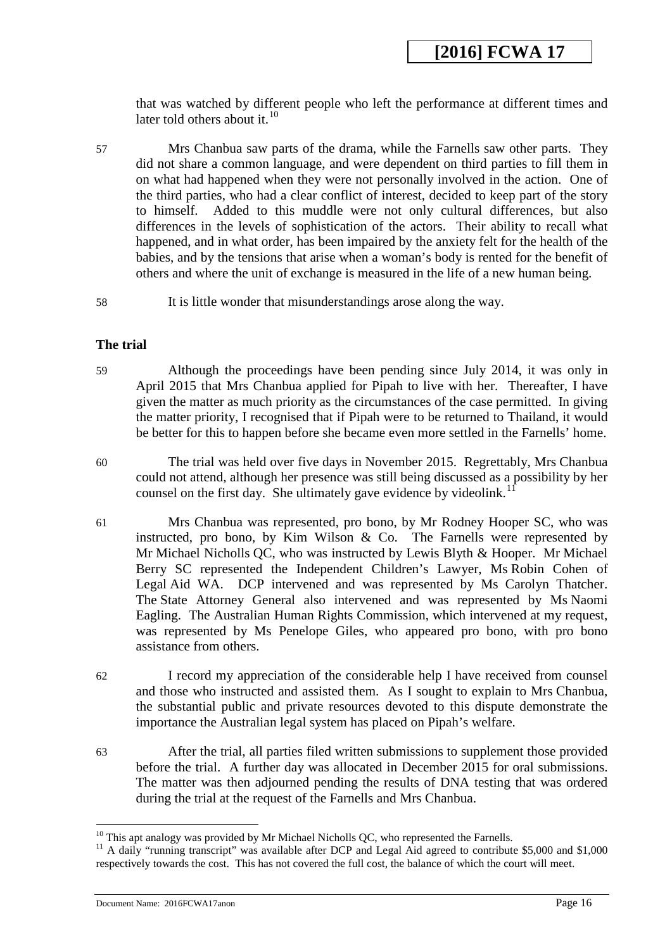that was watched by different people who left the performance at different times and later told others about it.<sup>[10](#page-15-0)</sup>

- 57 Mrs Chanbua saw parts of the drama, while the Farnells saw other parts. They did not share a common language, and were dependent on third parties to fill them in on what had happened when they were not personally involved in the action. One of the third parties, who had a clear conflict of interest, decided to keep part of the story to himself. Added to this muddle were not only cultural differences, but also differences in the levels of sophistication of the actors. Their ability to recall what happened, and in what order, has been impaired by the anxiety felt for the health of the babies, and by the tensions that arise when a woman's body is rented for the benefit of others and where the unit of exchange is measured in the life of a new human being.
- 58 It is little wonder that misunderstandings arose along the way.

### **The trial**

- 59 Although the proceedings have been pending since July 2014, it was only in April 2015 that Mrs Chanbua applied for Pipah to live with her. Thereafter, I have given the matter as much priority as the circumstances of the case permitted. In giving the matter priority, I recognised that if Pipah were to be returned to Thailand, it would be better for this to happen before she became even more settled in the Farnells' home.
- 60 The trial was held over five days in November 2015. Regrettably, Mrs Chanbua could not attend, although her presence was still being discussed as a possibility by her counsel on the first day. She ultimately gave evidence by videolink.<sup>1</sup>
- 61 Mrs Chanbua was represented, pro bono, by Mr Rodney Hooper SC, who was instructed, pro bono, by Kim Wilson  $& Co.$  The Farnells were represented by Mr Michael Nicholls QC, who was instructed by Lewis Blyth & Hooper. Mr Michael Berry SC represented the Independent Children's Lawyer, Ms Robin Cohen of Legal Aid WA. DCP intervened and was represented by Ms Carolyn Thatcher. The State Attorney General also intervened and was represented by Ms Naomi Eagling. The Australian Human Rights Commission, which intervened at my request, was represented by Ms Penelope Giles, who appeared pro bono, with pro bono assistance from others.
- 62 I record my appreciation of the considerable help I have received from counsel and those who instructed and assisted them. As I sought to explain to Mrs Chanbua, the substantial public and private resources devoted to this dispute demonstrate the importance the Australian legal system has placed on Pipah's welfare.
- 63 After the trial, all parties filed written submissions to supplement those provided before the trial. A further day was allocated in December 2015 for oral submissions. The matter was then adjourned pending the results of DNA testing that was ordered during the trial at the request of the Farnells and Mrs Chanbua.

<span id="page-15-0"></span> $10$  This apt analogy was provided by Mr Michael Nicholls QC, who represented the Farnells.

<span id="page-15-1"></span><sup>&</sup>lt;sup>11</sup> A daily "running transcript" was available after DCP and Legal Aid agreed to contribute \$5,000 and \$1,000 respectively towards the cost. This has not covered the full cost, the balance of which the court will meet.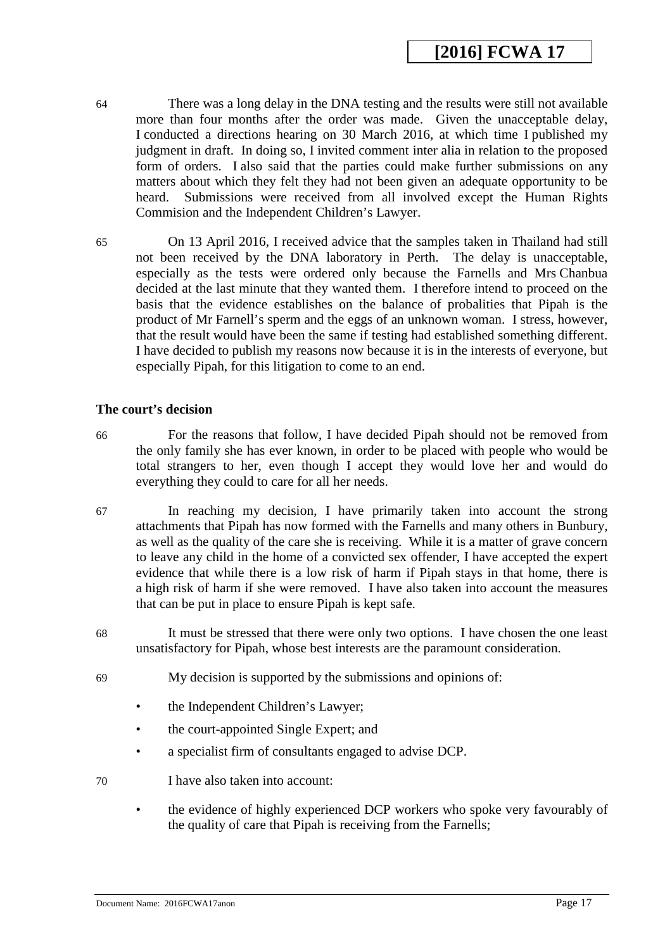- 64 There was a long delay in the DNA testing and the results were still not available more than four months after the order was made. Given the unacceptable delay, I conducted a directions hearing on 30 March 2016, at which time I published my judgment in draft. In doing so, I invited comment inter alia in relation to the proposed form of orders. I also said that the parties could make further submissions on any matters about which they felt they had not been given an adequate opportunity to be heard. Submissions were received from all involved except the Human Rights Commision and the Independent Children's Lawyer.
- 65 On 13 April 2016, I received advice that the samples taken in Thailand had still not been received by the DNA laboratory in Perth. The delay is unacceptable, especially as the tests were ordered only because the Farnells and Mrs Chanbua decided at the last minute that they wanted them. I therefore intend to proceed on the basis that the evidence establishes on the balance of probalities that Pipah is the product of Mr Farnell's sperm and the eggs of an unknown woman. I stress, however, that the result would have been the same if testing had established something different. I have decided to publish my reasons now because it is in the interests of everyone, but especially Pipah, for this litigation to come to an end.

#### **The court's decision**

- 66 For the reasons that follow, I have decided Pipah should not be removed from the only family she has ever known, in order to be placed with people who would be total strangers to her, even though I accept they would love her and would do everything they could to care for all her needs.
- 67 In reaching my decision, I have primarily taken into account the strong attachments that Pipah has now formed with the Farnells and many others in Bunbury, as well as the quality of the care she is receiving. While it is a matter of grave concern to leave any child in the home of a convicted sex offender, I have accepted the expert evidence that while there is a low risk of harm if Pipah stays in that home, there is a high risk of harm if she were removed. I have also taken into account the measures that can be put in place to ensure Pipah is kept safe.
- 68 It must be stressed that there were only two options. I have chosen the one least unsatisfactory for Pipah, whose best interests are the paramount consideration.
- 69 My decision is supported by the submissions and opinions of:
	- the Independent Children's Lawyer;
	- the court-appointed Single Expert; and
	- a specialist firm of consultants engaged to advise DCP.
- 70 I have also taken into account:
	- the evidence of highly experienced DCP workers who spoke very favourably of the quality of care that Pipah is receiving from the Farnells;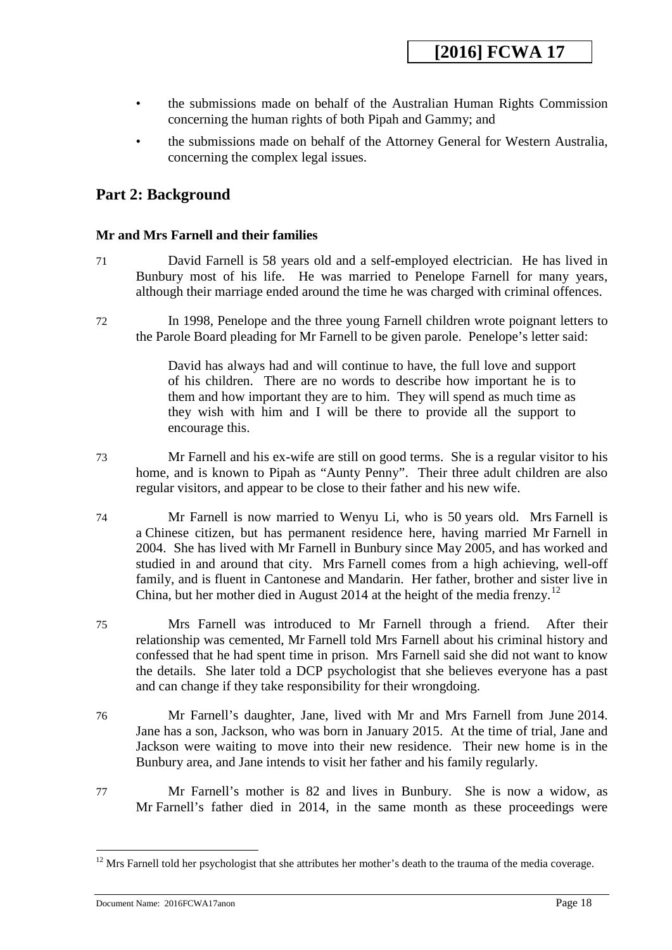- the submissions made on behalf of the Australian Human Rights Commission concerning the human rights of both Pipah and Gammy; and
- the submissions made on behalf of the Attorney General for Western Australia, concerning the complex legal issues.

### <span id="page-17-0"></span>**Part 2: Background**

### **Mr and Mrs Farnell and their families**

- 71 David Farnell is 58 years old and a self-employed electrician. He has lived in Bunbury most of his life. He was married to Penelope Farnell for many years, although their marriage ended around the time he was charged with criminal offences.
- 72 In 1998, Penelope and the three young Farnell children wrote poignant letters to the Parole Board pleading for Mr Farnell to be given parole. Penelope's letter said:

David has always had and will continue to have, the full love and support of his children. There are no words to describe how important he is to them and how important they are to him. They will spend as much time as they wish with him and I will be there to provide all the support to encourage this.

73 Mr Farnell and his ex-wife are still on good terms. She is a regular visitor to his home, and is known to Pipah as "Aunty Penny". Their three adult children are also regular visitors, and appear to be close to their father and his new wife.

74 Mr Farnell is now married to Wenyu Li, who is 50 years old. Mrs Farnell is a Chinese citizen, but has permanent residence here, having married Mr Farnell in 2004. She has lived with Mr Farnell in Bunbury since May 2005, and has worked and studied in and around that city. Mrs Farnell comes from a high achieving, well-off family, and is fluent in Cantonese and Mandarin. Her father, brother and sister live in China, but her mother died in August 2014 at the height of the media frenzy.<sup>12</sup>

75 Mrs Farnell was introduced to Mr Farnell through a friend. After their relationship was cemented, Mr Farnell told Mrs Farnell about his criminal history and confessed that he had spent time in prison. Mrs Farnell said she did not want to know the details. She later told a DCP psychologist that she believes everyone has a past and can change if they take responsibility for their wrongdoing.

76 Mr Farnell's daughter, Jane, lived with Mr and Mrs Farnell from June 2014. Jane has a son, Jackson, who was born in January 2015. At the time of trial, Jane and Jackson were waiting to move into their new residence. Their new home is in the Bunbury area, and Jane intends to visit her father and his family regularly.

77 Mr Farnell's mother is 82 and lives in Bunbury. She is now a widow, as Mr Farnell's father died in 2014, in the same month as these proceedings were

<u>.</u>

<span id="page-17-1"></span> $12$  Mrs Farnell told her psychologist that she attributes her mother's death to the trauma of the media coverage.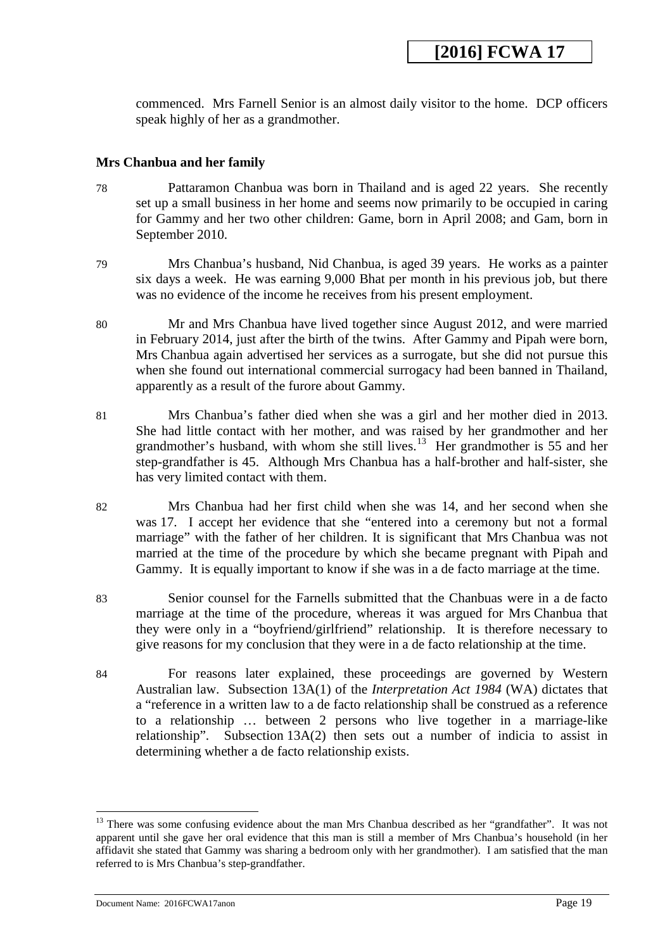commenced. Mrs Farnell Senior is an almost daily visitor to the home. DCP officers speak highly of her as a grandmother.

#### **Mrs Chanbua and her family**

- 78 Pattaramon Chanbua was born in Thailand and is aged 22 years. She recently set up a small business in her home and seems now primarily to be occupied in caring for Gammy and her two other children: Game, born in April 2008; and Gam, born in September 2010.
- 79 Mrs Chanbua's husband, Nid Chanbua, is aged 39 years. He works as a painter six days a week. He was earning 9,000 Bhat per month in his previous job, but there was no evidence of the income he receives from his present employment.
- 80 Mr and Mrs Chanbua have lived together since August 2012, and were married in February 2014, just after the birth of the twins. After Gammy and Pipah were born, Mrs Chanbua again advertised her services as a surrogate, but she did not pursue this when she found out international commercial surrogacy had been banned in Thailand, apparently as a result of the furore about Gammy.
- 81 Mrs Chanbua's father died when she was a girl and her mother died in 2013. She had little contact with her mother, and was raised by her grandmother and her grandmother's husband, with whom she still lives.<sup>13</sup> Her grandmother is 55 and her step-grandfather is 45. Although Mrs Chanbua has a half-brother and half-sister, she has very limited contact with them.
- 82 Mrs Chanbua had her first child when she was 14, and her second when she was 17. I accept her evidence that she "entered into a ceremony but not a formal marriage" with the father of her children. It is significant that Mrs Chanbua was not married at the time of the procedure by which she became pregnant with Pipah and Gammy. It is equally important to know if she was in a de facto marriage at the time.
- 83 Senior counsel for the Farnells submitted that the Chanbuas were in a de facto marriage at the time of the procedure, whereas it was argued for Mrs Chanbua that they were only in a "boyfriend/girlfriend" relationship. It is therefore necessary to give reasons for my conclusion that they were in a de facto relationship at the time.
- 84 For reasons later explained, these proceedings are governed by Western Australian law. Subsection 13A(1) of the *Interpretation Act 1984* (WA) dictates that a "reference in a written law to a de facto relationship shall be construed as a reference to a relationship … between 2 persons who live together in a marriage-like relationship". Subsection 13A(2) then sets out a number of indicia to assist in determining whether a de facto relationship exists.

-

<span id="page-18-0"></span><sup>&</sup>lt;sup>13</sup> There was some confusing evidence about the man Mrs Chanbua described as her "grandfather". It was not apparent until she gave her oral evidence that this man is still a member of Mrs Chanbua's household (in her affidavit she stated that Gammy was sharing a bedroom only with her grandmother). I am satisfied that the man referred to is Mrs Chanbua's step-grandfather.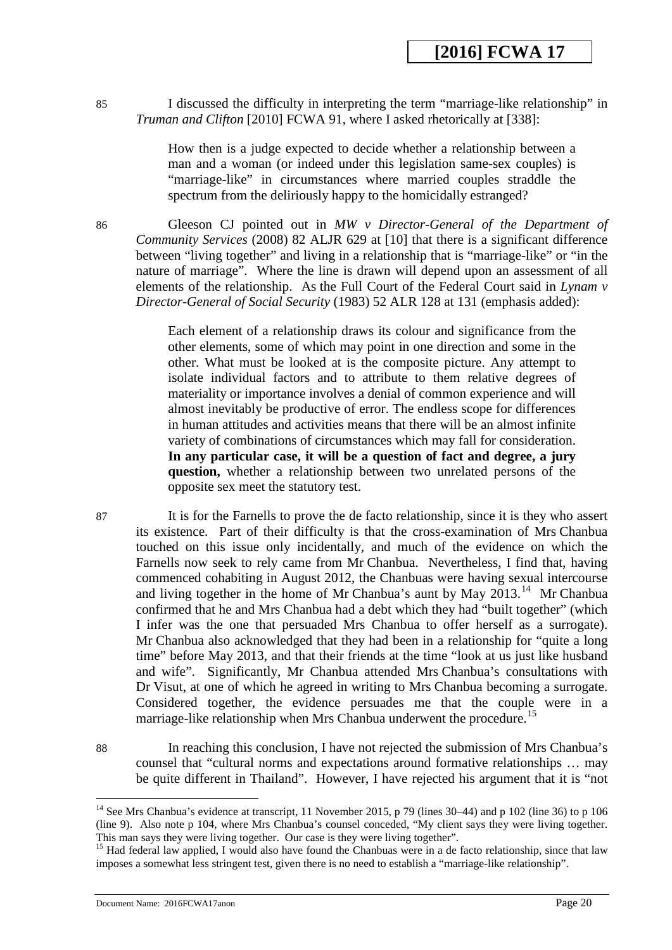85 I discussed the difficulty in interpreting the term "marriage-like relationship" in *Truman and Clifton* [2010] FCWA 91, where I asked rhetorically at [338]:

> How then is a judge expected to decide whether a relationship between a man and a woman (or indeed under this legislation same-sex couples) is "marriage-like" in circumstances where married couples straddle the spectrum from the deliriously happy to the homicidally estranged?

86 Gleeson CJ pointed out in *MW v Director-General of the Department of Community Services* (2008) 82 ALJR 629 at [10] that there is a significant difference between "living together" and living in a relationship that is "marriage-like" or "in the nature of marriage". Where the line is drawn will depend upon an assessment of all elements of the relationship. As the Full Court of the Federal Court said in *Lynam v Director-General of Social Security* (1983) 52 ALR 128 at 131 (emphasis added):

> Each element of a relationship draws its colour and significance from the other elements, some of which may point in one direction and some in the other. What must be looked at is the composite picture. Any attempt to isolate individual factors and to attribute to them relative degrees of materiality or importance involves a denial of common experience and will almost inevitably be productive of error. The endless scope for differences in human attitudes and activities means that there will be an almost infinite variety of combinations of circumstances which may fall for consideration. **In any particular case, it will be a question of fact and degree, a jury question,** whether a relationship between two unrelated persons of the opposite sex meet the statutory test.

87 It is for the Farnells to prove the de facto relationship, since it is they who assert its existence. Part of their difficulty is that the cross-examination of Mrs Chanbua touched on this issue only incidentally, and much of the evidence on which the Farnells now seek to rely came from Mr Chanbua. Nevertheless, I find that, having commenced cohabiting in August 2012, the Chanbuas were having sexual intercourse and living together in the home of Mr Chanbua's aunt by May  $2013$ <sup>[14](#page-19-0)</sup> Mr Chanbua confirmed that he and Mrs Chanbua had a debt which they had "built together" (which I infer was the one that persuaded Mrs Chanbua to offer herself as a surrogate). Mr Chanbua also acknowledged that they had been in a relationship for "quite a long time" before May 2013, and that their friends at the time "look at us just like husband and wife". Significantly, Mr Chanbua attended Mrs Chanbua's consultations with Dr Visut, at one of which he agreed in writing to Mrs Chanbua becoming a surrogate. Considered together, the evidence persuades me that the couple were in a marriage-like relationship when Mrs Chanbua underwent the procedure.<sup>15</sup>

88 In reaching this conclusion, I have not rejected the submission of Mrs Chanbua's counsel that "cultural norms and expectations around formative relationships … may be quite different in Thailand". However, I have rejected his argument that it is "not

-

<sup>&</sup>lt;sup>14</sup> See Mrs Chanbua's evidence at transcript, 11 November 2015, p 79 (lines 30–44) and p 102 (line 36) to p 106 (line 9). Also note p 104, where Mrs Chanbua's counsel conceded, "My client says they were living together.<br>This man says they were living together. Our case is they were living together".

<span id="page-19-0"></span> $15$  Had federal law applied, I would also have found the Chanbuas were in a de facto relationship, since that law imposes a somewhat less stringent test, given there is no need to establish a "marriage-like relationship".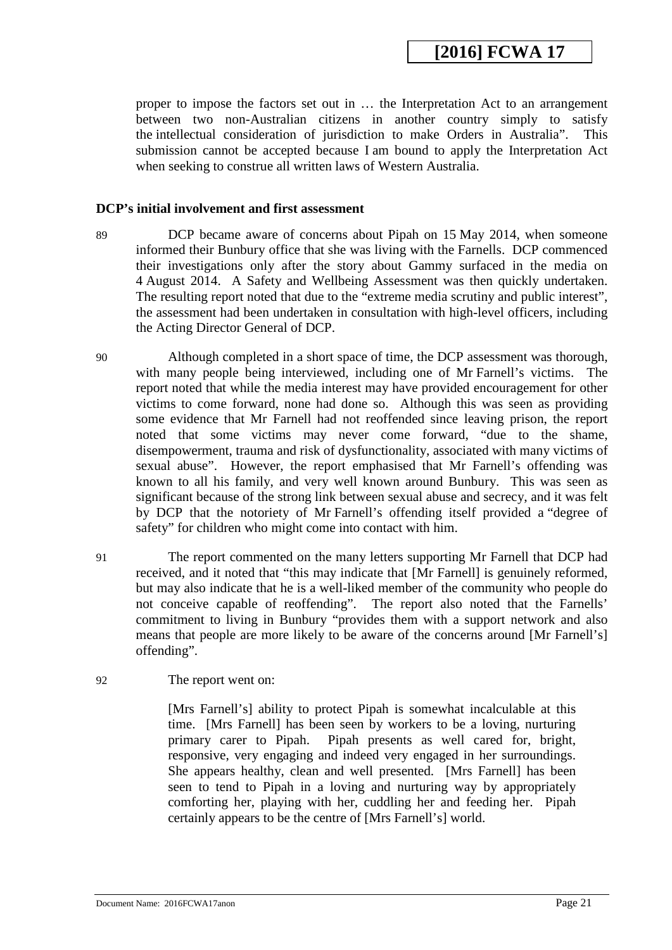proper to impose the factors set out in … the Interpretation Act to an arrangement between two non-Australian citizens in another country simply to satisfy the intellectual consideration of jurisdiction to make Orders in Australia". This submission cannot be accepted because I am bound to apply the Interpretation Act when seeking to construe all written laws of Western Australia.

#### **DCP's initial involvement and first assessment**

- 89 DCP became aware of concerns about Pipah on 15 May 2014, when someone informed their Bunbury office that she was living with the Farnells. DCP commenced their investigations only after the story about Gammy surfaced in the media on 4 August 2014. A Safety and Wellbeing Assessment was then quickly undertaken. The resulting report noted that due to the "extreme media scrutiny and public interest", the assessment had been undertaken in consultation with high-level officers, including the Acting Director General of DCP.
- 90 Although completed in a short space of time, the DCP assessment was thorough, with many people being interviewed, including one of Mr Farnell's victims. The report noted that while the media interest may have provided encouragement for other victims to come forward, none had done so. Although this was seen as providing some evidence that Mr Farnell had not reoffended since leaving prison, the report noted that some victims may never come forward, "due to the shame, disempowerment, trauma and risk of dysfunctionality, associated with many victims of sexual abuse". However, the report emphasised that Mr Farnell's offending was known to all his family, and very well known around Bunbury. This was seen as significant because of the strong link between sexual abuse and secrecy, and it was felt by DCP that the notoriety of Mr Farnell's offending itself provided a "degree of safety" for children who might come into contact with him.
- 91 The report commented on the many letters supporting Mr Farnell that DCP had received, and it noted that "this may indicate that [Mr Farnell] is genuinely reformed, but may also indicate that he is a well-liked member of the community who people do not conceive capable of reoffending". The report also noted that the Farnells' commitment to living in Bunbury "provides them with a support network and also means that people are more likely to be aware of the concerns around [Mr Farnell's] offending".
- <span id="page-20-0"></span>92 The report went on:

[Mrs Farnell's] ability to protect Pipah is somewhat incalculable at this time. [Mrs Farnell] has been seen by workers to be a loving, nurturing primary carer to Pipah. Pipah presents as well cared for, bright, responsive, very engaging and indeed very engaged in her surroundings. She appears healthy, clean and well presented. [Mrs Farnell] has been seen to tend to Pipah in a loving and nurturing way by appropriately comforting her, playing with her, cuddling her and feeding her. Pipah certainly appears to be the centre of [Mrs Farnell's] world.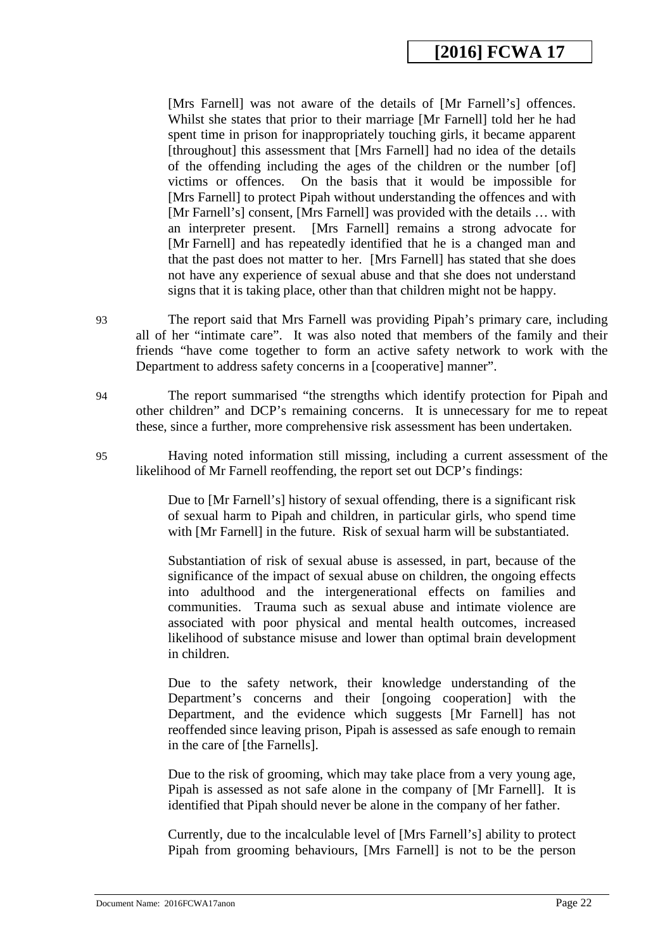[Mrs Farnell] was not aware of the details of [Mr Farnell's] offences. Whilst she states that prior to their marriage [Mr Farnell] told her he had spent time in prison for inappropriately touching girls, it became apparent [throughout] this assessment that [Mrs Farnell] had no idea of the details of the offending including the ages of the children or the number [of] victims or offences. On the basis that it would be impossible for On the basis that it would be impossible for [Mrs Farnell] to protect Pipah without understanding the offences and with [Mr Farnell's] consent, [Mrs Farnell] was provided with the details … with an interpreter present. [Mrs Farnell] remains a strong advocate for [Mr Farnell] and has repeatedly identified that he is a changed man and that the past does not matter to her. [Mrs Farnell] has stated that she does not have any experience of sexual abuse and that she does not understand signs that it is taking place, other than that children might not be happy.

93 The report said that Mrs Farnell was providing Pipah's primary care, including all of her "intimate care". It was also noted that members of the family and their friends "have come together to form an active safety network to work with the Department to address safety concerns in a [cooperative] manner".

94 The report summarised "the strengths which identify protection for Pipah and other children" and DCP's remaining concerns. It is unnecessary for me to repeat these, since a further, more comprehensive risk assessment has been undertaken.

95 Having noted information still missing, including a current assessment of the likelihood of Mr Farnell reoffending, the report set out DCP's findings:

> Due to [Mr Farnell's] history of sexual offending, there is a significant risk of sexual harm to Pipah and children, in particular girls, who spend time with [Mr Farnell] in the future. Risk of sexual harm will be substantiated.

> Substantiation of risk of sexual abuse is assessed, in part, because of the significance of the impact of sexual abuse on children, the ongoing effects into adulthood and the intergenerational effects on families and communities. Trauma such as sexual abuse and intimate violence are associated with poor physical and mental health outcomes, increased likelihood of substance misuse and lower than optimal brain development in children.

> Due to the safety network, their knowledge understanding of the Department's concerns and their [ongoing cooperation] with the Department, and the evidence which suggests [Mr Farnell] has not reoffended since leaving prison, Pipah is assessed as safe enough to remain in the care of [the Farnells].

> Due to the risk of grooming, which may take place from a very young age, Pipah is assessed as not safe alone in the company of [Mr Farnell]. It is identified that Pipah should never be alone in the company of her father.

> Currently, due to the incalculable level of [Mrs Farnell's] ability to protect Pipah from grooming behaviours, [Mrs Farnell] is not to be the person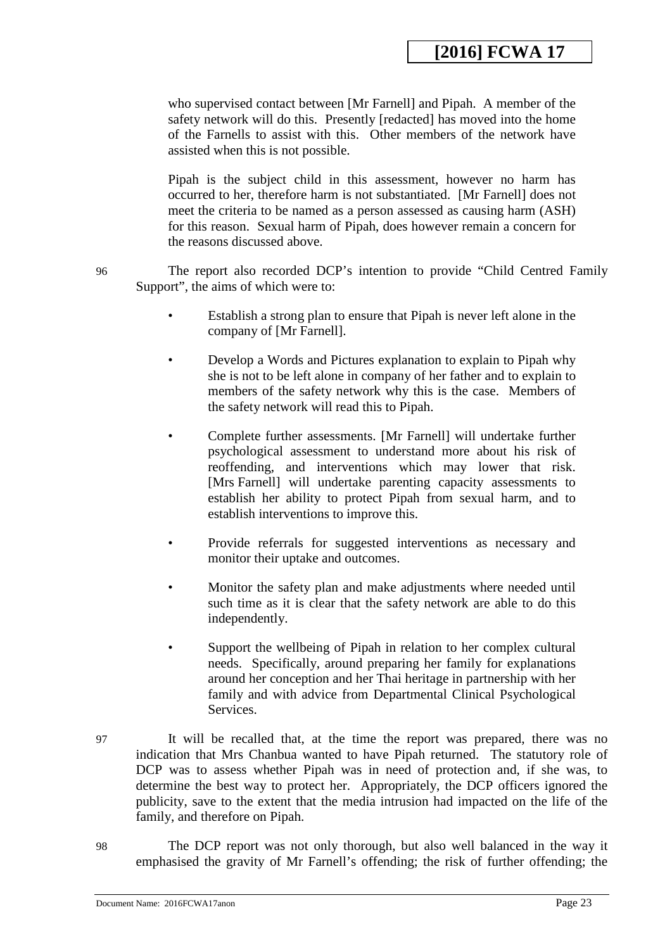who supervised contact between [Mr Farnell] and Pipah. A member of the safety network will do this. Presently [redacted] has moved into the home of the Farnells to assist with this. Other members of the network have assisted when this is not possible.

Pipah is the subject child in this assessment, however no harm has occurred to her, therefore harm is not substantiated. [Mr Farnell] does not meet the criteria to be named as a person assessed as causing harm (ASH) for this reason. Sexual harm of Pipah, does however remain a concern for the reasons discussed above.

96 The report also recorded DCP's intention to provide "Child Centred Family Support", the aims of which were to:

- Establish a strong plan to ensure that Pipah is never left alone in the company of [Mr Farnell].
- Develop a Words and Pictures explanation to explain to Pipah why she is not to be left alone in company of her father and to explain to members of the safety network why this is the case. Members of the safety network will read this to Pipah.
- Complete further assessments. [Mr Farnell] will undertake further psychological assessment to understand more about his risk of reoffending, and interventions which may lower that risk. [Mrs Farnell] will undertake parenting capacity assessments to establish her ability to protect Pipah from sexual harm, and to establish interventions to improve this.
- Provide referrals for suggested interventions as necessary and monitor their uptake and outcomes.
- Monitor the safety plan and make adjustments where needed until such time as it is clear that the safety network are able to do this independently.
- Support the wellbeing of Pipah in relation to her complex cultural needs. Specifically, around preparing her family for explanations around her conception and her Thai heritage in partnership with her family and with advice from Departmental Clinical Psychological Services.
- 97 It will be recalled that, at the time the report was prepared, there was no indication that Mrs Chanbua wanted to have Pipah returned. The statutory role of DCP was to assess whether Pipah was in need of protection and, if she was, to determine the best way to protect her. Appropriately, the DCP officers ignored the publicity, save to the extent that the media intrusion had impacted on the life of the family, and therefore on Pipah.
- 98 The DCP report was not only thorough, but also well balanced in the way it emphasised the gravity of Mr Farnell's offending; the risk of further offending; the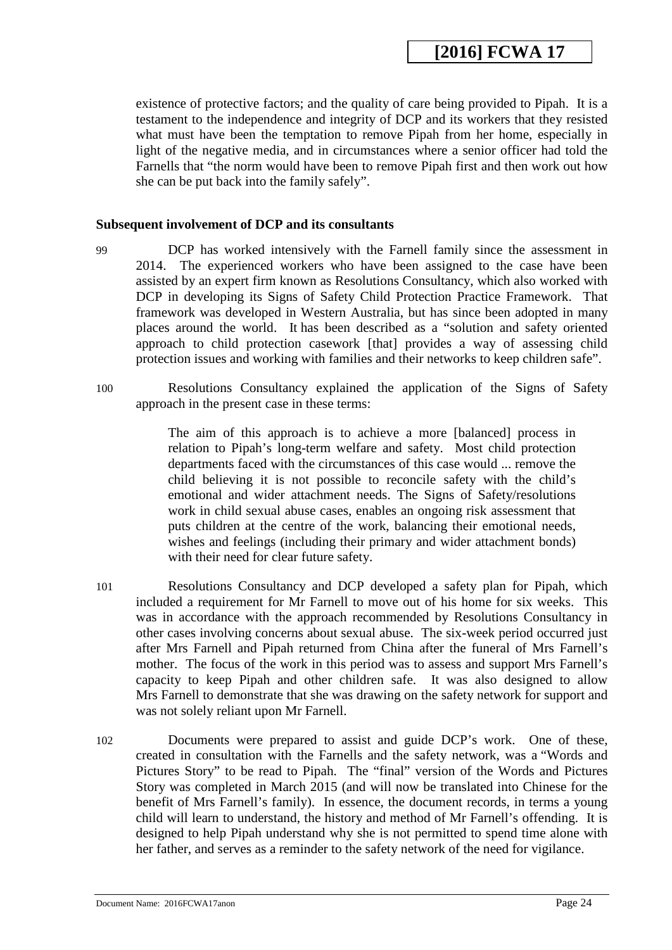existence of protective factors; and the quality of care being provided to Pipah. It is a testament to the independence and integrity of DCP and its workers that they resisted what must have been the temptation to remove Pipah from her home, especially in light of the negative media, and in circumstances where a senior officer had told the Farnells that "the norm would have been to remove Pipah first and then work out how she can be put back into the family safely".

#### **Subsequent involvement of DCP and its consultants**

- 99 DCP has worked intensively with the Farnell family since the assessment in 2014. The experienced workers who have been assigned to the case have been assisted by an expert firm known as Resolutions Consultancy, which also worked with DCP in developing its Signs of Safety Child Protection Practice Framework. That framework was developed in Western Australia, but has since been adopted in many places around the world. It has been described as a "solution and safety oriented approach to child protection casework [that] provides a way of assessing child protection issues and working with families and their networks to keep children safe".
- 100 Resolutions Consultancy explained the application of the Signs of Safety approach in the present case in these terms:

The aim of this approach is to achieve a more [balanced] process in relation to Pipah's long-term welfare and safety. Most child protection departments faced with the circumstances of this case would ... remove the child believing it is not possible to reconcile safety with the child's emotional and wider attachment needs. The Signs of Safety/resolutions work in child sexual abuse cases, enables an ongoing risk assessment that puts children at the centre of the work, balancing their emotional needs, wishes and feelings (including their primary and wider attachment bonds) with their need for clear future safety.

- 101 Resolutions Consultancy and DCP developed a safety plan for Pipah, which included a requirement for Mr Farnell to move out of his home for six weeks. This was in accordance with the approach recommended by Resolutions Consultancy in other cases involving concerns about sexual abuse. The six-week period occurred just after Mrs Farnell and Pipah returned from China after the funeral of Mrs Farnell's mother. The focus of the work in this period was to assess and support Mrs Farnell's capacity to keep Pipah and other children safe. It was also designed to allow Mrs Farnell to demonstrate that she was drawing on the safety network for support and was not solely reliant upon Mr Farnell.
- 102 Documents were prepared to assist and guide DCP's work. One of these, created in consultation with the Farnells and the safety network, was a "Words and Pictures Story" to be read to Pipah. The "final" version of the Words and Pictures Story was completed in March 2015 (and will now be translated into Chinese for the benefit of Mrs Farnell's family). In essence, the document records, in terms a young child will learn to understand, the history and method of Mr Farnell's offending. It is designed to help Pipah understand why she is not permitted to spend time alone with her father, and serves as a reminder to the safety network of the need for vigilance.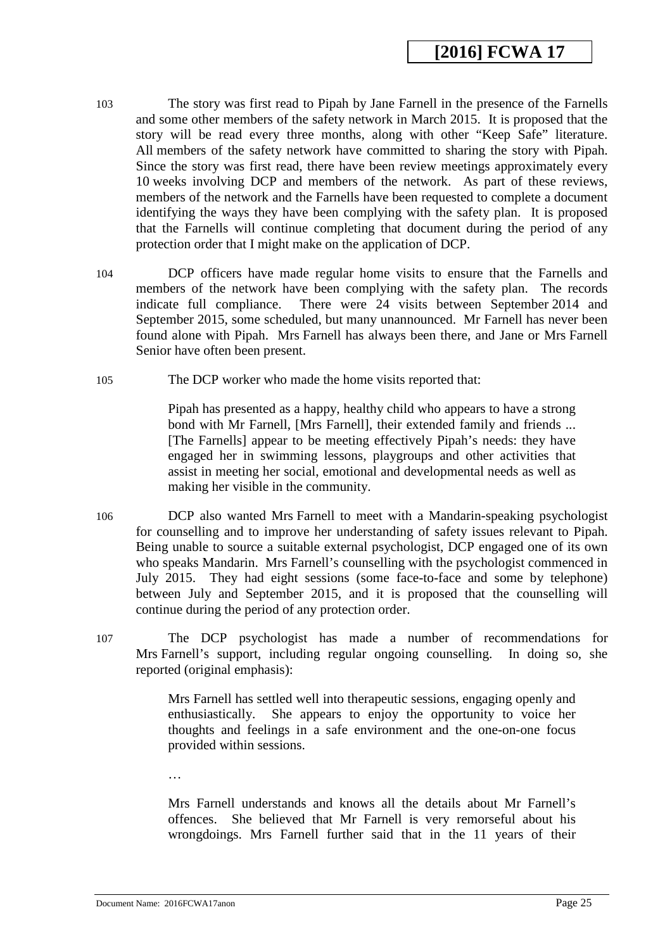- 103 The story was first read to Pipah by Jane Farnell in the presence of the Farnells and some other members of the safety network in March 2015. It is proposed that the story will be read every three months, along with other "Keep Safe" literature. All members of the safety network have committed to sharing the story with Pipah. Since the story was first read, there have been review meetings approximately every 10 weeks involving DCP and members of the network. As part of these reviews, members of the network and the Farnells have been requested to complete a document identifying the ways they have been complying with the safety plan. It is proposed that the Farnells will continue completing that document during the period of any protection order that I might make on the application of DCP.
- 104 DCP officers have made regular home visits to ensure that the Farnells and members of the network have been complying with the safety plan. The records indicate full compliance. There were 24 visits between September 2014 and September 2015, some scheduled, but many unannounced. Mr Farnell has never been found alone with Pipah. Mrs Farnell has always been there, and Jane or Mrs Farnell Senior have often been present.
- 105 The DCP worker who made the home visits reported that:

Pipah has presented as a happy, healthy child who appears to have a strong bond with Mr Farnell, [Mrs Farnell], their extended family and friends ... [The Farnells] appear to be meeting effectively Pipah's needs: they have engaged her in swimming lessons, playgroups and other activities that assist in meeting her social, emotional and developmental needs as well as making her visible in the community.

- 106 DCP also wanted Mrs Farnell to meet with a Mandarin-speaking psychologist for counselling and to improve her understanding of safety issues relevant to Pipah. Being unable to source a suitable external psychologist, DCP engaged one of its own who speaks Mandarin. Mrs Farnell's counselling with the psychologist commenced in July 2015. They had eight sessions (some face-to-face and some by telephone) between July and September 2015, and it is proposed that the counselling will continue during the period of any protection order.
- 107 The DCP psychologist has made a number of recommendations for Mrs Farnell's support, including regular ongoing counselling. In doing so, she reported (original emphasis):

Mrs Farnell has settled well into therapeutic sessions, engaging openly and enthusiastically. She appears to enjoy the opportunity to voice her thoughts and feelings in a safe environment and the one-on-one focus provided within sessions.

Mrs Farnell understands and knows all the details about Mr Farnell's offences. She believed that Mr Farnell is very remorseful about his wrongdoings. Mrs Farnell further said that in the 11 years of their

Document Name: 2016FCWA17anon Page 25

…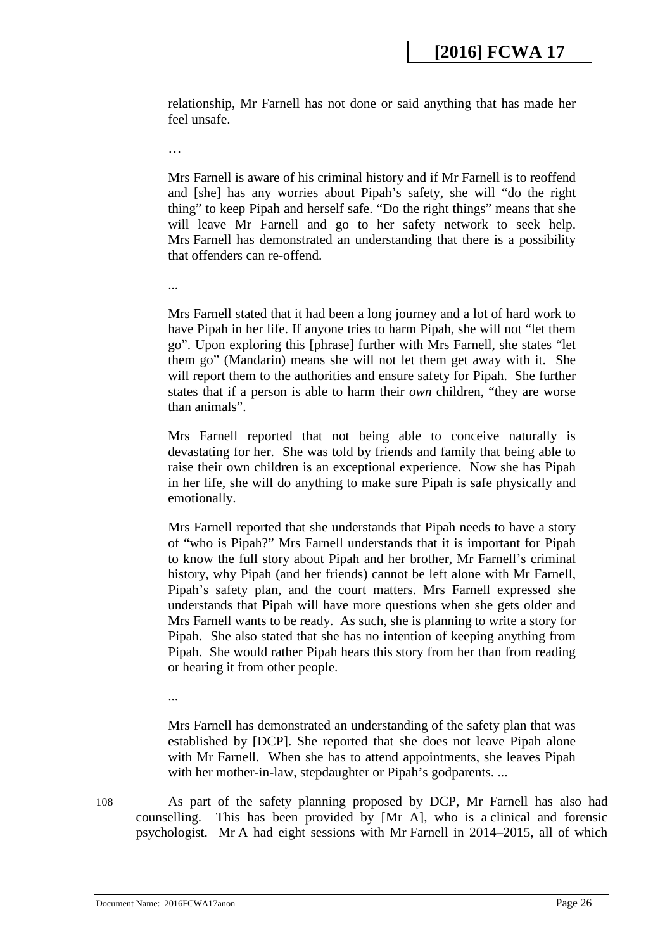relationship, Mr Farnell has not done or said anything that has made her feel unsafe.

…

Mrs Farnell is aware of his criminal history and if Mr Farnell is to reoffend and [she] has any worries about Pipah's safety, she will "do the right thing" to keep Pipah and herself safe. "Do the right things" means that she will leave Mr Farnell and go to her safety network to seek help. Mrs Farnell has demonstrated an understanding that there is a possibility that offenders can re-offend.

...

Mrs Farnell stated that it had been a long journey and a lot of hard work to have Pipah in her life. If anyone tries to harm Pipah, she will not "let them go". Upon exploring this [phrase] further with Mrs Farnell, she states "let them go" (Mandarin) means she will not let them get away with it. She will report them to the authorities and ensure safety for Pipah. She further states that if a person is able to harm their *own* children, "they are worse than animals".

Mrs Farnell reported that not being able to conceive naturally is devastating for her. She was told by friends and family that being able to raise their own children is an exceptional experience. Now she has Pipah in her life, she will do anything to make sure Pipah is safe physically and emotionally.

Mrs Farnell reported that she understands that Pipah needs to have a story of "who is Pipah?" Mrs Farnell understands that it is important for Pipah to know the full story about Pipah and her brother, Mr Farnell's criminal history, why Pipah (and her friends) cannot be left alone with Mr Farnell, Pipah's safety plan, and the court matters. Mrs Farnell expressed she understands that Pipah will have more questions when she gets older and Mrs Farnell wants to be ready. As such, she is planning to write a story for Pipah. She also stated that she has no intention of keeping anything from Pipah. She would rather Pipah hears this story from her than from reading or hearing it from other people.

...

Mrs Farnell has demonstrated an understanding of the safety plan that was established by [DCP]. She reported that she does not leave Pipah alone with Mr Farnell. When she has to attend appointments, she leaves Pipah with her mother-in-law, stepdaughter or Pipah's godparents...

108 As part of the safety planning proposed by DCP, Mr Farnell has also had counselling. This has been provided by [Mr A], who is a clinical and forensic psychologist. Mr A had eight sessions with Mr Farnell in 2014–2015, all of which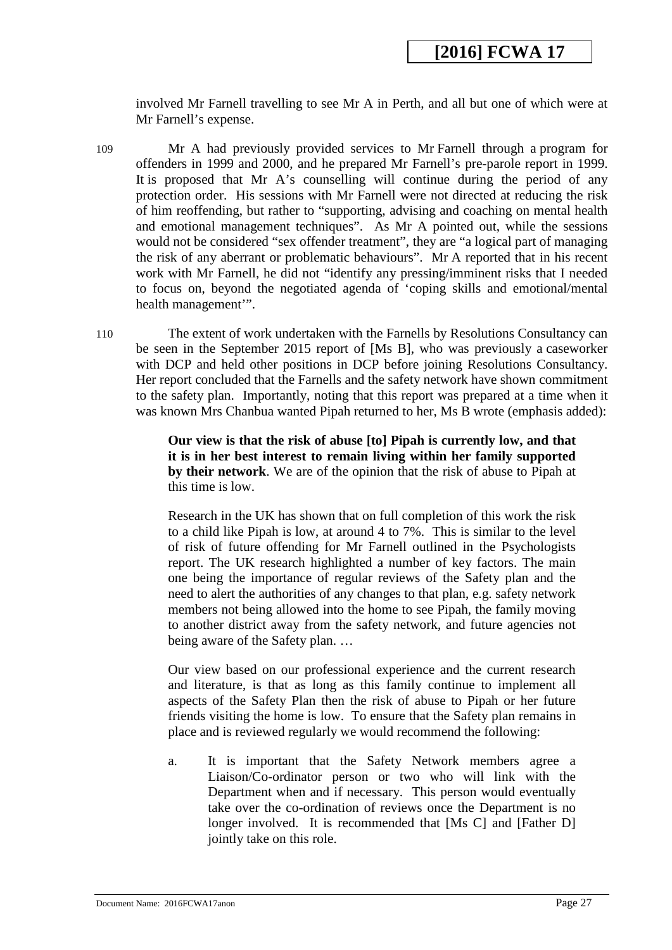involved Mr Farnell travelling to see Mr A in Perth, and all but one of which were at Mr Farnell's expense.

- 109 Mr A had previously provided services to Mr Farnell through a program for offenders in 1999 and 2000, and he prepared Mr Farnell's pre-parole report in 1999. It is proposed that Mr A's counselling will continue during the period of any protection order. His sessions with Mr Farnell were not directed at reducing the risk of him reoffending, but rather to "supporting, advising and coaching on mental health and emotional management techniques". As Mr A pointed out, while the sessions would not be considered "sex offender treatment", they are "a logical part of managing the risk of any aberrant or problematic behaviours". Mr A reported that in his recent work with Mr Farnell, he did not "identify any pressing/imminent risks that I needed to focus on, beyond the negotiated agenda of 'coping skills and emotional/mental health management'".
- 110 The extent of work undertaken with the Farnells by Resolutions Consultancy can be seen in the September 2015 report of [Ms B], who was previously a caseworker with DCP and held other positions in DCP before joining Resolutions Consultancy. Her report concluded that the Farnells and the safety network have shown commitment to the safety plan. Importantly, noting that this report was prepared at a time when it was known Mrs Chanbua wanted Pipah returned to her, Ms B wrote (emphasis added):

**Our view is that the risk of abuse [to] Pipah is currently low, and that it is in her best interest to remain living within her family supported by their network**. We are of the opinion that the risk of abuse to Pipah at this time is low.

Research in the UK has shown that on full completion of this work the risk to a child like Pipah is low, at around 4 to 7%. This is similar to the level of risk of future offending for Mr Farnell outlined in the Psychologists report. The UK research highlighted a number of key factors. The main one being the importance of regular reviews of the Safety plan and the need to alert the authorities of any changes to that plan, e.g. safety network members not being allowed into the home to see Pipah, the family moving to another district away from the safety network, and future agencies not being aware of the Safety plan. …

Our view based on our professional experience and the current research and literature, is that as long as this family continue to implement all aspects of the Safety Plan then the risk of abuse to Pipah or her future friends visiting the home is low. To ensure that the Safety plan remains in place and is reviewed regularly we would recommend the following:

a. It is important that the Safety Network members agree a Liaison/Co-ordinator person or two who will link with the Department when and if necessary. This person would eventually take over the co-ordination of reviews once the Department is no longer involved. It is recommended that [Ms C] and [Father D] jointly take on this role.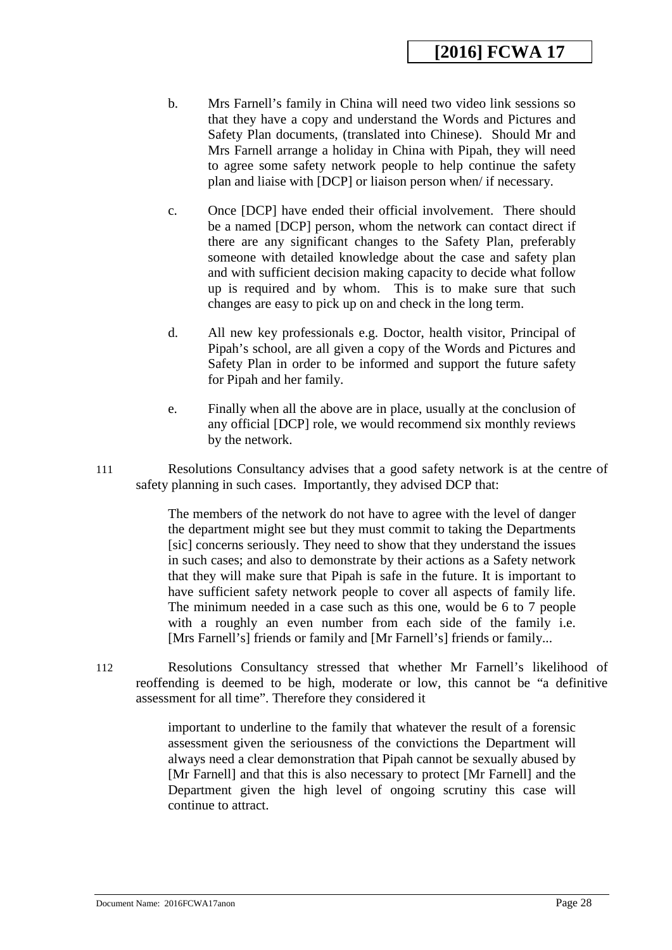- b. Mrs Farnell's family in China will need two video link sessions so that they have a copy and understand the Words and Pictures and Safety Plan documents, (translated into Chinese). Should Mr and Mrs Farnell arrange a holiday in China with Pipah, they will need to agree some safety network people to help continue the safety plan and liaise with [DCP] or liaison person when/ if necessary.
- c. Once [DCP] have ended their official involvement. There should be a named [DCP] person, whom the network can contact direct if there are any significant changes to the Safety Plan, preferably someone with detailed knowledge about the case and safety plan and with sufficient decision making capacity to decide what follow up is required and by whom. This is to make sure that such changes are easy to pick up on and check in the long term.
- d. All new key professionals e.g. Doctor, health visitor, Principal of Pipah's school, are all given a copy of the Words and Pictures and Safety Plan in order to be informed and support the future safety for Pipah and her family.
- e. Finally when all the above are in place, usually at the conclusion of any official [DCP] role, we would recommend six monthly reviews by the network.
- 111 Resolutions Consultancy advises that a good safety network is at the centre of safety planning in such cases. Importantly, they advised DCP that:

The members of the network do not have to agree with the level of danger the department might see but they must commit to taking the Departments [sic] concerns seriously. They need to show that they understand the issues in such cases; and also to demonstrate by their actions as a Safety network that they will make sure that Pipah is safe in the future. It is important to have sufficient safety network people to cover all aspects of family life. The minimum needed in a case such as this one, would be 6 to 7 people with a roughly an even number from each side of the family i.e. [Mrs Farnell's] friends or family and [Mr Farnell's] friends or family...

112 Resolutions Consultancy stressed that whether Mr Farnell's likelihood of reoffending is deemed to be high, moderate or low, this cannot be "a definitive assessment for all time". Therefore they considered it

> important to underline to the family that whatever the result of a forensic assessment given the seriousness of the convictions the Department will always need a clear demonstration that Pipah cannot be sexually abused by [Mr Farnell] and that this is also necessary to protect [Mr Farnell] and the Department given the high level of ongoing scrutiny this case will continue to attract.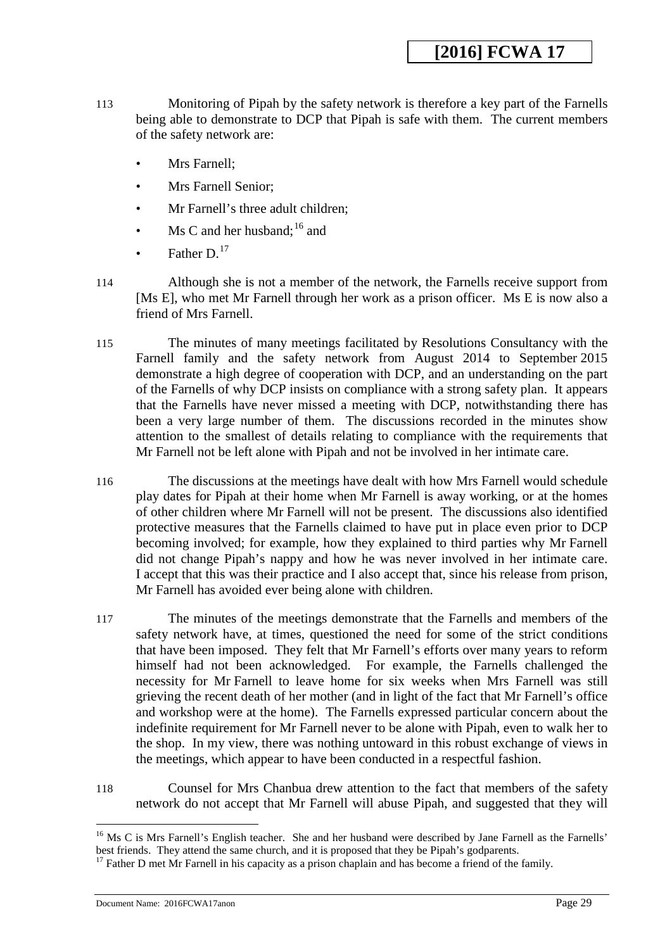- 113 Monitoring of Pipah by the safety network is therefore a key part of the Farnells being able to demonstrate to DCP that Pipah is safe with them. The current members of the safety network are:
	- Mrs Farnell;
	- Mrs Farnell Senior;
	- Mr Farnell's three adult children;
	- Ms C and her husband:  $16$  and
	- Father  $D^{17}$
- 114 Although she is not a member of the network, the Farnells receive support from [Ms E], who met Mr Farnell through her work as a prison officer. Ms E is now also a friend of Mrs Farnell.
- 115 The minutes of many meetings facilitated by Resolutions Consultancy with the Farnell family and the safety network from August 2014 to September 2015 demonstrate a high degree of cooperation with DCP, and an understanding on the part of the Farnells of why DCP insists on compliance with a strong safety plan. It appears that the Farnells have never missed a meeting with DCP, notwithstanding there has been a very large number of them. The discussions recorded in the minutes show attention to the smallest of details relating to compliance with the requirements that Mr Farnell not be left alone with Pipah and not be involved in her intimate care.
- 116 The discussions at the meetings have dealt with how Mrs Farnell would schedule play dates for Pipah at their home when Mr Farnell is away working, or at the homes of other children where Mr Farnell will not be present. The discussions also identified protective measures that the Farnells claimed to have put in place even prior to DCP becoming involved; for example, how they explained to third parties why Mr Farnell did not change Pipah's nappy and how he was never involved in her intimate care. I accept that this was their practice and I also accept that, since his release from prison, Mr Farnell has avoided ever being alone with children.
- 117 The minutes of the meetings demonstrate that the Farnells and members of the safety network have, at times, questioned the need for some of the strict conditions that have been imposed. They felt that Mr Farnell's efforts over many years to reform himself had not been acknowledged. For example, the Farnells challenged the necessity for Mr Farnell to leave home for six weeks when Mrs Farnell was still grieving the recent death of her mother (and in light of the fact that Mr Farnell's office and workshop were at the home). The Farnells expressed particular concern about the indefinite requirement for Mr Farnell never to be alone with Pipah, even to walk her to the shop. In my view, there was nothing untoward in this robust exchange of views in the meetings, which appear to have been conducted in a respectful fashion.
- 118 Counsel for Mrs Chanbua drew attention to the fact that members of the safety network do not accept that Mr Farnell will abuse Pipah, and suggested that they will

-

<span id="page-28-0"></span><sup>&</sup>lt;sup>16</sup> Ms C is Mrs Farnell's English teacher. She and her husband were described by Jane Farnell as the Farnells' best friends. They attend the same church, and it is proposed that they be Pipah's godparents.

<span id="page-28-1"></span> $17$  Father D met Mr Farnell in his capacity as a prison chaplain and has become a friend of the family.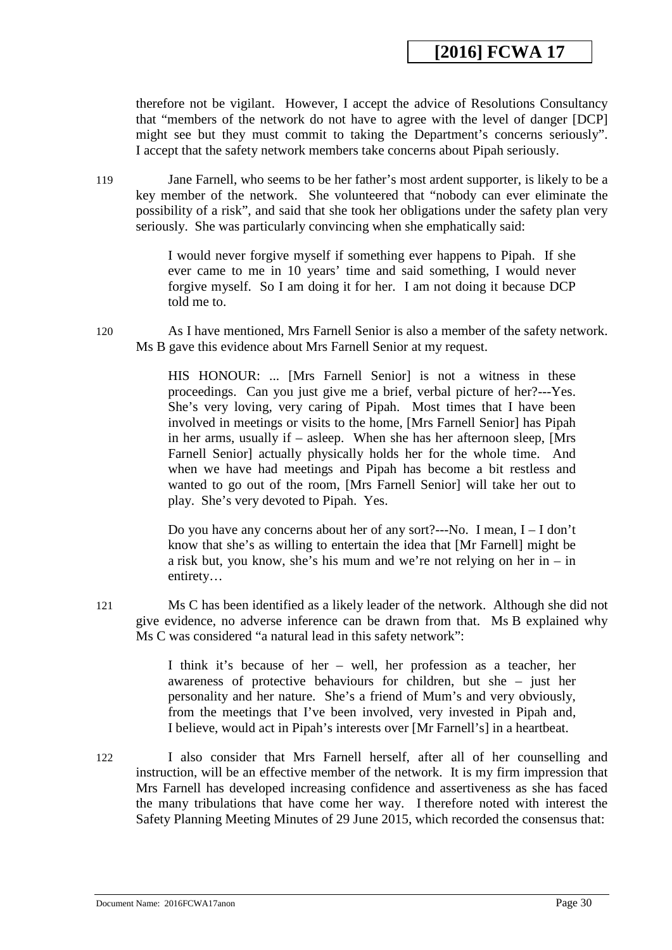therefore not be vigilant. However, I accept the advice of Resolutions Consultancy that "members of the network do not have to agree with the level of danger [DCP] might see but they must commit to taking the Department's concerns seriously". I accept that the safety network members take concerns about Pipah seriously.

119 Jane Farnell, who seems to be her father's most ardent supporter, is likely to be a key member of the network. She volunteered that "nobody can ever eliminate the possibility of a risk", and said that she took her obligations under the safety plan very seriously. She was particularly convincing when she emphatically said:

> I would never forgive myself if something ever happens to Pipah. If she ever came to me in 10 years' time and said something, I would never forgive myself. So I am doing it for her. I am not doing it because DCP told me to.

120 As I have mentioned, Mrs Farnell Senior is also a member of the safety network. Ms B gave this evidence about Mrs Farnell Senior at my request.

> HIS HONOUR: ... [Mrs Farnell Senior] is not a witness in these proceedings. Can you just give me a brief, verbal picture of her?---Yes. She's very loving, very caring of Pipah. Most times that I have been involved in meetings or visits to the home, [Mrs Farnell Senior] has Pipah in her arms, usually if – asleep. When she has her afternoon sleep, [Mrs Farnell Senior] actually physically holds her for the whole time. And when we have had meetings and Pipah has become a bit restless and wanted to go out of the room, [Mrs Farnell Senior] will take her out to play. She's very devoted to Pipah. Yes.

> Do you have any concerns about her of any sort?---No. I mean, I – I don't know that she's as willing to entertain the idea that [Mr Farnell] might be a risk but, you know, she's his mum and we're not relying on her in – in entirety…

121 Ms C has been identified as a likely leader of the network. Although she did not give evidence, no adverse inference can be drawn from that. Ms B explained why Ms C was considered "a natural lead in this safety network":

> I think it's because of her – well, her profession as a teacher, her awareness of protective behaviours for children, but she – just her personality and her nature. She's a friend of Mum's and very obviously, from the meetings that I've been involved, very invested in Pipah and, I believe, would act in Pipah's interests over [Mr Farnell's] in a heartbeat.

122 I also consider that Mrs Farnell herself, after all of her counselling and instruction, will be an effective member of the network. It is my firm impression that Mrs Farnell has developed increasing confidence and assertiveness as she has faced the many tribulations that have come her way. I therefore noted with interest the Safety Planning Meeting Minutes of 29 June 2015, which recorded the consensus that: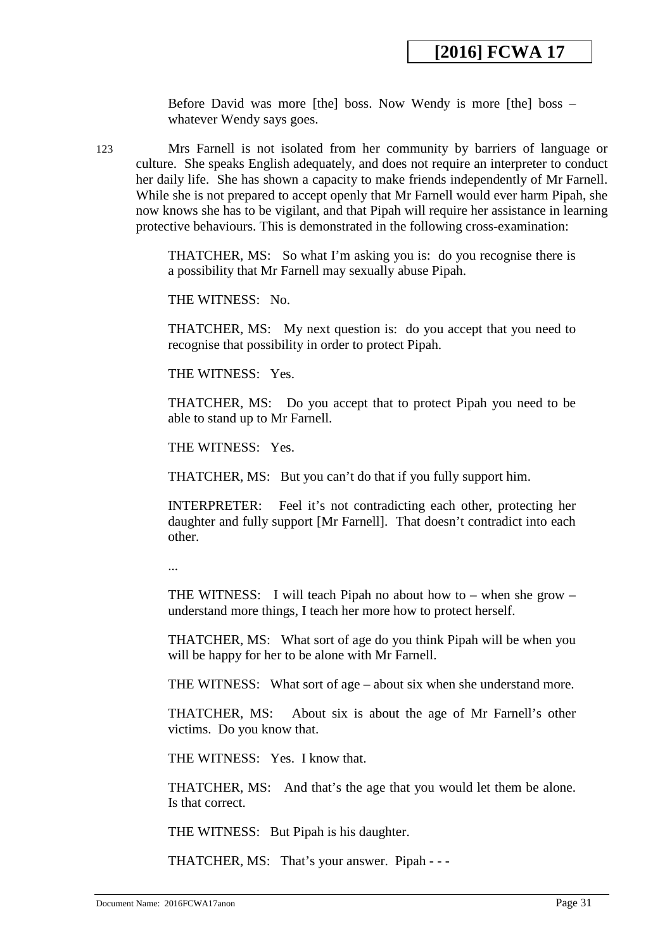Before David was more [the] boss. Now Wendy is more [the] boss – whatever Wendy says goes.

123 Mrs Farnell is not isolated from her community by barriers of language or culture. She speaks English adequately, and does not require an interpreter to conduct her daily life. She has shown a capacity to make friends independently of Mr Farnell. While she is not prepared to accept openly that Mr Farnell would ever harm Pipah, she now knows she has to be vigilant, and that Pipah will require her assistance in learning protective behaviours. This is demonstrated in the following cross-examination:

> THATCHER, MS: So what I'm asking you is: do you recognise there is a possibility that Mr Farnell may sexually abuse Pipah.

THE WITNESS: No.

THATCHER, MS: My next question is: do you accept that you need to recognise that possibility in order to protect Pipah.

THE WITNESS: Yes.

THATCHER, MS: Do you accept that to protect Pipah you need to be able to stand up to Mr Farnell.

THE WITNESS: Yes.

THATCHER, MS: But you can't do that if you fully support him.

INTERPRETER: Feel it's not contradicting each other, protecting her daughter and fully support [Mr Farnell]. That doesn't contradict into each other.

...

THE WITNESS: I will teach Pipah no about how to – when she grow – understand more things, I teach her more how to protect herself.

THATCHER, MS: What sort of age do you think Pipah will be when you will be happy for her to be alone with Mr Farnell.

THE WITNESS: What sort of age – about six when she understand more.

THATCHER, MS: About six is about the age of Mr Farnell's other victims. Do you know that.

THE WITNESS: Yes. I know that.

THATCHER, MS: And that's the age that you would let them be alone. Is that correct.

THE WITNESS: But Pipah is his daughter.

THATCHER, MS: That's your answer. Pipah - - -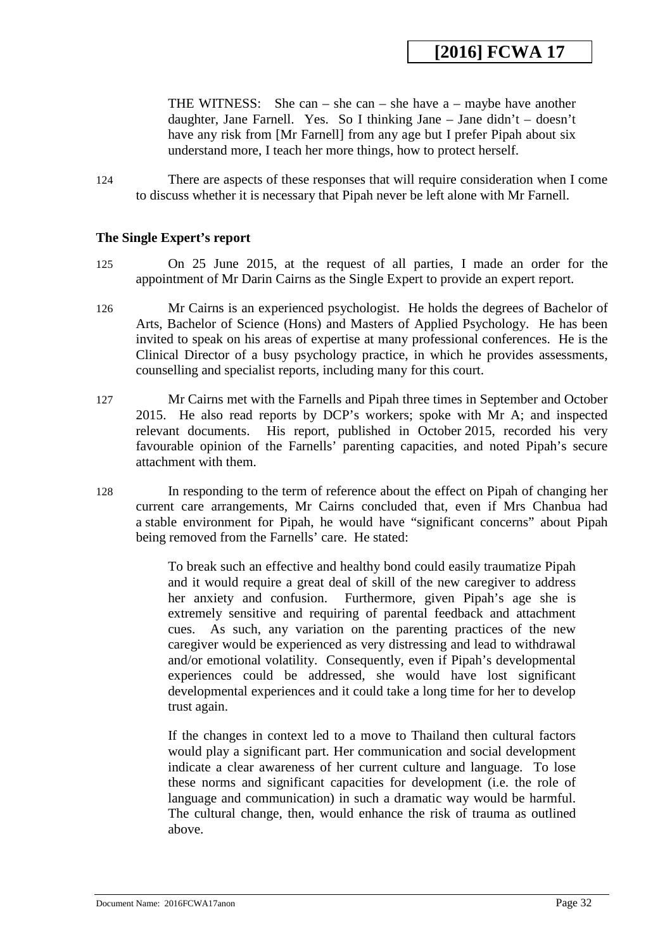THE WITNESS: She can – she can – she have a – maybe have another daughter, Jane Farnell. Yes. So I thinking Jane – Jane didn't – doesn't have any risk from [Mr Farnell] from any age but I prefer Pipah about six understand more, I teach her more things, how to protect herself.

124 There are aspects of these responses that will require consideration when I come to discuss whether it is necessary that Pipah never be left alone with Mr Farnell.

#### **The Single Expert's report**

- 125 On 25 June 2015, at the request of all parties, I made an order for the appointment of Mr Darin Cairns as the Single Expert to provide an expert report.
- 126 Mr Cairns is an experienced psychologist. He holds the degrees of Bachelor of Arts, Bachelor of Science (Hons) and Masters of Applied Psychology. He has been invited to speak on his areas of expertise at many professional conferences. He is the Clinical Director of a busy psychology practice, in which he provides assessments, counselling and specialist reports, including many for this court.
- 127 Mr Cairns met with the Farnells and Pipah three times in September and October 2015. He also read reports by DCP's workers; spoke with Mr A; and inspected relevant documents. His report, published in October 2015, recorded his very favourable opinion of the Farnells' parenting capacities, and noted Pipah's secure attachment with them.
- 128 In responding to the term of reference about the effect on Pipah of changing her current care arrangements, Mr Cairns concluded that, even if Mrs Chanbua had a stable environment for Pipah, he would have "significant concerns" about Pipah being removed from the Farnells' care. He stated:

To break such an effective and healthy bond could easily traumatize Pipah and it would require a great deal of skill of the new caregiver to address her anxiety and confusion. Furthermore, given Pipah's age she is extremely sensitive and requiring of parental feedback and attachment cues. As such, any variation on the parenting practices of the new caregiver would be experienced as very distressing and lead to withdrawal and/or emotional volatility. Consequently, even if Pipah's developmental experiences could be addressed, she would have lost significant developmental experiences and it could take a long time for her to develop trust again.

If the changes in context led to a move to Thailand then cultural factors would play a significant part. Her communication and social development indicate a clear awareness of her current culture and language. To lose these norms and significant capacities for development (i.e. the role of language and communication) in such a dramatic way would be harmful. The cultural change, then, would enhance the risk of trauma as outlined above.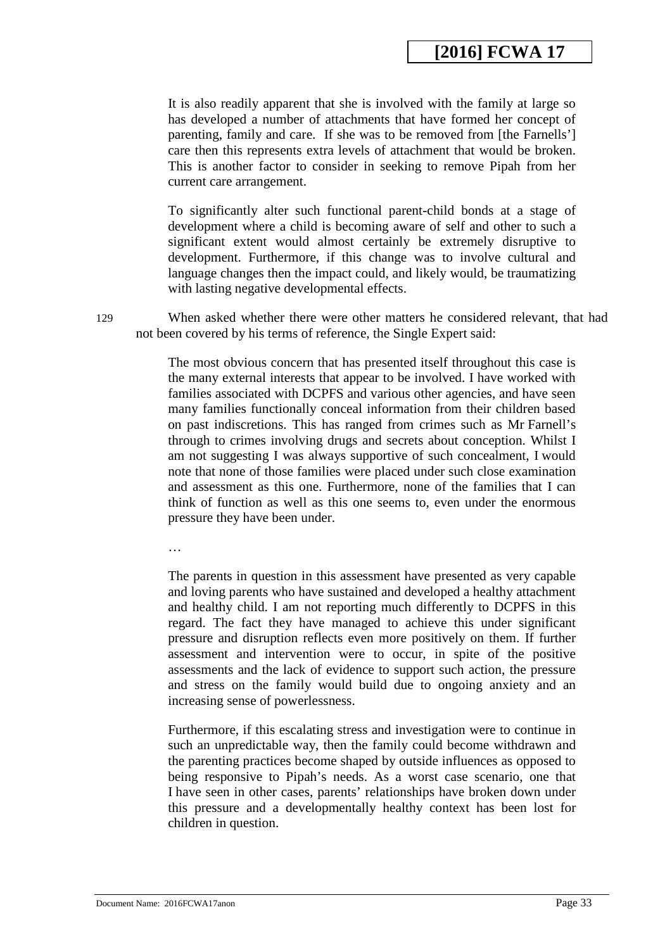It is also readily apparent that she is involved with the family at large so has developed a number of attachments that have formed her concept of parenting, family and care. If she was to be removed from [the Farnells'] care then this represents extra levels of attachment that would be broken. This is another factor to consider in seeking to remove Pipah from her current care arrangement.

To significantly alter such functional parent-child bonds at a stage of development where a child is becoming aware of self and other to such a significant extent would almost certainly be extremely disruptive to development. Furthermore, if this change was to involve cultural and language changes then the impact could, and likely would, be traumatizing with lasting negative developmental effects.

129 When asked whether there were other matters he considered relevant, that had not been covered by his terms of reference, the Single Expert said:

> The most obvious concern that has presented itself throughout this case is the many external interests that appear to be involved. I have worked with families associated with DCPFS and various other agencies, and have seen many families functionally conceal information from their children based on past indiscretions. This has ranged from crimes such as Mr Farnell's through to crimes involving drugs and secrets about conception. Whilst I am not suggesting I was always supportive of such concealment, I would note that none of those families were placed under such close examination and assessment as this one. Furthermore, none of the families that I can think of function as well as this one seems to, even under the enormous pressure they have been under.

…

The parents in question in this assessment have presented as very capable and loving parents who have sustained and developed a healthy attachment and healthy child. I am not reporting much differently to DCPFS in this regard. The fact they have managed to achieve this under significant pressure and disruption reflects even more positively on them. If further assessment and intervention were to occur, in spite of the positive assessments and the lack of evidence to support such action, the pressure and stress on the family would build due to ongoing anxiety and an increasing sense of powerlessness.

Furthermore, if this escalating stress and investigation were to continue in such an unpredictable way, then the family could become withdrawn and the parenting practices become shaped by outside influences as opposed to being responsive to Pipah's needs. As a worst case scenario, one that I have seen in other cases, parents' relationships have broken down under this pressure and a developmentally healthy context has been lost for children in question.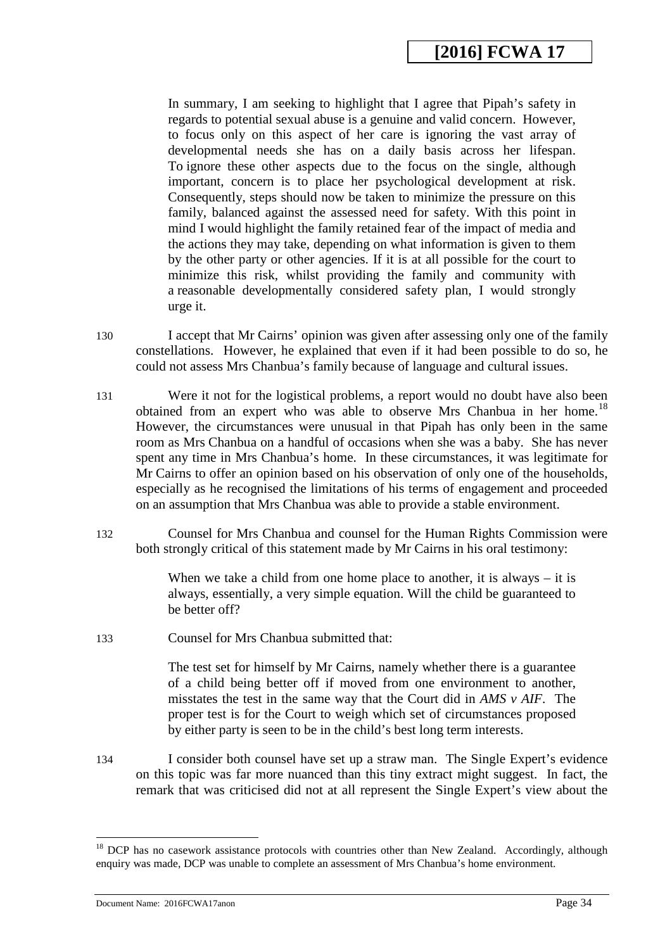In summary, I am seeking to highlight that I agree that Pipah's safety in regards to potential sexual abuse is a genuine and valid concern. However, to focus only on this aspect of her care is ignoring the vast array of developmental needs she has on a daily basis across her lifespan. To ignore these other aspects due to the focus on the single, although important, concern is to place her psychological development at risk. Consequently, steps should now be taken to minimize the pressure on this family, balanced against the assessed need for safety. With this point in mind I would highlight the family retained fear of the impact of media and the actions they may take, depending on what information is given to them by the other party or other agencies. If it is at all possible for the court to minimize this risk, whilst providing the family and community with a reasonable developmentally considered safety plan, I would strongly urge it.

- 130 I accept that Mr Cairns' opinion was given after assessing only one of the family constellations. However, he explained that even if it had been possible to do so, he could not assess Mrs Chanbua's family because of language and cultural issues.
- 131 Were it not for the logistical problems, a report would no doubt have also been obtained from an expert who was able to observe Mrs Chanbua in her home.<sup>18</sup> However, the circumstances were unusual in that Pipah has only been in the same room as Mrs Chanbua on a handful of occasions when she was a baby. She has never spent any time in Mrs Chanbua's home. In these circumstances, it was legitimate for Mr Cairns to offer an opinion based on his observation of only one of the households, especially as he recognised the limitations of his terms of engagement and proceeded on an assumption that Mrs Chanbua was able to provide a stable environment.
- 132 Counsel for Mrs Chanbua and counsel for the Human Rights Commission were both strongly critical of this statement made by Mr Cairns in his oral testimony:

When we take a child from one home place to another, it is always – it is always, essentially, a very simple equation. Will the child be guaranteed to be better off?

133 Counsel for Mrs Chanbua submitted that:

The test set for himself by Mr Cairns, namely whether there is a guarantee of a child being better off if moved from one environment to another, misstates the test in the same way that the Court did in *AMS v AIF*. The proper test is for the Court to weigh which set of circumstances proposed by either party is seen to be in the child's best long term interests.

134 I consider both counsel have set up a straw man. The Single Expert's evidence on this topic was far more nuanced than this tiny extract might suggest. In fact, the remark that was criticised did not at all represent the Single Expert's view about the

-

<span id="page-33-0"></span><sup>&</sup>lt;sup>18</sup> DCP has no casework assistance protocols with countries other than New Zealand. Accordingly, although enquiry was made, DCP was unable to complete an assessment of Mrs Chanbua's home environment.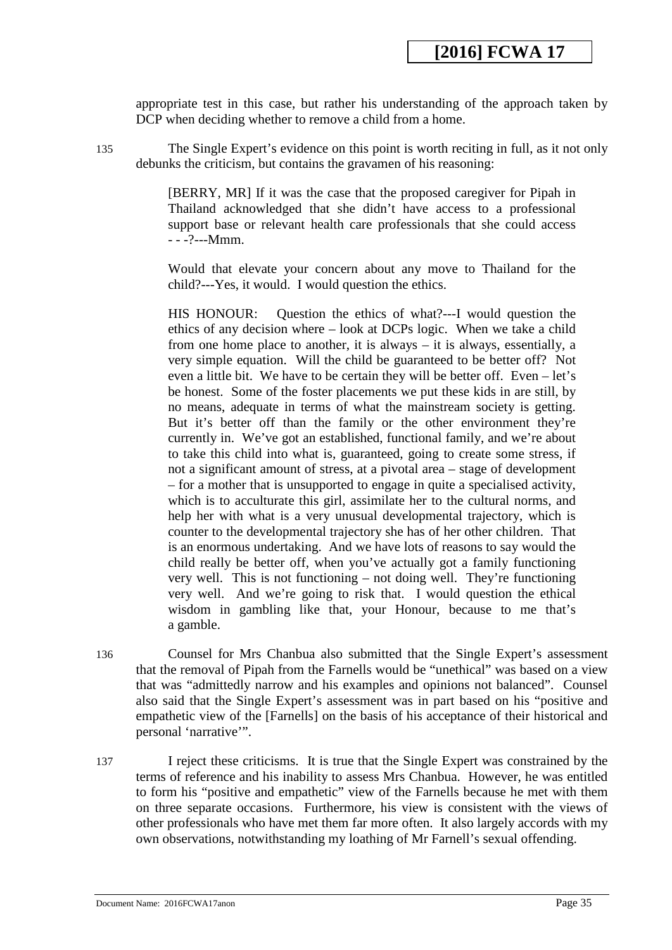appropriate test in this case, but rather his understanding of the approach taken by DCP when deciding whether to remove a child from a home.

135 The Single Expert's evidence on this point is worth reciting in full, as it not only debunks the criticism, but contains the gravamen of his reasoning:

> [BERRY, MR] If it was the case that the proposed caregiver for Pipah in Thailand acknowledged that she didn't have access to a professional support base or relevant health care professionals that she could access - - -?---Mmm.

> Would that elevate your concern about any move to Thailand for the child?---Yes, it would. I would question the ethics.

> HIS HONOUR: Question the ethics of what?---I would question the ethics of any decision where – look at DCPs logic. When we take a child from one home place to another, it is always – it is always, essentially, a very simple equation. Will the child be guaranteed to be better off? Not even a little bit. We have to be certain they will be better off. Even – let's be honest. Some of the foster placements we put these kids in are still, by no means, adequate in terms of what the mainstream society is getting. But it's better off than the family or the other environment they're currently in. We've got an established, functional family, and we're about to take this child into what is, guaranteed, going to create some stress, if not a significant amount of stress, at a pivotal area – stage of development – for a mother that is unsupported to engage in quite a specialised activity, which is to acculturate this girl, assimilate her to the cultural norms, and help her with what is a very unusual developmental trajectory, which is counter to the developmental trajectory she has of her other children. That is an enormous undertaking. And we have lots of reasons to say would the child really be better off, when you've actually got a family functioning very well. This is not functioning – not doing well. They're functioning very well. And we're going to risk that. I would question the ethical wisdom in gambling like that, your Honour, because to me that's a gamble.

- 136 Counsel for Mrs Chanbua also submitted that the Single Expert's assessment that the removal of Pipah from the Farnells would be "unethical" was based on a view that was "admittedly narrow and his examples and opinions not balanced". Counsel also said that the Single Expert's assessment was in part based on his "positive and empathetic view of the [Farnells] on the basis of his acceptance of their historical and personal 'narrative'".
- 137 I reject these criticisms. It is true that the Single Expert was constrained by the terms of reference and his inability to assess Mrs Chanbua. However, he was entitled to form his "positive and empathetic" view of the Farnells because he met with them on three separate occasions. Furthermore, his view is consistent with the views of other professionals who have met them far more often. It also largely accords with my own observations, notwithstanding my loathing of Mr Farnell's sexual offending.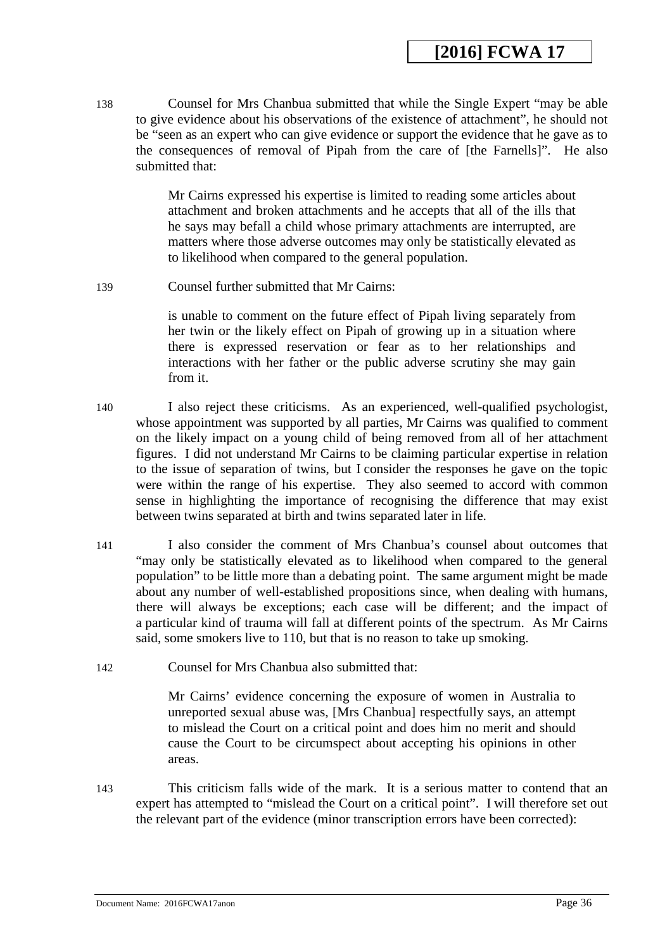138 Counsel for Mrs Chanbua submitted that while the Single Expert "may be able to give evidence about his observations of the existence of attachment", he should not be "seen as an expert who can give evidence or support the evidence that he gave as to the consequences of removal of Pipah from the care of [the Farnells]". He also submitted that:

> Mr Cairns expressed his expertise is limited to reading some articles about attachment and broken attachments and he accepts that all of the ills that he says may befall a child whose primary attachments are interrupted, are matters where those adverse outcomes may only be statistically elevated as to likelihood when compared to the general population.

139 Counsel further submitted that Mr Cairns:

is unable to comment on the future effect of Pipah living separately from her twin or the likely effect on Pipah of growing up in a situation where there is expressed reservation or fear as to her relationships and interactions with her father or the public adverse scrutiny she may gain from it.

- 140 I also reject these criticisms. As an experienced, well-qualified psychologist, whose appointment was supported by all parties, Mr Cairns was qualified to comment on the likely impact on a young child of being removed from all of her attachment figures. I did not understand Mr Cairns to be claiming particular expertise in relation to the issue of separation of twins, but I consider the responses he gave on the topic were within the range of his expertise. They also seemed to accord with common sense in highlighting the importance of recognising the difference that may exist between twins separated at birth and twins separated later in life.
- 141 I also consider the comment of Mrs Chanbua's counsel about outcomes that "may only be statistically elevated as to likelihood when compared to the general population" to be little more than a debating point. The same argument might be made about any number of well-established propositions since, when dealing with humans, there will always be exceptions; each case will be different; and the impact of a particular kind of trauma will fall at different points of the spectrum. As Mr Cairns said, some smokers live to 110, but that is no reason to take up smoking.
- 142 Counsel for Mrs Chanbua also submitted that:

Mr Cairns' evidence concerning the exposure of women in Australia to unreported sexual abuse was, [Mrs Chanbua] respectfully says, an attempt to mislead the Court on a critical point and does him no merit and should cause the Court to be circumspect about accepting his opinions in other areas.

143 This criticism falls wide of the mark. It is a serious matter to contend that an expert has attempted to "mislead the Court on a critical point". I will therefore set out the relevant part of the evidence (minor transcription errors have been corrected):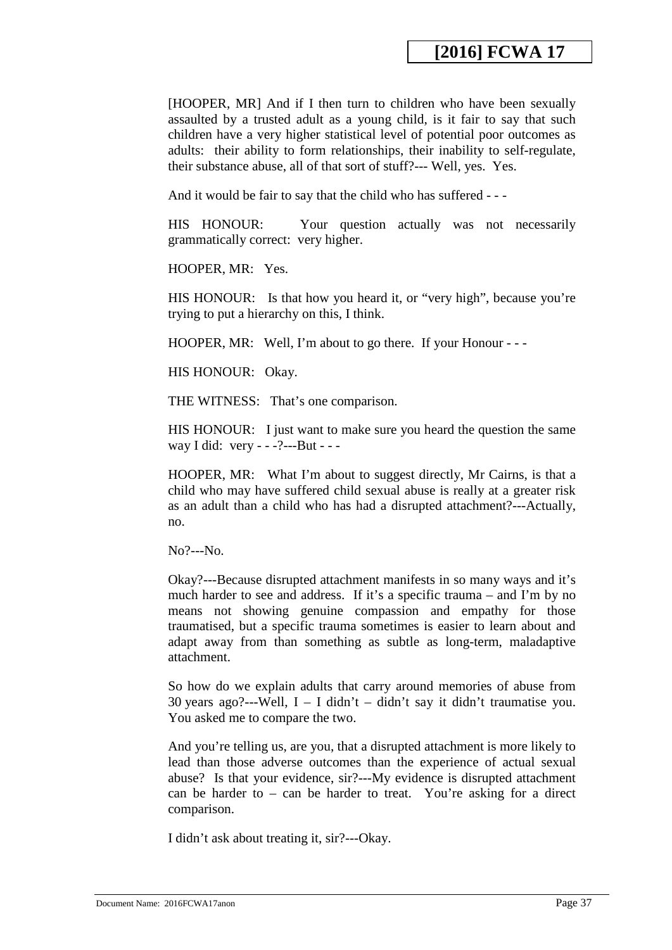[HOOPER, MR] And if I then turn to children who have been sexually assaulted by a trusted adult as a young child, is it fair to say that such children have a very higher statistical level of potential poor outcomes as adults: their ability to form relationships, their inability to self-regulate, their substance abuse, all of that sort of stuff?--- Well, yes. Yes.

And it would be fair to say that the child who has suffered - - -

HIS HONOUR: Your question actually was not necessarily grammatically correct: very higher.

HOOPER, MR: Yes.

HIS HONOUR: Is that how you heard it, or "very high", because you're trying to put a hierarchy on this, I think.

HOOPER, MR: Well, I'm about to go there. If your Honour - - -

HIS HONOUR: Okay.

THE WITNESS: That's one comparison.

HIS HONOUR: I just want to make sure you heard the question the same way I did: very - - -?---But - - -

HOOPER, MR: What I'm about to suggest directly, Mr Cairns, is that a child who may have suffered child sexual abuse is really at a greater risk as an adult than a child who has had a disrupted attachment?---Actually, no.

No?---No.

Okay?---Because disrupted attachment manifests in so many ways and it's much harder to see and address. If it's a specific trauma – and I'm by no means not showing genuine compassion and empathy for those traumatised, but a specific trauma sometimes is easier to learn about and adapt away from than something as subtle as long-term, maladaptive attachment.

So how do we explain adults that carry around memories of abuse from 30 years ago?---Well, I – I didn't – didn't say it didn't traumatise you. You asked me to compare the two.

And you're telling us, are you, that a disrupted attachment is more likely to lead than those adverse outcomes than the experience of actual sexual abuse? Is that your evidence, sir?---My evidence is disrupted attachment can be harder to – can be harder to treat. You're asking for a direct comparison.

I didn't ask about treating it, sir?---Okay.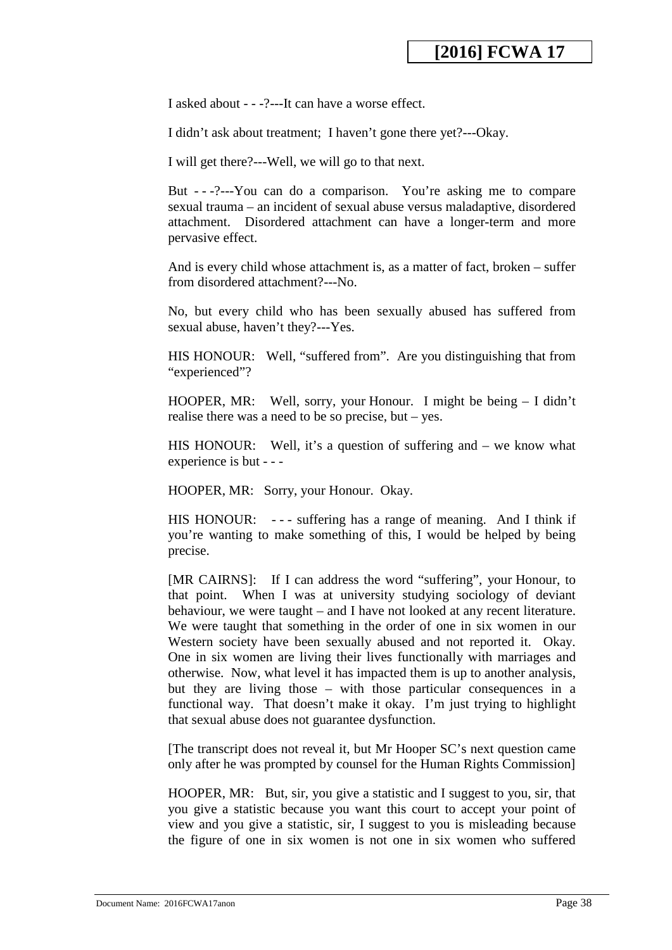I asked about - - -?---It can have a worse effect.

I didn't ask about treatment; I haven't gone there yet?---Okay.

I will get there?---Well, we will go to that next.

But - - -?---You can do a comparison. You're asking me to compare sexual trauma – an incident of sexual abuse versus maladaptive, disordered attachment. Disordered attachment can have a longer-term and more pervasive effect.

And is every child whose attachment is, as a matter of fact, broken – suffer from disordered attachment?---No.

No, but every child who has been sexually abused has suffered from sexual abuse, haven't they?---Yes.

HIS HONOUR: Well, "suffered from". Are you distinguishing that from "experienced"?

HOOPER, MR: Well, sorry, your Honour. I might be being – I didn't realise there was a need to be so precise, but – yes.

HIS HONOUR: Well, it's a question of suffering and – we know what experience is but - - -

HOOPER, MR: Sorry, your Honour. Okay.

HIS HONOUR: --- suffering has a range of meaning. And I think if you're wanting to make something of this, I would be helped by being precise.

[MR CAIRNS]: If I can address the word "suffering", your Honour, to that point. When I was at university studying sociology of deviant behaviour, we were taught – and I have not looked at any recent literature. We were taught that something in the order of one in six women in our Western society have been sexually abused and not reported it. Okay. One in six women are living their lives functionally with marriages and otherwise. Now, what level it has impacted them is up to another analysis, but they are living those – with those particular consequences in a functional way. That doesn't make it okay. I'm just trying to highlight that sexual abuse does not guarantee dysfunction.

[The transcript does not reveal it, but Mr Hooper SC's next question came only after he was prompted by counsel for the Human Rights Commission]

HOOPER, MR: But, sir, you give a statistic and I suggest to you, sir, that you give a statistic because you want this court to accept your point of view and you give a statistic, sir, I suggest to you is misleading because the figure of one in six women is not one in six women who suffered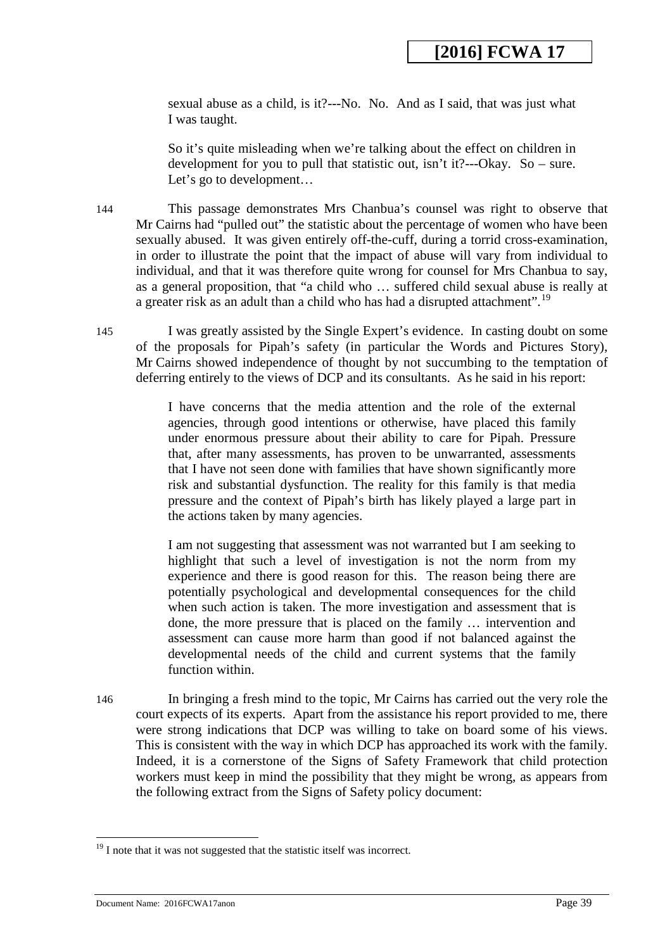sexual abuse as a child, is it?---No. No. And as I said, that was just what I was taught.

So it's quite misleading when we're talking about the effect on children in development for you to pull that statistic out, isn't it?---Okay. So – sure. Let's go to development...

144 This passage demonstrates Mrs Chanbua's counsel was right to observe that Mr Cairns had "pulled out" the statistic about the percentage of women who have been sexually abused. It was given entirely off-the-cuff, during a torrid cross-examination, in order to illustrate the point that the impact of abuse will vary from individual to individual, and that it was therefore quite wrong for counsel for Mrs Chanbua to say, as a general proposition, that "a child who … suffered child sexual abuse is really at a greater risk as an adult than a child who has had a disrupted attachment".<sup>[19](#page-38-0)</sup>

145 I was greatly assisted by the Single Expert's evidence. In casting doubt on some of the proposals for Pipah's safety (in particular the Words and Pictures Story), Mr Cairns showed independence of thought by not succumbing to the temptation of deferring entirely to the views of DCP and its consultants. As he said in his report:

> I have concerns that the media attention and the role of the external agencies, through good intentions or otherwise, have placed this family under enormous pressure about their ability to care for Pipah. Pressure that, after many assessments, has proven to be unwarranted, assessments that I have not seen done with families that have shown significantly more risk and substantial dysfunction. The reality for this family is that media pressure and the context of Pipah's birth has likely played a large part in the actions taken by many agencies.

> I am not suggesting that assessment was not warranted but I am seeking to highlight that such a level of investigation is not the norm from my experience and there is good reason for this. The reason being there are potentially psychological and developmental consequences for the child when such action is taken. The more investigation and assessment that is done, the more pressure that is placed on the family … intervention and assessment can cause more harm than good if not balanced against the developmental needs of the child and current systems that the family function within.

146 In bringing a fresh mind to the topic, Mr Cairns has carried out the very role the court expects of its experts. Apart from the assistance his report provided to me, there were strong indications that DCP was willing to take on board some of his views. This is consistent with the way in which DCP has approached its work with the family. Indeed, it is a cornerstone of the Signs of Safety Framework that child protection workers must keep in mind the possibility that they might be wrong, as appears from the following extract from the Signs of Safety policy document:

<span id="page-38-0"></span><sup>&</sup>lt;sup>19</sup> I note that it was not suggested that the statistic itself was incorrect.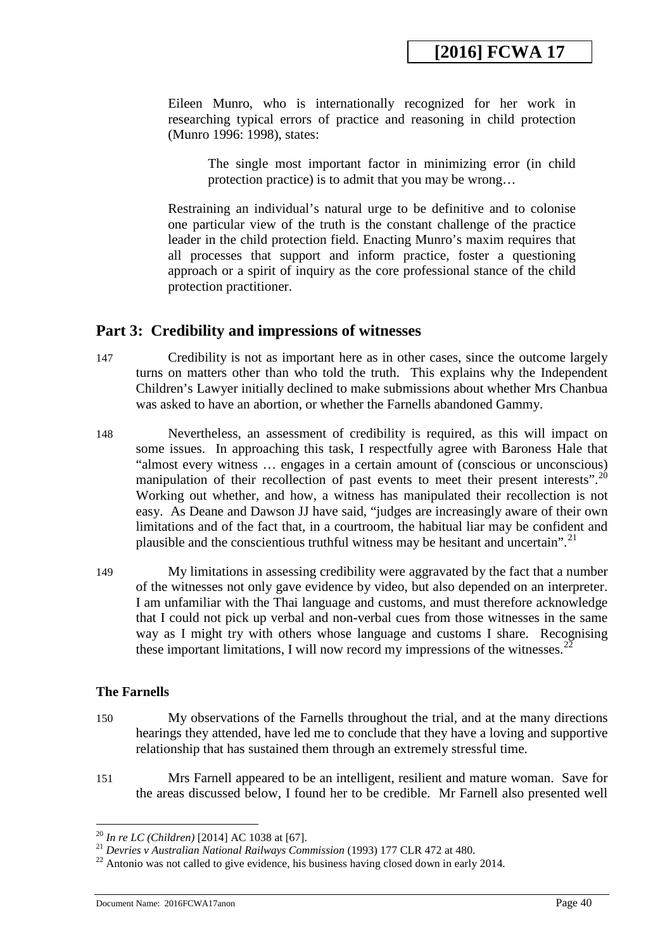Eileen Munro, who is internationally recognized for her work in researching typical errors of practice and reasoning in child protection (Munro 1996: 1998), states:

The single most important factor in minimizing error (in child protection practice) is to admit that you may be wrong…

Restraining an individual's natural urge to be definitive and to colonise one particular view of the truth is the constant challenge of the practice leader in the child protection field. Enacting Munro's maxim requires that all processes that support and inform practice, foster a questioning approach or a spirit of inquiry as the core professional stance of the child protection practitioner.

## **Part 3: Credibility and impressions of witnesses**

- 147 Credibility is not as important here as in other cases, since the outcome largely turns on matters other than who told the truth. This explains why the Independent Children's Lawyer initially declined to make submissions about whether Mrs Chanbua was asked to have an abortion, or whether the Farnells abandoned Gammy.
- 148 Nevertheless, an assessment of credibility is required, as this will impact on some issues. In approaching this task, I respectfully agree with Baroness Hale that "almost every witness … engages in a certain amount of (conscious or unconscious) manipulation of their recollection of past events to meet their present interests".<sup>20</sup> Working out whether, and how, a witness has manipulated their recollection is not easy. As Deane and Dawson JJ have said, "judges are increasingly aware of their own limitations and of the fact that, in a courtroom, the habitual liar may be confident and plausible and the conscientious truthful witness may be hesitant and uncertain".<sup>[21](#page-39-1)</sup>
- 149 My limitations in assessing credibility were aggravated by the fact that a number of the witnesses not only gave evidence by video, but also depended on an interpreter. I am unfamiliar with the Thai language and customs, and must therefore acknowledge that I could not pick up verbal and non-verbal cues from those witnesses in the same way as I might try with others whose language and customs I share. Recognising these important limitations, I will now record my impressions of the witnesses.<sup>[22](#page-39-2)</sup>

## **The Farnells**

- 150 My observations of the Farnells throughout the trial, and at the many directions hearings they attended, have led me to conclude that they have a loving and supportive relationship that has sustained them through an extremely stressful time.
- 151 Mrs Farnell appeared to be an intelligent, resilient and mature woman. Save for the areas discussed below, I found her to be credible. Mr Farnell also presented well

<span id="page-39-1"></span><span id="page-39-0"></span><sup>&</sup>lt;sup>20</sup> In re LC (Children) [2014] AC 1038 at [67].

<span id="page-39-2"></span><sup>&</sup>lt;sup>21</sup> Devries v Australian National Railways Commission (1993) 177 CLR 472 at 480.<br><sup>22</sup> Antonio was not called to give evidence, his business having closed down in early 2014.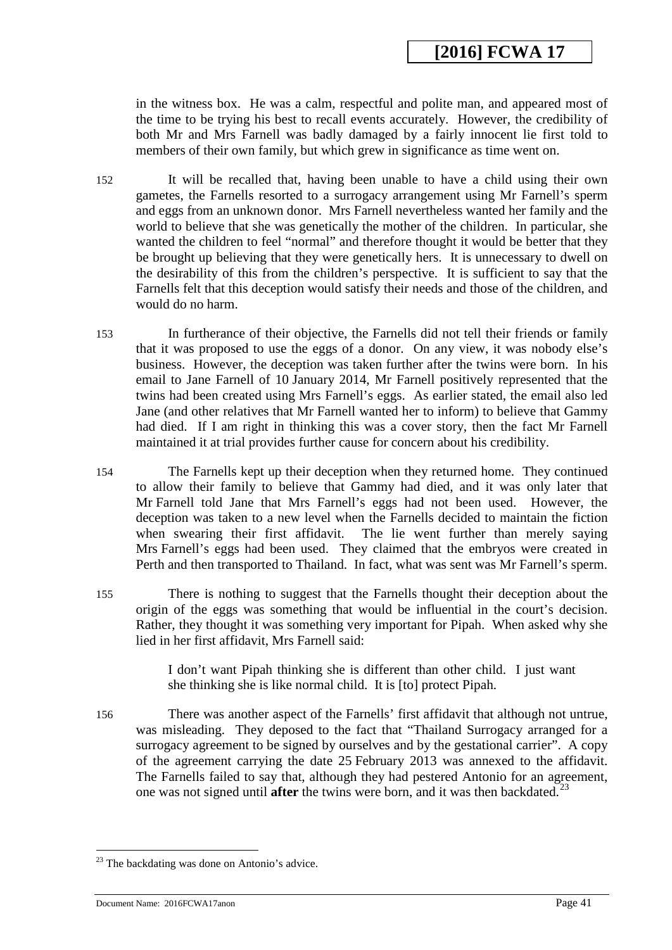in the witness box. He was a calm, respectful and polite man, and appeared most of the time to be trying his best to recall events accurately. However, the credibility of both Mr and Mrs Farnell was badly damaged by a fairly innocent lie first told to members of their own family, but which grew in significance as time went on.

- 152 It will be recalled that, having been unable to have a child using their own gametes, the Farnells resorted to a surrogacy arrangement using Mr Farnell's sperm and eggs from an unknown donor. Mrs Farnell nevertheless wanted her family and the world to believe that she was genetically the mother of the children. In particular, she wanted the children to feel "normal" and therefore thought it would be better that they be brought up believing that they were genetically hers. It is unnecessary to dwell on the desirability of this from the children's perspective. It is sufficient to say that the Farnells felt that this deception would satisfy their needs and those of the children, and would do no harm.
- 153 In furtherance of their objective, the Farnells did not tell their friends or family that it was proposed to use the eggs of a donor. On any view, it was nobody else's business. However, the deception was taken further after the twins were born. In his email to Jane Farnell of 10 January 2014, Mr Farnell positively represented that the twins had been created using Mrs Farnell's eggs. As earlier stated, the email also led Jane (and other relatives that Mr Farnell wanted her to inform) to believe that Gammy had died. If I am right in thinking this was a cover story, then the fact Mr Farnell maintained it at trial provides further cause for concern about his credibility.
- 154 The Farnells kept up their deception when they returned home. They continued to allow their family to believe that Gammy had died, and it was only later that Mr Farnell told Jane that Mrs Farnell's eggs had not been used. However, the deception was taken to a new level when the Farnells decided to maintain the fiction when swearing their first affidavit. The lie went further than merely saying Mrs Farnell's eggs had been used. They claimed that the embryos were created in Perth and then transported to Thailand. In fact, what was sent was Mr Farnell's sperm.
- 155 There is nothing to suggest that the Farnells thought their deception about the origin of the eggs was something that would be influential in the court's decision. Rather, they thought it was something very important for Pipah. When asked why she lied in her first affidavit, Mrs Farnell said:

I don't want Pipah thinking she is different than other child. I just want she thinking she is like normal child. It is [to] protect Pipah.

156 There was another aspect of the Farnells' first affidavit that although not untrue, was misleading. They deposed to the fact that "Thailand Surrogacy arranged for a surrogacy agreement to be signed by ourselves and by the gestational carrier". A copy of the agreement carrying the date 25 February 2013 was annexed to the affidavit. The Farnells failed to say that, although they had pestered Antonio for an agreement, one was not signed until **after** the twins were born, and it was then backdated.<sup>[23](#page-41-0)</sup>

<u>.</u>

<sup>&</sup>lt;sup>23</sup> The backdating was done on Antonio's advice.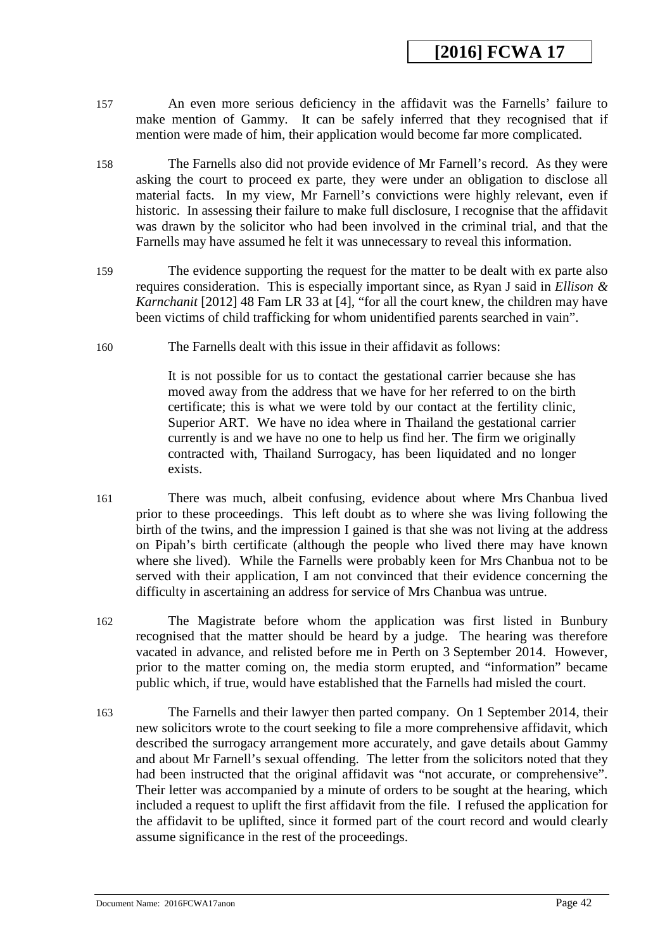- 157 An even more serious deficiency in the affidavit was the Farnells' failure to make mention of Gammy. It can be safely inferred that they recognised that if mention were made of him, their application would become far more complicated.
- 158 The Farnells also did not provide evidence of Mr Farnell's record. As they were asking the court to proceed ex parte, they were under an obligation to disclose all material facts. In my view, Mr Farnell's convictions were highly relevant, even if historic. In assessing their failure to make full disclosure, I recognise that the affidavit was drawn by the solicitor who had been involved in the criminal trial, and that the Farnells may have assumed he felt it was unnecessary to reveal this information.
- 159 The evidence supporting the request for the matter to be dealt with ex parte also requires consideration. This is especially important since, as Ryan J said in *Ellison & Karnchanit* [2012] 48 Fam LR 33 at [4], "for all the court knew, the children may have been victims of child trafficking for whom unidentified parents searched in vain".
- 160 The Farnells dealt with this issue in their affidavit as follows:

It is not possible for us to contact the gestational carrier because she has moved away from the address that we have for her referred to on the birth certificate; this is what we were told by our contact at the fertility clinic, Superior ART. We have no idea where in Thailand the gestational carrier currently is and we have no one to help us find her. The firm we originally contracted with, Thailand Surrogacy, has been liquidated and no longer exists.

161 There was much, albeit confusing, evidence about where Mrs Chanbua lived prior to these proceedings. This left doubt as to where she was living following the birth of the twins, and the impression I gained is that she was not living at the address on Pipah's birth certificate (although the people who lived there may have known where she lived). While the Farnells were probably keen for Mrs Chanbua not to be served with their application, I am not convinced that their evidence concerning the difficulty in ascertaining an address for service of Mrs Chanbua was untrue.

162 The Magistrate before whom the application was first listed in Bunbury recognised that the matter should be heard by a judge. The hearing was therefore vacated in advance, and relisted before me in Perth on 3 September 2014. However, prior to the matter coming on, the media storm erupted, and "information" became public which, if true, would have established that the Farnells had misled the court.

<span id="page-41-0"></span>163 The Farnells and their lawyer then parted company. On 1 September 2014, their new solicitors wrote to the court seeking to file a more comprehensive affidavit, which described the surrogacy arrangement more accurately, and gave details about Gammy and about Mr Farnell's sexual offending. The letter from the solicitors noted that they had been instructed that the original affidavit was "not accurate, or comprehensive". Their letter was accompanied by a minute of orders to be sought at the hearing, which included a request to uplift the first affidavit from the file. I refused the application for the affidavit to be uplifted, since it formed part of the court record and would clearly assume significance in the rest of the proceedings.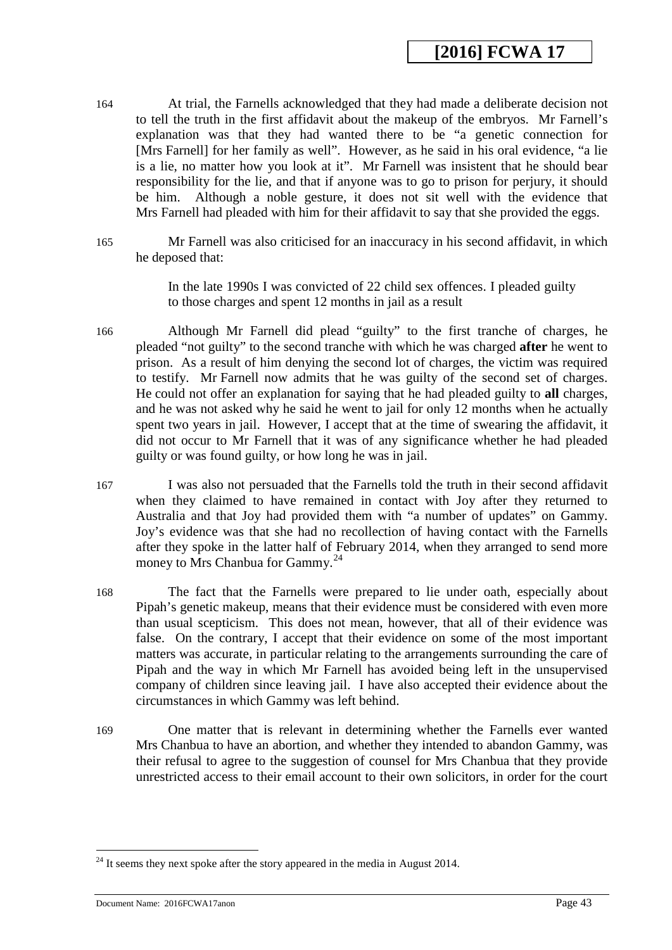- 164 At trial, the Farnells acknowledged that they had made a deliberate decision not to tell the truth in the first affidavit about the makeup of the embryos. Mr Farnell's explanation was that they had wanted there to be "a genetic connection for [Mrs Farnell] for her family as well". However, as he said in his oral evidence, "a lie is a lie, no matter how you look at it". Mr Farnell was insistent that he should bear responsibility for the lie, and that if anyone was to go to prison for perjury, it should be him. Although a noble gesture, it does not sit well with the evidence that Mrs Farnell had pleaded with him for their affidavit to say that she provided the eggs.
- 165 Mr Farnell was also criticised for an inaccuracy in his second affidavit, in which he deposed that:

In the late 1990s I was convicted of 22 child sex offences. I pleaded guilty to those charges and spent 12 months in jail as a result

- 166 Although Mr Farnell did plead "guilty" to the first tranche of charges, he pleaded "not guilty" to the second tranche with which he was charged **after** he went to prison. As a result of him denying the second lot of charges, the victim was required to testify. Mr Farnell now admits that he was guilty of the second set of charges. He could not offer an explanation for saying that he had pleaded guilty to **all** charges, and he was not asked why he said he went to jail for only 12 months when he actually spent two years in jail. However, I accept that at the time of swearing the affidavit, it did not occur to Mr Farnell that it was of any significance whether he had pleaded guilty or was found guilty, or how long he was in jail.
- 167 I was also not persuaded that the Farnells told the truth in their second affidavit when they claimed to have remained in contact with Joy after they returned to Australia and that Joy had provided them with "a number of updates" on Gammy. Joy's evidence was that she had no recollection of having contact with the Farnells after they spoke in the latter half of February 2014, when they arranged to send more money to Mrs Chanbua for Gammy.<sup>24</sup>
- 168 The fact that the Farnells were prepared to lie under oath, especially about Pipah's genetic makeup, means that their evidence must be considered with even more than usual scepticism. This does not mean, however, that all of their evidence was false. On the contrary, I accept that their evidence on some of the most important matters was accurate, in particular relating to the arrangements surrounding the care of Pipah and the way in which Mr Farnell has avoided being left in the unsupervised company of children since leaving jail. I have also accepted their evidence about the circumstances in which Gammy was left behind.
- 169 One matter that is relevant in determining whether the Farnells ever wanted Mrs Chanbua to have an abortion, and whether they intended to abandon Gammy, was their refusal to agree to the suggestion of counsel for Mrs Chanbua that they provide unrestricted access to their email account to their own solicitors, in order for the court

<u>.</u>

<span id="page-42-0"></span> $24$  It seems they next spoke after the story appeared in the media in August 2014.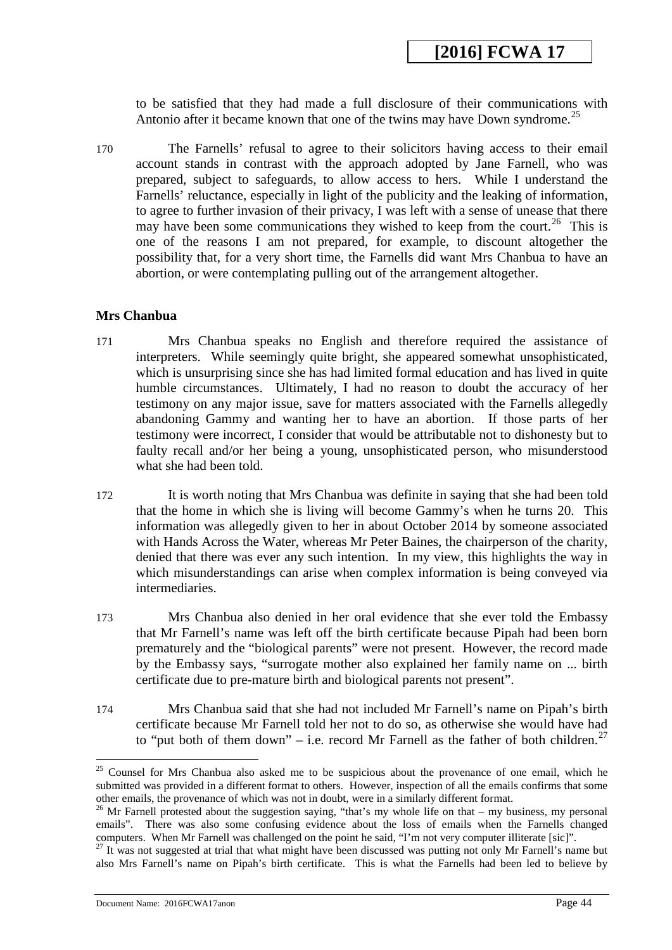to be satisfied that they had made a full disclosure of their communications with Antonio after it became known that one of the twins may have Down syndrome.<sup>[25](#page-43-0)</sup>

170 The Farnells' refusal to agree to their solicitors having access to their email account stands in contrast with the approach adopted by Jane Farnell, who was prepared, subject to safeguards, to allow access to hers. While I understand the Farnells' reluctance, especially in light of the publicity and the leaking of information, to agree to further invasion of their privacy, I was left with a sense of unease that there may have been some communications they wished to keep from the court.<sup>[26](#page-43-1)</sup> This is one of the reasons I am not prepared, for example, to discount altogether the possibility that, for a very short time, the Farnells did want Mrs Chanbua to have an abortion, or were contemplating pulling out of the arrangement altogether.

### **Mrs Chanbua**

- 171 Mrs Chanbua speaks no English and therefore required the assistance of interpreters. While seemingly quite bright, she appeared somewhat unsophisticated, which is unsurprising since she has had limited formal education and has lived in quite humble circumstances. Ultimately, I had no reason to doubt the accuracy of her testimony on any major issue, save for matters associated with the Farnells allegedly abandoning Gammy and wanting her to have an abortion. If those parts of her testimony were incorrect, I consider that would be attributable not to dishonesty but to faulty recall and/or her being a young, unsophisticated person, who misunderstood what she had been told.
- 172 It is worth noting that Mrs Chanbua was definite in saying that she had been told that the home in which she is living will become Gammy's when he turns 20. This information was allegedly given to her in about October 2014 by someone associated with Hands Across the Water, whereas Mr Peter Baines, the chairperson of the charity, denied that there was ever any such intention. In my view, this highlights the way in which misunderstandings can arise when complex information is being conveyed via intermediaries.
- 173 Mrs Chanbua also denied in her oral evidence that she ever told the Embassy that Mr Farnell's name was left off the birth certificate because Pipah had been born prematurely and the "biological parents" were not present. However, the record made by the Embassy says, "surrogate mother also explained her family name on ... birth certificate due to pre-mature birth and biological parents not present".
- 174 Mrs Chanbua said that she had not included Mr Farnell's name on Pipah's birth certificate because Mr Farnell told her not to do so, as otherwise she would have had to "put both of them down" – i.e. record Mr Farnell as the father of both children.<sup>[27](#page-44-0)</sup>

<sup>&</sup>lt;sup>25</sup> Counsel for Mrs Chanbua also asked me to be suspicious about the provenance of one email, which he submitted was provided in a different format to others. However, inspection of all the emails confirms that some other emails, the provenance of which was not in doubt, were in a similarly different format.

<span id="page-43-0"></span><sup>&</sup>lt;sup>26</sup> Mr Farnell protested about the suggestion saying, "that's my whole life on that – my business, my personal emails". There was also some confusing evidence about the loss of emails when the Farnells changed computers. When Mr Farnell was challenged on the point he said, "I'm not very computer illiterate [sic]".

<span id="page-43-1"></span><sup>&</sup>lt;sup>27</sup> It was not suggested at trial that what might have been discussed was putting not only Mr Farnell's name but also Mrs Farnell's name on Pipah's birth certificate. This is what the Farnells had been led to believe by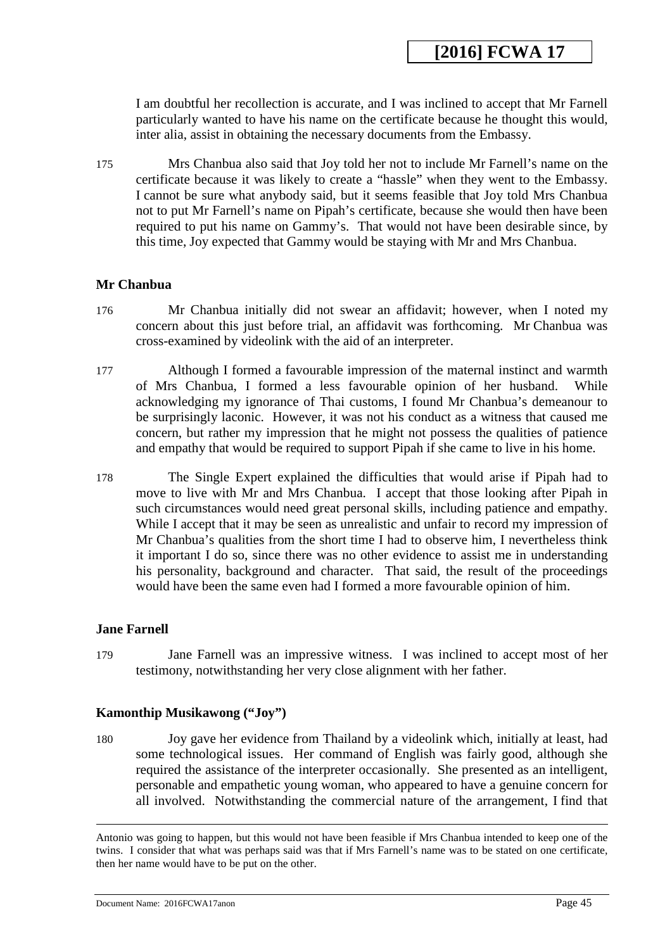I am doubtful her recollection is accurate, and I was inclined to accept that Mr Farnell particularly wanted to have his name on the certificate because he thought this would, inter alia, assist in obtaining the necessary documents from the Embassy.

175 Mrs Chanbua also said that Joy told her not to include Mr Farnell's name on the certificate because it was likely to create a "hassle" when they went to the Embassy. I cannot be sure what anybody said, but it seems feasible that Joy told Mrs Chanbua not to put Mr Farnell's name on Pipah's certificate, because she would then have been required to put his name on Gammy's. That would not have been desirable since, by this time, Joy expected that Gammy would be staying with Mr and Mrs Chanbua.

### **Mr Chanbua**

- 176 Mr Chanbua initially did not swear an affidavit; however, when I noted my concern about this just before trial, an affidavit was forthcoming. Mr Chanbua was cross-examined by videolink with the aid of an interpreter.
- 177 Although I formed a favourable impression of the maternal instinct and warmth of Mrs Chanbua, I formed a less favourable opinion of her husband. While acknowledging my ignorance of Thai customs, I found Mr Chanbua's demeanour to be surprisingly laconic. However, it was not his conduct as a witness that caused me concern, but rather my impression that he might not possess the qualities of patience and empathy that would be required to support Pipah if she came to live in his home.
- 178 The Single Expert explained the difficulties that would arise if Pipah had to move to live with Mr and Mrs Chanbua. I accept that those looking after Pipah in such circumstances would need great personal skills, including patience and empathy. While I accept that it may be seen as unrealistic and unfair to record my impression of Mr Chanbua's qualities from the short time I had to observe him, I nevertheless think it important I do so, since there was no other evidence to assist me in understanding his personality, background and character. That said, the result of the proceedings would have been the same even had I formed a more favourable opinion of him.

### **Jane Farnell**

<span id="page-44-0"></span>-

179 Jane Farnell was an impressive witness. I was inclined to accept most of her testimony, notwithstanding her very close alignment with her father.

## **Kamonthip Musikawong ("Joy")**

180 Joy gave her evidence from Thailand by a videolink which, initially at least, had some technological issues. Her command of English was fairly good, although she required the assistance of the interpreter occasionally. She presented as an intelligent, personable and empathetic young woman, who appeared to have a genuine concern for all involved. Notwithstanding the commercial nature of the arrangement, I find that

Antonio was going to happen, but this would not have been feasible if Mrs Chanbua intended to keep one of the twins. I consider that what was perhaps said was that if Mrs Farnell's name was to be stated on one certificate, then her name would have to be put on the other.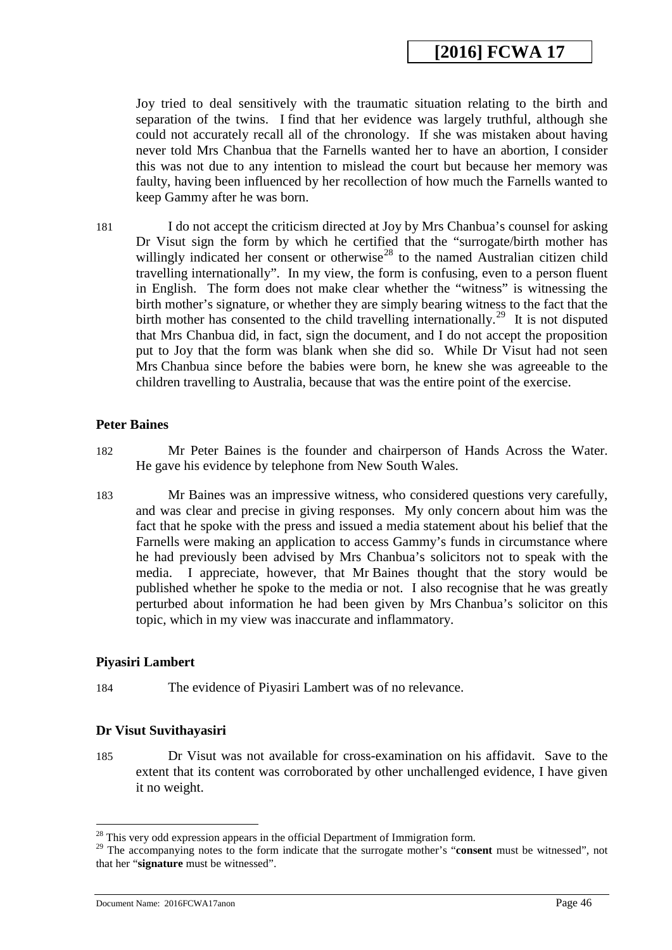Joy tried to deal sensitively with the traumatic situation relating to the birth and separation of the twins. I find that her evidence was largely truthful, although she could not accurately recall all of the chronology. If she was mistaken about having never told Mrs Chanbua that the Farnells wanted her to have an abortion, I consider this was not due to any intention to mislead the court but because her memory was faulty, having been influenced by her recollection of how much the Farnells wanted to keep Gammy after he was born.

181 I do not accept the criticism directed at Joy by Mrs Chanbua's counsel for asking Dr Visut sign the form by which he certified that the "surrogate/birth mother has willingly indicated her consent or otherwise<sup>[28](#page-45-0)</sup> to the named Australian citizen child travelling internationally". In my view, the form is confusing, even to a person fluent in English. The form does not make clear whether the "witness" is witnessing the birth mother's signature, or whether they are simply bearing witness to the fact that the birth mother has consented to the child travelling internationally.<sup>[29](#page-45-1)</sup> It is not disputed that Mrs Chanbua did, in fact, sign the document, and I do not accept the proposition put to Joy that the form was blank when she did so. While Dr Visut had not seen Mrs Chanbua since before the babies were born, he knew she was agreeable to the children travelling to Australia, because that was the entire point of the exercise.

#### **Peter Baines**

- 182 Mr Peter Baines is the founder and chairperson of Hands Across the Water. He gave his evidence by telephone from New South Wales.
- 183 Mr Baines was an impressive witness, who considered questions very carefully, and was clear and precise in giving responses. My only concern about him was the fact that he spoke with the press and issued a media statement about his belief that the Farnells were making an application to access Gammy's funds in circumstance where he had previously been advised by Mrs Chanbua's solicitors not to speak with the media. I appreciate, however, that Mr Baines thought that the story would be published whether he spoke to the media or not. I also recognise that he was greatly perturbed about information he had been given by Mrs Chanbua's solicitor on this topic, which in my view was inaccurate and inflammatory.

### **Piyasiri Lambert**

-

184 The evidence of Piyasiri Lambert was of no relevance.

### **Dr Visut Suvithayasiri**

185 Dr Visut was not available for cross-examination on his affidavit. Save to the extent that its content was corroborated by other unchallenged evidence, I have given it no weight.

 $28$  This very odd expression appears in the official Department of Immigration form.

<span id="page-45-1"></span><span id="page-45-0"></span><sup>&</sup>lt;sup>29</sup> The accompanying notes to the form indicate that the surrogate mother's "**consent** must be witnessed", not that her "**signature** must be witnessed".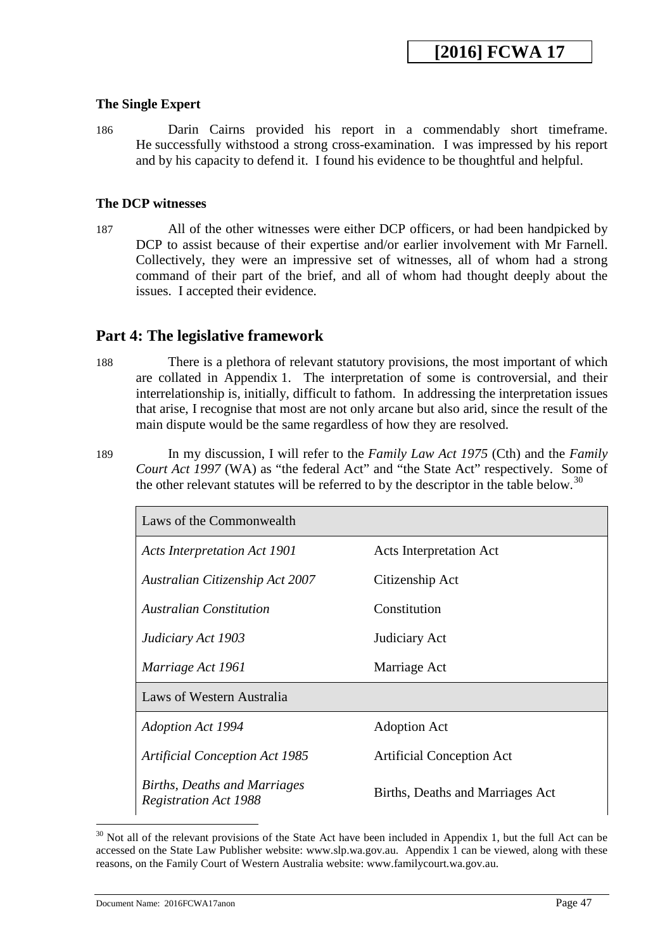## **The Single Expert**

186 Darin Cairns provided his report in a commendably short timeframe. He successfully withstood a strong cross-examination. I was impressed by his report and by his capacity to defend it. I found his evidence to be thoughtful and helpful.

### **The DCP witnesses**

187 All of the other witnesses were either DCP officers, or had been handpicked by DCP to assist because of their expertise and/or earlier involvement with Mr Farnell. Collectively, they were an impressive set of witnesses, all of whom had a strong command of their part of the brief, and all of whom had thought deeply about the issues. I accepted their evidence.

## **Part 4: The legislative framework**

- 188 There is a plethora of relevant statutory provisions, the most important of which are collated in Appendix 1. The interpretation of some is controversial, and their interrelationship is, initially, difficult to fathom. In addressing the interpretation issues that arise, I recognise that most are not only arcane but also arid, since the result of the main dispute would be the same regardless of how they are resolved.
- 189 In my discussion, I will refer to the *Family Law Act 1975* (Cth) and the *Family Court Act 1997* (WA) as "the federal Act" and "the State Act" respectively. Some of the other relevant statutes will be referred to by the descriptor in the table below.<sup>[30](#page-46-0)</sup>

| Laws of the Commonwealth                                     |                                  |
|--------------------------------------------------------------|----------------------------------|
| <b>Acts Interpretation Act 1901</b>                          | <b>Acts Interpretation Act</b>   |
| Australian Citizenship Act 2007                              | Citizenship Act                  |
| <b>Australian Constitution</b>                               | Constitution                     |
| Judiciary Act 1903                                           | Judiciary Act                    |
| Marriage Act 1961                                            | Marriage Act                     |
| Laws of Western Australia                                    |                                  |
| <b>Adoption Act 1994</b>                                     | <b>Adoption Act</b>              |
| <b>Artificial Conception Act 1985</b>                        | <b>Artificial Conception Act</b> |
| Births, Deaths and Marriages<br><b>Registration Act 1988</b> | Births, Deaths and Marriages Act |

<span id="page-46-0"></span> $30$  Not all of the relevant provisions of the State Act have been included in Appendix 1, but the full Act can be accessed on the State Law Publisher website: www.slp.wa.gov.au. Appendix 1 can be viewed, along with these reasons, on the Family Court of Western Australia website: www.familycourt.wa.gov.au. -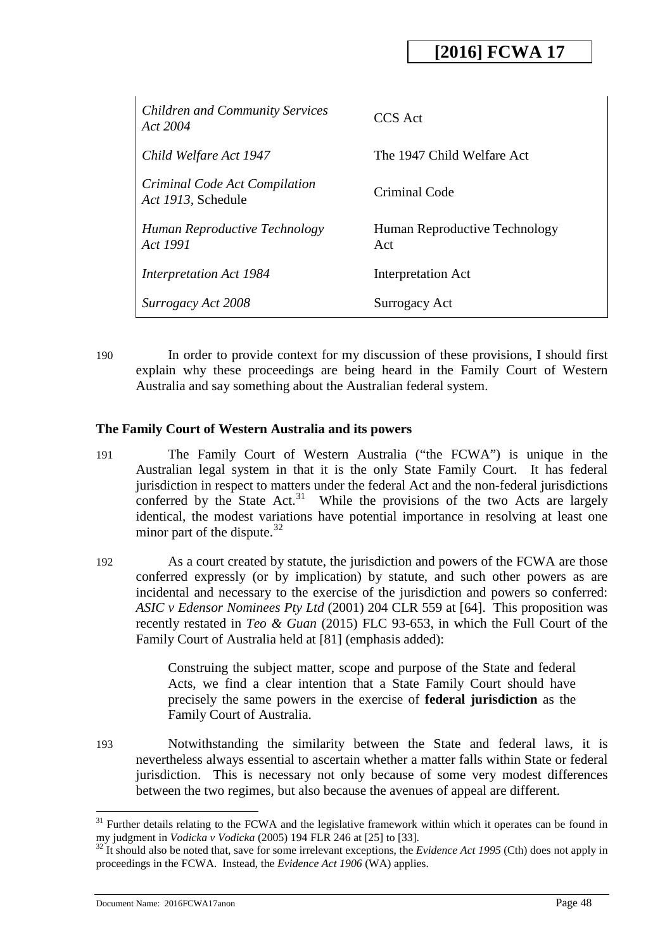| <b>Children and Community Services</b><br>Act 2004  | CCS Act                              |
|-----------------------------------------------------|--------------------------------------|
| Child Welfare Act 1947                              | The 1947 Child Welfare Act           |
| Criminal Code Act Compilation<br>Act 1913, Schedule | Criminal Code                        |
| Human Reproductive Technology<br>Act 1991           | Human Reproductive Technology<br>Act |
| Interpretation Act 1984                             | Interpretation Act                   |
| Surrogacy Act 2008                                  | Surrogacy Act                        |

190 In order to provide context for my discussion of these provisions, I should first explain why these proceedings are being heard in the Family Court of Western Australia and say something about the Australian federal system.

### **The Family Court of Western Australia and its powers**

- 191 The Family Court of Western Australia ("the FCWA") is unique in the Australian legal system in that it is the only State Family Court. It has federal jurisdiction in respect to matters under the federal Act and the non-federal jurisdictions conferred by the State Act.<sup>31</sup> While the provisions of the two Acts are largely identical, the modest variations have potential importance in resolving at least one minor part of the dispute. $32$
- 192 As a court created by statute, the jurisdiction and powers of the FCWA are those conferred expressly (or by implication) by statute, and such other powers as are incidental and necessary to the exercise of the jurisdiction and powers so conferred: *ASIC v Edensor Nominees Pty Ltd* (2001) 204 CLR 559 at [64]. This proposition was recently restated in *Teo & Guan* (2015) FLC 93-653, in which the Full Court of the Family Court of Australia held at [81] (emphasis added):

Construing the subject matter, scope and purpose of the State and federal Acts, we find a clear intention that a State Family Court should have precisely the same powers in the exercise of **federal jurisdiction** as the Family Court of Australia.

193 Notwithstanding the similarity between the State and federal laws, it is nevertheless always essential to ascertain whether a matter falls within State or federal jurisdiction. This is necessary not only because of some very modest differences between the two regimes, but also because the avenues of appeal are different.

<span id="page-47-0"></span><sup>&</sup>lt;sup>31</sup> Further details relating to the FCWA and the legislative framework within which it operates can be found in my judgment in *Vodicka v Vodicka* (2005) 194 FLR 246 at [25] to [33].<br><sup>32</sup> It should also be noted that, save for some irrelevant exceptions, the *Evidence Act 1995* (Cth) does not apply in -

<span id="page-47-1"></span>proceedings in the FCWA. Instead, the *Evidence Act 1906* (WA) applies.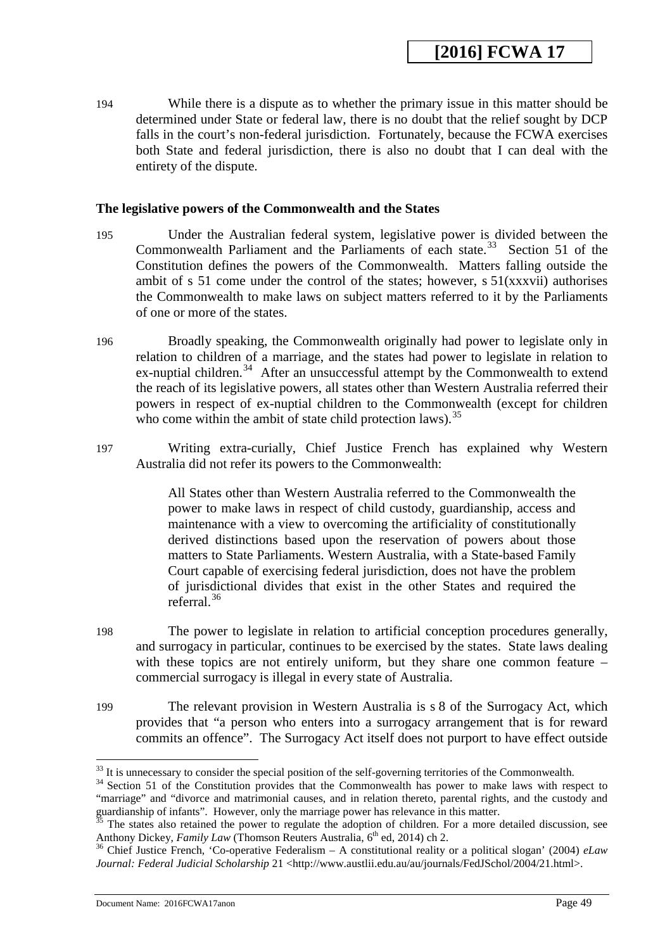194 While there is a dispute as to whether the primary issue in this matter should be determined under State or federal law, there is no doubt that the relief sought by DCP falls in the court's non-federal jurisdiction. Fortunately, because the FCWA exercises both State and federal jurisdiction, there is also no doubt that I can deal with the entirety of the dispute.

### **The legislative powers of the Commonwealth and the States**

- 195 Under the Australian federal system, legislative power is divided between the Commonwealth Parliament and the Parliaments of each state.<sup>[33](#page-48-0)</sup> Section 51 of the Constitution defines the powers of the Commonwealth. Matters falling outside the ambit of s 51 come under the control of the states; however, s  $51(xxxvii)$  authorises the Commonwealth to make laws on subject matters referred to it by the Parliaments of one or more of the states.
- 196 Broadly speaking, the Commonwealth originally had power to legislate only in relation to children of a marriage, and the states had power to legislate in relation to ex-nuptial children.<sup>34</sup> After an unsuccessful attempt by the Commonwealth to extend the reach of its legislative powers, all states other than Western Australia referred their powers in respect of ex-nuptial children to the Commonwealth (except for children who come within the ambit of state child protection laws).  $35$
- 197 Writing extra-curially, Chief Justice French has explained why Western Australia did not refer its powers to the Commonwealth:

All States other than Western Australia referred to the Commonwealth the power to make laws in respect of child custody, guardianship, access and maintenance with a view to overcoming the artificiality of constitutionally derived distinctions based upon the reservation of powers about those matters to State Parliaments. Western Australia, with a State-based Family Court capable of exercising federal jurisdiction, does not have the problem of jurisdictional divides that exist in the other States and required the referral.[36](#page-49-0)

- 198 The power to legislate in relation to artificial conception procedures generally, and surrogacy in particular, continues to be exercised by the states. State laws dealing with these topics are not entirely uniform, but they share one common feature – commercial surrogacy is illegal in every state of Australia.
- 199 The relevant provision in Western Australia is s 8 of the Surrogacy Act, which provides that "a person who enters into a surrogacy arrangement that is for reward commits an offence". The Surrogacy Act itself does not purport to have effect outside

Document Name: 2016FCWA17anon Page 49

<sup>&</sup>lt;sup>33</sup> It is unnecessary to consider the special position of the self-governing territories of the Commonwealth.

<span id="page-48-0"></span> $34$  Section 51 of the Constitution provides that the Commonwealth has power to make laws with respect to "marriage" and "divorce and matrimonial causes, and in relation thereto, parental rights, and the custody and guardianship of infants". However, only the marriage power has relevance in this matter.

<span id="page-48-1"></span><sup>&</sup>lt;sup>35</sup> The states also retained the power to regulate the adoption of children. For a more detailed discussion, see Anthony Dickey, *Family Law* (Thomson Reuters Australia,  $6<sup>th</sup>$  ed, 2014) ch 2.

<span id="page-48-2"></span><sup>&</sup>lt;sup>36</sup> Chief Justice French, 'Co-operative Federalism – A constitutional reality or a political slogan' (2004) *eLaw Journal: Federal Judicial Scholarship* 21 <http://www.austlii.edu.au/au/journals/FedJSchol/2004/21.html>.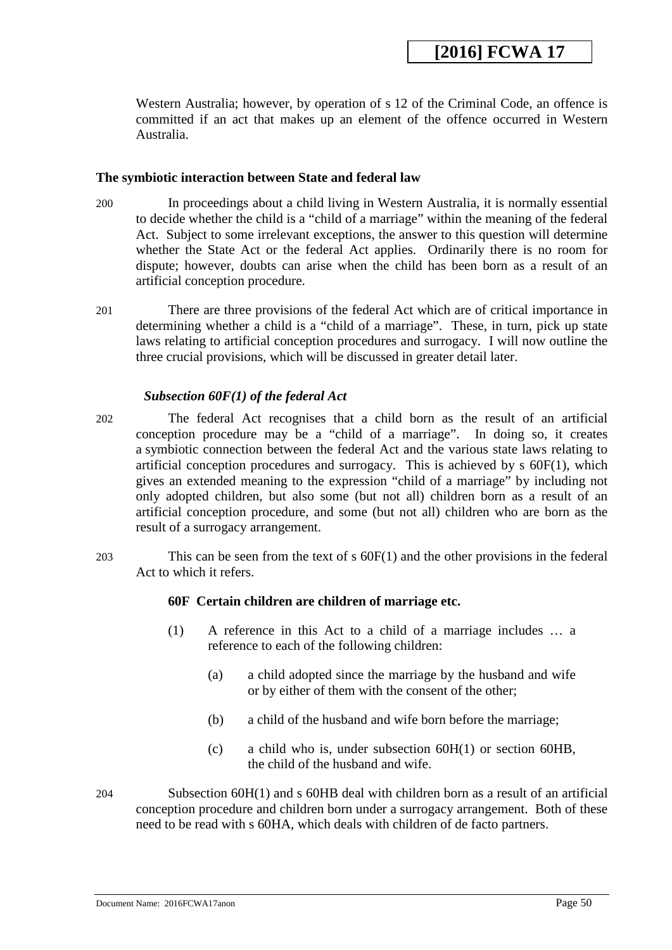Western Australia; however, by operation of s 12 of the Criminal Code, an offence is committed if an act that makes up an element of the offence occurred in Western Australia.

### **The symbiotic interaction between State and federal law**

- 200 In proceedings about a child living in Western Australia, it is normally essential to decide whether the child is a "child of a marriage" within the meaning of the federal Act. Subject to some irrelevant exceptions, the answer to this question will determine whether the State Act or the federal Act applies. Ordinarily there is no room for dispute; however, doubts can arise when the child has been born as a result of an artificial conception procedure.
- 201 There are three provisions of the federal Act which are of critical importance in determining whether a child is a "child of a marriage". These, in turn, pick up state laws relating to artificial conception procedures and surrogacy. I will now outline the three crucial provisions, which will be discussed in greater detail later.

### *Subsection 60F(1) of the federal Act*

- 202 The federal Act recognises that a child born as the result of an artificial conception procedure may be a "child of a marriage". In doing so, it creates a symbiotic connection between the federal Act and the various state laws relating to artificial conception procedures and surrogacy. This is achieved by s 60F(1), which gives an extended meaning to the expression "child of a marriage" by including not only adopted children, but also some (but not all) children born as a result of an artificial conception procedure, and some (but not all) children who are born as the result of a surrogacy arrangement.
- 203 This can be seen from the text of s 60F(1) and the other provisions in the federal Act to which it refers.

## **60F Certain children are children of marriage etc.**

- (1) A reference in this Act to a child of a marriage includes … a reference to each of the following children:
	- (a) a child adopted since the marriage by the husband and wife or by either of them with the consent of the other;
	- (b) a child of the husband and wife born before the marriage;
	- (c) a child who is, under subsection 60H(1) or section 60HB, the child of the husband and wife.
- <span id="page-49-0"></span>204 Subsection 60H(1) and s 60HB deal with children born as a result of an artificial conception procedure and children born under a surrogacy arrangement. Both of these need to be read with s 60HA, which deals with children of de facto partners.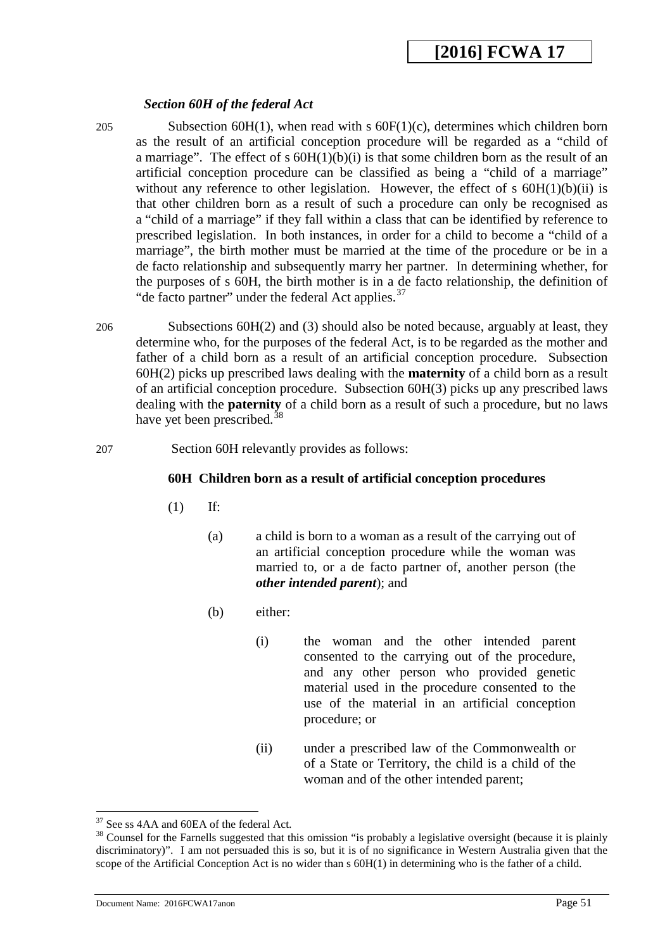## *Section 60H of the federal Act*

205 Subsection 60H(1), when read with s 60F(1)(c), determines which children born as the result of an artificial conception procedure will be regarded as a "child of a marriage". The effect of s  $60H(1)(b)(i)$  is that some children born as the result of an artificial conception procedure can be classified as being a "child of a marriage" without any reference to other legislation. However, the effect of  $s$  60H(1)(b)(ii) is that other children born as a result of such a procedure can only be recognised as a "child of a marriage" if they fall within a class that can be identified by reference to prescribed legislation. In both instances, in order for a child to become a "child of a marriage", the birth mother must be married at the time of the procedure or be in a de facto relationship and subsequently marry her partner. In determining whether, for the purposes of s 60H, the birth mother is in a de facto relationship, the definition of "de facto partner" under the federal Act applies. $37$ 

- 206 Subsections 60H(2) and (3) should also be noted because, arguably at least, they determine who, for the purposes of the federal Act, is to be regarded as the mother and father of a child born as a result of an artificial conception procedure. Subsection 60H(2) picks up prescribed laws dealing with the **maternity** of a child born as a result of an artificial conception procedure. Subsection 60H(3) picks up any prescribed laws dealing with the **paternity** of a child born as a result of such a procedure, but no laws have yet been prescribed. $3$
- 207 Section 60H relevantly provides as follows:

## **60H Children born as a result of artificial conception procedures**

- (1) If:
	- (a) a child is born to a woman as a result of the carrying out of an artificial conception procedure while the woman was married to, or a de facto partner of, another person (the *other intended parent*); and
	- (b) either:
		- (i) the woman and the other intended parent consented to the carrying out of the procedure, and any other person who provided genetic material used in the procedure consented to the use of the material in an artificial conception procedure; or
		- (ii) under a prescribed law of the Commonwealth or of a State or Territory, the child is a child of the woman and of the other intended parent;

<span id="page-50-0"></span><sup>&</sup>lt;sup>37</sup> See ss 4AA and 60EA of the federal Act.

<span id="page-50-1"></span><sup>&</sup>lt;sup>38</sup> Counsel for the Farnells suggested that this omission "is probably a legislative oversight (because it is plainly discriminatory)". I am not persuaded this is so, but it is of no significance in Western Australia given that the scope of the Artificial Conception Act is no wider than s 60H(1) in determining who is the father of a child.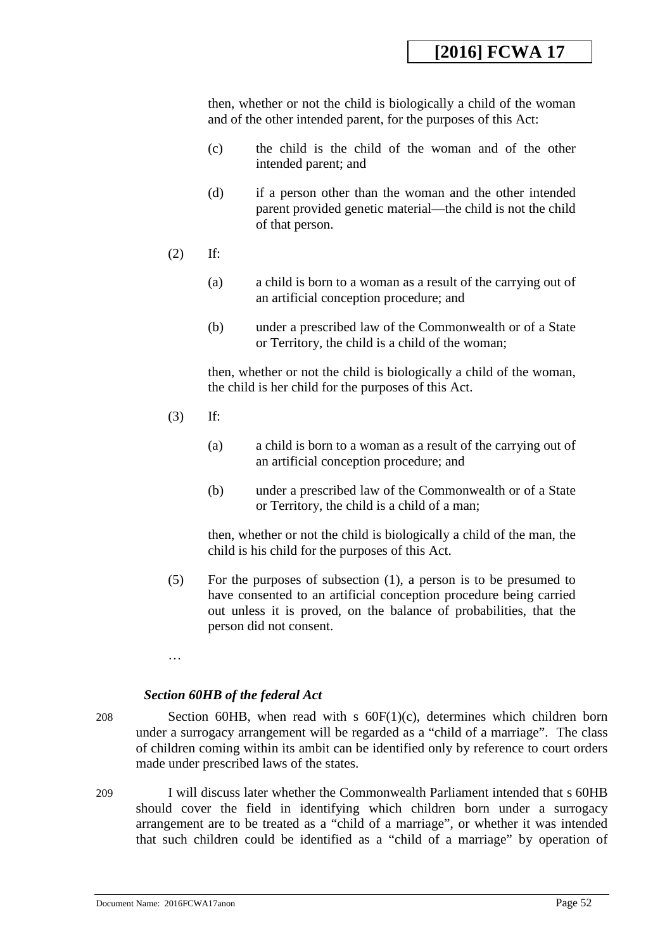then, whether or not the child is biologically a child of the woman and of the other intended parent, for the purposes of this Act:

- (c) the child is the child of the woman and of the other intended parent; and
- (d) if a person other than the woman and the other intended parent provided genetic material—the child is not the child of that person.
- (2) If:
	- (a) a child is born to a woman as a result of the carrying out of an artificial conception procedure; and
	- (b) under a prescribed law of the Commonwealth or of a State or Territory, the child is a child of the woman;

then, whether or not the child is biologically a child of the woman, the child is her child for the purposes of this Act.

- (3) If:
	- (a) a child is born to a woman as a result of the carrying out of an artificial conception procedure; and
	- (b) under a prescribed law of the Commonwealth or of a State or Territory, the child is a child of a man;

then, whether or not the child is biologically a child of the man, the child is his child for the purposes of this Act.

- (5) For the purposes of subsection (1), a person is to be presumed to have consented to an artificial conception procedure being carried out unless it is proved, on the balance of probabilities, that the person did not consent.
- …

## *Section 60HB of the federal Act*

208 Section 60HB, when read with s 60F(1)(c), determines which children born under a surrogacy arrangement will be regarded as a "child of a marriage". The class of children coming within its ambit can be identified only by reference to court orders made under prescribed laws of the states.

209 I will discuss later whether the Commonwealth Parliament intended that s 60HB should cover the field in identifying which children born under a surrogacy arrangement are to be treated as a "child of a marriage", or whether it was intended that such children could be identified as a "child of a marriage" by operation of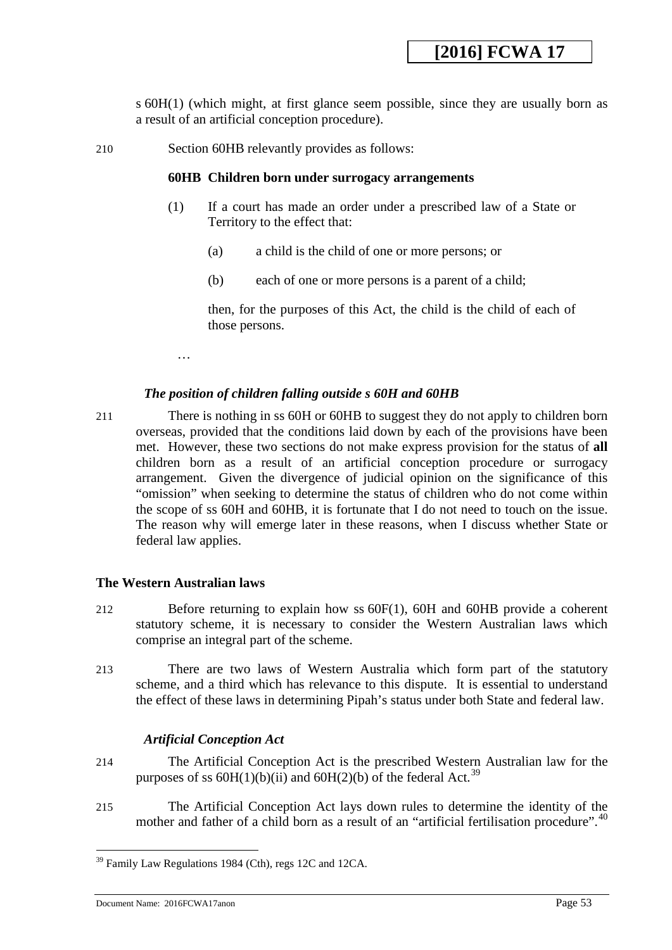s 60H(1) (which might, at first glance seem possible, since they are usually born as a result of an artificial conception procedure).

210 Section 60HB relevantly provides as follows:

#### **60HB Children born under surrogacy arrangements**

- (1) If a court has made an order under a prescribed law of a State or Territory to the effect that:
	- (a) a child is the child of one or more persons; or
	- (b) each of one or more persons is a parent of a child;

then, for the purposes of this Act, the child is the child of each of those persons.

…

### *The position of children falling outside s 60H and 60HB*

211 There is nothing in ss 60H or 60HB to suggest they do not apply to children born overseas, provided that the conditions laid down by each of the provisions have been met. However, these two sections do not make express provision for the status of **all** children born as a result of an artificial conception procedure or surrogacy arrangement. Given the divergence of judicial opinion on the significance of this "omission" when seeking to determine the status of children who do not come within the scope of ss 60H and 60HB, it is fortunate that I do not need to touch on the issue. The reason why will emerge later in these reasons, when I discuss whether State or federal law applies.

### **The Western Australian laws**

- 212 Before returning to explain how ss 60F(1), 60H and 60HB provide a coherent statutory scheme, it is necessary to consider the Western Australian laws which comprise an integral part of the scheme.
- 213 There are two laws of Western Australia which form part of the statutory scheme, and a third which has relevance to this dispute. It is essential to understand the effect of these laws in determining Pipah's status under both State and federal law.

## *Artificial Conception Act*

- 214 The Artificial Conception Act is the prescribed Western Australian law for the purposes of ss  $60H(1)(b)(ii)$  and  $60H(2)(b)$  of the federal Act.<sup>39</sup>
- 215 The Artificial Conception Act lays down rules to determine the identity of the mother and father of a child born as a result of an "artificial fertilisation procedure".<sup>40</sup>

 $39$  Family Law Regulations 1984 (Cth), regs 12C and 12CA. <u>.</u>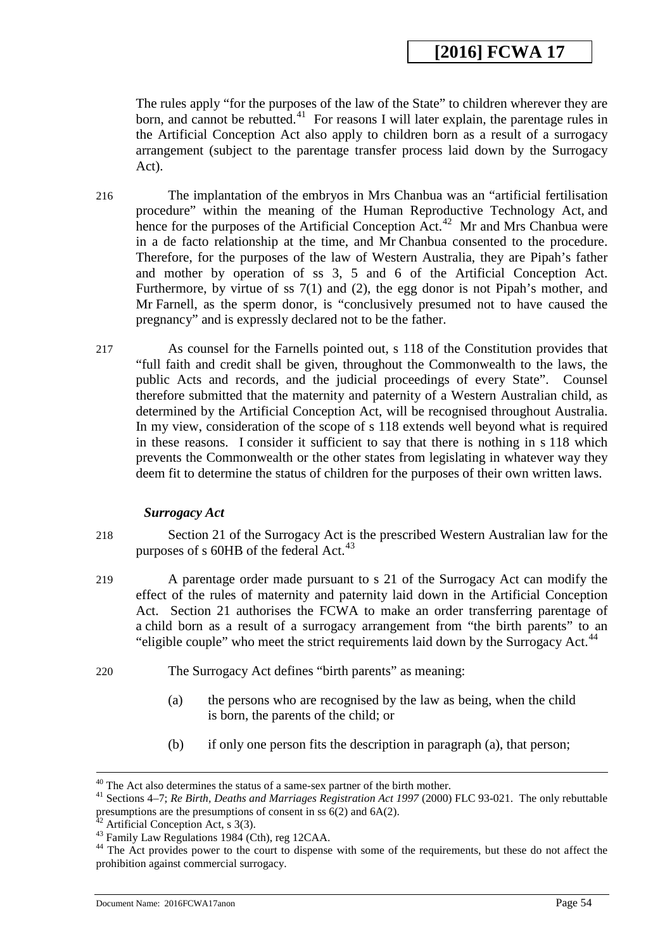The rules apply "for the purposes of the law of the State" to children wherever they are born, and cannot be rebutted.<sup>[41](#page-53-2)</sup> For reasons I will later explain, the parentage rules in the Artificial Conception Act also apply to children born as a result of a surrogacy arrangement (subject to the parentage transfer process laid down by the Surrogacy Act).

- 216 The implantation of the embryos in Mrs Chanbua was an "artificial fertilisation procedure" within the meaning of the Human Reproductive Technology Act, and hence for the purposes of the Artificial Conception Act.<sup>42</sup> Mr and Mrs Chanbua were in a de facto relationship at the time, and Mr Chanbua consented to the procedure. Therefore, for the purposes of the law of Western Australia, they are Pipah's father and mother by operation of ss 3, 5 and 6 of the Artificial Conception Act. Furthermore, by virtue of ss 7(1) and (2), the egg donor is not Pipah's mother, and Mr Farnell, as the sperm donor, is "conclusively presumed not to have caused the pregnancy" and is expressly declared not to be the father.
- 217 As counsel for the Farnells pointed out, s 118 of the Constitution provides that "full faith and credit shall be given, throughout the Commonwealth to the laws, the public Acts and records, and the judicial proceedings of every State". Counsel therefore submitted that the maternity and paternity of a Western Australian child, as determined by the Artificial Conception Act, will be recognised throughout Australia. In my view, consideration of the scope of s 118 extends well beyond what is required in these reasons. I consider it sufficient to say that there is nothing in s 118 which prevents the Commonwealth or the other states from legislating in whatever way they deem fit to determine the status of children for the purposes of their own written laws.

### *Surrogacy Act*

- 218 Section 21 of the Surrogacy Act is the prescribed Western Australian law for the purposes of s  $60HB$  of the federal Act.<sup>[43](#page-53-4)</sup>
- 219 A parentage order made pursuant to s 21 of the Surrogacy Act can modify the effect of the rules of maternity and paternity laid down in the Artificial Conception Act. Section 21 authorises the FCWA to make an order transferring parentage of a child born as a result of a surrogacy arrangement from "the birth parents" to an "eligible couple" who meet the strict requirements laid down by the Surrogacy Act. $44$
- 220 The Surrogacy Act defines "birth parents" as meaning:
	- (a) the persons who are recognised by the law as being, when the child is born, the parents of the child; or
	- (b) if only one person fits the description in paragraph (a), that person;

 $40$  The Act also determines the status of a same-sex partner of the birth mother.

<span id="page-53-0"></span><sup>&</sup>lt;sup>41</sup> Sections 4–7; *Re Birth, Deaths and Marriages Registration Act 1997* (2000) FLC 93-021. The only rebuttable presumptions are the presumptions of consent in ss  $6(2)$  and  $6A(2)$ .

<span id="page-53-4"></span><span id="page-53-3"></span>

<span id="page-53-2"></span><span id="page-53-1"></span><sup>&</sup>lt;sup>42</sup> Artificial Conception Act, s 3(3).<br><sup>43</sup> Family Law Regulations 1984 (Cth), reg 12CAA.<br><sup>44</sup> The Act provides power to the court to dispense with some of the requirements, but these do not affect the prohibition against commercial surrogacy.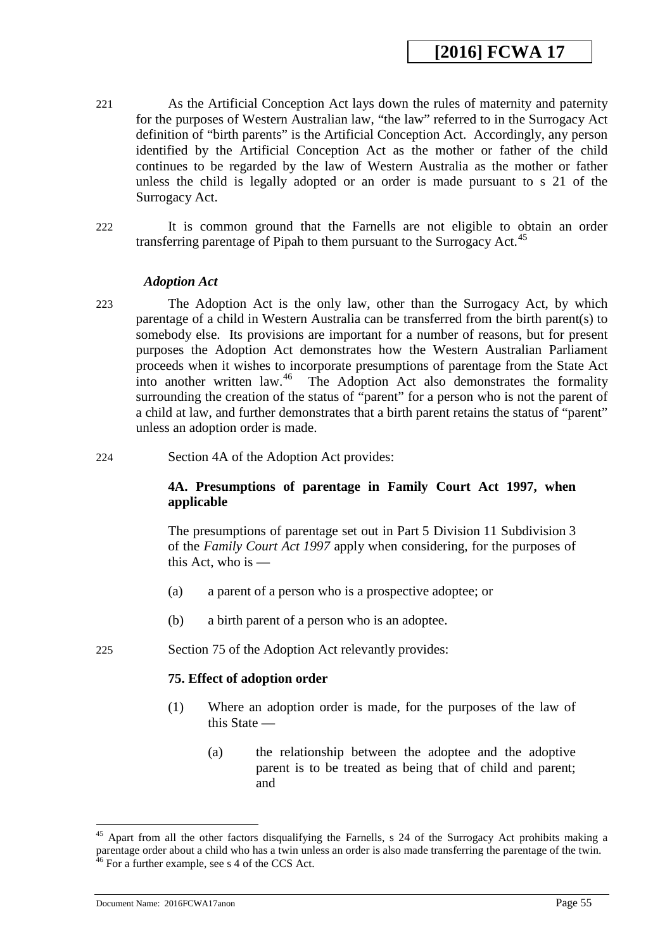- 221 As the Artificial Conception Act lays down the rules of maternity and paternity for the purposes of Western Australian law, "the law" referred to in the Surrogacy Act definition of "birth parents" is the Artificial Conception Act. Accordingly, any person identified by the Artificial Conception Act as the mother or father of the child continues to be regarded by the law of Western Australia as the mother or father unless the child is legally adopted or an order is made pursuant to s 21 of the Surrogacy Act.
- 222 It is common ground that the Farnells are not eligible to obtain an order transferring parentage of Pipah to them pursuant to the Surrogacy Act.[45](#page-54-1)

#### *Adoption Act*

- 223 The Adoption Act is the only law, other than the Surrogacy Act, by which parentage of a child in Western Australia can be transferred from the birth parent(s) to somebody else. Its provisions are important for a number of reasons, but for present purposes the Adoption Act demonstrates how the Western Australian Parliament proceeds when it wishes to incorporate presumptions of parentage from the State Act into another written law.<sup>[46](#page-54-2)</sup> The Adoption Act also demonstrates the formality surrounding the creation of the status of "parent" for a person who is not the parent of a child at law, and further demonstrates that a birth parent retains the status of "parent" unless an adoption order is made.
- 224 Section 4A of the Adoption Act provides:

## **4A. Presumptions of parentage in Family Court Act 1997, when applicable**

The presumptions of parentage set out in Part 5 Division 11 Subdivision 3 of the *Family Court Act 1997* apply when considering, for the purposes of this Act, who is  $-$ 

- (a) a parent of a person who is a prospective adoptee; or
- (b) a birth parent of a person who is an adoptee.
- 225 Section 75 of the Adoption Act relevantly provides:

### **75. Effect of adoption order**

- (1) Where an adoption order is made, for the purposes of the law of this State —
	- (a) the relationship between the adoptee and the adoptive parent is to be treated as being that of child and parent; and

<span id="page-54-2"></span><span id="page-54-1"></span><span id="page-54-0"></span><sup>&</sup>lt;sup>45</sup> Apart from all the other factors disqualifying the Farnells, s 24 of the Surrogacy Act prohibits making a parentage order about a child who has a twin unless an order is also made transferring the parentage of the twin.  $46$  For a further example, see s 4 of the CCS Act.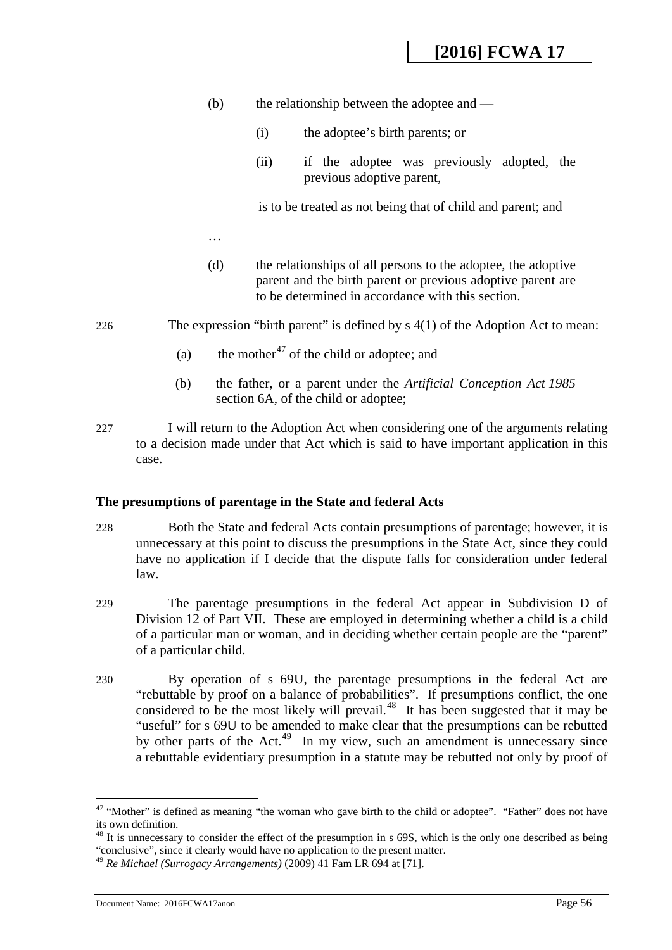- (b) the relationship between the adoptee and
	- (i) the adoptee's birth parents; or
	- (ii) if the adoptee was previously adopted, the previous adoptive parent,

is to be treated as not being that of child and parent; and

- (d) the relationships of all persons to the adoptee, the adoptive parent and the birth parent or previous adoptive parent are to be determined in accordance with this section.
- 226 The expression "birth parent" is defined by s 4(1) of the Adoption Act to mean:
	- (a) the mother<sup>[47](#page-55-0)</sup> of the child or adoptee; and
	- (b) the father, or a parent under the *Artificial Conception Act 1985* section 6A, of the child or adoptee;
- 227 I will return to the Adoption Act when considering one of the arguments relating to a decision made under that Act which is said to have important application in this case.

### **The presumptions of parentage in the State and federal Acts**

…

- 228 Both the State and federal Acts contain presumptions of parentage; however, it is unnecessary at this point to discuss the presumptions in the State Act, since they could have no application if I decide that the dispute falls for consideration under federal law.
- 229 The parentage presumptions in the federal Act appear in Subdivision D of Division 12 of Part VII. These are employed in determining whether a child is a child of a particular man or woman, and in deciding whether certain people are the "parent" of a particular child.
- 230 By operation of s 69U, the parentage presumptions in the federal Act are "rebuttable by proof on a balance of probabilities". If presumptions conflict, the one considered to be the most likely will prevail.<sup>[48](#page-56-0)</sup> It has been suggested that it may be "useful" for s 69U to be amended to make clear that the presumptions can be rebutted by other parts of the Act.<sup>[49](#page-56-1)</sup> In my view, such an amendment is unnecessary since a rebuttable evidentiary presumption in a statute may be rebutted not only by proof of

<sup>&</sup>lt;sup>47</sup> "Mother" is defined as meaning "the woman who gave birth to the child or adoptee". "Father" does not have its own definition. -

 $48$  It is unnecessary to consider the effect of the presumption in s 69S, which is the only one described as being "conclusive", since it clearly would have no application to the present matter.

<span id="page-55-0"></span><sup>49</sup> *Re Michael (Surrogacy Arrangements)* (2009) 41 Fam LR 694 at [71].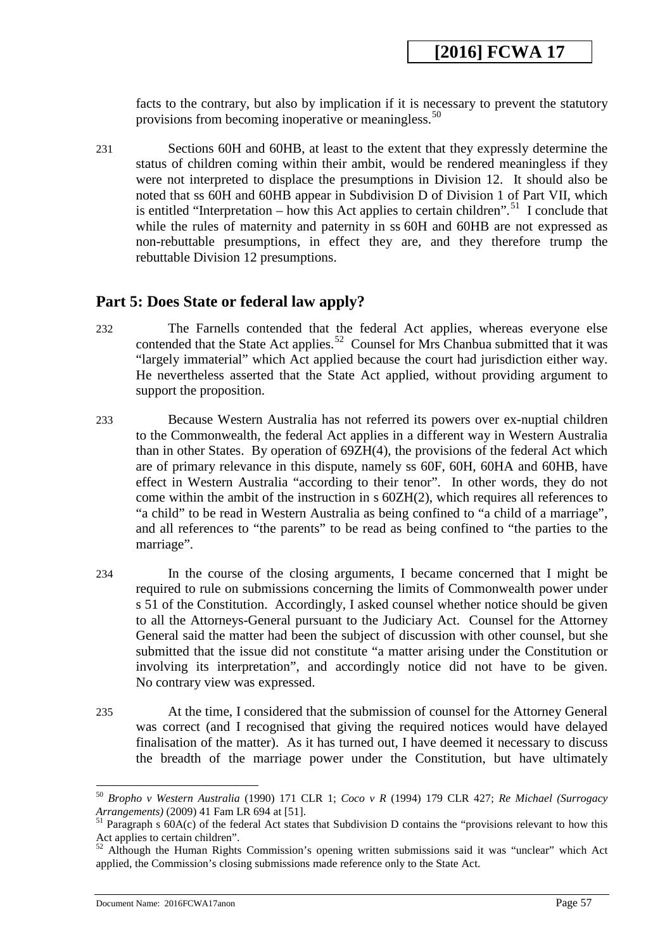facts to the contrary, but also by implication if it is necessary to prevent the statutory provisions from becoming inoperative or meaningless.<sup>[50](#page-56-2)</sup>

231 Sections 60H and 60HB, at least to the extent that they expressly determine the status of children coming within their ambit, would be rendered meaningless if they were not interpreted to displace the presumptions in Division 12. It should also be noted that ss 60H and 60HB appear in Subdivision D of Division 1 of Part VII, which is entitled "Interpretation – how this Act applies to certain children".<sup>51</sup> I conclude that while the rules of maternity and paternity in ss 60H and 60HB are not expressed as non-rebuttable presumptions, in effect they are, and they therefore trump the rebuttable Division 12 presumptions.

## **Part 5: Does State or federal law apply?**

- 232 The Farnells contended that the federal Act applies, whereas everyone else contended that the State Act applies.<sup>52</sup> Counsel for Mrs Chanbua submitted that it was "largely immaterial" which Act applied because the court had jurisdiction either way. He nevertheless asserted that the State Act applied, without providing argument to support the proposition.
- 233 Because Western Australia has not referred its powers over ex-nuptial children to the Commonwealth, the federal Act applies in a different way in Western Australia than in other States. By operation of 69ZH(4), the provisions of the federal Act which are of primary relevance in this dispute, namely ss 60F, 60H, 60HA and 60HB, have effect in Western Australia "according to their tenor". In other words, they do not come within the ambit of the instruction in  $s$  60ZH(2), which requires all references to "a child" to be read in Western Australia as being confined to "a child of a marriage", and all references to "the parents" to be read as being confined to "the parties to the marriage".
- 234 In the course of the closing arguments, I became concerned that I might be required to rule on submissions concerning the limits of Commonwealth power under s 51 of the Constitution. Accordingly, I asked counsel whether notice should be given to all the Attorneys-General pursuant to the Judiciary Act. Counsel for the Attorney General said the matter had been the subject of discussion with other counsel, but she submitted that the issue did not constitute "a matter arising under the Constitution or involving its interpretation", and accordingly notice did not have to be given. No contrary view was expressed.
- <span id="page-56-0"></span>235 At the time, I considered that the submission of counsel for the Attorney General was correct (and I recognised that giving the required notices would have delayed finalisation of the matter). As it has turned out, I have deemed it necessary to discuss the breadth of the marriage power under the Constitution, but have ultimately

<span id="page-56-2"></span><span id="page-56-1"></span><sup>50</sup> *Bropho v Western Australia* (1990) 171 CLR 1; *Coco v R* (1994) 179 CLR 427; *Re Michael (Surrogacy Arrangements*) (2009) 41 Fam LR 694 at [51].<br><sup>51</sup> Paragraph s 60A(c) of the federal Act states that Subdivision D contains the "provisions relevant to how this

<span id="page-56-3"></span>Act applies to certain children".

<span id="page-56-4"></span><sup>52</sup> Although the Human Rights Commission's opening written submissions said it was "unclear" which Act applied, the Commission's closing submissions made reference only to the State Act.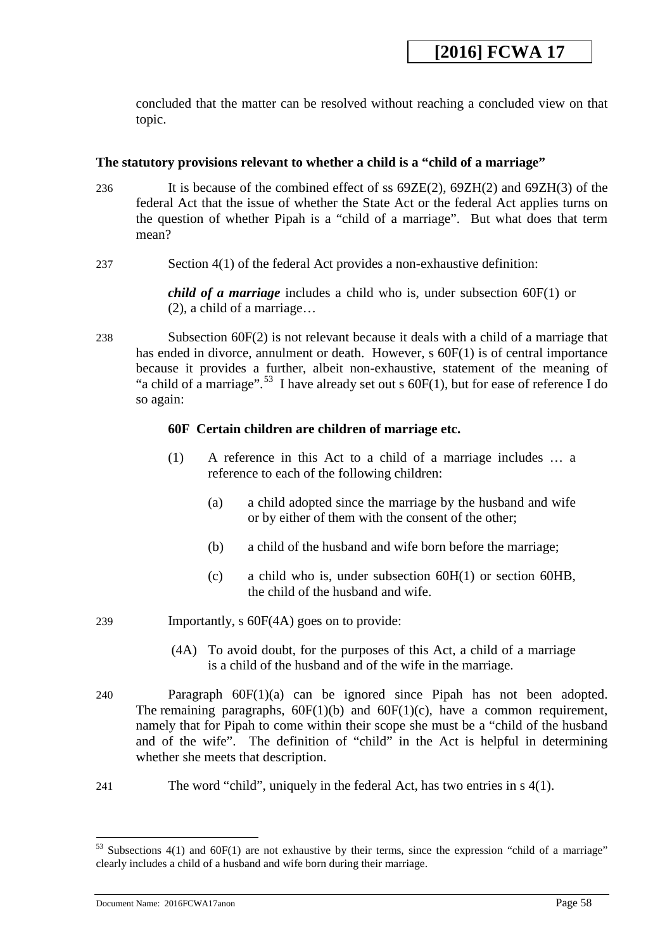concluded that the matter can be resolved without reaching a concluded view on that topic.

## **The statutory provisions relevant to whether a child is a "child of a marriage"**

- 236 It is because of the combined effect of ss 69ZE(2), 69ZH(2) and 69ZH(3) of the federal Act that the issue of whether the State Act or the federal Act applies turns on the question of whether Pipah is a "child of a marriage". But what does that term mean?
- 237 Section 4(1) of the federal Act provides a non-exhaustive definition:

*child of a marriage* includes a child who is, under subsection 60F(1) or (2), a child of a marriage…

238 Subsection 60F(2) is not relevant because it deals with a child of a marriage that has ended in divorce, annulment or death. However, s  $60F(1)$  is of central importance because it provides a further, albeit non-exhaustive, statement of the meaning of "a child of a marriage".<sup>[53](#page-57-0)</sup> I have already set out s  $60F(1)$ , but for ease of reference I do so again:

## **60F Certain children are children of marriage etc.**

- (1) A reference in this Act to a child of a marriage includes … a reference to each of the following children:
	- (a) a child adopted since the marriage by the husband and wife or by either of them with the consent of the other;
	- (b) a child of the husband and wife born before the marriage;
	- (c) a child who is, under subsection 60H(1) or section 60HB, the child of the husband and wife.
- 239 Importantly, s 60F(4A) goes on to provide:
	- (4A) To avoid doubt, for the purposes of this Act, a child of a marriage is a child of the husband and of the wife in the marriage.
- 240 Paragraph 60F(1)(a) can be ignored since Pipah has not been adopted. The remaining paragraphs,  $60F(1)(b)$  and  $60F(1)(c)$ , have a common requirement, namely that for Pipah to come within their scope she must be a "child of the husband and of the wife". The definition of "child" in the Act is helpful in determining whether she meets that description.
- 241 The word "child", uniquely in the federal Act, has two entries in s 4(1).

<span id="page-57-0"></span><sup>&</sup>lt;sup>53</sup> Subsections 4(1) and 60F(1) are not exhaustive by their terms, since the expression "child of a marriage" clearly includes a child of a husband and wife born during their marriage.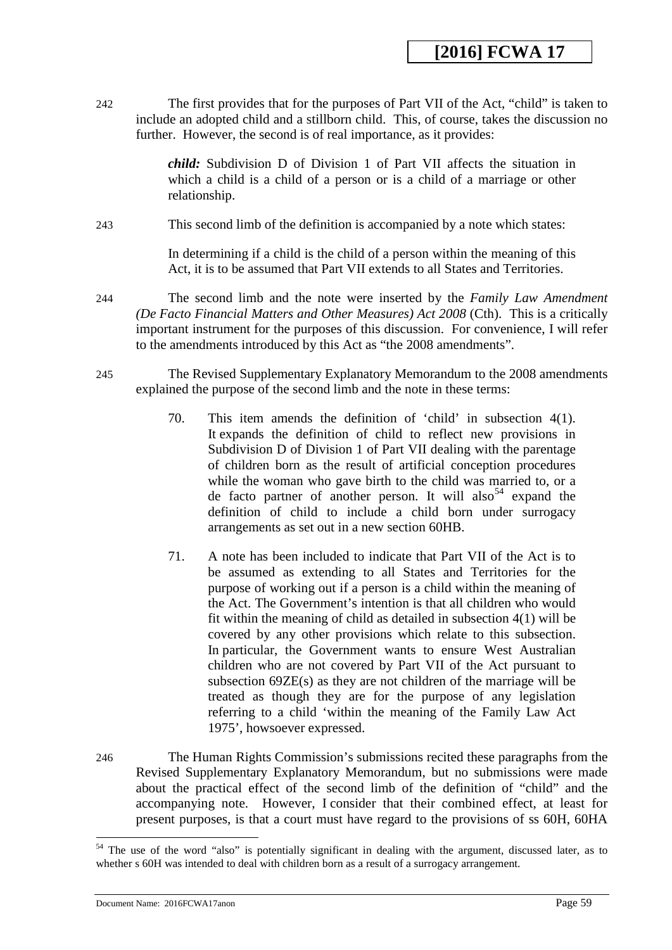242 The first provides that for the purposes of Part VII of the Act, "child" is taken to include an adopted child and a stillborn child. This, of course, takes the discussion no further. However, the second is of real importance, as it provides:

> *child:* Subdivision D of Division 1 of Part VII affects the situation in which a child is a child of a person or is a child of a marriage or other relationship.

243 This second limb of the definition is accompanied by a note which states:

In determining if a child is the child of a person within the meaning of this Act, it is to be assumed that Part VII extends to all States and Territories.

244 The second limb and the note were inserted by the *Family Law Amendment (De Facto Financial Matters and Other Measures) Act 2008* (Cth). This is a critically important instrument for the purposes of this discussion. For convenience, I will refer to the amendments introduced by this Act as "the 2008 amendments".

- 245 The Revised Supplementary Explanatory Memorandum to the 2008 amendments explained the purpose of the second limb and the note in these terms:
	- 70. This item amends the definition of 'child' in subsection 4(1). It expands the definition of child to reflect new provisions in Subdivision D of Division 1 of Part VII dealing with the parentage of children born as the result of artificial conception procedures while the woman who gave birth to the child was married to, or a de facto partner of another person. It will also  $54$  expand the definition of child to include a child born under surrogacy arrangements as set out in a new section 60HB.
	- 71. A note has been included to indicate that Part VII of the Act is to be assumed as extending to all States and Territories for the purpose of working out if a person is a child within the meaning of the Act. The Government's intention is that all children who would fit within the meaning of child as detailed in subsection 4(1) will be covered by any other provisions which relate to this subsection. In particular, the Government wants to ensure West Australian children who are not covered by Part VII of the Act pursuant to subsection 69ZE(s) as they are not children of the marriage will be treated as though they are for the purpose of any legislation referring to a child 'within the meaning of the Family Law Act 1975', howsoever expressed.
- 246 The Human Rights Commission's submissions recited these paragraphs from the Revised Supplementary Explanatory Memorandum, but no submissions were made about the practical effect of the second limb of the definition of "child" and the accompanying note. However, I consider that their combined effect, at least for present purposes, is that a court must have regard to the provisions of ss 60H, 60HA

<span id="page-58-0"></span><sup>&</sup>lt;sup>54</sup> The use of the word "also" is potentially significant in dealing with the argument, discussed later, as to whether s 60H was intended to deal with children born as a result of a surrogacy arrangement.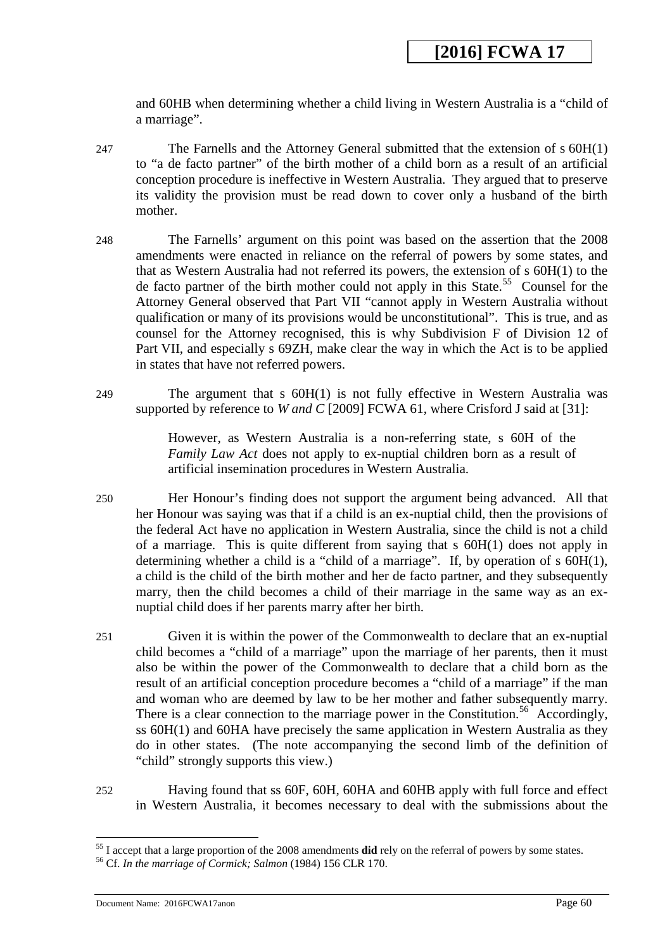and 60HB when determining whether a child living in Western Australia is a "child of a marriage".

- 247 The Farnells and the Attorney General submitted that the extension of s 60H(1) to "a de facto partner" of the birth mother of a child born as a result of an artificial conception procedure is ineffective in Western Australia. They argued that to preserve its validity the provision must be read down to cover only a husband of the birth mother.
- 248 The Farnells' argument on this point was based on the assertion that the 2008 amendments were enacted in reliance on the referral of powers by some states, and that as Western Australia had not referred its powers, the extension of s 60H(1) to the de facto partner of the birth mother could not apply in this State.<sup>55</sup> Counsel for the Attorney General observed that Part VII "cannot apply in Western Australia without qualification or many of its provisions would be unconstitutional". This is true, and as counsel for the Attorney recognised, this is why Subdivision F of Division 12 of Part VII, and especially s 69ZH, make clear the way in which the Act is to be applied in states that have not referred powers.
- 249 The argument that s 60H(1) is not fully effective in Western Australia was supported by reference to *W and C* [2009] FCWA 61, where Crisford J said at [31]:

However, as Western Australia is a non-referring state, s 60H of the *Family Law Act* does not apply to ex-nuptial children born as a result of artificial insemination procedures in Western Australia.

- 250 Her Honour's finding does not support the argument being advanced. All that her Honour was saying was that if a child is an ex-nuptial child, then the provisions of the federal Act have no application in Western Australia, since the child is not a child of a marriage. This is quite different from saying that s 60H(1) does not apply in determining whether a child is a "child of a marriage". If, by operation of s 60H(1), a child is the child of the birth mother and her de facto partner, and they subsequently marry, then the child becomes a child of their marriage in the same way as an exnuptial child does if her parents marry after her birth.
- 251 Given it is within the power of the Commonwealth to declare that an ex-nuptial child becomes a "child of a marriage" upon the marriage of her parents, then it must also be within the power of the Commonwealth to declare that a child born as the result of an artificial conception procedure becomes a "child of a marriage" if the man and woman who are deemed by law to be her mother and father subsequently marry. There is a clear connection to the marriage power in the Constitution.<sup>56</sup> Accordingly, ss 60H(1) and 60HA have precisely the same application in Western Australia as they do in other states. (The note accompanying the second limb of the definition of "child" strongly supports this view.)
- 252 Having found that ss 60F, 60H, 60HA and 60HB apply with full force and effect in Western Australia, it becomes necessary to deal with the submissions about the

<span id="page-59-0"></span><sup>55</sup> I accept that a large proportion of the 2008 amendments **did** rely on the referral of powers by some states. 56 Cf. *In the marriage of Cormick; Salmon* (1984) 156 CLR 170.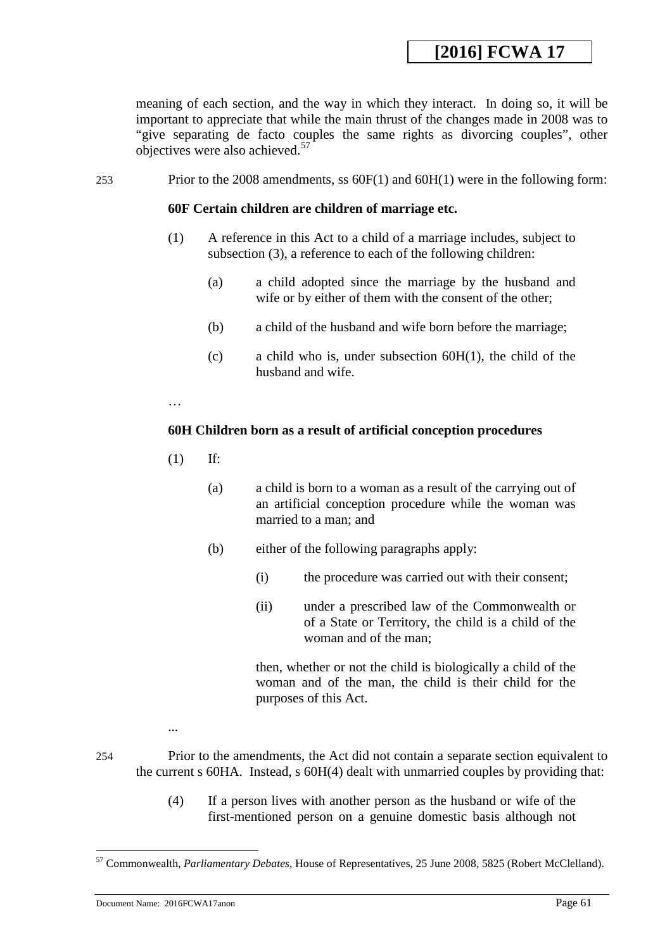meaning of each section, and the way in which they interact. In doing so, it will be important to appreciate that while the main thrust of the changes made in 2008 was to "give separating de facto couples the same rights as divorcing couples", other objectives were also achieved.<sup>[57](#page-60-1)</sup>

253 Prior to the 2008 amendments, ss 60F(1) and 60H(1) were in the following form:

### **60F Certain children are children of marriage etc.**

- (1) A reference in this Act to a child of a marriage includes, subject to subsection (3), a reference to each of the following children:
	- (a) a child adopted since the marriage by the husband and wife or by either of them with the consent of the other;
	- (b) a child of the husband and wife born before the marriage;
	- (c) a child who is, under subsection 60H(1), the child of the husband and wife.

…

## **60H Children born as a result of artificial conception procedures**

- (1) If:
	- (a) a child is born to a woman as a result of the carrying out of an artificial conception procedure while the woman was married to a man; and
	- (b) either of the following paragraphs apply:
		- (i) the procedure was carried out with their consent;
		- (ii) under a prescribed law of the Commonwealth or of a State or Territory, the child is a child of the woman and of the man;

then, whether or not the child is biologically a child of the woman and of the man, the child is their child for the purposes of this Act.

<u>.</u>

254 Prior to the amendments, the Act did not contain a separate section equivalent to the current s 60HA. Instead, s 60H(4) dealt with unmarried couples by providing that:

> (4) If a person lives with another person as the husband or wife of the first-mentioned person on a genuine domestic basis although not

...

<span id="page-60-1"></span><span id="page-60-0"></span><sup>57</sup> Commonwealth, *Parliamentary Debates*, House of Representatives, 25 June 2008, 5825 (Robert McClelland).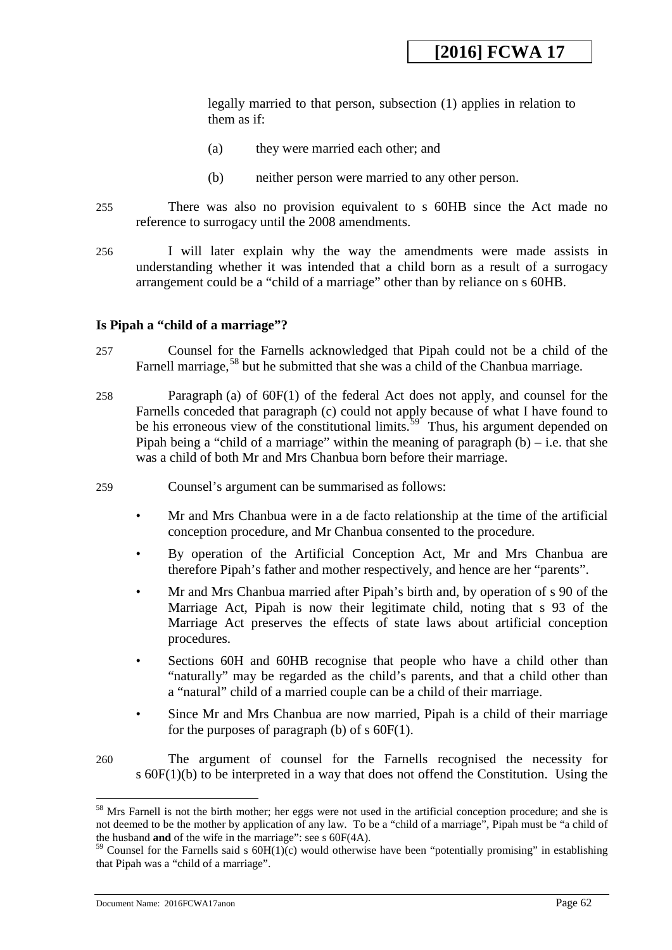legally married to that person, subsection (1) applies in relation to them as if:

- (a) they were married each other; and
- (b) neither person were married to any other person.
- 255 There was also no provision equivalent to s 60HB since the Act made no reference to surrogacy until the 2008 amendments.
- 256 I will later explain why the way the amendments were made assists in understanding whether it was intended that a child born as a result of a surrogacy arrangement could be a "child of a marriage" other than by reliance on s 60HB.

### **Is Pipah a "child of a marriage"?**

- 257 Counsel for the Farnells acknowledged that Pipah could not be a child of the Farnell marriage,<sup>[58](#page-61-0)</sup> but he submitted that she was a child of the Chanbua marriage.
- 258 Paragraph (a) of 60F(1) of the federal Act does not apply, and counsel for the Farnells conceded that paragraph (c) could not apply because of what I have found to be his erroneous view of the constitutional limits.<sup>59</sup> Thus, his argument depended on Pipah being a "child of a marriage" within the meaning of paragraph  $(b)$  – i.e. that she was a child of both Mr and Mrs Chanbua born before their marriage.
- 259 Counsel's argument can be summarised as follows:
	- Mr and Mrs Chanbua were in a de facto relationship at the time of the artificial conception procedure, and Mr Chanbua consented to the procedure.
	- By operation of the Artificial Conception Act, Mr and Mrs Chanbua are therefore Pipah's father and mother respectively, and hence are her "parents".
	- Mr and Mrs Chanbua married after Pipah's birth and, by operation of s 90 of the Marriage Act, Pipah is now their legitimate child, noting that s 93 of the Marriage Act preserves the effects of state laws about artificial conception procedures.
	- Sections 60H and 60HB recognise that people who have a child other than "naturally" may be regarded as the child's parents, and that a child other than a "natural" child of a married couple can be a child of their marriage.
	- Since Mr and Mrs Chanbua are now married, Pipah is a child of their marriage for the purposes of paragraph (b) of  $s$  60 $F(1)$ .
- 260 The argument of counsel for the Farnells recognised the necessity for s 60F(1)(b) to be interpreted in a way that does not offend the Constitution. Using the

<span id="page-61-0"></span><sup>&</sup>lt;sup>58</sup> Mrs Farnell is not the birth mother; her eggs were not used in the artificial conception procedure; and she is not deemed to be the mother by application of any law. To be a "child of a marriage", Pipah must be "a child of the husband **and** of the wife in the marriage": see s 60F(4A).

<span id="page-61-1"></span> $59$  Counsel for the Farnells said s  $60H(1)(c)$  would otherwise have been "potentially promising" in establishing that Pipah was a "child of a marriage".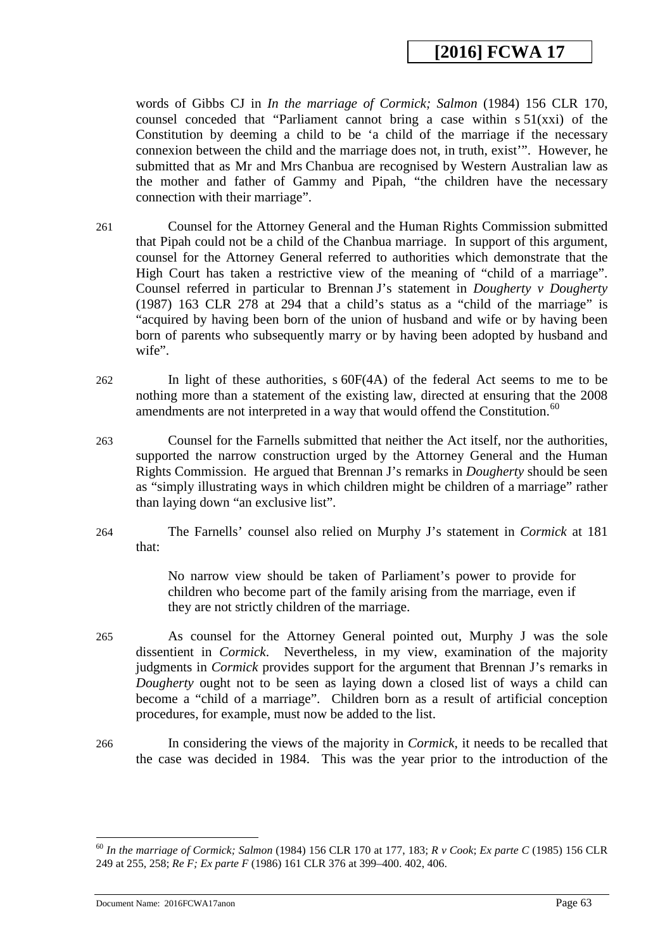words of Gibbs CJ in *In the marriage of Cormick; Salmon* (1984) 156 CLR 170, counsel conceded that "Parliament cannot bring a case within  $s \, 51(xxi)$  of the Constitution by deeming a child to be 'a child of the marriage if the necessary connexion between the child and the marriage does not, in truth, exist'". However, he submitted that as Mr and Mrs Chanbua are recognised by Western Australian law as the mother and father of Gammy and Pipah, "the children have the necessary connection with their marriage".

- 261 Counsel for the Attorney General and the Human Rights Commission submitted that Pipah could not be a child of the Chanbua marriage. In support of this argument, counsel for the Attorney General referred to authorities which demonstrate that the High Court has taken a restrictive view of the meaning of "child of a marriage". Counsel referred in particular to Brennan J's statement in *Dougherty v Dougherty* (1987) 163 CLR 278 at 294 that a child's status as a "child of the marriage" is "acquired by having been born of the union of husband and wife or by having been born of parents who subsequently marry or by having been adopted by husband and wife".
- 262 In light of these authorities, s 60F(4A) of the federal Act seems to me to be nothing more than a statement of the existing law, directed at ensuring that the 2008 amendments are not interpreted in a way that would offend the Constitution.<sup>60</sup>
- 263 Counsel for the Farnells submitted that neither the Act itself, nor the authorities, supported the narrow construction urged by the Attorney General and the Human Rights Commission. He argued that Brennan J's remarks in *Dougherty* should be seen as "simply illustrating ways in which children might be children of a marriage" rather than laying down "an exclusive list".
- 264 The Farnells' counsel also relied on Murphy J's statement in *Cormick* at 181 that:

No narrow view should be taken of Parliament's power to provide for children who become part of the family arising from the marriage, even if they are not strictly children of the marriage.

- 265 As counsel for the Attorney General pointed out, Murphy J was the sole dissentient in *Cormick*. Nevertheless, in my view, examination of the majority judgments in *Cormick* provides support for the argument that Brennan J's remarks in *Dougherty* ought not to be seen as laying down a closed list of ways a child can become a "child of a marriage". Children born as a result of artificial conception procedures, for example, must now be added to the list.
- 266 In considering the views of the majority in *Cormick*, it needs to be recalled that the case was decided in 1984. This was the year prior to the introduction of the

<span id="page-62-0"></span><sup>60</sup> *In the marriage of Cormick; Salmon* (1984) 156 CLR 170 at 177, 183; *R v Cook*; *Ex parte C* (1985) 156 CLR 249 at 255, 258; *Re F; Ex parte F* (1986) 161 CLR 376 at 399–400. 402, 406.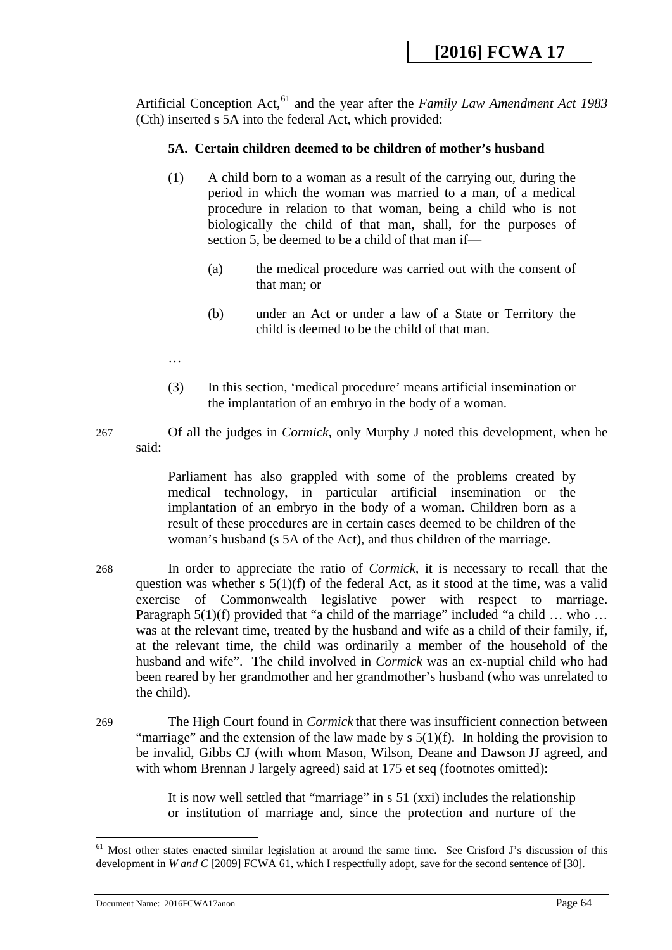Artificial Conception Act,<sup>[61](#page-63-0)</sup> and the year after the *Family Law Amendment Act 1983* (Cth) inserted s 5A into the federal Act, which provided:

## **5A. Certain children deemed to be children of mother's husband**

- (1) A child born to a woman as a result of the carrying out, during the period in which the woman was married to a man, of a medical procedure in relation to that woman, being a child who is not biologically the child of that man, shall, for the purposes of section 5, be deemed to be a child of that man if—
	- (a) the medical procedure was carried out with the consent of that man; or
	- (b) under an Act or under a law of a State or Territory the child is deemed to be the child of that man.
- …
- (3) In this section, 'medical procedure' means artificial insemination or the implantation of an embryo in the body of a woman.
- 267 Of all the judges in *Cormick*, only Murphy J noted this development, when he said:

Parliament has also grappled with some of the problems created by medical technology, in particular artificial insemination or the implantation of an embryo in the body of a woman. Children born as a result of these procedures are in certain cases deemed to be children of the woman's husband (s 5A of the Act), and thus children of the marriage.

- 268 In order to appreciate the ratio of *Cormick*, it is necessary to recall that the question was whether s  $5(1)(f)$  of the federal Act, as it stood at the time, was a valid exercise of Commonwealth legislative power with respect to marriage. Paragraph  $5(1)(f)$  provided that "a child of the marriage" included "a child ... who ... was at the relevant time, treated by the husband and wife as a child of their family, if, at the relevant time, the child was ordinarily a member of the household of the husband and wife". The child involved in *Cormick* was an ex-nuptial child who had been reared by her grandmother and her grandmother's husband (who was unrelated to the child).
- 269 The High Court found in *Cormick* that there was insufficient connection between "marriage" and the extension of the law made by  $s \frac{5(1)}{f}$ . In holding the provision to be invalid, Gibbs CJ (with whom Mason, Wilson, Deane and Dawson JJ agreed, and with whom Brennan J largely agreed) said at 175 et seq (footnotes omitted):

It is now well settled that "marriage" in s 51 (xxi) includes the relationship or institution of marriage and, since the protection and nurture of the

<span id="page-63-0"></span><sup>&</sup>lt;sup>61</sup> Most other states enacted similar legislation at around the same time. See Crisford J's discussion of this development in *W and C* [2009] FCWA 61, which I respectfully adopt, save for the second sentence of [30].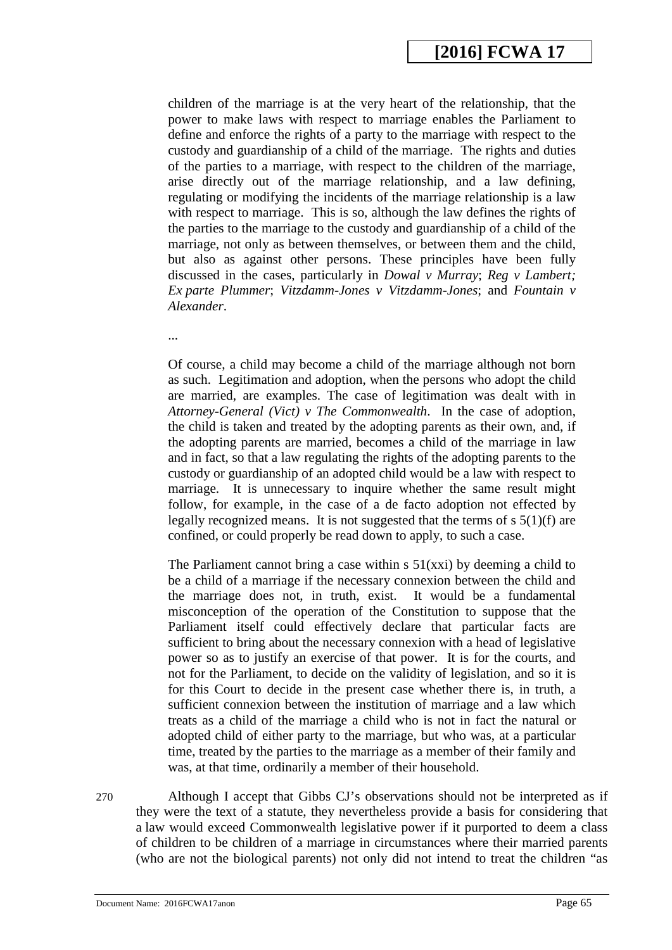children of the marriage is at the very heart of the relationship, that the power to make laws with respect to marriage enables the Parliament to define and enforce the rights of a party to the marriage with respect to the custody and guardianship of a child of the marriage. The rights and duties of the parties to a marriage, with respect to the children of the marriage, arise directly out of the marriage relationship, and a law defining, regulating or modifying the incidents of the marriage relationship is a law with respect to marriage. This is so, although the law defines the rights of the parties to the marriage to the custody and guardianship of a child of the marriage, not only as between themselves, or between them and the child, but also as against other persons. These principles have been fully discussed in the cases, particularly in *Dowal v Murray*; *Reg v Lambert; Ex parte Plummer*; *Vitzdamm-Jones v Vitzdamm-Jones*; and *Fountain v Alexander*.

...

Of course, a child may become a child of the marriage although not born as such. Legitimation and adoption, when the persons who adopt the child are married, are examples. The case of legitimation was dealt with in *Attorney-General (Vict) v The Commonwealth*. In the case of adoption, the child is taken and treated by the adopting parents as their own, and, if the adopting parents are married, becomes a child of the marriage in law and in fact, so that a law regulating the rights of the adopting parents to the custody or guardianship of an adopted child would be a law with respect to marriage. It is unnecessary to inquire whether the same result might follow, for example, in the case of a de facto adoption not effected by legally recognized means. It is not suggested that the terms of s 5(1)(f) are confined, or could properly be read down to apply, to such a case.

The Parliament cannot bring a case within  $s \frac{51}{x}$  by deeming a child to be a child of a marriage if the necessary connexion between the child and the marriage does not, in truth, exist. It would be a fundamental misconception of the operation of the Constitution to suppose that the Parliament itself could effectively declare that particular facts are sufficient to bring about the necessary connexion with a head of legislative power so as to justify an exercise of that power. It is for the courts, and not for the Parliament, to decide on the validity of legislation, and so it is for this Court to decide in the present case whether there is, in truth, a sufficient connexion between the institution of marriage and a law which treats as a child of the marriage a child who is not in fact the natural or adopted child of either party to the marriage, but who was, at a particular time, treated by the parties to the marriage as a member of their family and was, at that time, ordinarily a member of their household.

270 Although I accept that Gibbs CJ's observations should not be interpreted as if they were the text of a statute, they nevertheless provide a basis for considering that a law would exceed Commonwealth legislative power if it purported to deem a class of children to be children of a marriage in circumstances where their married parents (who are not the biological parents) not only did not intend to treat the children "as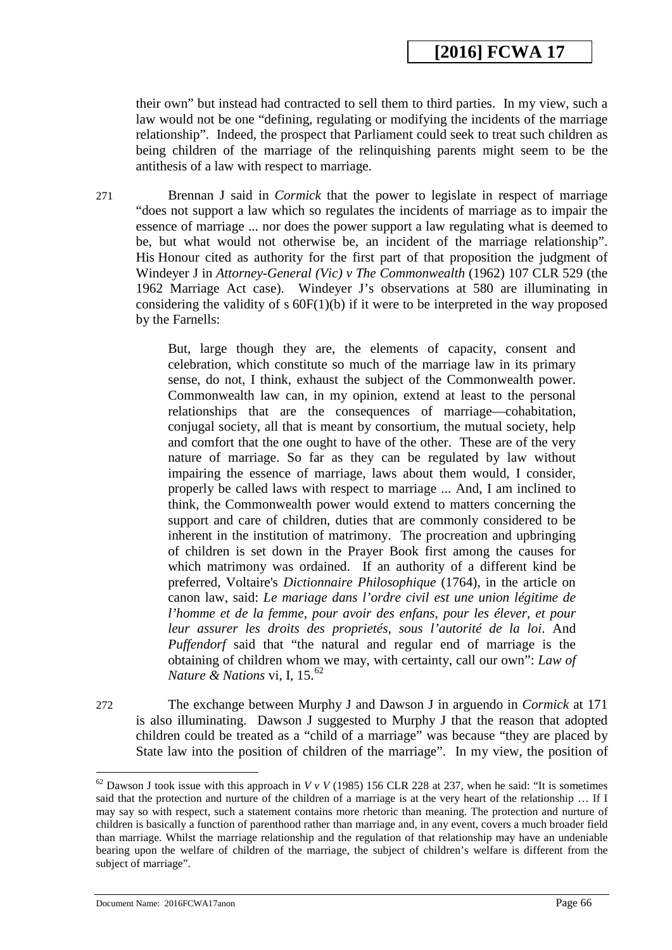their own" but instead had contracted to sell them to third parties. In my view, such a law would not be one "defining, regulating or modifying the incidents of the marriage relationship". Indeed, the prospect that Parliament could seek to treat such children as being children of the marriage of the relinquishing parents might seem to be the antithesis of a law with respect to marriage.

271 Brennan J said in *Cormick* that the power to legislate in respect of marriage "does not support a law which so regulates the incidents of marriage as to impair the essence of marriage ... nor does the power support a law regulating what is deemed to be, but what would not otherwise be, an incident of the marriage relationship". His Honour cited as authority for the first part of that proposition the judgment of Windeyer J in *Attorney-General (Vic) v The Commonwealth* (1962) 107 CLR 529 (the 1962 Marriage Act case). Windeyer J's observations at 580 are illuminating in considering the validity of  $s$  60F(1)(b) if it were to be interpreted in the way proposed by the Farnells:

> But, large though they are, the elements of capacity, consent and celebration, which constitute so much of the marriage law in its primary sense, do not, I think, exhaust the subject of the Commonwealth power. Commonwealth law can, in my opinion, extend at least to the personal relationships that are the consequences of marriage—cohabitation, conjugal society, all that is meant by consortium, the mutual society, help and comfort that the one ought to have of the other. These are of the very nature of marriage. So far as they can be regulated by law without impairing the essence of marriage, laws about them would, I consider, properly be called laws with respect to marriage ... And, I am inclined to think, the Commonwealth power would extend to matters concerning the support and care of children, duties that are commonly considered to be inherent in the institution of matrimony. The procreation and upbringing of children is set down in the Prayer Book first among the causes for which matrimony was ordained. If an authority of a different kind be preferred, Voltaire's *Dictionnaire Philosophique* (1764), in the article on canon law, said: *Le mariage dans l'ordre civil est une union légitime de l'homme et de la femme, pour avoir des enfans, pour les élever, et pour leur assurer les droits des proprietés, sous l'autorité de la loi*. And *Puffendorf* said that "the natural and regular end of marriage is the obtaining of children whom we may, with certainty, call our own": *Law of Nature & Nations* vi, I, 15.<sup>[62](#page-66-0)</sup>

272 The exchange between Murphy J and Dawson J in arguendo in *Cormick* at 171 is also illuminating. Dawson J suggested to Murphy J that the reason that adopted children could be treated as a "child of a marriage" was because "they are placed by State law into the position of children of the marriage". In my view, the position of

<sup>&</sup>lt;sup>62</sup> Dawson J took issue with this approach in *V v V* (1985) 156 CLR 228 at 237, when he said: "It is sometimes said that the protection and nurture of the children of a marriage is at the very heart of the relationship … If I may say so with respect, such a statement contains more rhetoric than meaning. The protection and nurture of children is basically a function of parenthood rather than marriage and, in any event, covers a much broader field than marriage. Whilst the marriage relationship and the regulation of that relationship may have an undeniable bearing upon the welfare of children of the marriage, the subject of children's welfare is different from the subject of marriage".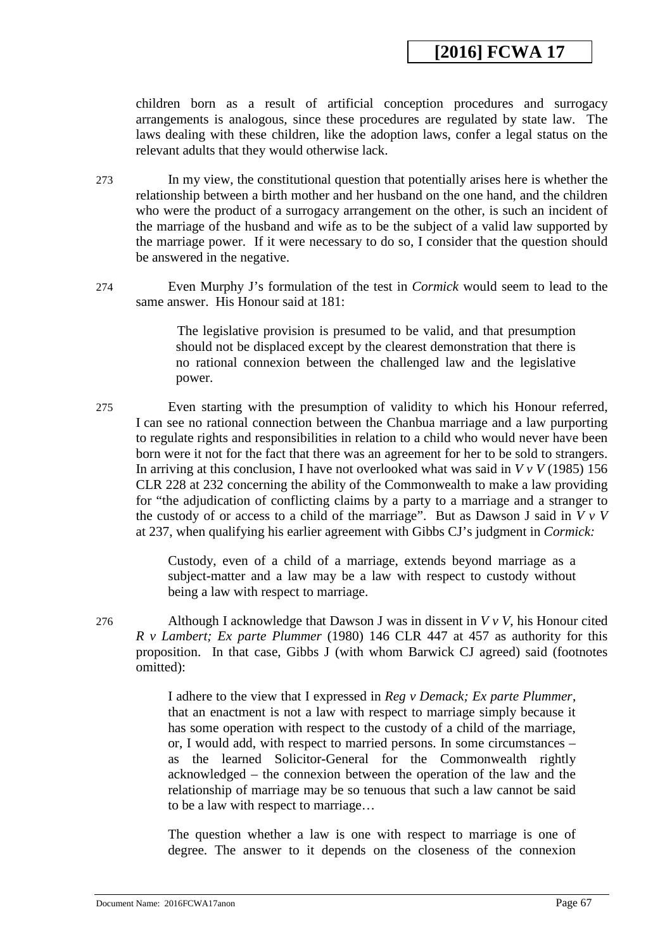children born as a result of artificial conception procedures and surrogacy arrangements is analogous, since these procedures are regulated by state law. The laws dealing with these children, like the adoption laws, confer a legal status on the relevant adults that they would otherwise lack.

- 273 In my view, the constitutional question that potentially arises here is whether the relationship between a birth mother and her husband on the one hand, and the children who were the product of a surrogacy arrangement on the other, is such an incident of the marriage of the husband and wife as to be the subject of a valid law supported by the marriage power. If it were necessary to do so, I consider that the question should be answered in the negative.
- 274 Even Murphy J's formulation of the test in *Cormick* would seem to lead to the same answer. His Honour said at 181:

The legislative provision is presumed to be valid, and that presumption should not be displaced except by the clearest demonstration that there is no rational connexion between the challenged law and the legislative power.

275 Even starting with the presumption of validity to which his Honour referred, I can see no rational connection between the Chanbua marriage and a law purporting to regulate rights and responsibilities in relation to a child who would never have been born were it not for the fact that there was an agreement for her to be sold to strangers. In arriving at this conclusion, I have not overlooked what was said in *V v V* (1985) 156 CLR 228 at 232 concerning the ability of the Commonwealth to make a law providing for "the adjudication of conflicting claims by a party to a marriage and a stranger to the custody of or access to a child of the marriage". But as Dawson J said in *V v V*  at 237, when qualifying his earlier agreement with Gibbs CJ's judgment in *Cormick:*

> Custody, even of a child of a marriage, extends beyond marriage as a subject-matter and a law may be a law with respect to custody without being a law with respect to marriage.

276 Although I acknowledge that Dawson J was in dissent in *V v V*, his Honour cited *R v Lambert; Ex parte Plummer* (1980) 146 CLR 447 at 457 as authority for this proposition. In that case, Gibbs J (with whom Barwick CJ agreed) said (footnotes omitted):

> I adhere to the view that I expressed in *Reg v Demack; Ex parte Plummer*, that an enactment is not a law with respect to marriage simply because it has some operation with respect to the custody of a child of the marriage, or, I would add, with respect to married persons. In some circumstances – as the learned Solicitor-General for the Commonwealth rightly acknowledged – the connexion between the operation of the law and the relationship of marriage may be so tenuous that such a law cannot be said to be a law with respect to marriage…

> <span id="page-66-0"></span>The question whether a law is one with respect to marriage is one of degree. The answer to it depends on the closeness of the connexion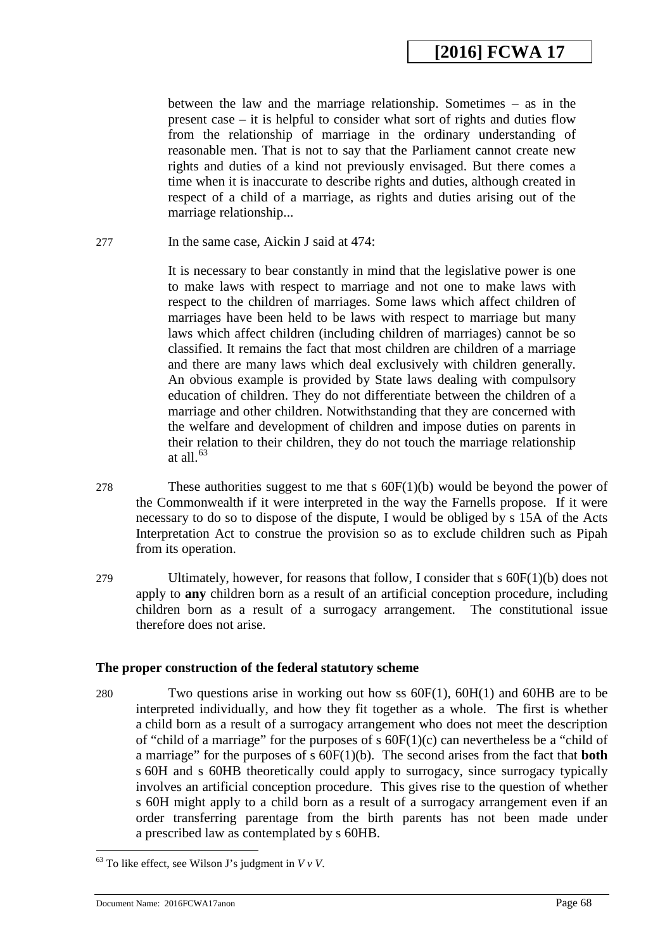between the law and the marriage relationship. Sometimes – as in the present case – it is helpful to consider what sort of rights and duties flow from the relationship of marriage in the ordinary understanding of reasonable men. That is not to say that the Parliament cannot create new rights and duties of a kind not previously envisaged. But there comes a time when it is inaccurate to describe rights and duties, although created in respect of a child of a marriage, as rights and duties arising out of the marriage relationship...

277 In the same case, Aickin J said at 474:

It is necessary to bear constantly in mind that the legislative power is one to make laws with respect to marriage and not one to make laws with respect to the children of marriages. Some laws which affect children of marriages have been held to be laws with respect to marriage but many laws which affect children (including children of marriages) cannot be so classified. It remains the fact that most children are children of a marriage and there are many laws which deal exclusively with children generally. An obvious example is provided by State laws dealing with compulsory education of children. They do not differentiate between the children of a marriage and other children. Notwithstanding that they are concerned with the welfare and development of children and impose duties on parents in their relation to their children, they do not touch the marriage relationship at all. $63$ 

- 278 These authorities suggest to me that s  $60F(1)(b)$  would be beyond the power of the Commonwealth if it were interpreted in the way the Farnells propose. If it were necessary to do so to dispose of the dispute, I would be obliged by s 15A of the Acts Interpretation Act to construe the provision so as to exclude children such as Pipah from its operation.
- 279 Ultimately, however, for reasons that follow, I consider that s 60F(1)(b) does not apply to **any** children born as a result of an artificial conception procedure, including children born as a result of a surrogacy arrangement. The constitutional issue therefore does not arise.

### **The proper construction of the federal statutory scheme**

280 Two questions arise in working out how ss 60F(1), 60H(1) and 60HB are to be interpreted individually, and how they fit together as a whole. The first is whether a child born as a result of a surrogacy arrangement who does not meet the description of "child of a marriage" for the purposes of s  $60F(1)(c)$  can nevertheless be a "child of a marriage" for the purposes of s 60F(1)(b). The second arises from the fact that **both** s 60H and s 60HB theoretically could apply to surrogacy, since surrogacy typically involves an artificial conception procedure. This gives rise to the question of whether s 60H might apply to a child born as a result of a surrogacy arrangement even if an order transferring parentage from the birth parents has not been made under a prescribed law as contemplated by s 60HB.

<u>.</u>

<span id="page-67-0"></span> $63$  To like effect, see Wilson J's judgment in  $VvV$ .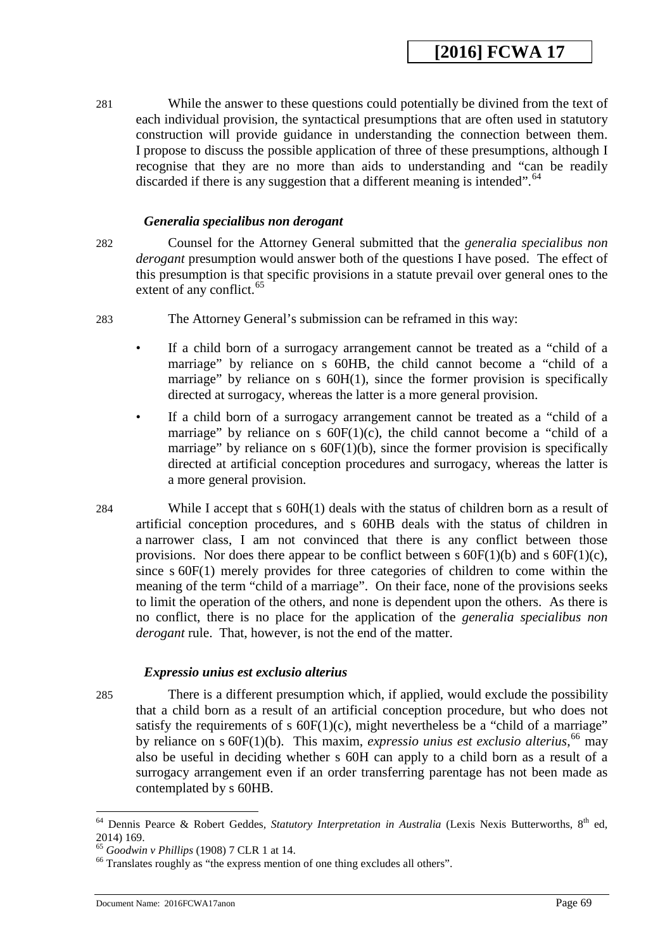281 While the answer to these questions could potentially be divined from the text of each individual provision, the syntactical presumptions that are often used in statutory construction will provide guidance in understanding the connection between them. I propose to discuss the possible application of three of these presumptions, although I recognise that they are no more than aids to understanding and "can be readily discarded if there is any suggestion that a different meaning is intended".  $64$ 

### *Generalia specialibus non derogant*

282 Counsel for the Attorney General submitted that the *generalia specialibus non derogant* presumption would answer both of the questions I have posed. The effect of this presumption is that specific provisions in a statute prevail over general ones to the extent of any conflict.<sup>[65](#page-68-1)</sup>

- 283 The Attorney General's submission can be reframed in this way:
	- If a child born of a surrogacy arrangement cannot be treated as a "child of a marriage" by reliance on s 60HB, the child cannot become a "child of a marriage" by reliance on  $s$  60H(1), since the former provision is specifically directed at surrogacy, whereas the latter is a more general provision.
	- If a child born of a surrogacy arrangement cannot be treated as a "child of a marriage" by reliance on s  $60F(1)(c)$ , the child cannot become a "child of a marriage" by reliance on s  $60F(1)(b)$ , since the former provision is specifically directed at artificial conception procedures and surrogacy, whereas the latter is a more general provision.
- 284 While I accept that s 60H(1) deals with the status of children born as a result of artificial conception procedures, and s 60HB deals with the status of children in a narrower class, I am not convinced that there is any conflict between those provisions. Nor does there appear to be conflict between s  $60F(1)(b)$  and s  $60F(1)(c)$ , since s 60F(1) merely provides for three categories of children to come within the meaning of the term "child of a marriage". On their face, none of the provisions seeks to limit the operation of the others, and none is dependent upon the others. As there is no conflict, there is no place for the application of the *generalia specialibus non derogant* rule. That, however, is not the end of the matter.

## *Expressio unius est exclusio alterius*

285 There is a different presumption which, if applied, would exclude the possibility that a child born as a result of an artificial conception procedure, but who does not satisfy the requirements of s  $60F(1)(c)$ , might nevertheless be a "child of a marriage" by reliance on s 60F(1)(b). This maxim, *expressio unius est exclusio alterius*, [66](#page-69-0) may also be useful in deciding whether s 60H can apply to a child born as a result of a surrogacy arrangement even if an order transferring parentage has not been made as contemplated by s 60HB.

<sup>&</sup>lt;sup>64</sup> Dennis Pearce & Robert Geddes, Statutory Interpretation in Australia (Lexis Nexis Butterworths, 8<sup>th</sup> ed, 2014) 169.<br><sup>65</sup> *Goodwin v Phillips* (1908) 7 CLR 1 at 14.<br><sup>66</sup> Translates roughly as "the express mention of one thing excludes all others". -

<span id="page-68-0"></span>

<span id="page-68-1"></span>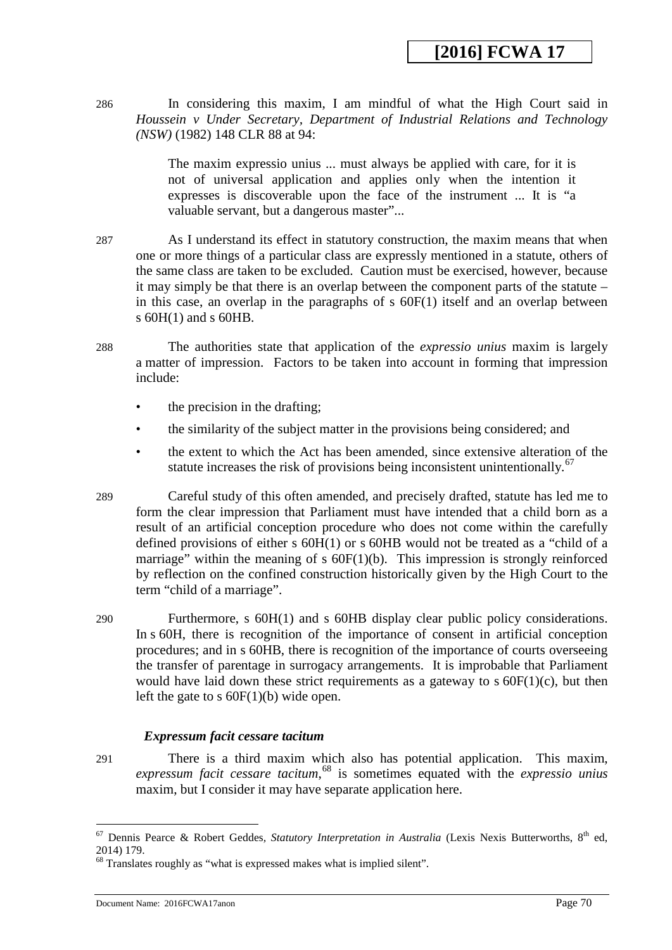286 In considering this maxim, I am mindful of what the High Court said in *Houssein v Under Secretary, Department of Industrial Relations and Technology (NSW)* (1982) 148 CLR 88 at 94:

> The maxim expressio unius ... must always be applied with care, for it is not of universal application and applies only when the intention it expresses is discoverable upon the face of the instrument ... It is "a valuable servant, but a dangerous master"...

- 287 As I understand its effect in statutory construction, the maxim means that when one or more things of a particular class are expressly mentioned in a statute, others of the same class are taken to be excluded. Caution must be exercised, however, because it may simply be that there is an overlap between the component parts of the statute – in this case, an overlap in the paragraphs of s 60F(1) itself and an overlap between s 60H(1) and s 60HB.
- 288 The authorities state that application of the *expressio unius* maxim is largely a matter of impression. Factors to be taken into account in forming that impression include:
	- the precision in the drafting;
	- the similarity of the subject matter in the provisions being considered; and
	- the extent to which the Act has been amended, since extensive alteration of the statute increases the risk of provisions being inconsistent unintentionally.<sup>[67](#page-69-1)</sup>
- 289 Careful study of this often amended, and precisely drafted, statute has led me to form the clear impression that Parliament must have intended that a child born as a result of an artificial conception procedure who does not come within the carefully defined provisions of either s 60H(1) or s 60HB would not be treated as a "child of a marriage" within the meaning of s  $60F(1)(b)$ . This impression is strongly reinforced by reflection on the confined construction historically given by the High Court to the term "child of a marriage".
- 290 Furthermore, s 60H(1) and s 60HB display clear public policy considerations. In s 60H, there is recognition of the importance of consent in artificial conception procedures; and in s 60HB, there is recognition of the importance of courts overseeing the transfer of parentage in surrogacy arrangements. It is improbable that Parliament would have laid down these strict requirements as a gateway to  $s$  60 $F(1)(c)$ , but then left the gate to s  $60F(1)(b)$  wide open.

## *Expressum facit cessare tacitum*

291 There is a third maxim which also has potential application. This maxim, *expressum facit cessare tacitum*, [68](#page-70-0) is sometimes equated with the *expressio unius*  maxim, but I consider it may have separate application here.

<span id="page-69-1"></span><span id="page-69-0"></span><sup>&</sup>lt;sup>67</sup> Dennis Pearce & Robert Geddes, *Statutory Interpretation in Australia* (Lexis Nexis Butterworths, 8<sup>th</sup> ed, 2014) 179.<br><sup>68</sup> Translates roughly as "what is expressed makes what is implied silent".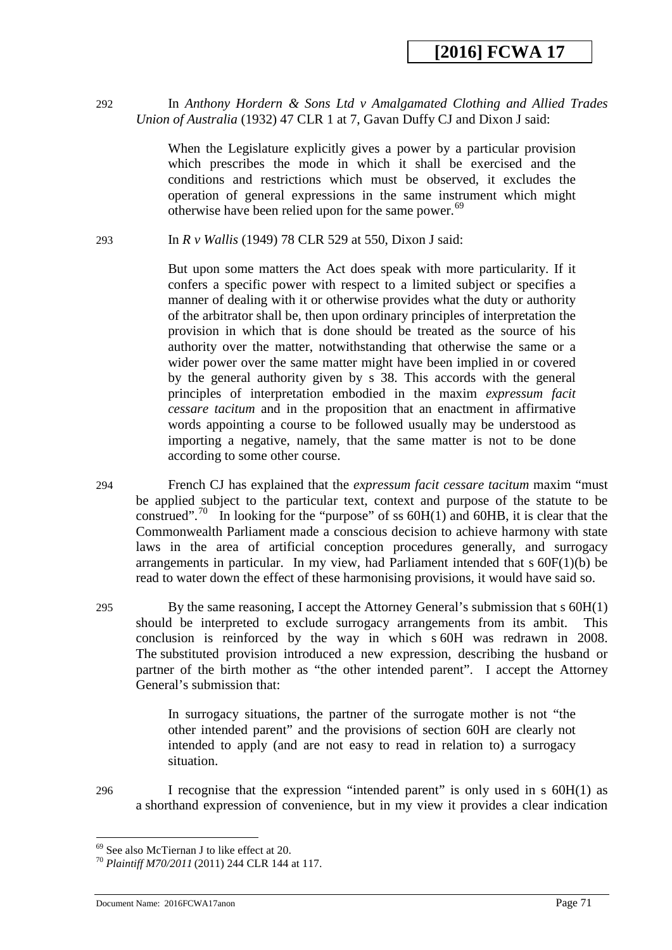292 In *Anthony Hordern & Sons Ltd v Amalgamated Clothing and Allied Trades Union of Australia* (1932) 47 CLR 1 at 7, Gavan Duffy CJ and Dixon J said:

> When the Legislature explicitly gives a power by a particular provision which prescribes the mode in which it shall be exercised and the conditions and restrictions which must be observed, it excludes the operation of general expressions in the same instrument which might otherwise have been relied upon for the same power.<sup>[69](#page-70-1)</sup>

293 In *R v Wallis* (1949) 78 CLR 529 at 550, Dixon J said:

But upon some matters the Act does speak with more particularity. If it confers a specific power with respect to a limited subject or specifies a manner of dealing with it or otherwise provides what the duty or authority of the arbitrator shall be, then upon ordinary principles of interpretation the provision in which that is done should be treated as the source of his authority over the matter, notwithstanding that otherwise the same or a wider power over the same matter might have been implied in or covered by the general authority given by s 38. This accords with the general principles of interpretation embodied in the maxim *expressum facit cessare tacitum* and in the proposition that an enactment in affirmative words appointing a course to be followed usually may be understood as importing a negative, namely, that the same matter is not to be done according to some other course.

- 294 French CJ has explained that the *expressum facit cessare tacitum* maxim "must be applied subject to the particular text, context and purpose of the statute to be construed".<sup>[70](#page-71-0)</sup> In looking for the "purpose" of ss  $60H(1)$  and  $60HB$ , it is clear that the Commonwealth Parliament made a conscious decision to achieve harmony with state laws in the area of artificial conception procedures generally, and surrogacy arrangements in particular. In my view, had Parliament intended that s 60F(1)(b) be read to water down the effect of these harmonising provisions, it would have said so.
- 295 By the same reasoning, I accept the Attorney General's submission that s 60H(1) should be interpreted to exclude surrogacy arrangements from its ambit. This conclusion is reinforced by the way in which s 60H was redrawn in 2008. The substituted provision introduced a new expression, describing the husband or partner of the birth mother as "the other intended parent". I accept the Attorney General's submission that:

In surrogacy situations, the partner of the surrogate mother is not "the other intended parent" and the provisions of section 60H are clearly not intended to apply (and are not easy to read in relation to) a surrogacy situation.

296 I recognise that the expression "intended parent" is only used in s 60H(1) as a shorthand expression of convenience, but in my view it provides a clear indication

<sup>-</sup>

<span id="page-70-1"></span><span id="page-70-0"></span><sup>69</sup> See also McTiernan J to like effect at 20. <sup>70</sup> *Plaintiff M70/2011* (2011) 244 CLR 144 at 117.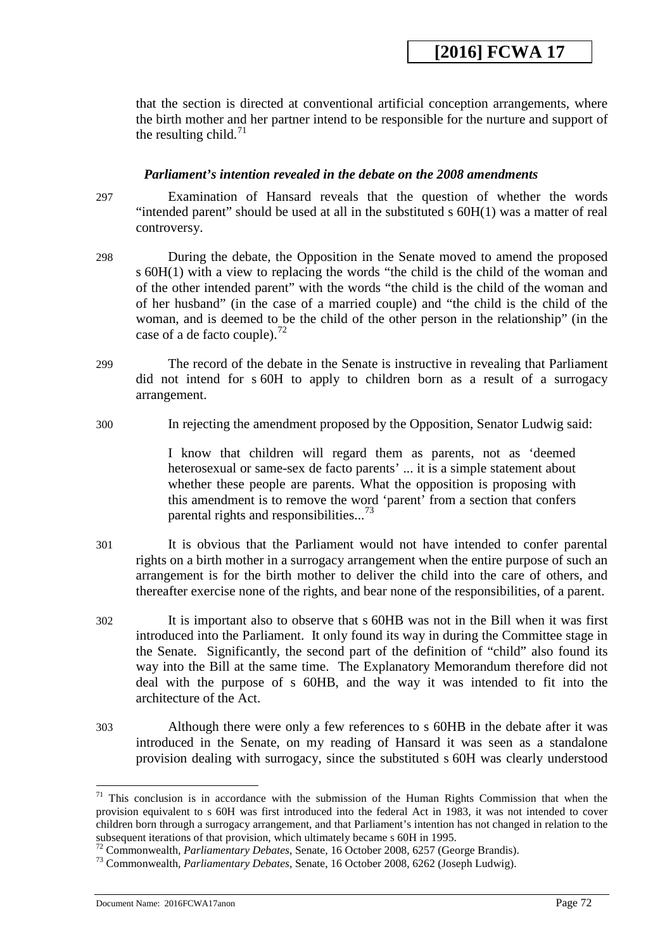that the section is directed at conventional artificial conception arrangements, where the birth mother and her partner intend to be responsible for the nurture and support of the resulting child.<sup>[71](#page-71-1)</sup>

### *Parliament's intention revealed in the debate on the 2008 amendments*

297 Examination of Hansard reveals that the question of whether the words "intended parent" should be used at all in the substituted s 60H(1) was a matter of real controversy.

- 298 During the debate, the Opposition in the Senate moved to amend the proposed s 60H(1) with a view to replacing the words "the child is the child of the woman and of the other intended parent" with the words "the child is the child of the woman and of her husband" (in the case of a married couple) and "the child is the child of the woman, and is deemed to be the child of the other person in the relationship" (in the case of a de facto couple).<sup>[72](#page-71-2)</sup>
- 299 The record of the debate in the Senate is instructive in revealing that Parliament did not intend for s 60H to apply to children born as a result of a surrogacy arrangement.
- 300 In rejecting the amendment proposed by the Opposition, Senator Ludwig said:

I know that children will regard them as parents, not as 'deemed heterosexual or same-sex de facto parents' ... it is a simple statement about whether these people are parents. What the opposition is proposing with this amendment is to remove the word 'parent' from a section that confers parental rights and responsibilities...<sup>[73](#page-72-0)</sup>

- 301 It is obvious that the Parliament would not have intended to confer parental rights on a birth mother in a surrogacy arrangement when the entire purpose of such an arrangement is for the birth mother to deliver the child into the care of others, and thereafter exercise none of the rights, and bear none of the responsibilities, of a parent.
- 302 It is important also to observe that s 60HB was not in the Bill when it was first introduced into the Parliament. It only found its way in during the Committee stage in the Senate. Significantly, the second part of the definition of "child" also found its way into the Bill at the same time. The Explanatory Memorandum therefore did not deal with the purpose of s 60HB, and the way it was intended to fit into the architecture of the Act.
- 303 Although there were only a few references to s 60HB in the debate after it was introduced in the Senate, on my reading of Hansard it was seen as a standalone provision dealing with surrogacy, since the substituted s 60H was clearly understood

Document Name: 2016FCWA17anon Page 72

<span id="page-71-1"></span><span id="page-71-0"></span> $71$  This conclusion is in accordance with the submission of the Human Rights Commission that when the provision equivalent to s 60H was first introduced into the federal Act in 1983, it was not intended to cover children born through a surrogacy arrangement, and that Parliament's intention has not changed in relation to the subsequent iterations of that provision, which ultimately became s 60H in 1995.<br><sup>72</sup> Commonwealth, *Parliamentary Debates*, Senate, 16 October 2008, 6257 (George Brandis). -

<span id="page-71-2"></span><sup>&</sup>lt;sup>73</sup> Commonwealth, *Parliamentary Debates*, Senate, 16 October 2008, 6262 (Joseph Ludwig).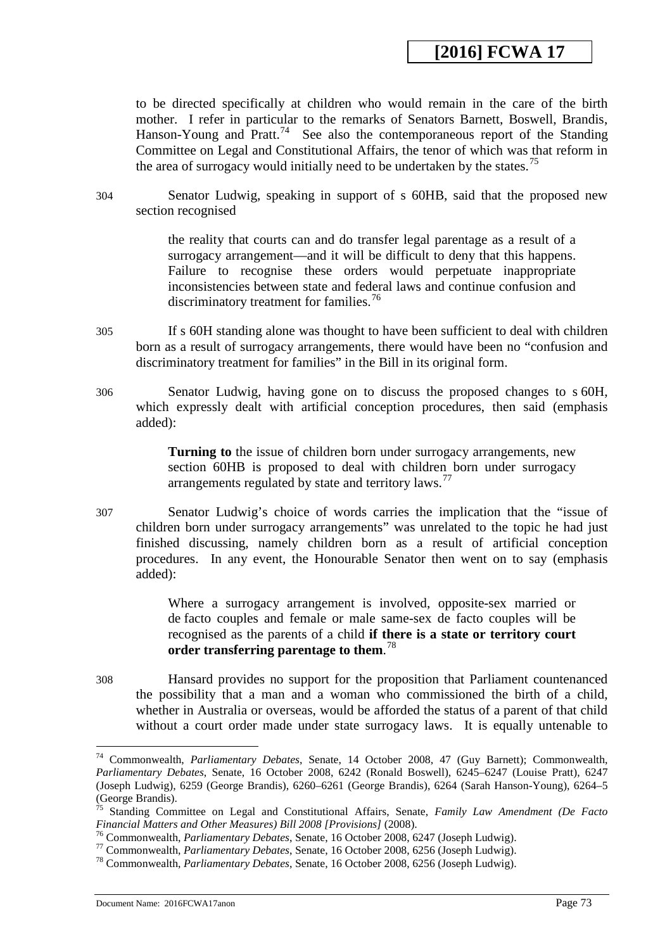to be directed specifically at children who would remain in the care of the birth mother. I refer in particular to the remarks of Senators Barnett, Boswell, Brandis, Hanson-Young and Pratt.<sup>74</sup> See also the contemporaneous report of the Standing Committee on Legal and Constitutional Affairs, the tenor of which was that reform in the area of surrogacy would initially need to be undertaken by the states.<sup>[75](#page-72-1)</sup>

304 Senator Ludwig, speaking in support of s 60HB, said that the proposed new section recognised

> the reality that courts can and do transfer legal parentage as a result of a surrogacy arrangement—and it will be difficult to deny that this happens. Failure to recognise these orders would perpetuate inappropriate inconsistencies between state and federal laws and continue confusion and discriminatory treatment for families.<sup>[76](#page-72-2)</sup>

- 305 If s 60H standing alone was thought to have been sufficient to deal with children born as a result of surrogacy arrangements, there would have been no "confusion and discriminatory treatment for families" in the Bill in its original form.
- 306 Senator Ludwig, having gone on to discuss the proposed changes to s 60H, which expressly dealt with artificial conception procedures, then said (emphasis added):

**Turning to** the issue of children born under surrogacy arrangements, new section 60HB is proposed to deal with children born under surrogacy arrangements regulated by state and territory  $laws.<sup>77</sup>$  $laws.<sup>77</sup>$  $laws.<sup>77</sup>$ 

307 Senator Ludwig's choice of words carries the implication that the "issue of children born under surrogacy arrangements" was unrelated to the topic he had just finished discussing, namely children born as a result of artificial conception procedures. In any event, the Honourable Senator then went on to say (emphasis added):

> Where a surrogacy arrangement is involved, opposite-sex married or de facto couples and female or male same-sex de facto couples will be recognised as the parents of a child **if there is a state or territory court order transferring parentage to them**. [78](#page-73-1)

308 Hansard provides no support for the proposition that Parliament countenanced the possibility that a man and a woman who commissioned the birth of a child, whether in Australia or overseas, would be afforded the status of a parent of that child without a court order made under state surrogacy laws. It is equally untenable to

<span id="page-72-0"></span><sup>74</sup> Commonwealth, *Parliamentary Debates*, Senate, 14 October 2008, 47 (Guy Barnett); Commonwealth, *Parliamentary Debates*, Senate, 16 October 2008, 6242 (Ronald Boswell), 6245–6247 (Louise Pratt), 6247 (Joseph Ludwig), 6259 (George Brandis), 6260–6261 (George Brandis), 6264 (Sarah Hanson-Young), 6264–5 (George Brandis).

<sup>75</sup> Standing Committee on Legal and Constitutional Affairs, Senate, *Family Law Amendment (De Facto* 

<span id="page-72-1"></span><sup>&</sup>lt;sup>76</sup> Commonwealth, *Parliamentary Debates*, Senate, 16 October 2008, 6247 (Joseph Ludwig).<br><sup>77</sup> Commonwealth, *Parliamentary Debates*, Senate, 16 October 2008, 6256 (Joseph Ludwig).<br><sup>78</sup> Commonwealth, *Parliamentary Debat* 

<span id="page-72-2"></span>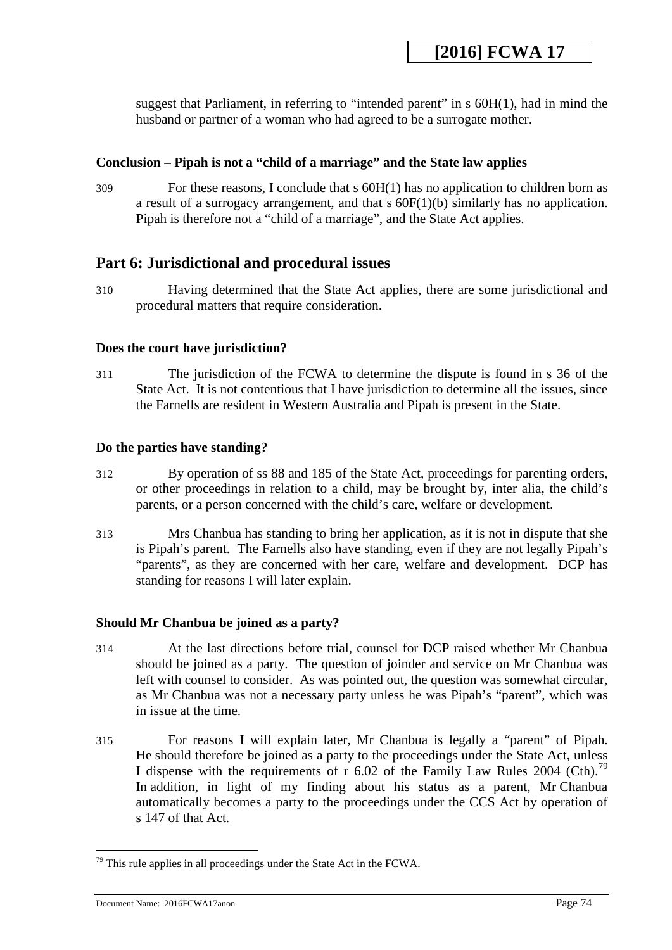suggest that Parliament, in referring to "intended parent" in s 60H(1), had in mind the husband or partner of a woman who had agreed to be a surrogate mother.

### **Conclusion – Pipah is not a "child of a marriage" and the State law applies**

309 For these reasons, I conclude that s 60H(1) has no application to children born as a result of a surrogacy arrangement, and that s 60F(1)(b) similarly has no application. Pipah is therefore not a "child of a marriage", and the State Act applies.

## **Part 6: Jurisdictional and procedural issues**

310 Having determined that the State Act applies, there are some jurisdictional and procedural matters that require consideration.

#### **Does the court have jurisdiction?**

311 The jurisdiction of the FCWA to determine the dispute is found in s 36 of the State Act. It is not contentious that I have jurisdiction to determine all the issues, since the Farnells are resident in Western Australia and Pipah is present in the State.

#### **Do the parties have standing?**

- 312 By operation of ss 88 and 185 of the State Act, proceedings for parenting orders, or other proceedings in relation to a child, may be brought by, inter alia, the child's parents, or a person concerned with the child's care, welfare or development.
- 313 Mrs Chanbua has standing to bring her application, as it is not in dispute that she is Pipah's parent. The Farnells also have standing, even if they are not legally Pipah's "parents", as they are concerned with her care, welfare and development. DCP has standing for reasons I will later explain.

## **Should Mr Chanbua be joined as a party?**

- 314 At the last directions before trial, counsel for DCP raised whether Mr Chanbua should be joined as a party. The question of joinder and service on Mr Chanbua was left with counsel to consider. As was pointed out, the question was somewhat circular, as Mr Chanbua was not a necessary party unless he was Pipah's "parent", which was in issue at the time.
- 315 For reasons I will explain later, Mr Chanbua is legally a "parent" of Pipah. He should therefore be joined as a party to the proceedings under the State Act, unless I dispense with the requirements of r 6.02 of the Family Law Rules 2004 (Cth).<sup>79</sup> In addition, in light of my finding about his status as a parent, Mr Chanbua automatically becomes a party to the proceedings under the CCS Act by operation of s 147 of that Act.

<span id="page-73-0"></span><u>.</u>

<span id="page-73-1"></span> $79$  This rule applies in all proceedings under the State Act in the FCWA.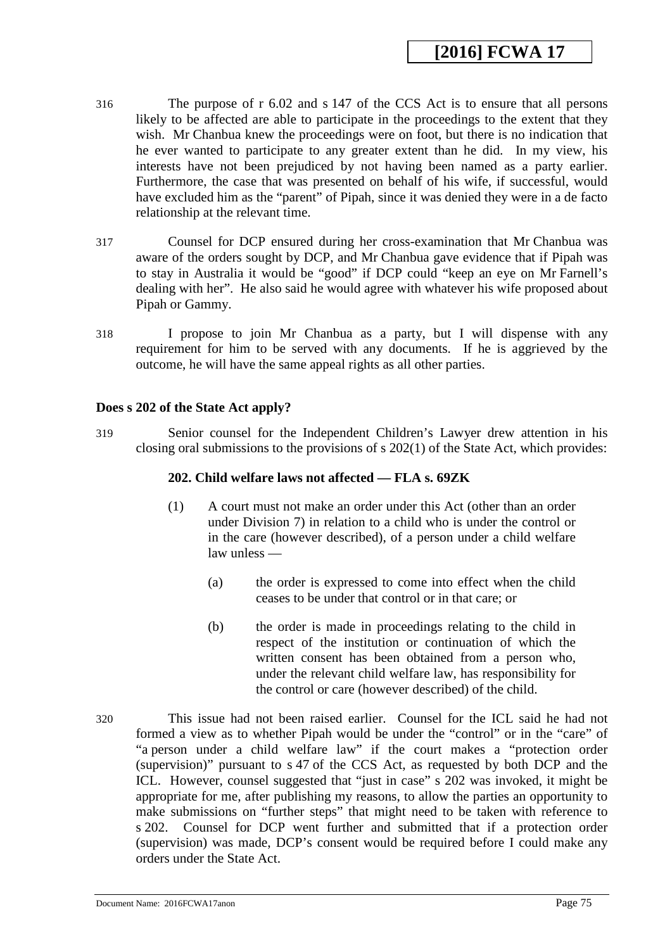- 316 The purpose of r 6.02 and s 147 of the CCS Act is to ensure that all persons likely to be affected are able to participate in the proceedings to the extent that they wish. Mr Chanbua knew the proceedings were on foot, but there is no indication that he ever wanted to participate to any greater extent than he did. In my view, his interests have not been prejudiced by not having been named as a party earlier. Furthermore, the case that was presented on behalf of his wife, if successful, would have excluded him as the "parent" of Pipah, since it was denied they were in a de facto relationship at the relevant time.
- 317 Counsel for DCP ensured during her cross-examination that Mr Chanbua was aware of the orders sought by DCP, and Mr Chanbua gave evidence that if Pipah was to stay in Australia it would be "good" if DCP could "keep an eye on Mr Farnell's dealing with her". He also said he would agree with whatever his wife proposed about Pipah or Gammy.
- 318 I propose to join Mr Chanbua as a party, but I will dispense with any requirement for him to be served with any documents. If he is aggrieved by the outcome, he will have the same appeal rights as all other parties.

#### **Does s 202 of the State Act apply?**

319 Senior counsel for the Independent Children's Lawyer drew attention in his closing oral submissions to the provisions of s 202(1) of the State Act, which provides:

#### **202. Child welfare laws not affected — FLA s. 69ZK**

- (1) A court must not make an order under this Act (other than an order under Division 7) in relation to a child who is under the control or in the care (however described), of a person under a child welfare law unless —
	- (a) the order is expressed to come into effect when the child ceases to be under that control or in that care; or
	- (b) the order is made in proceedings relating to the child in respect of the institution or continuation of which the written consent has been obtained from a person who, under the relevant child welfare law, has responsibility for the control or care (however described) of the child.
- <span id="page-74-0"></span>320 This issue had not been raised earlier. Counsel for the ICL said he had not formed a view as to whether Pipah would be under the "control" or in the "care" of "a person under a child welfare law" if the court makes a "protection order (supervision)" pursuant to s 47 of the CCS Act, as requested by both DCP and the ICL. However, counsel suggested that "just in case" s 202 was invoked, it might be appropriate for me, after publishing my reasons, to allow the parties an opportunity to make submissions on "further steps" that might need to be taken with reference to s 202. Counsel for DCP went further and submitted that if a protection order (supervision) was made, DCP's consent would be required before I could make any orders under the State Act.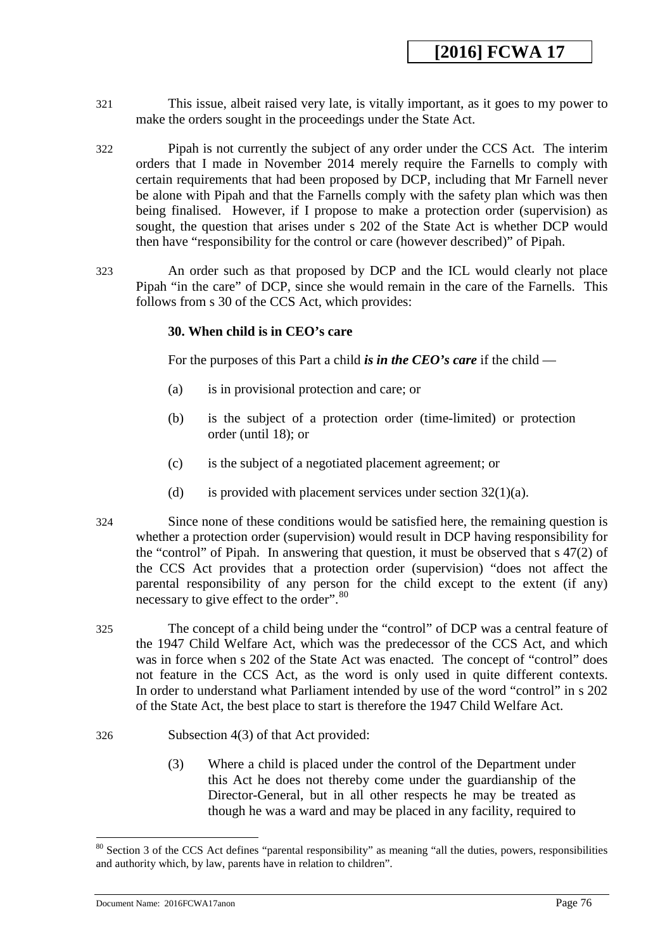- 321 This issue, albeit raised very late, is vitally important, as it goes to my power to make the orders sought in the proceedings under the State Act.
- 322 Pipah is not currently the subject of any order under the CCS Act. The interim orders that I made in November 2014 merely require the Farnells to comply with certain requirements that had been proposed by DCP, including that Mr Farnell never be alone with Pipah and that the Farnells comply with the safety plan which was then being finalised. However, if I propose to make a protection order (supervision) as sought, the question that arises under s 202 of the State Act is whether DCP would then have "responsibility for the control or care (however described)" of Pipah.
- 323 An order such as that proposed by DCP and the ICL would clearly not place Pipah "in the care" of DCP, since she would remain in the care of the Farnells. This follows from s 30 of the CCS Act, which provides:

#### **30. When child is in CEO's care**

For the purposes of this Part a child *is in the CEO's care* if the child —

- (a) is in provisional protection and care; or
- (b) is the subject of a protection order (time-limited) or protection order (until 18); or
- (c) is the subject of a negotiated placement agreement; or
- (d) is provided with placement services under section  $32(1)(a)$ .
- 324 Since none of these conditions would be satisfied here, the remaining question is whether a protection order (supervision) would result in DCP having responsibility for the "control" of Pipah. In answering that question, it must be observed that s 47(2) of the CCS Act provides that a protection order (supervision) "does not affect the parental responsibility of any person for the child except to the extent (if any) necessary to give effect to the order".<sup>80</sup>
- 325 The concept of a child being under the "control" of DCP was a central feature of the 1947 Child Welfare Act, which was the predecessor of the CCS Act, and which was in force when s 202 of the State Act was enacted. The concept of "control" does not feature in the CCS Act, as the word is only used in quite different contexts. In order to understand what Parliament intended by use of the word "control" in s 202 of the State Act, the best place to start is therefore the 1947 Child Welfare Act.
- 326 Subsection 4(3) of that Act provided:
	- (3) Where a child is placed under the control of the Department under this Act he does not thereby come under the guardianship of the Director-General, but in all other respects he may be treated as though he was a ward and may be placed in any facility, required to

<sup>&</sup>lt;sup>80</sup> Section 3 of the CCS Act defines "parental responsibility" as meaning "all the duties, powers, responsibilities and authority which, by law, parents have in relation to children".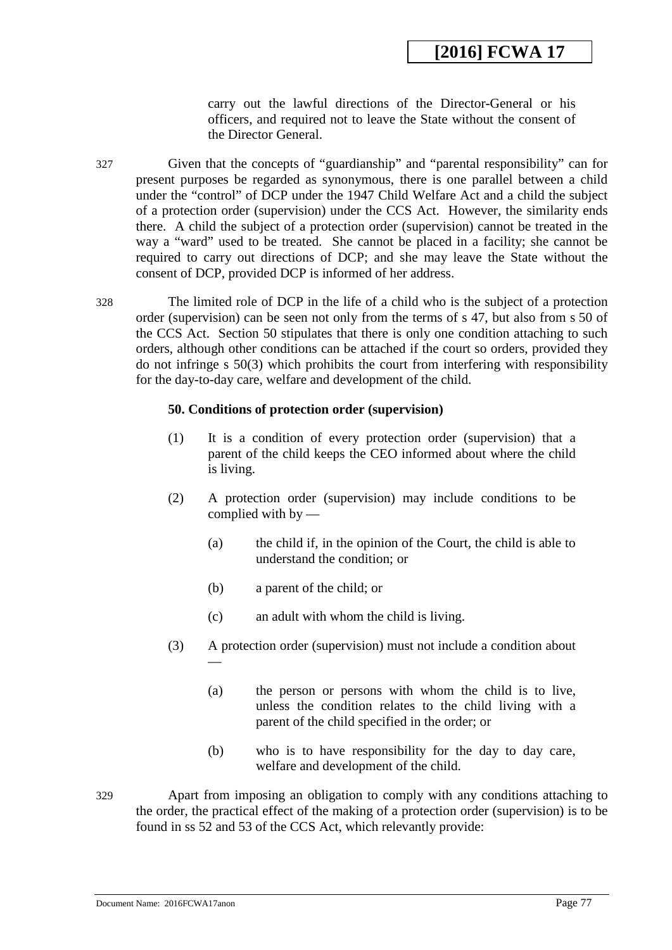carry out the lawful directions of the Director-General or his officers, and required not to leave the State without the consent of the Director General.

- 327 Given that the concepts of "guardianship" and "parental responsibility" can for present purposes be regarded as synonymous, there is one parallel between a child under the "control" of DCP under the 1947 Child Welfare Act and a child the subject of a protection order (supervision) under the CCS Act. However, the similarity ends there. A child the subject of a protection order (supervision) cannot be treated in the way a "ward" used to be treated. She cannot be placed in a facility; she cannot be required to carry out directions of DCP; and she may leave the State without the consent of DCP, provided DCP is informed of her address.
- 328 The limited role of DCP in the life of a child who is the subject of a protection order (supervision) can be seen not only from the terms of s 47, but also from s 50 of the CCS Act. Section 50 stipulates that there is only one condition attaching to such orders, although other conditions can be attached if the court so orders, provided they do not infringe s 50(3) which prohibits the court from interfering with responsibility for the day-to-day care, welfare and development of the child.

#### **50. Conditions of protection order (supervision)**

- (1) It is a condition of every protection order (supervision) that a parent of the child keeps the CEO informed about where the child is living.
- (2) A protection order (supervision) may include conditions to be complied with by —
	- (a) the child if, in the opinion of the Court, the child is able to understand the condition; or
	- (b) a parent of the child; or
	- (c) an adult with whom the child is living.
- (3) A protection order (supervision) must not include a condition about
	- (a) the person or persons with whom the child is to live, unless the condition relates to the child living with a parent of the child specified in the order; or
	- (b) who is to have responsibility for the day to day care, welfare and development of the child.
- <span id="page-76-0"></span>329 Apart from imposing an obligation to comply with any conditions attaching to the order, the practical effect of the making of a protection order (supervision) is to be found in ss 52 and 53 of the CCS Act, which relevantly provide:

—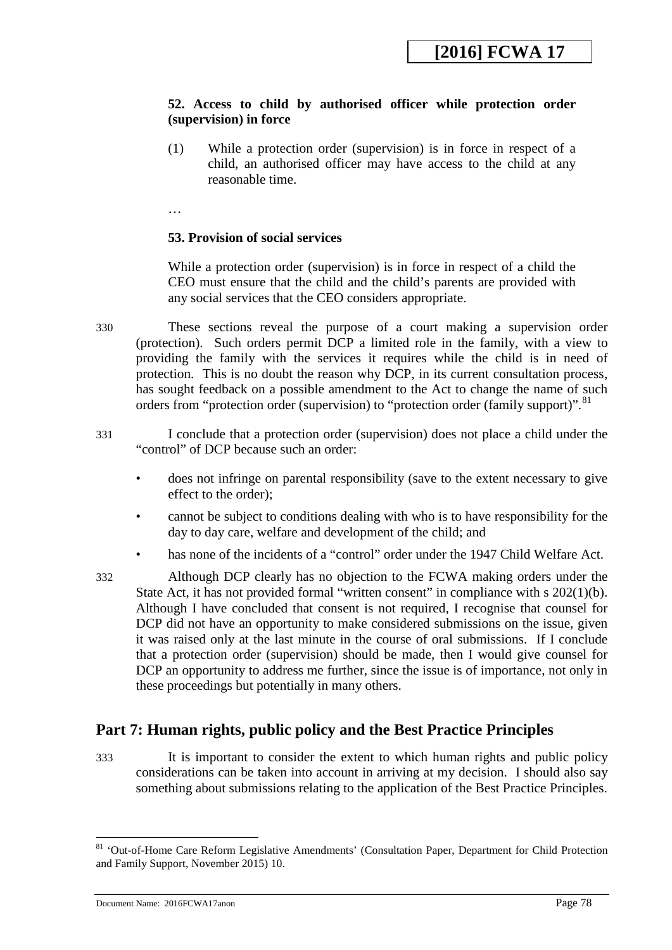## **52. Access to child by authorised officer while protection order (supervision) in force**

(1) While a protection order (supervision) is in force in respect of a child, an authorised officer may have access to the child at any reasonable time.

…

## **53. Provision of social services**

While a protection order (supervision) is in force in respect of a child the CEO must ensure that the child and the child's parents are provided with any social services that the CEO considers appropriate.

- 330 These sections reveal the purpose of a court making a supervision order (protection). Such orders permit DCP a limited role in the family, with a view to providing the family with the services it requires while the child is in need of protection. This is no doubt the reason why DCP, in its current consultation process, has sought feedback on a possible amendment to the Act to change the name of such orders from "protection order (supervision) to "protection order (family support)".<sup>[81](#page-78-0)</sup>
- 331 I conclude that a protection order (supervision) does not place a child under the "control" of DCP because such an order:
	- does not infringe on parental responsibility (save to the extent necessary to give effect to the order);
	- cannot be subject to conditions dealing with who is to have responsibility for the day to day care, welfare and development of the child; and
	- has none of the incidents of a "control" order under the 1947 Child Welfare Act.
- 332 Although DCP clearly has no objection to the FCWA making orders under the State Act, it has not provided formal "written consent" in compliance with s 202(1)(b). Although I have concluded that consent is not required, I recognise that counsel for DCP did not have an opportunity to make considered submissions on the issue, given it was raised only at the last minute in the course of oral submissions. If I conclude that a protection order (supervision) should be made, then I would give counsel for DCP an opportunity to address me further, since the issue is of importance, not only in these proceedings but potentially in many others.

## **Part 7: Human rights, public policy and the Best Practice Principles**

333 It is important to consider the extent to which human rights and public policy considerations can be taken into account in arriving at my decision. I should also say something about submissions relating to the application of the Best Practice Principles.

<sup>&</sup>lt;sup>81</sup> 'Out-of-Home Care Reform Legislative Amendments' (Consultation Paper, Department for Child Protection and Family Support, November 2015) 10.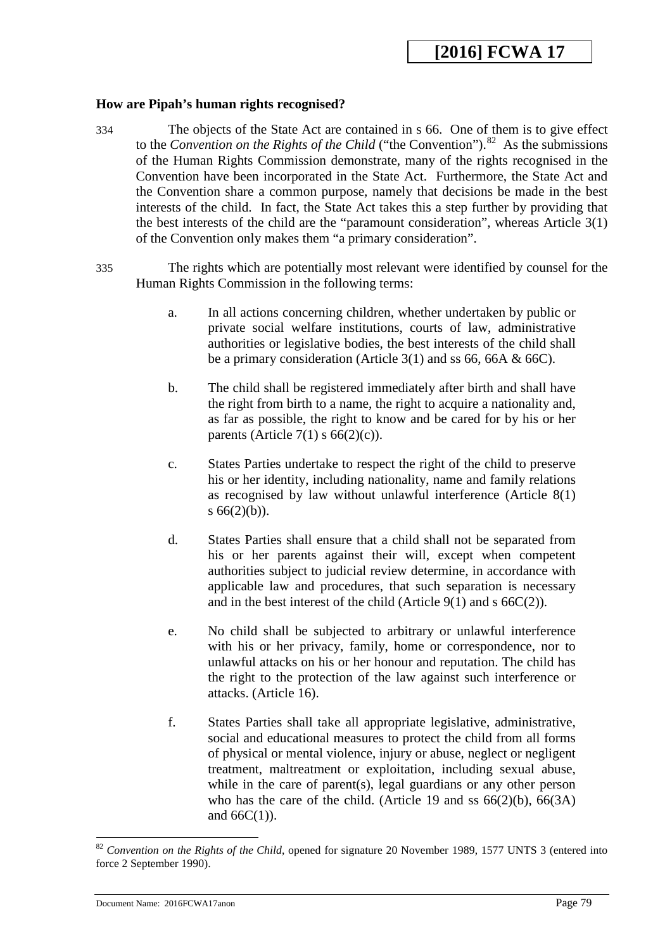#### **How are Pipah's human rights recognised?**

- 334 The objects of the State Act are contained in s 66. One of them is to give effect to the *Convention on the Rights of the Child* ("the Convention").<sup>82</sup> As the submissions of the Human Rights Commission demonstrate, many of the rights recognised in the Convention have been incorporated in the State Act. Furthermore, the State Act and the Convention share a common purpose, namely that decisions be made in the best interests of the child. In fact, the State Act takes this a step further by providing that the best interests of the child are the "paramount consideration", whereas Article 3(1) of the Convention only makes them "a primary consideration".
- 335 The rights which are potentially most relevant were identified by counsel for the Human Rights Commission in the following terms:
	- a. In all actions concerning children, whether undertaken by public or private social welfare institutions, courts of law, administrative authorities or legislative bodies, the best interests of the child shall be a primary consideration (Article 3(1) and ss 66, 66A & 66C).
	- b. The child shall be registered immediately after birth and shall have the right from birth to a name, the right to acquire a nationality and, as far as possible, the right to know and be cared for by his or her parents (Article 7(1)  $s$  66(2)(c)).
	- c. States Parties undertake to respect the right of the child to preserve his or her identity, including nationality, name and family relations as recognised by law without unlawful interference (Article 8(1) s  $66(2)(b)$ ).
	- d. States Parties shall ensure that a child shall not be separated from his or her parents against their will, except when competent authorities subject to judicial review determine, in accordance with applicable law and procedures, that such separation is necessary and in the best interest of the child (Article  $9(1)$  and s  $66C(2)$ ).
	- e. No child shall be subjected to arbitrary or unlawful interference with his or her privacy, family, home or correspondence, nor to unlawful attacks on his or her honour and reputation. The child has the right to the protection of the law against such interference or attacks. (Article 16).
	- f. States Parties shall take all appropriate legislative, administrative, social and educational measures to protect the child from all forms of physical or mental violence, injury or abuse, neglect or negligent treatment, maltreatment or exploitation, including sexual abuse, while in the care of parent(s), legal guardians or any other person who has the care of the child. (Article 19 and ss  $66(2)(b)$ ,  $66(3A)$ ) and  $66C(1)$ ).

<span id="page-78-1"></span><span id="page-78-0"></span><sup>82</sup> *Convention on the Rights of the Child*, opened for signature 20 November 1989, 1577 UNTS 3 (entered into force 2 September 1990).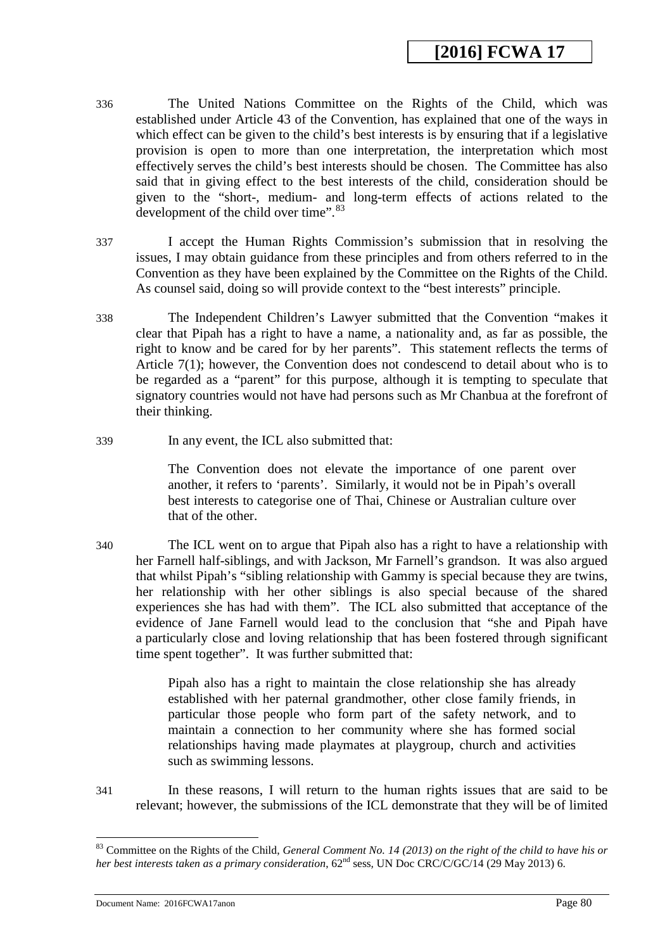- 336 The United Nations Committee on the Rights of the Child, which was established under Article 43 of the Convention, has explained that one of the ways in which effect can be given to the child's best interests is by ensuring that if a legislative provision is open to more than one interpretation, the interpretation which most effectively serves the child's best interests should be chosen. The Committee has also said that in giving effect to the best interests of the child, consideration should be given to the "short-, medium- and long-term effects of actions related to the development of the child over time".<sup>[83](#page-79-0)</sup>
- 337 I accept the Human Rights Commission's submission that in resolving the issues, I may obtain guidance from these principles and from others referred to in the Convention as they have been explained by the Committee on the Rights of the Child. As counsel said, doing so will provide context to the "best interests" principle.
- 338 The Independent Children's Lawyer submitted that the Convention "makes it clear that Pipah has a right to have a name, a nationality and, as far as possible, the right to know and be cared for by her parents". This statement reflects the terms of Article 7(1); however, the Convention does not condescend to detail about who is to be regarded as a "parent" for this purpose, although it is tempting to speculate that signatory countries would not have had persons such as Mr Chanbua at the forefront of their thinking.
- 339 In any event, the ICL also submitted that:

The Convention does not elevate the importance of one parent over another, it refers to 'parents'. Similarly, it would not be in Pipah's overall best interests to categorise one of Thai, Chinese or Australian culture over that of the other.

340 The ICL went on to argue that Pipah also has a right to have a relationship with her Farnell half-siblings, and with Jackson, Mr Farnell's grandson. It was also argued that whilst Pipah's "sibling relationship with Gammy is special because they are twins, her relationship with her other siblings is also special because of the shared experiences she has had with them". The ICL also submitted that acceptance of the evidence of Jane Farnell would lead to the conclusion that "she and Pipah have a particularly close and loving relationship that has been fostered through significant time spent together". It was further submitted that:

> Pipah also has a right to maintain the close relationship she has already established with her paternal grandmother, other close family friends, in particular those people who form part of the safety network, and to maintain a connection to her community where she has formed social relationships having made playmates at playgroup, church and activities such as swimming lessons.

341 In these reasons, I will return to the human rights issues that are said to be relevant; however, the submissions of the ICL demonstrate that they will be of limited

Document Name: 2016FCWA17anon Page 80

<span id="page-79-0"></span><sup>&</sup>lt;sup>83</sup> Committee on the Rights of the Child, *General Comment No. 14 (2013) on the right of the child to have his or her best interests taken as a primary consideration*, 62nd sess*,* UN Doc CRC/C/GC/14 (29 May 2013) 6.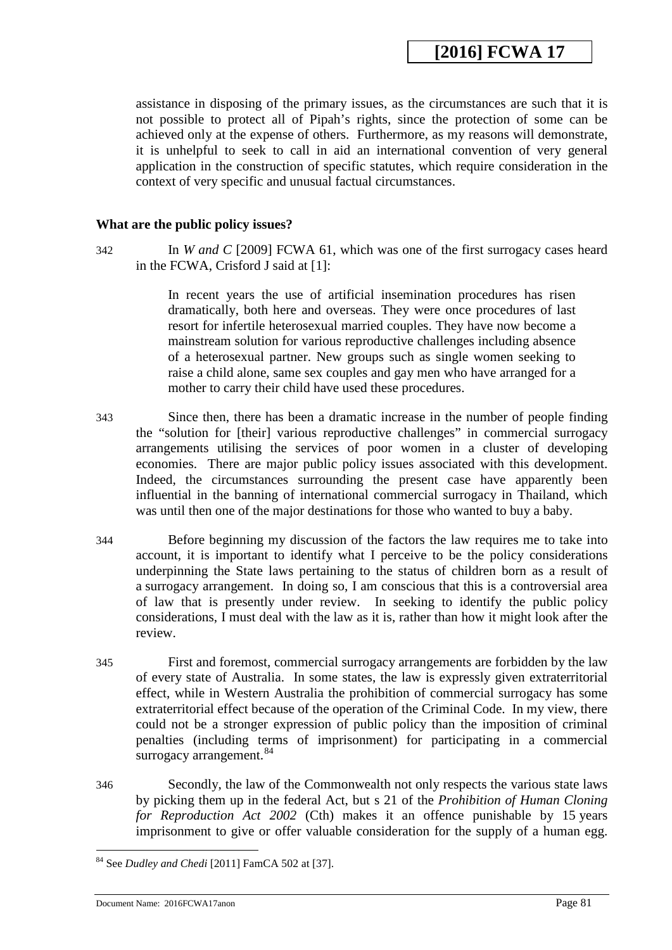assistance in disposing of the primary issues, as the circumstances are such that it is not possible to protect all of Pipah's rights, since the protection of some can be achieved only at the expense of others. Furthermore, as my reasons will demonstrate, it is unhelpful to seek to call in aid an international convention of very general application in the construction of specific statutes, which require consideration in the context of very specific and unusual factual circumstances.

#### **What are the public policy issues?**

342 In *W and C* [2009] FCWA 61, which was one of the first surrogacy cases heard in the FCWA, Crisford J said at [1]:

> In recent years the use of artificial insemination procedures has risen dramatically, both here and overseas. They were once procedures of last resort for infertile heterosexual married couples. They have now become a mainstream solution for various reproductive challenges including absence of a heterosexual partner. New groups such as single women seeking to raise a child alone, same sex couples and gay men who have arranged for a mother to carry their child have used these procedures.

- 343 Since then, there has been a dramatic increase in the number of people finding the "solution for [their] various reproductive challenges" in commercial surrogacy arrangements utilising the services of poor women in a cluster of developing economies. There are major public policy issues associated with this development. Indeed, the circumstances surrounding the present case have apparently been influential in the banning of international commercial surrogacy in Thailand, which was until then one of the major destinations for those who wanted to buy a baby.
- 344 Before beginning my discussion of the factors the law requires me to take into account, it is important to identify what I perceive to be the policy considerations underpinning the State laws pertaining to the status of children born as a result of a surrogacy arrangement. In doing so, I am conscious that this is a controversial area of law that is presently under review. In seeking to identify the public policy considerations, I must deal with the law as it is, rather than how it might look after the review.
- 345 First and foremost, commercial surrogacy arrangements are forbidden by the law of every state of Australia. In some states, the law is expressly given extraterritorial effect, while in Western Australia the prohibition of commercial surrogacy has some extraterritorial effect because of the operation of the Criminal Code. In my view, there could not be a stronger expression of public policy than the imposition of criminal penalties (including terms of imprisonment) for participating in a commercial surrogacy arrangement.<sup>[84](#page-81-0)</sup>
- 346 Secondly, the law of the Commonwealth not only respects the various state laws by picking them up in the federal Act, but s 21 of the *Prohibition of Human Cloning for Reproduction Act 2002* (Cth) makes it an offence punishable by 15 years imprisonment to give or offer valuable consideration for the supply of a human egg.

<sup>84</sup> See *Dudley and Chedi* [2011] FamCA 502 at [37]. <u>.</u>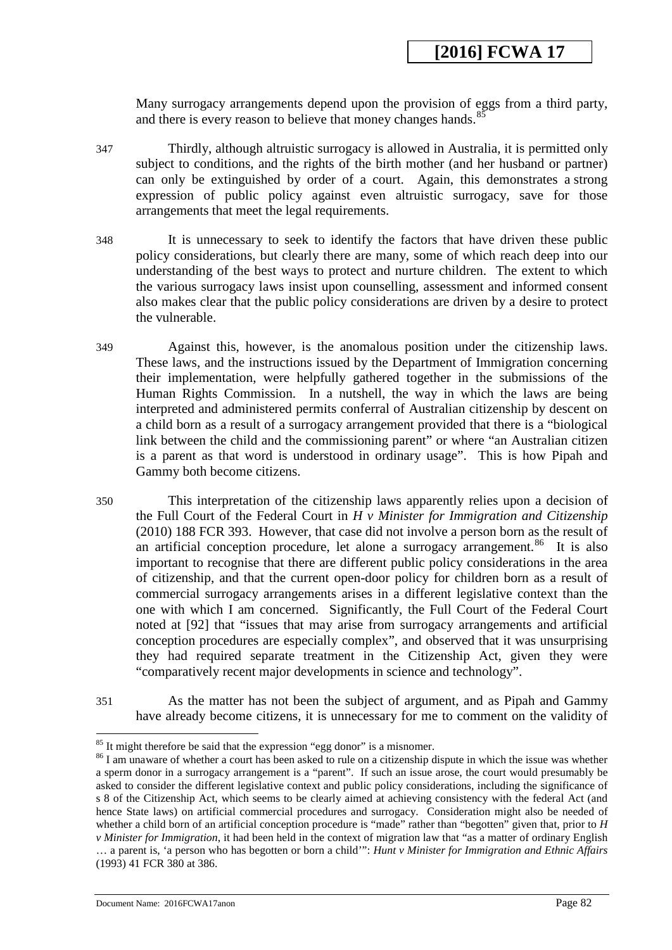Many surrogacy arrangements depend upon the provision of eggs from a third party, and there is every reason to believe that money changes hands. $85$ 

- 347 Thirdly, although altruistic surrogacy is allowed in Australia, it is permitted only subject to conditions, and the rights of the birth mother (and her husband or partner) can only be extinguished by order of a court. Again, this demonstrates a strong expression of public policy against even altruistic surrogacy, save for those arrangements that meet the legal requirements.
- 348 It is unnecessary to seek to identify the factors that have driven these public policy considerations, but clearly there are many, some of which reach deep into our understanding of the best ways to protect and nurture children. The extent to which the various surrogacy laws insist upon counselling, assessment and informed consent also makes clear that the public policy considerations are driven by a desire to protect the vulnerable.
- 349 Against this, however, is the anomalous position under the citizenship laws. These laws, and the instructions issued by the Department of Immigration concerning their implementation, were helpfully gathered together in the submissions of the Human Rights Commission. In a nutshell, the way in which the laws are being interpreted and administered permits conferral of Australian citizenship by descent on a child born as a result of a surrogacy arrangement provided that there is a "biological link between the child and the commissioning parent" or where "an Australian citizen is a parent as that word is understood in ordinary usage". This is how Pipah and Gammy both become citizens.
- 350 This interpretation of the citizenship laws apparently relies upon a decision of the Full Court of the Federal Court in *H v Minister for Immigration and Citizenship* (2010) 188 FCR 393. However, that case did not involve a person born as the result of an artificial conception procedure, let alone a surrogacy arrangement.<sup>[86](#page-82-0)</sup> It is also important to recognise that there are different public policy considerations in the area of citizenship, and that the current open-door policy for children born as a result of commercial surrogacy arrangements arises in a different legislative context than the one with which I am concerned. Significantly, the Full Court of the Federal Court noted at [92] that "issues that may arise from surrogacy arrangements and artificial conception procedures are especially complex", and observed that it was unsurprising they had required separate treatment in the Citizenship Act, given they were "comparatively recent major developments in science and technology".
- 351 As the matter has not been the subject of argument, and as Pipah and Gammy have already become citizens, it is unnecessary for me to comment on the validity of

<sup>&</sup>lt;sup>85</sup> It might therefore be said that the expression "egg donor" is a misnomer.

<span id="page-81-1"></span><span id="page-81-0"></span> $86$  I am unaware of whether a court has been asked to rule on a citizenship dispute in which the issue was whether a sperm donor in a surrogacy arrangement is a "parent". If such an issue arose, the court would presumably be asked to consider the different legislative context and public policy considerations, including the significance of s 8 of the Citizenship Act, which seems to be clearly aimed at achieving consistency with the federal Act (and hence State laws) on artificial commercial procedures and surrogacy. Consideration might also be needed of whether a child born of an artificial conception procedure is "made" rather than "begotten" given that, prior to *H v Minister for Immigration*, it had been held in the context of migration law that "as a matter of ordinary English … a parent is, 'a person who has begotten or born a child'": *Hunt v Minister for Immigration and Ethnic Affairs* (1993) 41 FCR 380 at 386.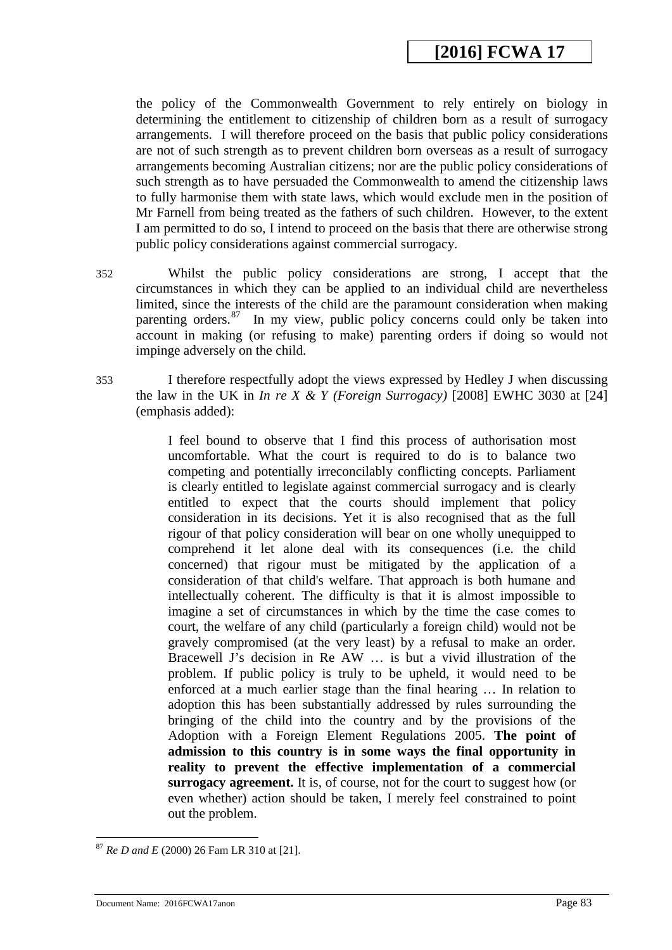the policy of the Commonwealth Government to rely entirely on biology in determining the entitlement to citizenship of children born as a result of surrogacy arrangements. I will therefore proceed on the basis that public policy considerations are not of such strength as to prevent children born overseas as a result of surrogacy arrangements becoming Australian citizens; nor are the public policy considerations of such strength as to have persuaded the Commonwealth to amend the citizenship laws to fully harmonise them with state laws, which would exclude men in the position of Mr Farnell from being treated as the fathers of such children. However, to the extent I am permitted to do so, I intend to proceed on the basis that there are otherwise strong public policy considerations against commercial surrogacy.

- 352 Whilst the public policy considerations are strong, I accept that the circumstances in which they can be applied to an individual child are nevertheless limited, since the interests of the child are the paramount consideration when making parenting orders.<sup>[87](#page-83-0)</sup> In my view, public policy concerns could only be taken into account in making (or refusing to make) parenting orders if doing so would not impinge adversely on the child.
- 353 I therefore respectfully adopt the views expressed by Hedley J when discussing the law in the UK in *In re X & Y (Foreign Surrogacy)* [2008] EWHC 3030 at [24] (emphasis added):

I feel bound to observe that I find this process of authorisation most uncomfortable. What the court is required to do is to balance two competing and potentially irreconcilably conflicting concepts. Parliament is clearly entitled to legislate against commercial surrogacy and is clearly entitled to expect that the courts should implement that policy consideration in its decisions. Yet it is also recognised that as the full rigour of that policy consideration will bear on one wholly unequipped to comprehend it let alone deal with its consequences (i.e. the child concerned) that rigour must be mitigated by the application of a consideration of that child's welfare. That approach is both humane and intellectually coherent. The difficulty is that it is almost impossible to imagine a set of circumstances in which by the time the case comes to court, the welfare of any child (particularly a foreign child) would not be gravely compromised (at the very least) by a refusal to make an order. Bracewell J's decision in Re AW … is but a vivid illustration of the problem. If public policy is truly to be upheld, it would need to be enforced at a much earlier stage than the final hearing … In relation to adoption this has been substantially addressed by rules surrounding the bringing of the child into the country and by the provisions of the Adoption with a Foreign Element Regulations 2005. **The point of admission to this country is in some ways the final opportunity in reality to prevent the effective implementation of a commercial surrogacy agreement.** It is, of course, not for the court to suggest how (or even whether) action should be taken, I merely feel constrained to point out the problem.

<span id="page-82-0"></span><sup>87</sup> *Re D and E* (2000) 26 Fam LR 310 at [21].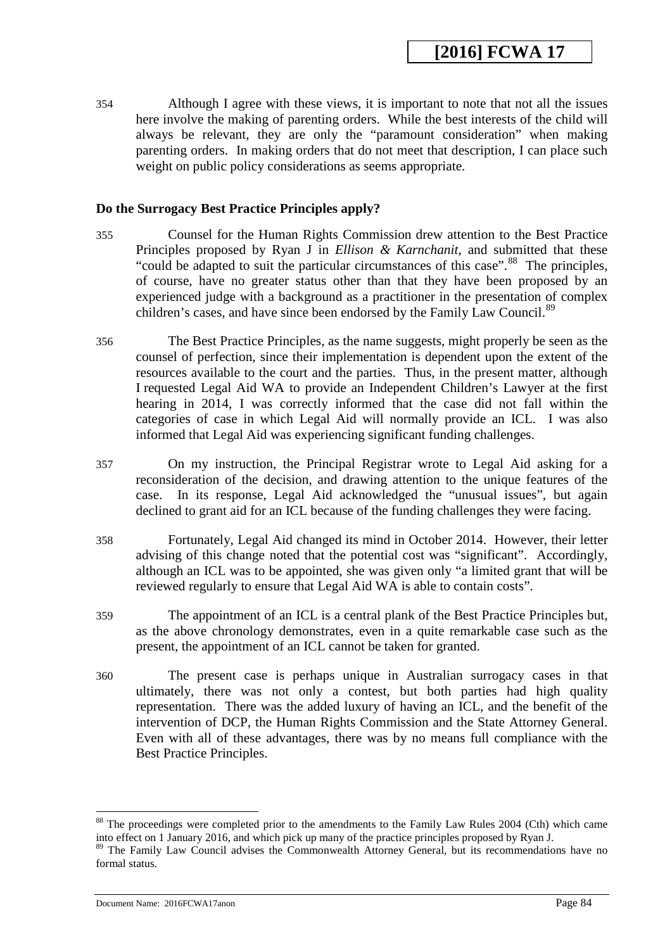354 Although I agree with these views, it is important to note that not all the issues here involve the making of parenting orders. While the best interests of the child will always be relevant, they are only the "paramount consideration" when making parenting orders. In making orders that do not meet that description, I can place such weight on public policy considerations as seems appropriate.

#### **Do the Surrogacy Best Practice Principles apply?**

- 355 Counsel for the Human Rights Commission drew attention to the Best Practice Principles proposed by Ryan J in *Ellison & Karnchanit*, and submitted that these "could be adapted to suit the particular circumstances of this case".<sup>88</sup> The principles, of course, have no greater status other than that they have been proposed by an experienced judge with a background as a practitioner in the presentation of complex children's cases, and have since been endorsed by the Family Law Council.<sup>[89](#page-84-0)</sup>
- 356 The Best Practice Principles, as the name suggests, might properly be seen as the counsel of perfection, since their implementation is dependent upon the extent of the resources available to the court and the parties. Thus, in the present matter, although I requested Legal Aid WA to provide an Independent Children's Lawyer at the first hearing in 2014, I was correctly informed that the case did not fall within the categories of case in which Legal Aid will normally provide an ICL. I was also informed that Legal Aid was experiencing significant funding challenges.
- 357 On my instruction, the Principal Registrar wrote to Legal Aid asking for a reconsideration of the decision, and drawing attention to the unique features of the case. In its response, Legal Aid acknowledged the "unusual issues", but again declined to grant aid for an ICL because of the funding challenges they were facing.
- 358 Fortunately, Legal Aid changed its mind in October 2014. However, their letter advising of this change noted that the potential cost was "significant". Accordingly, although an ICL was to be appointed, she was given only "a limited grant that will be reviewed regularly to ensure that Legal Aid WA is able to contain costs".
- 359 The appointment of an ICL is a central plank of the Best Practice Principles but, as the above chronology demonstrates, even in a quite remarkable case such as the present, the appointment of an ICL cannot be taken for granted.
- 360 The present case is perhaps unique in Australian surrogacy cases in that ultimately, there was not only a contest, but both parties had high quality representation. There was the added luxury of having an ICL, and the benefit of the intervention of DCP, the Human Rights Commission and the State Attorney General. Even with all of these advantages, there was by no means full compliance with the Best Practice Principles.

<span id="page-83-0"></span><sup>&</sup>lt;sup>88</sup> The proceedings were completed prior to the amendments to the Family Law Rules 2004 (Cth) which came into effect on 1 January 2016, and which pick up many of the practice principles proposed by Ryan J.

<span id="page-83-1"></span><sup>&</sup>lt;sup>89</sup> The Family Law Council advises the Commonwealth Attorney General, but its recommendations have no formal status.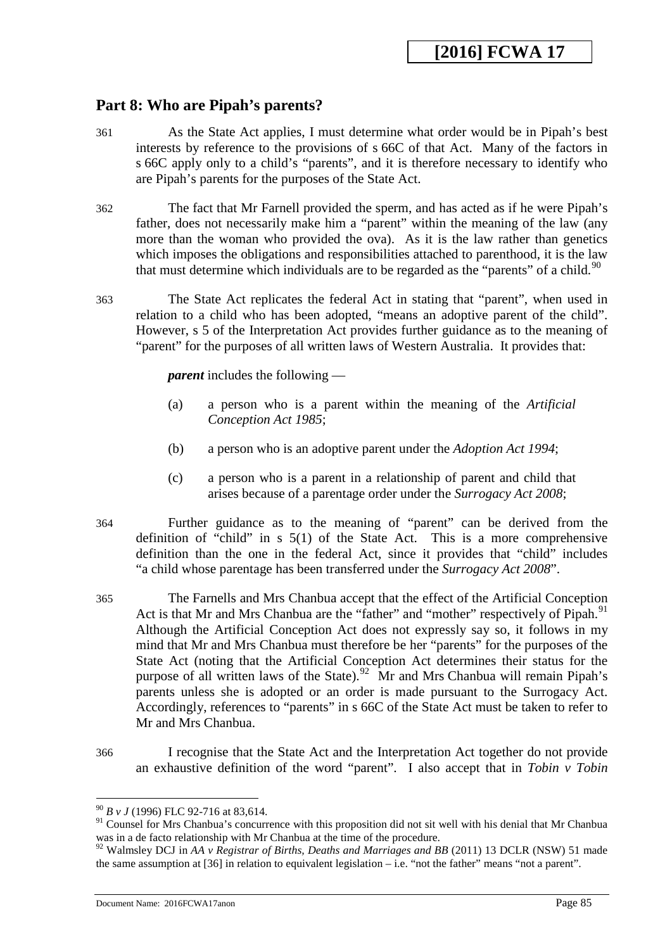## **Part 8: Who are Pipah's parents?**

- 361 As the State Act applies, I must determine what order would be in Pipah's best interests by reference to the provisions of s 66C of that Act. Many of the factors in s 66C apply only to a child's "parents", and it is therefore necessary to identify who are Pipah's parents for the purposes of the State Act.
- 362 The fact that Mr Farnell provided the sperm, and has acted as if he were Pipah's father, does not necessarily make him a "parent" within the meaning of the law (any more than the woman who provided the ova). As it is the law rather than genetics which imposes the obligations and responsibilities attached to parenthood, it is the law that must determine which individuals are to be regarded as the "parents" of a child.<sup>[90](#page-85-0)</sup>
- 363 The State Act replicates the federal Act in stating that "parent", when used in relation to a child who has been adopted, "means an adoptive parent of the child". However, s 5 of the Interpretation Act provides further guidance as to the meaning of "parent" for the purposes of all written laws of Western Australia. It provides that:

*parent* includes the following —

- (a) a person who is a parent within the meaning of the *Artificial Conception Act 1985*;
- (b) a person who is an adoptive parent under the *Adoption Act 1994*;
- (c) a person who is a parent in a relationship of parent and child that arises because of a parentage order under the *Surrogacy Act 2008*;
- 364 Further guidance as to the meaning of "parent" can be derived from the definition of "child" in s 5(1) of the State Act. This is a more comprehensive definition than the one in the federal Act, since it provides that "child" includes "a child whose parentage has been transferred under the *Surrogacy Act 2008*".
- 365 The Farnells and Mrs Chanbua accept that the effect of the Artificial Conception Act is that Mr and Mrs Chanbua are the "father" and "mother" respectively of Pipah.<sup>91</sup> Although the Artificial Conception Act does not expressly say so, it follows in my mind that Mr and Mrs Chanbua must therefore be her "parents" for the purposes of the State Act (noting that the Artificial Conception Act determines their status for the purpose of all written laws of the State).<sup>[92](#page-85-2)</sup> Mr and Mrs Chanbua will remain Pipah's parents unless she is adopted or an order is made pursuant to the Surrogacy Act. Accordingly, references to "parents" in s 66C of the State Act must be taken to refer to Mr and Mrs Chanbua.
- 366 I recognise that the State Act and the Interpretation Act together do not provide an exhaustive definition of the word "parent". I also accept that in *Tobin v Tobin*

<sup>90</sup> *B v J* (1996) FLC 92-716 at 83,614. -

<sup>&</sup>lt;sup>91</sup> Counsel for Mrs Chanbua's concurrence with this proposition did not sit well with his denial that Mr Chanbua was in a de facto relationship with Mr Chanbua at the time of the procedure.

<span id="page-84-0"></span><sup>&</sup>lt;sup>92</sup> Walmsley DCJ in *AA v Registrar of Births, Deaths and Marriages and BB* (2011) 13 DCLR (NSW) 51 made the same assumption at  $[36]$  in relation to equivalent legislation – i.e. "not the father" means "not a parent".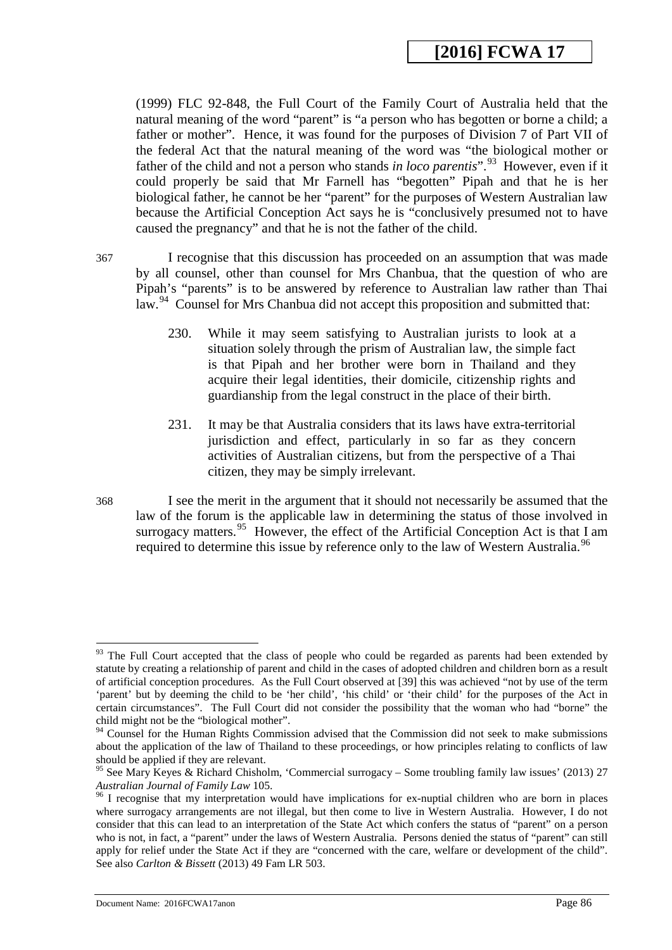(1999) FLC 92-848, the Full Court of the Family Court of Australia held that the natural meaning of the word "parent" is "a person who has begotten or borne a child; a father or mother". Hence, it was found for the purposes of Division 7 of Part VII of the federal Act that the natural meaning of the word was "the biological mother or father of the child and not a person who stands *in loco parentis*".<sup>[93](#page-85-3)</sup> However, even if it could properly be said that Mr Farnell has "begotten" Pipah and that he is her biological father, he cannot be her "parent" for the purposes of Western Australian law because the Artificial Conception Act says he is "conclusively presumed not to have caused the pregnancy" and that he is not the father of the child.

367 I recognise that this discussion has proceeded on an assumption that was made by all counsel, other than counsel for Mrs Chanbua, that the question of who are Pipah's "parents" is to be answered by reference to Australian law rather than Thai law.<sup>94</sup> Counsel for Mrs Chanbua did not accept this proposition and submitted that:

- 230. While it may seem satisfying to Australian jurists to look at a situation solely through the prism of Australian law, the simple fact is that Pipah and her brother were born in Thailand and they acquire their legal identities, their domicile, citizenship rights and guardianship from the legal construct in the place of their birth.
- 231. It may be that Australia considers that its laws have extra-territorial jurisdiction and effect, particularly in so far as they concern activities of Australian citizens, but from the perspective of a Thai citizen, they may be simply irrelevant.
- 368 I see the merit in the argument that it should not necessarily be assumed that the law of the forum is the applicable law in determining the status of those involved in surrogacy matters.<sup>[95](#page-86-1)</sup> However, the effect of the Artificial Conception Act is that I am required to determine this issue by reference only to the law of Western Australia.<sup>[96](#page-86-2)</sup>

<sup>&</sup>lt;sup>93</sup> The Full Court accepted that the class of people who could be regarded as parents had been extended by statute by creating a relationship of parent and child in the cases of adopted children and children born as a result of artificial conception procedures. As the Full Court observed at [39] this was achieved "not by use of the term 'parent' but by deeming the child to be 'her child', 'his child' or 'their child' for the purposes of the Act in certain circumstances". The Full Court did not consider the possibility that the woman who had "borne" the child might not be the "biological mother". -

<span id="page-85-1"></span><span id="page-85-0"></span><sup>&</sup>lt;sup>94</sup> Counsel for the Human Rights Commission advised that the Commission did not seek to make submissions about the application of the law of Thailand to these proceedings, or how principles relating to conflicts of law should be applied if they are relevant.

<span id="page-85-2"></span><sup>&</sup>lt;sup>95</sup> See Mary Keyes & Richard Chisholm, 'Commercial surrogacy – Some troubling family law issues' (2013) 27 Australian Journal of Family Law 105.

<span id="page-85-3"></span><sup>&</sup>lt;sup>96</sup> I recognise that my interpretation would have implications for ex-nuptial children who are born in places where surrogacy arrangements are not illegal, but then come to live in Western Australia. However, I do not consider that this can lead to an interpretation of the State Act which confers the status of "parent" on a person who is not, in fact, a "parent" under the laws of Western Australia. Persons denied the status of "parent" can still apply for relief under the State Act if they are "concerned with the care, welfare or development of the child". See also *Carlton & Bissett* (2013) 49 Fam LR 503.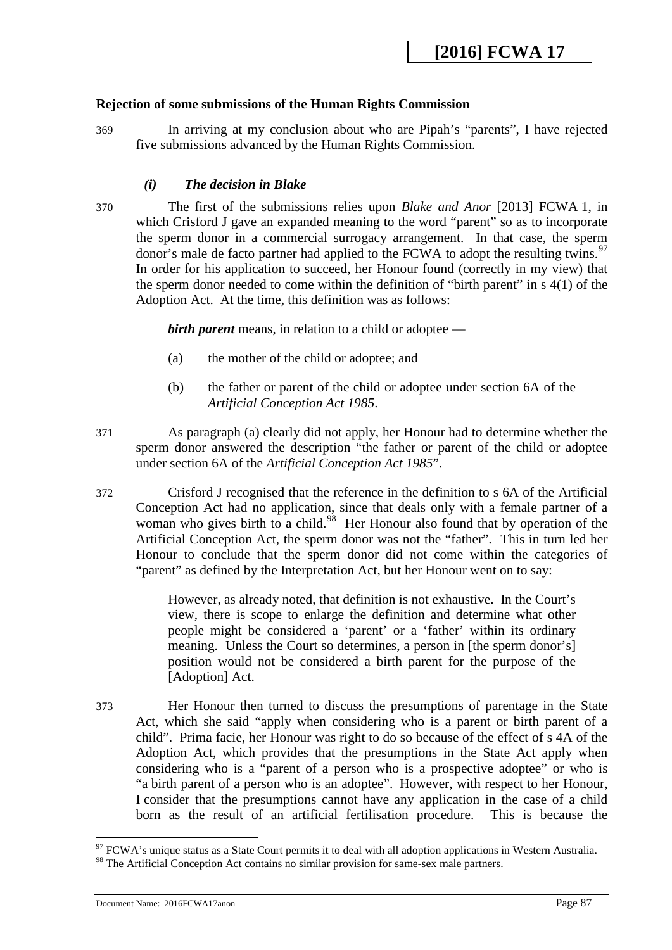## **Rejection of some submissions of the Human Rights Commission**

369 In arriving at my conclusion about who are Pipah's "parents", I have rejected five submissions advanced by the Human Rights Commission.

### *(i) The decision in Blake*

370 The first of the submissions relies upon *Blake and Anor* [2013] FCWA 1, in which Crisford J gave an expanded meaning to the word "parent" so as to incorporate the sperm donor in a commercial surrogacy arrangement. In that case, the sperm donor's male de facto partner had applied to the FCWA to adopt the resulting twins.<sup>97</sup> In order for his application to succeed, her Honour found (correctly in my view) that the sperm donor needed to come within the definition of "birth parent" in s 4(1) of the Adoption Act. At the time, this definition was as follows:

*birth parent* means, in relation to a child or adoptee —

- (a) the mother of the child or adoptee; and
- (b) the father or parent of the child or adoptee under section 6A of the *Artificial Conception Act 1985*.
- 371 As paragraph (a) clearly did not apply, her Honour had to determine whether the sperm donor answered the description "the father or parent of the child or adoptee under section 6A of the *Artificial Conception Act 1985*".
- 372 Crisford J recognised that the reference in the definition to s 6A of the Artificial Conception Act had no application, since that deals only with a female partner of a woman who gives birth to a child.<sup>[98](#page-87-1)</sup> Her Honour also found that by operation of the Artificial Conception Act, the sperm donor was not the "father". This in turn led her Honour to conclude that the sperm donor did not come within the categories of "parent" as defined by the Interpretation Act, but her Honour went on to say:

However, as already noted, that definition is not exhaustive. In the Court's view, there is scope to enlarge the definition and determine what other people might be considered a 'parent' or a 'father' within its ordinary meaning. Unless the Court so determines, a person in [the sperm donor's] position would not be considered a birth parent for the purpose of the [Adoption] Act.

<span id="page-86-1"></span><span id="page-86-0"></span>373 Her Honour then turned to discuss the presumptions of parentage in the State Act, which she said "apply when considering who is a parent or birth parent of a child". Prima facie, her Honour was right to do so because of the effect of s 4A of the Adoption Act, which provides that the presumptions in the State Act apply when considering who is a "parent of a person who is a prospective adoptee" or who is "a birth parent of a person who is an adoptee". However, with respect to her Honour, I consider that the presumptions cannot have any application in the case of a child born as the result of an artificial fertilisation procedure. This is because the

<span id="page-86-2"></span> $97$  FCWA's unique status as a State Court permits it to deal with all adoption applications in Western Australia.

<sup>&</sup>lt;sup>98</sup> The Artificial Conception Act contains no similar provision for same-sex male partners.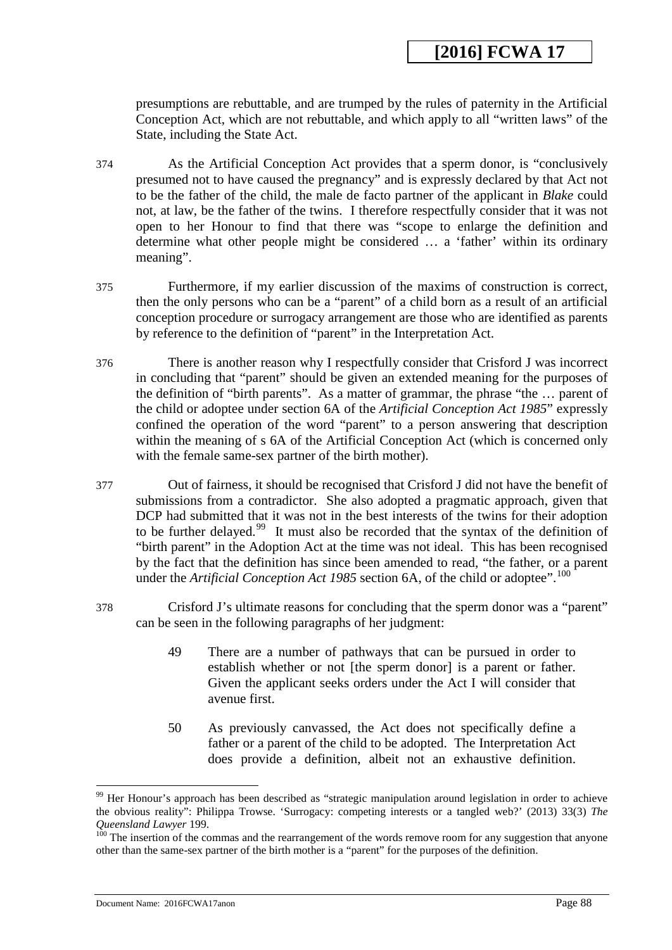presumptions are rebuttable, and are trumped by the rules of paternity in the Artificial Conception Act, which are not rebuttable, and which apply to all "written laws" of the State, including the State Act.

- 374 As the Artificial Conception Act provides that a sperm donor, is "conclusively presumed not to have caused the pregnancy" and is expressly declared by that Act not to be the father of the child, the male de facto partner of the applicant in *Blake* could not, at law, be the father of the twins. I therefore respectfully consider that it was not open to her Honour to find that there was "scope to enlarge the definition and determine what other people might be considered … a 'father' within its ordinary meaning".
- 375 Furthermore, if my earlier discussion of the maxims of construction is correct, then the only persons who can be a "parent" of a child born as a result of an artificial conception procedure or surrogacy arrangement are those who are identified as parents by reference to the definition of "parent" in the Interpretation Act.
- 376 There is another reason why I respectfully consider that Crisford J was incorrect in concluding that "parent" should be given an extended meaning for the purposes of the definition of "birth parents". As a matter of grammar, the phrase "the … parent of the child or adoptee under section 6A of the *Artificial Conception Act 1985*" expressly confined the operation of the word "parent" to a person answering that description within the meaning of s 6A of the Artificial Conception Act (which is concerned only with the female same-sex partner of the birth mother).
- 377 Out of fairness, it should be recognised that Crisford J did not have the benefit of submissions from a contradictor. She also adopted a pragmatic approach, given that DCP had submitted that it was not in the best interests of the twins for their adoption to be further delayed.<sup>[99](#page-88-0)</sup> It must also be recorded that the syntax of the definition of "birth parent" in the Adoption Act at the time was not ideal. This has been recognised by the fact that the definition has since been amended to read, "the father, or a parent under the *Artificial Conception Act 1985* section 6A, of the child or adoptee".<sup>100</sup>
- 378 Crisford J's ultimate reasons for concluding that the sperm donor was a "parent" can be seen in the following paragraphs of her judgment:
	- 49 There are a number of pathways that can be pursued in order to establish whether or not [the sperm donor] is a parent or father. Given the applicant seeks orders under the Act I will consider that avenue first.
	- 50 As previously canvassed, the Act does not specifically define a father or a parent of the child to be adopted. The Interpretation Act does provide a definition, albeit not an exhaustive definition.

<sup>&</sup>lt;sup>99</sup> Her Honour's approach has been described as "strategic manipulation around legislation in order to achieve the obvious reality": Philippa Trowse. 'Surrogacy: competing interests or a tangled web?' (2013) 33(3) *The Queensland Lawyer* 199.<br><sup>100</sup> The insertion of the commas and the rearrangement of the words remove room for any suggestion that anyone

<span id="page-87-1"></span><span id="page-87-0"></span>other than the same-sex partner of the birth mother is a "parent" for the purposes of the definition.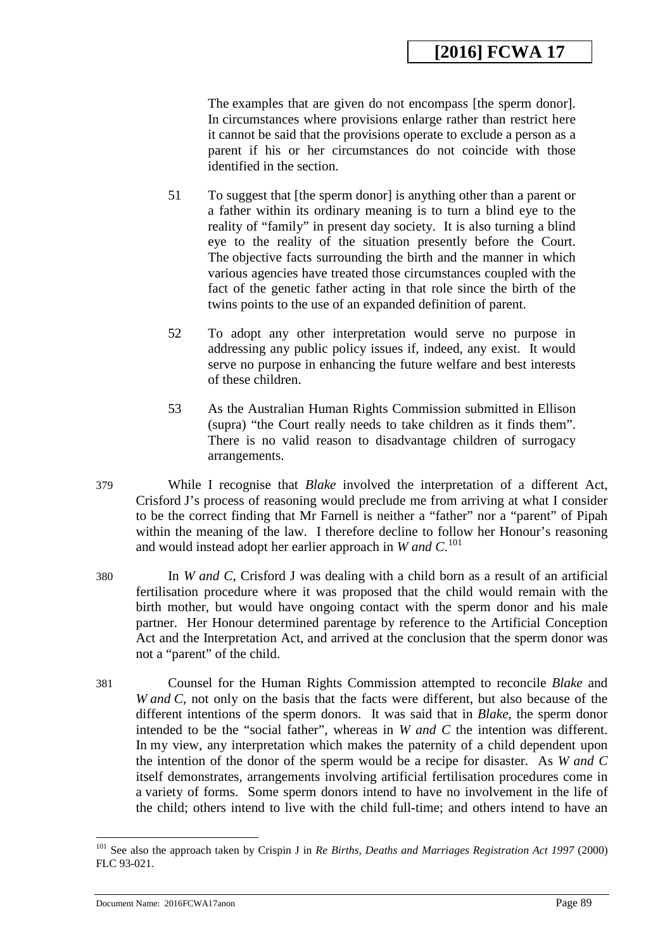The examples that are given do not encompass [the sperm donor]. In circumstances where provisions enlarge rather than restrict here it cannot be said that the provisions operate to exclude a person as a parent if his or her circumstances do not coincide with those identified in the section.

- 51 To suggest that [the sperm donor] is anything other than a parent or a father within its ordinary meaning is to turn a blind eye to the reality of "family" in present day society. It is also turning a blind eye to the reality of the situation presently before the Court. The objective facts surrounding the birth and the manner in which various agencies have treated those circumstances coupled with the fact of the genetic father acting in that role since the birth of the twins points to the use of an expanded definition of parent.
- 52 To adopt any other interpretation would serve no purpose in addressing any public policy issues if, indeed, any exist. It would serve no purpose in enhancing the future welfare and best interests of these children.
- 53 As the Australian Human Rights Commission submitted in Ellison (supra) "the Court really needs to take children as it finds them". There is no valid reason to disadvantage children of surrogacy arrangements.
- 379 While I recognise that *Blake* involved the interpretation of a different Act, Crisford J's process of reasoning would preclude me from arriving at what I consider to be the correct finding that Mr Farnell is neither a "father" nor a "parent" of Pipah within the meaning of the law. I therefore decline to follow her Honour's reasoning and would instead adopt her earlier approach in *W and C*. [101](#page-89-0)
- 380 In *W and C*, Crisford J was dealing with a child born as a result of an artificial fertilisation procedure where it was proposed that the child would remain with the birth mother, but would have ongoing contact with the sperm donor and his male partner. Her Honour determined parentage by reference to the Artificial Conception Act and the Interpretation Act, and arrived at the conclusion that the sperm donor was not a "parent" of the child.
- 381 Counsel for the Human Rights Commission attempted to reconcile *Blake* and *W and C*, not only on the basis that the facts were different, but also because of the different intentions of the sperm donors. It was said that in *Blake,* the sperm donor intended to be the "social father", whereas in *W and C* the intention was different. In my view, any interpretation which makes the paternity of a child dependent upon the intention of the donor of the sperm would be a recipe for disaster. As *W and C* itself demonstrates, arrangements involving artificial fertilisation procedures come in a variety of forms. Some sperm donors intend to have no involvement in the life of the child; others intend to live with the child full-time; and others intend to have an

<span id="page-88-1"></span><span id="page-88-0"></span><sup>101</sup> See also the approach taken by Crispin J in *Re Births, Deaths and Marriages Registration Act 1997* (2000) FLC 93-021.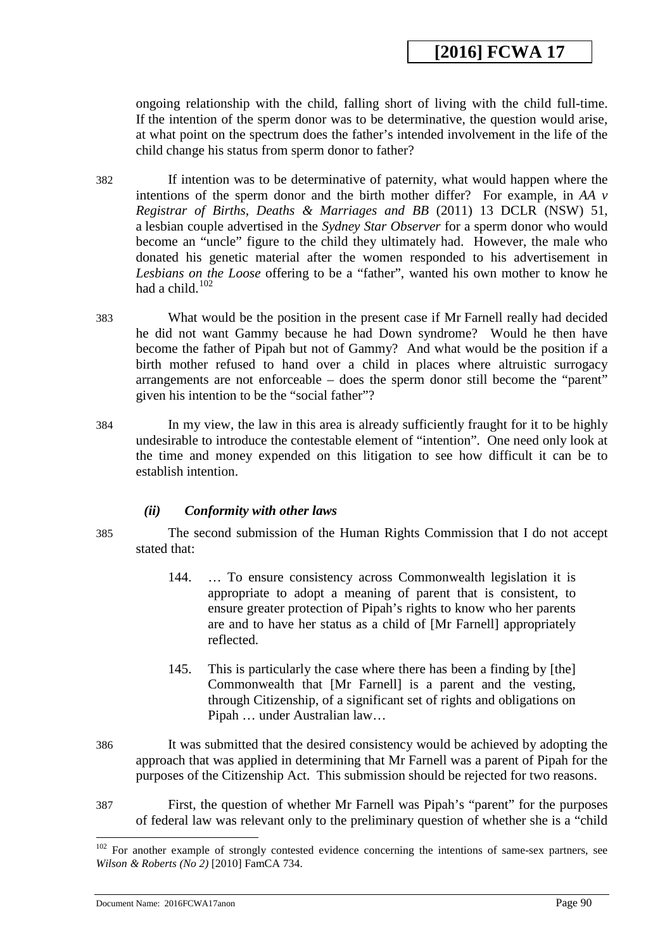ongoing relationship with the child, falling short of living with the child full-time. If the intention of the sperm donor was to be determinative, the question would arise, at what point on the spectrum does the father's intended involvement in the life of the child change his status from sperm donor to father?

- 382 If intention was to be determinative of paternity, what would happen where the intentions of the sperm donor and the birth mother differ? For example, in *AA v Registrar of Births, Deaths & Marriages and BB* (2011) 13 DCLR (NSW) 51, a lesbian couple advertised in the *Sydney Star Observer* for a sperm donor who would become an "uncle" figure to the child they ultimately had. However, the male who donated his genetic material after the women responded to his advertisement in *Lesbians on the Loose* offering to be a "father", wanted his own mother to know he had a child. [102](#page-90-0)
- 383 What would be the position in the present case if Mr Farnell really had decided he did not want Gammy because he had Down syndrome? Would he then have become the father of Pipah but not of Gammy? And what would be the position if a birth mother refused to hand over a child in places where altruistic surrogacy arrangements are not enforceable – does the sperm donor still become the "parent" given his intention to be the "social father"?
- 384 In my view, the law in this area is already sufficiently fraught for it to be highly undesirable to introduce the contestable element of "intention". One need only look at the time and money expended on this litigation to see how difficult it can be to establish intention.

## *(ii) Conformity with other laws*

-

385 The second submission of the Human Rights Commission that I do not accept stated that:

- 144. … To ensure consistency across Commonwealth legislation it is appropriate to adopt a meaning of parent that is consistent, to ensure greater protection of Pipah's rights to know who her parents are and to have her status as a child of [Mr Farnell] appropriately reflected.
- 145. This is particularly the case where there has been a finding by [the] Commonwealth that [Mr Farnell] is a parent and the vesting, through Citizenship, of a significant set of rights and obligations on Pipah … under Australian law…
- 386 It was submitted that the desired consistency would be achieved by adopting the approach that was applied in determining that Mr Farnell was a parent of Pipah for the purposes of the Citizenship Act. This submission should be rejected for two reasons.
- 387 First, the question of whether Mr Farnell was Pipah's "parent" for the purposes of federal law was relevant only to the preliminary question of whether she is a "child

<span id="page-89-0"></span><sup>&</sup>lt;sup>102</sup> For another example of strongly contested evidence concerning the intentions of same-sex partners, see *Wilson & Roberts (No 2)* [2010] FamCA 734.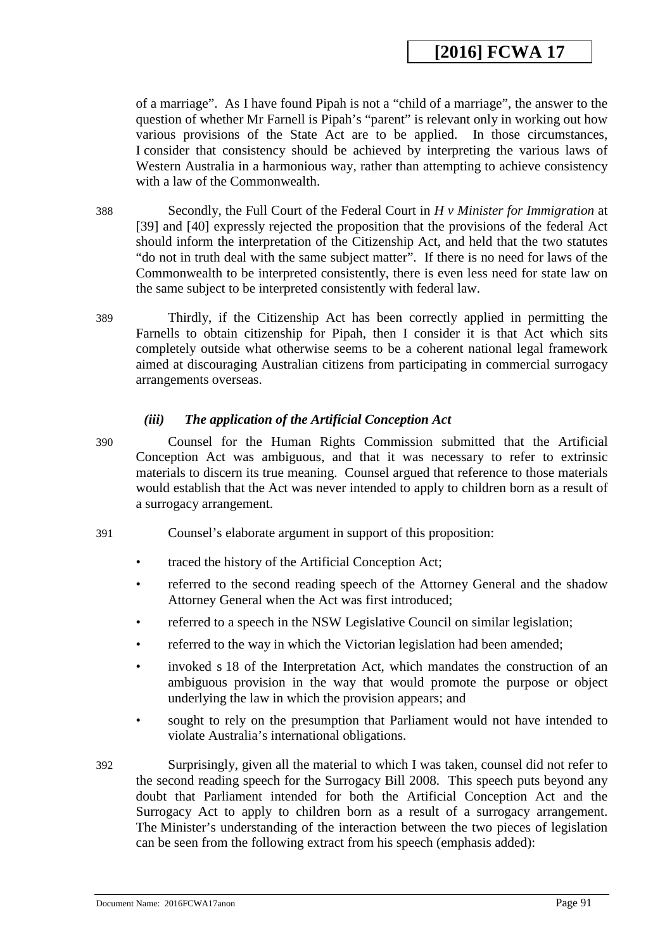of a marriage". As I have found Pipah is not a "child of a marriage", the answer to the question of whether Mr Farnell is Pipah's "parent" is relevant only in working out how various provisions of the State Act are to be applied. In those circumstances, I consider that consistency should be achieved by interpreting the various laws of Western Australia in a harmonious way, rather than attempting to achieve consistency with a law of the Commonwealth.

388 Secondly, the Full Court of the Federal Court in *H v Minister for Immigration* at [39] and [40] expressly rejected the proposition that the provisions of the federal Act should inform the interpretation of the Citizenship Act, and held that the two statutes "do not in truth deal with the same subject matter". If there is no need for laws of the Commonwealth to be interpreted consistently, there is even less need for state law on the same subject to be interpreted consistently with federal law.

389 Thirdly, if the Citizenship Act has been correctly applied in permitting the Farnells to obtain citizenship for Pipah, then I consider it is that Act which sits completely outside what otherwise seems to be a coherent national legal framework aimed at discouraging Australian citizens from participating in commercial surrogacy arrangements overseas.

## *(iii) The application of the Artificial Conception Act*

390 Counsel for the Human Rights Commission submitted that the Artificial Conception Act was ambiguous, and that it was necessary to refer to extrinsic materials to discern its true meaning. Counsel argued that reference to those materials would establish that the Act was never intended to apply to children born as a result of a surrogacy arrangement.

- 391 Counsel's elaborate argument in support of this proposition:
	- traced the history of the Artificial Conception Act;
	- referred to the second reading speech of the Attorney General and the shadow Attorney General when the Act was first introduced;
	- referred to a speech in the NSW Legislative Council on similar legislation;
	- referred to the way in which the Victorian legislation had been amended;
	- invoked s 18 of the Interpretation Act, which mandates the construction of an ambiguous provision in the way that would promote the purpose or object underlying the law in which the provision appears; and
	- sought to rely on the presumption that Parliament would not have intended to violate Australia's international obligations.
- <span id="page-90-0"></span>392 Surprisingly, given all the material to which I was taken, counsel did not refer to the second reading speech for the Surrogacy Bill 2008. This speech puts beyond any doubt that Parliament intended for both the Artificial Conception Act and the Surrogacy Act to apply to children born as a result of a surrogacy arrangement. The Minister's understanding of the interaction between the two pieces of legislation can be seen from the following extract from his speech (emphasis added):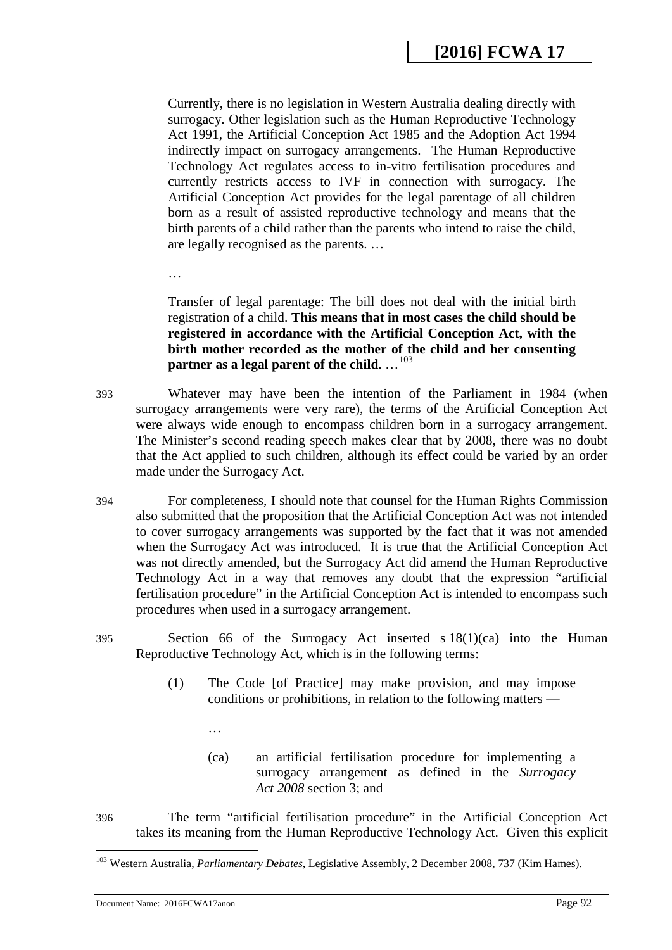Currently, there is no legislation in Western Australia dealing directly with surrogacy. Other legislation such as the Human Reproductive Technology Act 1991, the Artificial Conception Act 1985 and the Adoption Act 1994 indirectly impact on surrogacy arrangements. The Human Reproductive Technology Act regulates access to in-vitro fertilisation procedures and currently restricts access to IVF in connection with surrogacy. The Artificial Conception Act provides for the legal parentage of all children born as a result of assisted reproductive technology and means that the birth parents of a child rather than the parents who intend to raise the child, are legally recognised as the parents. …

…

Transfer of legal parentage: The bill does not deal with the initial birth registration of a child. **This means that in most cases the child should be registered in accordance with the Artificial Conception Act, with the birth mother recorded as the mother of the child and her consenting**  partner as a legal parent of the child. ...<sup>[103](#page-92-0)</sup>

- 393 Whatever may have been the intention of the Parliament in 1984 (when surrogacy arrangements were very rare), the terms of the Artificial Conception Act were always wide enough to encompass children born in a surrogacy arrangement. The Minister's second reading speech makes clear that by 2008, there was no doubt that the Act applied to such children, although its effect could be varied by an order made under the Surrogacy Act.
- 394 For completeness, I should note that counsel for the Human Rights Commission also submitted that the proposition that the Artificial Conception Act was not intended to cover surrogacy arrangements was supported by the fact that it was not amended when the Surrogacy Act was introduced. It is true that the Artificial Conception Act was not directly amended, but the Surrogacy Act did amend the Human Reproductive Technology Act in a way that removes any doubt that the expression "artificial fertilisation procedure" in the Artificial Conception Act is intended to encompass such procedures when used in a surrogacy arrangement.
- 395 Section 66 of the Surrogacy Act inserted s 18(1)(ca) into the Human Reproductive Technology Act, which is in the following terms:
	- (1) The Code [of Practice] may make provision, and may impose conditions or prohibitions, in relation to the following matters —
		- (ca) an artificial fertilisation procedure for implementing a surrogacy arrangement as defined in the *Surrogacy Act 2008* section 3; and
- 396 The term "artificial fertilisation procedure" in the Artificial Conception Act takes its meaning from the Human Reproductive Technology Act. Given this explicit

<u>.</u>

…

<sup>103</sup> Western Australia, *Parliamentary Debates*, Legislative Assembly, 2 December 2008, 737 (Kim Hames).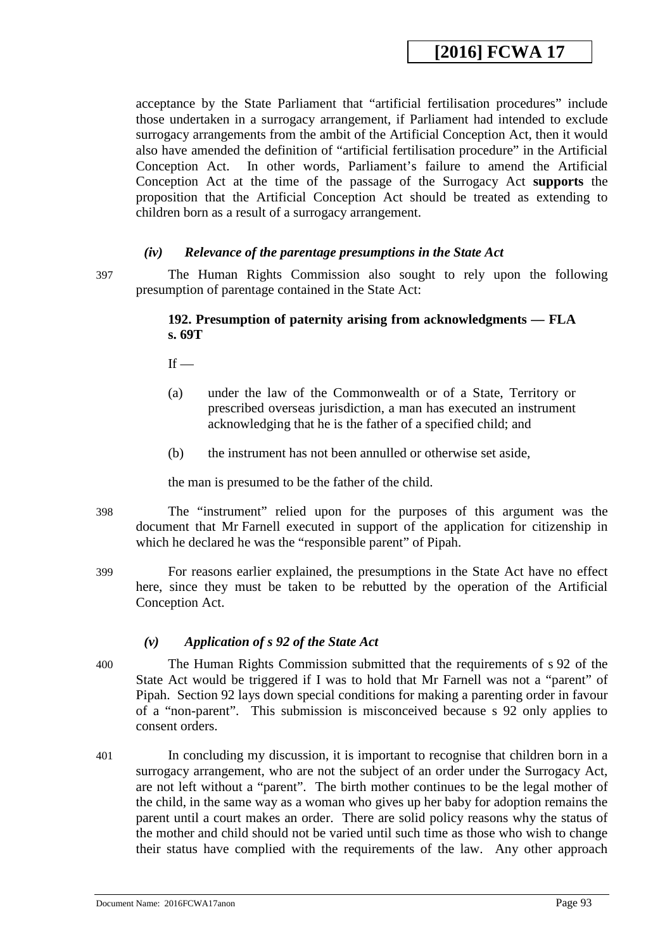acceptance by the State Parliament that "artificial fertilisation procedures" include those undertaken in a surrogacy arrangement, if Parliament had intended to exclude surrogacy arrangements from the ambit of the Artificial Conception Act, then it would also have amended the definition of "artificial fertilisation procedure" in the Artificial Conception Act. In other words, Parliament's failure to amend the Artificial Conception Act at the time of the passage of the Surrogacy Act **supports** the proposition that the Artificial Conception Act should be treated as extending to children born as a result of a surrogacy arrangement.

#### *(iv) Relevance of the parentage presumptions in the State Act*

397 The Human Rights Commission also sought to rely upon the following presumption of parentage contained in the State Act:

#### **192. Presumption of paternity arising from acknowledgments — FLA s. 69T**

 $If -$ 

- (a) under the law of the Commonwealth or of a State, Territory or prescribed overseas jurisdiction, a man has executed an instrument acknowledging that he is the father of a specified child; and
- (b) the instrument has not been annulled or otherwise set aside,

the man is presumed to be the father of the child.

- 398 The "instrument" relied upon for the purposes of this argument was the document that Mr Farnell executed in support of the application for citizenship in which he declared he was the "responsible parent" of Pipah.
- 399 For reasons earlier explained, the presumptions in the State Act have no effect here, since they must be taken to be rebutted by the operation of the Artificial Conception Act.

## *(v) Application of s 92 of the State Act*

- 400 The Human Rights Commission submitted that the requirements of s 92 of the State Act would be triggered if I was to hold that Mr Farnell was not a "parent" of Pipah. Section 92 lays down special conditions for making a parenting order in favour of a "non-parent". This submission is misconceived because s 92 only applies to consent orders.
- 401 In concluding my discussion, it is important to recognise that children born in a surrogacy arrangement, who are not the subject of an order under the Surrogacy Act, are not left without a "parent". The birth mother continues to be the legal mother of the child, in the same way as a woman who gives up her baby for adoption remains the parent until a court makes an order. There are solid policy reasons why the status of the mother and child should not be varied until such time as those who wish to change their status have complied with the requirements of the law. Any other approach

<span id="page-92-0"></span>Document Name: 2016FCWA17anon Page 93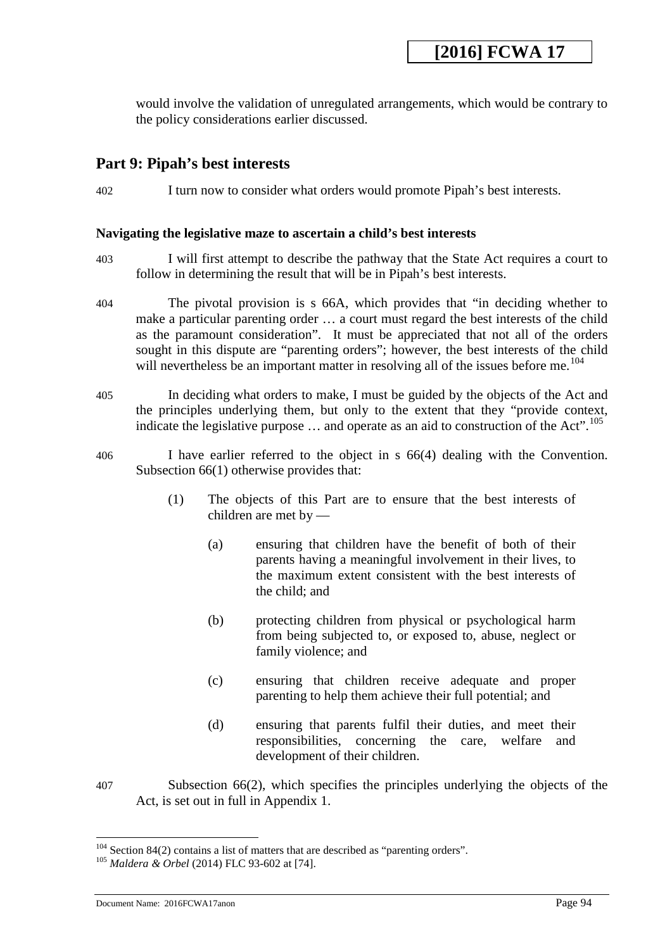would involve the validation of unregulated arrangements, which would be contrary to the policy considerations earlier discussed.

## **Part 9: Pipah's best interests**

402 I turn now to consider what orders would promote Pipah's best interests.

#### **Navigating the legislative maze to ascertain a child's best interests**

- 403 I will first attempt to describe the pathway that the State Act requires a court to follow in determining the result that will be in Pipah's best interests.
- 404 The pivotal provision is s 66A, which provides that "in deciding whether to make a particular parenting order … a court must regard the best interests of the child as the paramount consideration". It must be appreciated that not all of the orders sought in this dispute are "parenting orders"; however, the best interests of the child will nevertheless be an important matter in resolving all of the issues before me.<sup>104</sup>
- 405 In deciding what orders to make, I must be guided by the objects of the Act and the principles underlying them, but only to the extent that they "provide context, indicate the legislative purpose  $\dots$  and operate as an aid to construction of the Act".<sup>105</sup>
- 406 I have earlier referred to the object in s 66(4) dealing with the Convention. Subsection 66(1) otherwise provides that:
	- (1) The objects of this Part are to ensure that the best interests of children are met by —
		- (a) ensuring that children have the benefit of both of their parents having a meaningful involvement in their lives, to the maximum extent consistent with the best interests of the child; and
		- (b) protecting children from physical or psychological harm from being subjected to, or exposed to, abuse, neglect or family violence; and
		- (c) ensuring that children receive adequate and proper parenting to help them achieve their full potential; and
		- (d) ensuring that parents fulfil their duties, and meet their responsibilities, concerning the care, welfare and development of their children.
- 407 Subsection 66(2), which specifies the principles underlying the objects of the Act, is set out in full in Appendix 1.

<sup>104</sup> Section 84(2) contains a list of matters that are described as "parenting orders". 105 *Maldera & Orbel* (2014) FLC 93-602 at [74].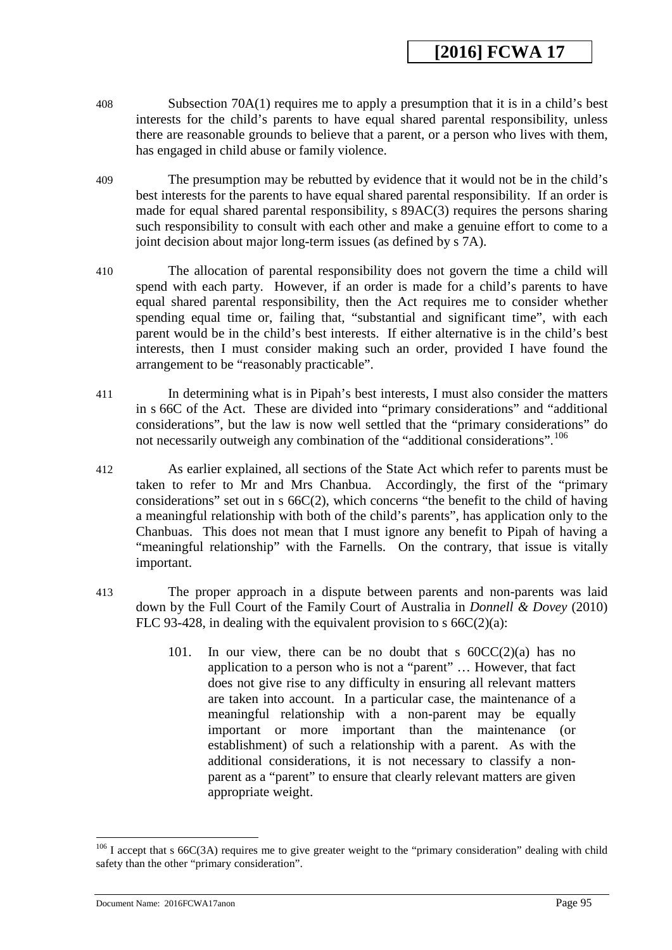- 408 Subsection 70A(1) requires me to apply a presumption that it is in a child's best interests for the child's parents to have equal shared parental responsibility, unless there are reasonable grounds to believe that a parent, or a person who lives with them, has engaged in child abuse or family violence.
- 409 The presumption may be rebutted by evidence that it would not be in the child's best interests for the parents to have equal shared parental responsibility. If an order is made for equal shared parental responsibility, s 89AC(3) requires the persons sharing such responsibility to consult with each other and make a genuine effort to come to a joint decision about major long-term issues (as defined by s 7A).
- 410 The allocation of parental responsibility does not govern the time a child will spend with each party. However, if an order is made for a child's parents to have equal shared parental responsibility, then the Act requires me to consider whether spending equal time or, failing that, "substantial and significant time", with each parent would be in the child's best interests. If either alternative is in the child's best interests, then I must consider making such an order, provided I have found the arrangement to be "reasonably practicable".
- 411 In determining what is in Pipah's best interests, I must also consider the matters in s 66C of the Act. These are divided into "primary considerations" and "additional considerations", but the law is now well settled that the "primary considerations" do not necessarily outweigh any combination of the "additional considerations".<sup>106</sup>
- 412 As earlier explained, all sections of the State Act which refer to parents must be taken to refer to Mr and Mrs Chanbua. Accordingly, the first of the "primary considerations" set out in s 66C(2), which concerns "the benefit to the child of having a meaningful relationship with both of the child's parents", has application only to the Chanbuas. This does not mean that I must ignore any benefit to Pipah of having a "meaningful relationship" with the Farnells. On the contrary, that issue is vitally important.
- 413 The proper approach in a dispute between parents and non-parents was laid down by the Full Court of the Family Court of Australia in *Donnell & Dovey* (2010) FLC 93-428, in dealing with the equivalent provision to s  $66C(2)(a)$ :
	- 101. In our view, there can be no doubt that s  $60CC(2)(a)$  has no application to a person who is not a "parent" … However, that fact does not give rise to any difficulty in ensuring all relevant matters are taken into account. In a particular case, the maintenance of a meaningful relationship with a non-parent may be equally important or more important than the maintenance (or establishment) of such a relationship with a parent. As with the additional considerations, it is not necessary to classify a nonparent as a "parent" to ensure that clearly relevant matters are given appropriate weight.

<span id="page-94-1"></span><span id="page-94-0"></span> $106$  I accept that s 66C(3A) requires me to give greater weight to the "primary consideration" dealing with child safety than the other "primary consideration".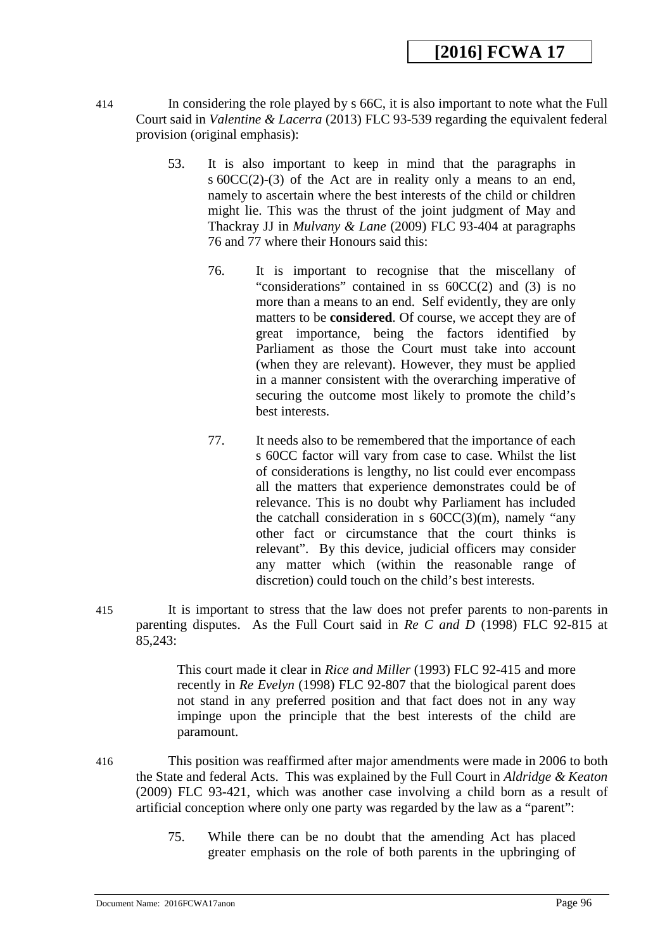- 414 In considering the role played by s 66C, it is also important to note what the Full Court said in *Valentine & Lacerra* (2013) FLC 93-539 regarding the equivalent federal provision (original emphasis):
	- 53. It is also important to keep in mind that the paragraphs in s 60CC(2)-(3) of the Act are in reality only a means to an end, namely to ascertain where the best interests of the child or children might lie. This was the thrust of the joint judgment of May and Thackray JJ in *Mulvany & Lane* (2009) FLC 93-404 at paragraphs 76 and 77 where their Honours said this:
		- 76. It is important to recognise that the miscellany of "considerations" contained in ss 60CC(2) and (3) is no more than a means to an end. Self evidently, they are only matters to be **considered**. Of course, we accept they are of great importance, being the factors identified by Parliament as those the Court must take into account (when they are relevant). However, they must be applied in a manner consistent with the overarching imperative of securing the outcome most likely to promote the child's best interests.
		- 77. It needs also to be remembered that the importance of each s 60CC factor will vary from case to case. Whilst the list of considerations is lengthy, no list could ever encompass all the matters that experience demonstrates could be of relevance. This is no doubt why Parliament has included the catchall consideration in s  $60CC(3)(m)$ , namely "any other fact or circumstance that the court thinks is relevant". By this device, judicial officers may consider any matter which (within the reasonable range of discretion) could touch on the child's best interests.
- 415 It is important to stress that the law does not prefer parents to non-parents in parenting disputes. As the Full Court said in *Re C and D* (1998) FLC 92-815 at 85,243:

This court made it clear in *Rice and Miller* (1993) FLC 92-415 and more recently in *Re Evelyn* (1998) FLC 92-807 that the biological parent does not stand in any preferred position and that fact does not in any way impinge upon the principle that the best interests of the child are paramount.

- <span id="page-95-0"></span>416 This position was reaffirmed after major amendments were made in 2006 to both the State and federal Acts. This was explained by the Full Court in *Aldridge & Keaton* (2009) FLC 93-421, which was another case involving a child born as a result of artificial conception where only one party was regarded by the law as a "parent":
	- 75. While there can be no doubt that the amending Act has placed greater emphasis on the role of both parents in the upbringing of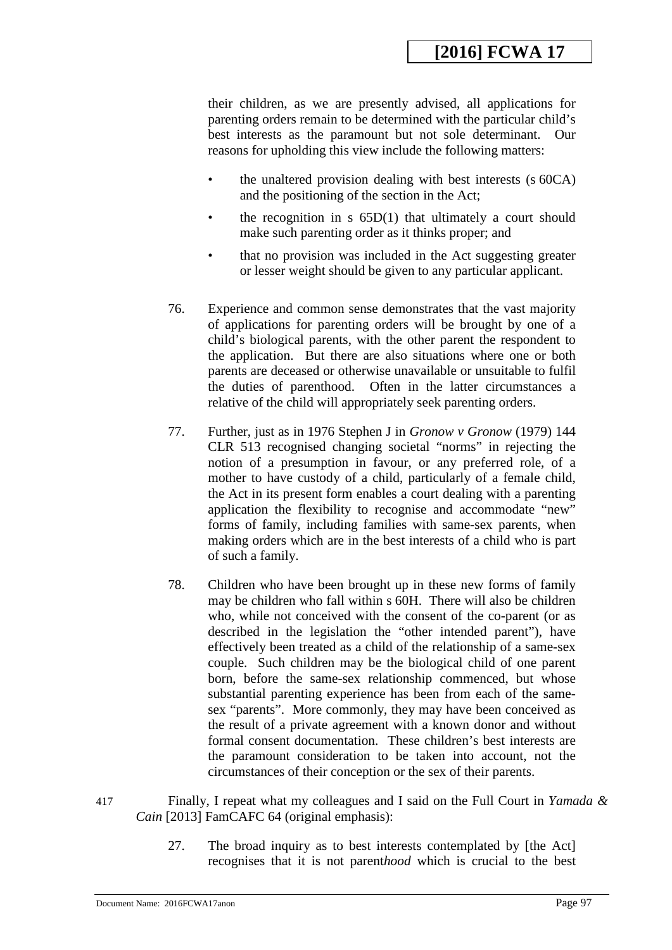their children, as we are presently advised, all applications for parenting orders remain to be determined with the particular child's best interests as the paramount but not sole determinant. Our reasons for upholding this view include the following matters:

- the unaltered provision dealing with best interests (s 60CA) and the positioning of the section in the Act;
- the recognition in  $s$  65D(1) that ultimately a court should make such parenting order as it thinks proper; and
- that no provision was included in the Act suggesting greater or lesser weight should be given to any particular applicant.
- 76. Experience and common sense demonstrates that the vast majority of applications for parenting orders will be brought by one of a child's biological parents, with the other parent the respondent to the application. But there are also situations where one or both parents are deceased or otherwise unavailable or unsuitable to fulfil the duties of parenthood. Often in the latter circumstances a relative of the child will appropriately seek parenting orders.
- 77. Further, just as in 1976 Stephen J in *Gronow v Gronow* (1979) 144 CLR 513 recognised changing societal "norms" in rejecting the notion of a presumption in favour, or any preferred role, of a mother to have custody of a child, particularly of a female child, the Act in its present form enables a court dealing with a parenting application the flexibility to recognise and accommodate "new" forms of family, including families with same-sex parents, when making orders which are in the best interests of a child who is part of such a family.
- 78. Children who have been brought up in these new forms of family may be children who fall within s 60H. There will also be children who, while not conceived with the consent of the co-parent (or as described in the legislation the "other intended parent"), have effectively been treated as a child of the relationship of a same-sex couple. Such children may be the biological child of one parent born, before the same-sex relationship commenced, but whose substantial parenting experience has been from each of the samesex "parents". More commonly, they may have been conceived as the result of a private agreement with a known donor and without formal consent documentation. These children's best interests are the paramount consideration to be taken into account, not the circumstances of their conception or the sex of their parents.
- 417 Finally, I repeat what my colleagues and I said on the Full Court in *Yamada & Cain* [2013] FamCAFC 64 (original emphasis):
	- 27. The broad inquiry as to best interests contemplated by [the Act] recognises that it is not parent*hood* which is crucial to the best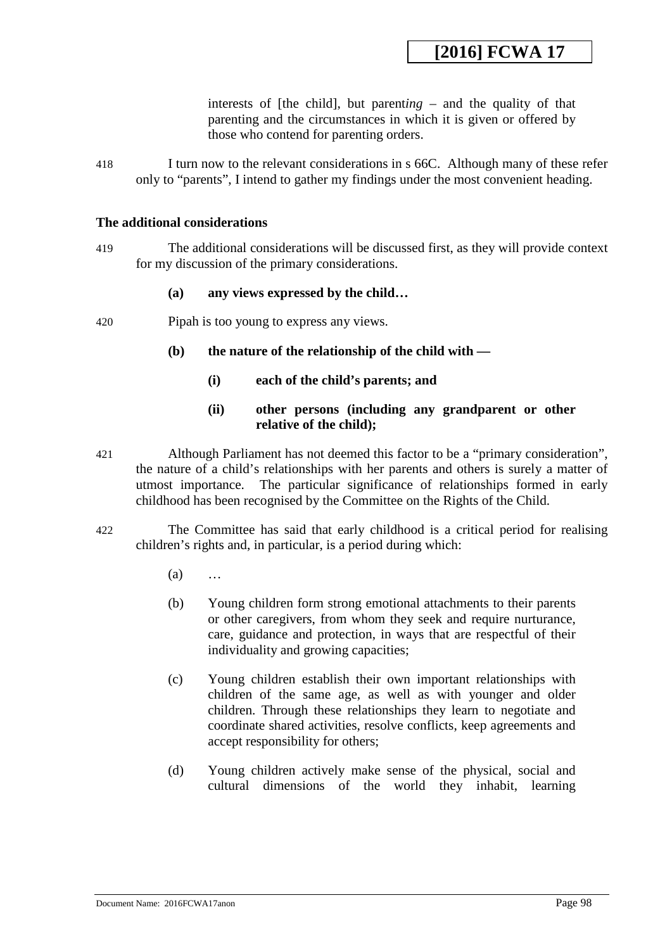interests of [the child], but parent*ing –* and the quality of that parenting and the circumstances in which it is given or offered by those who contend for parenting orders.

418 I turn now to the relevant considerations in s 66C. Although many of these refer only to "parents", I intend to gather my findings under the most convenient heading.

#### **The additional considerations**

419 The additional considerations will be discussed first, as they will provide context for my discussion of the primary considerations.

## **(a) any views expressed by the child…**

- 420 Pipah is too young to express any views.
	- **(b) the nature of the relationship of the child with —**
		- **(i) each of the child's parents; and**

## **(ii) other persons (including any grandparent or other relative of the child);**

- 421 Although Parliament has not deemed this factor to be a "primary consideration", the nature of a child's relationships with her parents and others is surely a matter of utmost importance. The particular significance of relationships formed in early childhood has been recognised by the Committee on the Rights of the Child.
- 422 The Committee has said that early childhood is a critical period for realising children's rights and, in particular, is a period during which:
	- (a) …
	- (b) Young children form strong emotional attachments to their parents or other caregivers, from whom they seek and require nurturance, care, guidance and protection, in ways that are respectful of their individuality and growing capacities;
	- (c) Young children establish their own important relationships with children of the same age, as well as with younger and older children. Through these relationships they learn to negotiate and coordinate shared activities, resolve conflicts, keep agreements and accept responsibility for others;
	- (d) Young children actively make sense of the physical, social and cultural dimensions of the world they inhabit, learning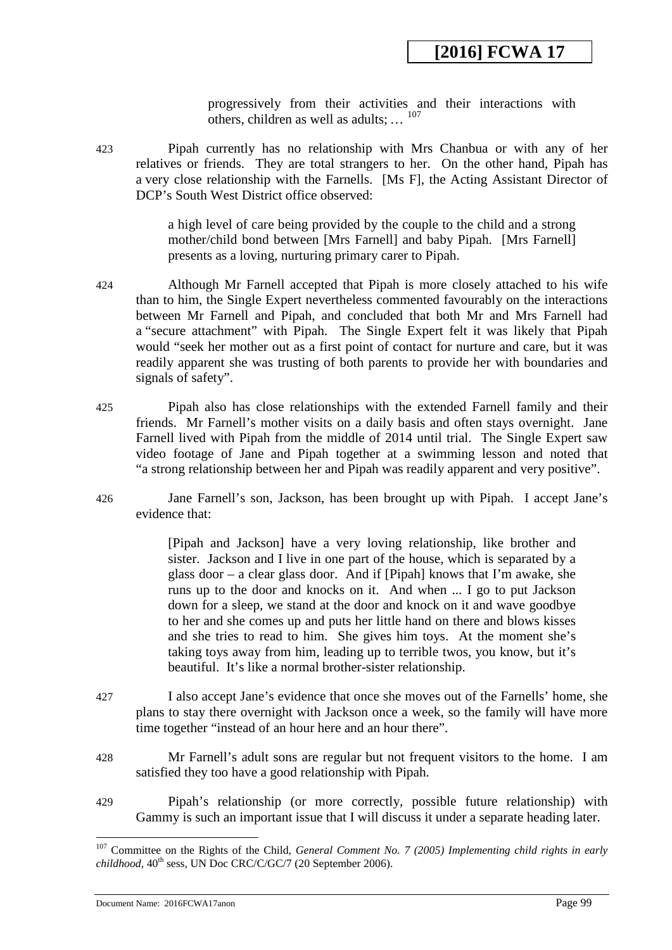progressively from their activities and their interactions with others, children as well as adults;  $\ldots$  <sup>[107](#page-99-0)</sup>

423 Pipah currently has no relationship with Mrs Chanbua or with any of her relatives or friends. They are total strangers to her. On the other hand, Pipah has a very close relationship with the Farnells. [Ms F], the Acting Assistant Director of DCP's South West District office observed:

> a high level of care being provided by the couple to the child and a strong mother/child bond between [Mrs Farnell] and baby Pipah. [Mrs Farnell] presents as a loving, nurturing primary carer to Pipah.

- 424 Although Mr Farnell accepted that Pipah is more closely attached to his wife than to him, the Single Expert nevertheless commented favourably on the interactions between Mr Farnell and Pipah, and concluded that both Mr and Mrs Farnell had a "secure attachment" with Pipah. The Single Expert felt it was likely that Pipah would "seek her mother out as a first point of contact for nurture and care, but it was readily apparent she was trusting of both parents to provide her with boundaries and signals of safety".
- 425 Pipah also has close relationships with the extended Farnell family and their friends. Mr Farnell's mother visits on a daily basis and often stays overnight. Jane Farnell lived with Pipah from the middle of 2014 until trial. The Single Expert saw video footage of Jane and Pipah together at a swimming lesson and noted that "a strong relationship between her and Pipah was readily apparent and very positive".
- 426 Jane Farnell's son, Jackson, has been brought up with Pipah. I accept Jane's evidence that:

[Pipah and Jackson] have a very loving relationship, like brother and sister. Jackson and I live in one part of the house, which is separated by a glass door – a clear glass door. And if [Pipah] knows that I'm awake, she runs up to the door and knocks on it. And when ... I go to put Jackson down for a sleep, we stand at the door and knock on it and wave goodbye to her and she comes up and puts her little hand on there and blows kisses and she tries to read to him. She gives him toys. At the moment she's taking toys away from him, leading up to terrible twos, you know, but it's beautiful. It's like a normal brother-sister relationship.

- 427 I also accept Jane's evidence that once she moves out of the Farnells' home, she plans to stay there overnight with Jackson once a week, so the family will have more time together "instead of an hour here and an hour there".
- 428 Mr Farnell's adult sons are regular but not frequent visitors to the home. I am satisfied they too have a good relationship with Pipah.
- 429 Pipah's relationship (or more correctly, possible future relationship) with Gammy is such an important issue that I will discuss it under a separate heading later.

<sup>107</sup> Committee on the Rights of the Child, *General Comment No. 7 (2005) Implementing child rights in early childhood,*  $40^{\text{th}}$  sess, UN Doc CRC/C/GC/7 (20 September 2006).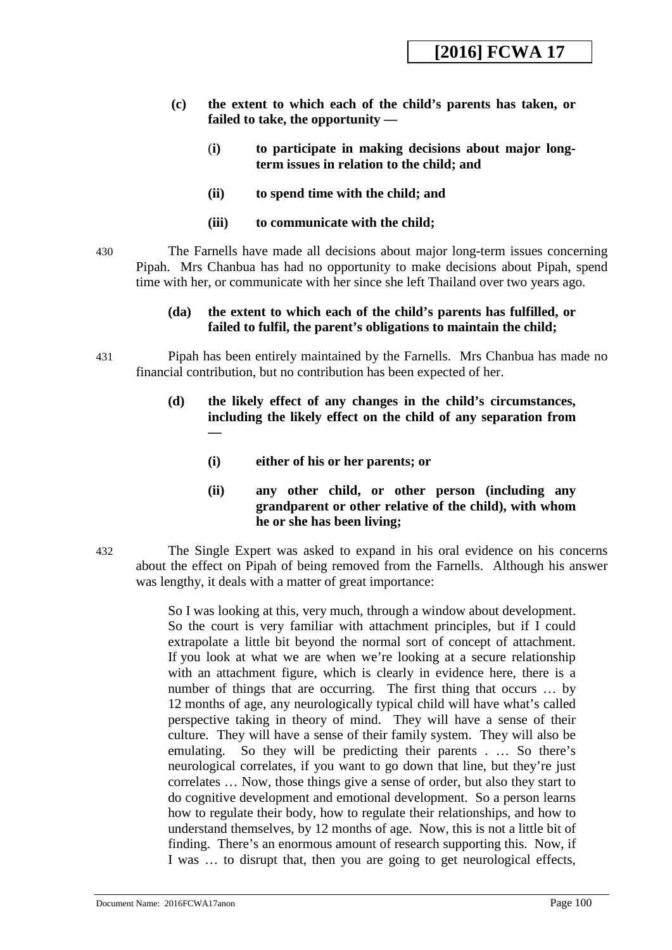- **(c) the extent to which each of the child's parents has taken, or failed to take, the opportunity —**
	- (**i) to participate in making decisions about major longterm issues in relation to the child; and**
	- **(ii) to spend time with the child; and**
	- **(iii) to communicate with the child;**

430 The Farnells have made all decisions about major long-term issues concerning Pipah. Mrs Chanbua has had no opportunity to make decisions about Pipah, spend time with her, or communicate with her since she left Thailand over two years ago.

### **(da) the extent to which each of the child's parents has fulfilled, or failed to fulfil, the parent's obligations to maintain the child;**

431 Pipah has been entirely maintained by the Farnells. Mrs Chanbua has made no financial contribution, but no contribution has been expected of her.

## **(d) the likely effect of any changes in the child's circumstances, including the likely effect on the child of any separation from —**

**(i) either of his or her parents; or** 

## **(ii) any other child, or other person (including any grandparent or other relative of the child), with whom he or she has been living;**

432 The Single Expert was asked to expand in his oral evidence on his concerns about the effect on Pipah of being removed from the Farnells. Although his answer was lengthy, it deals with a matter of great importance:

> <span id="page-99-0"></span>So I was looking at this, very much, through a window about development. So the court is very familiar with attachment principles, but if I could extrapolate a little bit beyond the normal sort of concept of attachment. If you look at what we are when we're looking at a secure relationship with an attachment figure, which is clearly in evidence here, there is a number of things that are occurring. The first thing that occurs … by 12 months of age, any neurologically typical child will have what's called perspective taking in theory of mind. They will have a sense of their culture. They will have a sense of their family system. They will also be emulating. So they will be predicting their parents . … So there's neurological correlates, if you want to go down that line, but they're just correlates … Now, those things give a sense of order, but also they start to do cognitive development and emotional development. So a person learns how to regulate their body, how to regulate their relationships, and how to understand themselves, by 12 months of age. Now, this is not a little bit of finding. There's an enormous amount of research supporting this. Now, if I was … to disrupt that, then you are going to get neurological effects,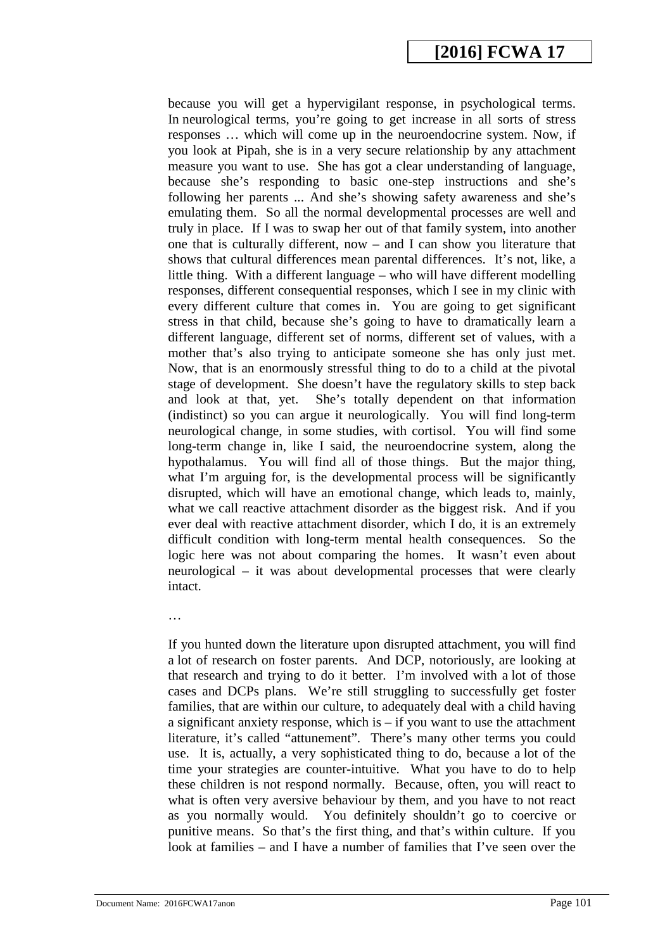because you will get a hypervigilant response, in psychological terms. In neurological terms, you're going to get increase in all sorts of stress responses … which will come up in the neuroendocrine system. Now, if you look at Pipah, she is in a very secure relationship by any attachment measure you want to use. She has got a clear understanding of language, because she's responding to basic one-step instructions and she's following her parents ... And she's showing safety awareness and she's emulating them. So all the normal developmental processes are well and truly in place. If I was to swap her out of that family system, into another one that is culturally different, now – and I can show you literature that shows that cultural differences mean parental differences. It's not, like, a little thing. With a different language – who will have different modelling responses, different consequential responses, which I see in my clinic with every different culture that comes in. You are going to get significant stress in that child, because she's going to have to dramatically learn a different language, different set of norms, different set of values, with a mother that's also trying to anticipate someone she has only just met. Now, that is an enormously stressful thing to do to a child at the pivotal stage of development. She doesn't have the regulatory skills to step back and look at that, yet. She's totally dependent on that information (indistinct) so you can argue it neurologically. You will find long-term neurological change, in some studies, with cortisol. You will find some long-term change in, like I said, the neuroendocrine system, along the hypothalamus. You will find all of those things. But the major thing, what I'm arguing for, is the developmental process will be significantly disrupted, which will have an emotional change, which leads to, mainly, what we call reactive attachment disorder as the biggest risk. And if you ever deal with reactive attachment disorder, which I do, it is an extremely difficult condition with long-term mental health consequences. So the logic here was not about comparing the homes. It wasn't even about neurological – it was about developmental processes that were clearly intact.

If you hunted down the literature upon disrupted attachment, you will find a lot of research on foster parents. And DCP, notoriously, are looking at that research and trying to do it better. I'm involved with a lot of those cases and DCPs plans. We're still struggling to successfully get foster families, that are within our culture, to adequately deal with a child having a significant anxiety response, which is  $-$  if you want to use the attachment literature, it's called "attunement". There's many other terms you could use. It is, actually, a very sophisticated thing to do, because a lot of the time your strategies are counter-intuitive. What you have to do to help these children is not respond normally. Because, often, you will react to what is often very aversive behaviour by them, and you have to not react as you normally would. You definitely shouldn't go to coercive or punitive means. So that's the first thing, and that's within culture. If you look at families – and I have a number of families that I've seen over the

…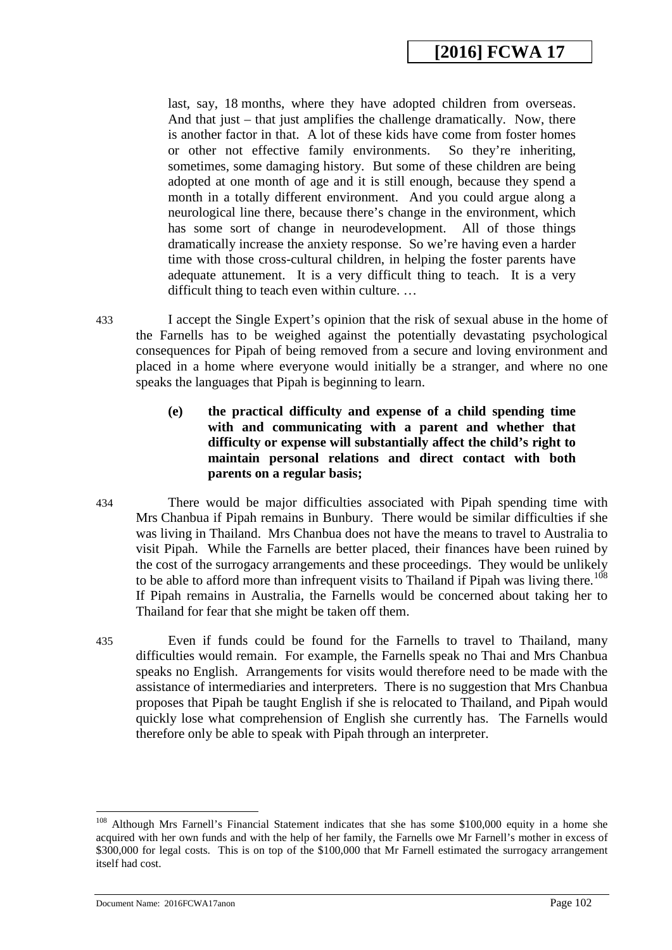last, say, 18 months, where they have adopted children from overseas. And that just – that just amplifies the challenge dramatically. Now, there is another factor in that. A lot of these kids have come from foster homes or other not effective family environments. So they're inheriting, sometimes, some damaging history. But some of these children are being adopted at one month of age and it is still enough, because they spend a month in a totally different environment. And you could argue along a neurological line there, because there's change in the environment, which has some sort of change in neurodevelopment. All of those things dramatically increase the anxiety response. So we're having even a harder time with those cross-cultural children, in helping the foster parents have adequate attunement. It is a very difficult thing to teach. It is a very difficult thing to teach even within culture. …

433 I accept the Single Expert's opinion that the risk of sexual abuse in the home of the Farnells has to be weighed against the potentially devastating psychological consequences for Pipah of being removed from a secure and loving environment and placed in a home where everyone would initially be a stranger, and where no one speaks the languages that Pipah is beginning to learn.

- **(e) the practical difficulty and expense of a child spending time with and communicating with a parent and whether that difficulty or expense will substantially affect the child's right to maintain personal relations and direct contact with both parents on a regular basis;**
- 434 There would be major difficulties associated with Pipah spending time with Mrs Chanbua if Pipah remains in Bunbury. There would be similar difficulties if she was living in Thailand. Mrs Chanbua does not have the means to travel to Australia to visit Pipah. While the Farnells are better placed, their finances have been ruined by the cost of the surrogacy arrangements and these proceedings. They would be unlikely to be able to afford more than infrequent visits to Thailand if Pipah was living there.<sup>108</sup> If Pipah remains in Australia, the Farnells would be concerned about taking her to Thailand for fear that she might be taken off them.
- 435 Even if funds could be found for the Farnells to travel to Thailand, many difficulties would remain. For example, the Farnells speak no Thai and Mrs Chanbua speaks no English. Arrangements for visits would therefore need to be made with the assistance of intermediaries and interpreters. There is no suggestion that Mrs Chanbua proposes that Pipah be taught English if she is relocated to Thailand, and Pipah would quickly lose what comprehension of English she currently has. The Farnells would therefore only be able to speak with Pipah through an interpreter.

Document Name: 2016FCWA17anon Page 102

<sup>&</sup>lt;sup>108</sup> Although Mrs Farnell's Financial Statement indicates that she has some \$100,000 equity in a home she acquired with her own funds and with the help of her family, the Farnells owe Mr Farnell's mother in excess of \$300,000 for legal costs. This is on top of the \$100,000 that Mr Farnell estimated the surrogacy arrangement itself had cost.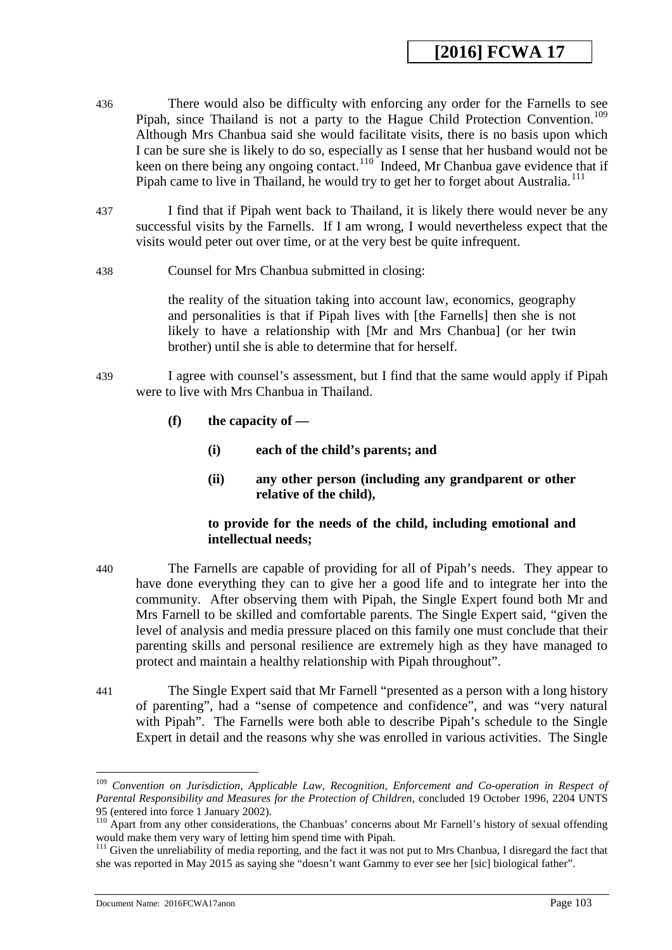- 436 There would also be difficulty with enforcing any order for the Farnells to see Pipah, since Thailand is not a party to the Hague Child Protection Convention.<sup>109</sup> Although Mrs Chanbua said she would facilitate visits, there is no basis upon which I can be sure she is likely to do so, especially as I sense that her husband would not be keen on there being any ongoing contact.<sup>[110](#page-103-1)</sup> Indeed, Mr Chanbua gave evidence that if Pipah came to live in Thailand, he would try to get her to forget about Australia.<sup>111</sup>
- 437 I find that if Pipah went back to Thailand, it is likely there would never be any successful visits by the Farnells. If I am wrong, I would nevertheless expect that the visits would peter out over time, or at the very best be quite infrequent.
- 438 Counsel for Mrs Chanbua submitted in closing:

the reality of the situation taking into account law, economics, geography and personalities is that if Pipah lives with [the Farnells] then she is not likely to have a relationship with [Mr and Mrs Chanbua] (or her twin brother) until she is able to determine that for herself.

- 439 I agree with counsel's assessment, but I find that the same would apply if Pipah were to live with Mrs Chanbua in Thailand.
	- **(f) the capacity of —**
		- **(i) each of the child's parents; and**
		- **(ii) any other person (including any grandparent or other relative of the child),**

## **to provide for the needs of the child, including emotional and intellectual needs;**

- 440 The Farnells are capable of providing for all of Pipah's needs. They appear to have done everything they can to give her a good life and to integrate her into the community. After observing them with Pipah, the Single Expert found both Mr and Mrs Farnell to be skilled and comfortable parents. The Single Expert said, "given the level of analysis and media pressure placed on this family one must conclude that their parenting skills and personal resilience are extremely high as they have managed to protect and maintain a healthy relationship with Pipah throughout".
- 441 The Single Expert said that Mr Farnell "presented as a person with a long history of parenting", had a "sense of competence and confidence", and was "very natural with Pipah". The Farnells were both able to describe Pipah's schedule to the Single Expert in detail and the reasons why she was enrolled in various activities. The Single

<sup>109</sup> *Convention on Jurisdiction, Applicable Law, Recognition, Enforcement and Co-operation in Respect of Parental Responsibility and Measures for the Protection of Children, concluded 19 October 1996, 2204 UNTS*<br>95 (entered into force 1 January 2002).

<span id="page-102-0"></span><sup>&</sup>lt;sup>110</sup> Apart from any other considerations, the Chanbuas' concerns about Mr Farnell's history of sexual offending would make them very wary of letting him spend time with Pipah.

<sup>&</sup>lt;sup>111</sup> Given the unreliability of media reporting, and the fact it was not put to Mrs Chanbua, I disregard the fact that she was reported in May 2015 as saying she "doesn't want Gammy to ever see her [sic] biological father".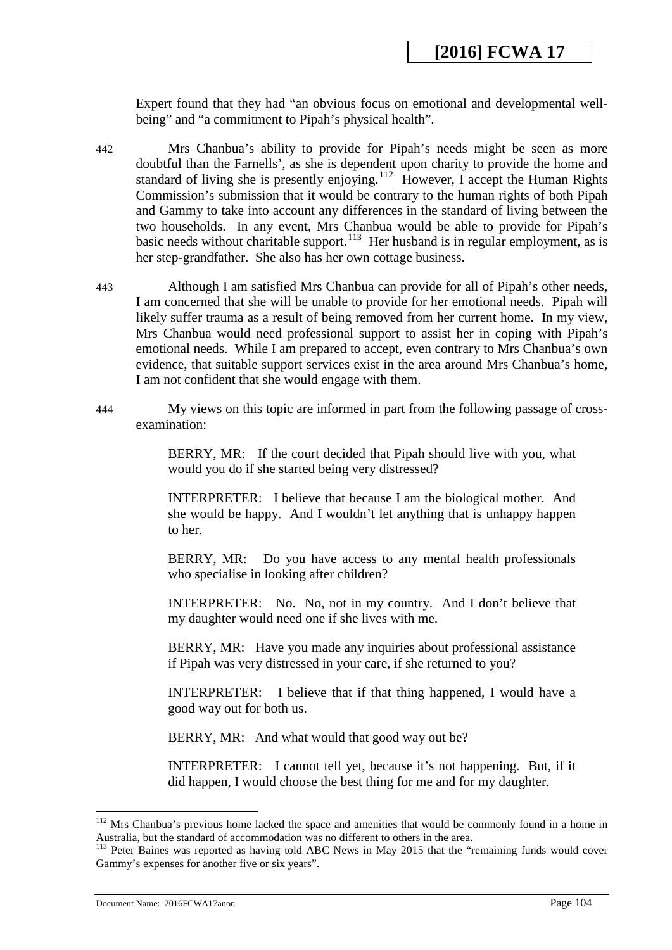Expert found that they had "an obvious focus on emotional and developmental wellbeing" and "a commitment to Pipah's physical health".

- 442 Mrs Chanbua's ability to provide for Pipah's needs might be seen as more doubtful than the Farnells', as she is dependent upon charity to provide the home and standard of living she is presently enjoying.<sup>[112](#page-104-0)</sup> However, I accept the Human Rights Commission's submission that it would be contrary to the human rights of both Pipah and Gammy to take into account any differences in the standard of living between the two households. In any event, Mrs Chanbua would be able to provide for Pipah's basic needs without charitable support.<sup>113</sup> Her husband is in regular employment, as is her step-grandfather. She also has her own cottage business.
- 443 Although I am satisfied Mrs Chanbua can provide for all of Pipah's other needs, I am concerned that she will be unable to provide for her emotional needs. Pipah will likely suffer trauma as a result of being removed from her current home. In my view, Mrs Chanbua would need professional support to assist her in coping with Pipah's emotional needs. While I am prepared to accept, even contrary to Mrs Chanbua's own evidence, that suitable support services exist in the area around Mrs Chanbua's home, I am not confident that she would engage with them.
- 444 My views on this topic are informed in part from the following passage of crossexamination:

BERRY, MR: If the court decided that Pipah should live with you, what would you do if she started being very distressed?

INTERPRETER: I believe that because I am the biological mother. And she would be happy. And I wouldn't let anything that is unhappy happen to her.

BERRY, MR: Do you have access to any mental health professionals who specialise in looking after children?

INTERPRETER: No. No, not in my country. And I don't believe that my daughter would need one if she lives with me.

BERRY, MR: Have you made any inquiries about professional assistance if Pipah was very distressed in your care, if she returned to you?

INTERPRETER: I believe that if that thing happened, I would have a good way out for both us.

BERRY, MR: And what would that good way out be?

INTERPRETER: I cannot tell yet, because it's not happening. But, if it did happen, I would choose the best thing for me and for my daughter.

<span id="page-103-1"></span><span id="page-103-0"></span> $112$  Mrs Chanbua's previous home lacked the space and amenities that would be commonly found in a home in Australia, but the standard of accommodation was no different to others in the area.

<span id="page-103-2"></span><sup>&</sup>lt;sup>113</sup> Peter Baines was reported as having told ABC News in May 2015 that the "remaining funds would cover Gammy's expenses for another five or six years".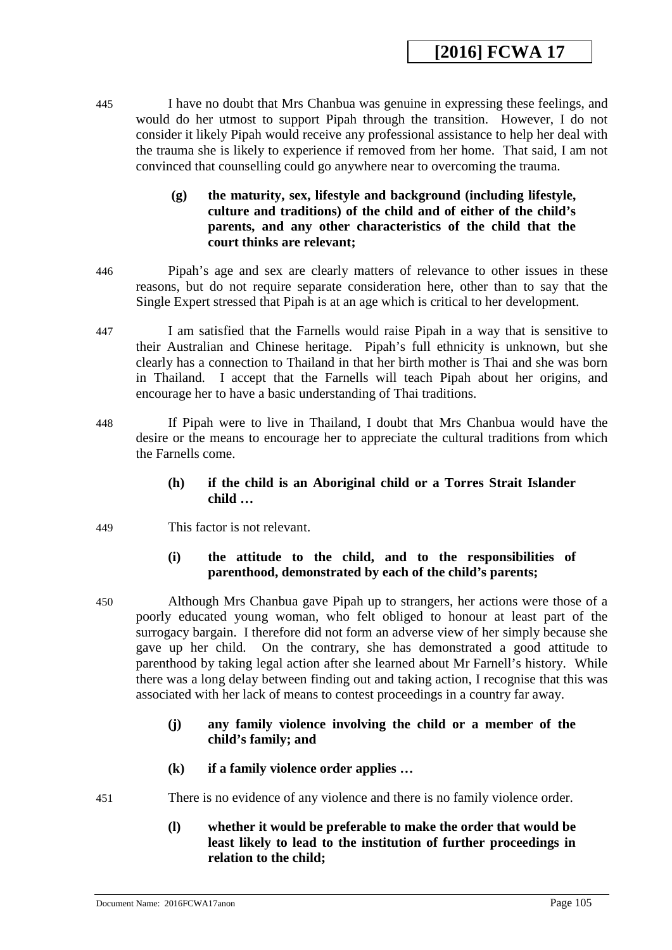445 I have no doubt that Mrs Chanbua was genuine in expressing these feelings, and would do her utmost to support Pipah through the transition. However, I do not consider it likely Pipah would receive any professional assistance to help her deal with the trauma she is likely to experience if removed from her home. That said, I am not convinced that counselling could go anywhere near to overcoming the trauma.

## **(g) the maturity, sex, lifestyle and background (including lifestyle, culture and traditions) of the child and of either of the child's parents, and any other characteristics of the child that the court thinks are relevant;**

- 446 Pipah's age and sex are clearly matters of relevance to other issues in these reasons, but do not require separate consideration here, other than to say that the Single Expert stressed that Pipah is at an age which is critical to her development.
- 447 I am satisfied that the Farnells would raise Pipah in a way that is sensitive to their Australian and Chinese heritage. Pipah's full ethnicity is unknown, but she clearly has a connection to Thailand in that her birth mother is Thai and she was born in Thailand. I accept that the Farnells will teach Pipah about her origins, and encourage her to have a basic understanding of Thai traditions.
- 448 If Pipah were to live in Thailand, I doubt that Mrs Chanbua would have the desire or the means to encourage her to appreciate the cultural traditions from which the Farnells come.
	- **(h) if the child is an Aboriginal child or a Torres Strait Islander child …**
- 449 This factor is not relevant.

## **(i) the attitude to the child, and to the responsibilities of parenthood, demonstrated by each of the child's parents;**

- 450 Although Mrs Chanbua gave Pipah up to strangers, her actions were those of a poorly educated young woman, who felt obliged to honour at least part of the surrogacy bargain. I therefore did not form an adverse view of her simply because she gave up her child. On the contrary, she has demonstrated a good attitude to parenthood by taking legal action after she learned about Mr Farnell's history. While there was a long delay between finding out and taking action, I recognise that this was associated with her lack of means to contest proceedings in a country far away.
	- **(j) any family violence involving the child or a member of the child's family; and**
	- **(k) if a family violence order applies …**

<span id="page-104-1"></span><span id="page-104-0"></span>451 There is no evidence of any violence and there is no family violence order.

**(l) whether it would be preferable to make the order that would be least likely to lead to the institution of further proceedings in relation to the child;**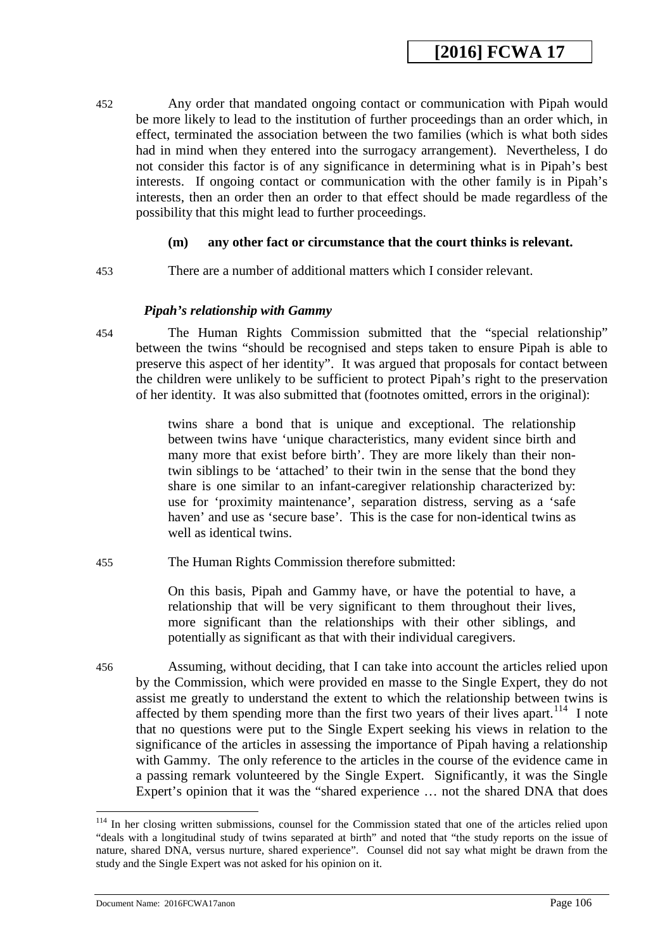452 Any order that mandated ongoing contact or communication with Pipah would be more likely to lead to the institution of further proceedings than an order which, in effect, terminated the association between the two families (which is what both sides had in mind when they entered into the surrogacy arrangement). Nevertheless, I do not consider this factor is of any significance in determining what is in Pipah's best interests. If ongoing contact or communication with the other family is in Pipah's interests, then an order then an order to that effect should be made regardless of the possibility that this might lead to further proceedings.

#### **(m) any other fact or circumstance that the court thinks is relevant.**

453 There are a number of additional matters which I consider relevant.

#### *Pipah's relationship with Gammy*

454 The Human Rights Commission submitted that the "special relationship" between the twins "should be recognised and steps taken to ensure Pipah is able to preserve this aspect of her identity". It was argued that proposals for contact between the children were unlikely to be sufficient to protect Pipah's right to the preservation of her identity. It was also submitted that (footnotes omitted, errors in the original):

> twins share a bond that is unique and exceptional. The relationship between twins have 'unique characteristics, many evident since birth and many more that exist before birth'. They are more likely than their nontwin siblings to be 'attached' to their twin in the sense that the bond they share is one similar to an infant-caregiver relationship characterized by: use for 'proximity maintenance', separation distress, serving as a 'safe haven' and use as 'secure base'. This is the case for non-identical twins as well as identical twins.

455 The Human Rights Commission therefore submitted:

On this basis, Pipah and Gammy have, or have the potential to have, a relationship that will be very significant to them throughout their lives, more significant than the relationships with their other siblings, and potentially as significant as that with their individual caregivers.

456 Assuming, without deciding, that I can take into account the articles relied upon by the Commission, which were provided en masse to the Single Expert, they do not assist me greatly to understand the extent to which the relationship between twins is affected by them spending more than the first two years of their lives apart.<sup>[114](#page-106-0)</sup> I note that no questions were put to the Single Expert seeking his views in relation to the significance of the articles in assessing the importance of Pipah having a relationship with Gammy. The only reference to the articles in the course of the evidence came in a passing remark volunteered by the Single Expert. Significantly, it was the Single Expert's opinion that it was the "shared experience … not the shared DNA that does

<sup>&</sup>lt;sup>114</sup> In her closing written submissions, counsel for the Commission stated that one of the articles relied upon "deals with a longitudinal study of twins separated at birth" and noted that "the study reports on the issue of nature, shared DNA, versus nurture, shared experience". Counsel did not say what might be drawn from the study and the Single Expert was not asked for his opinion on it.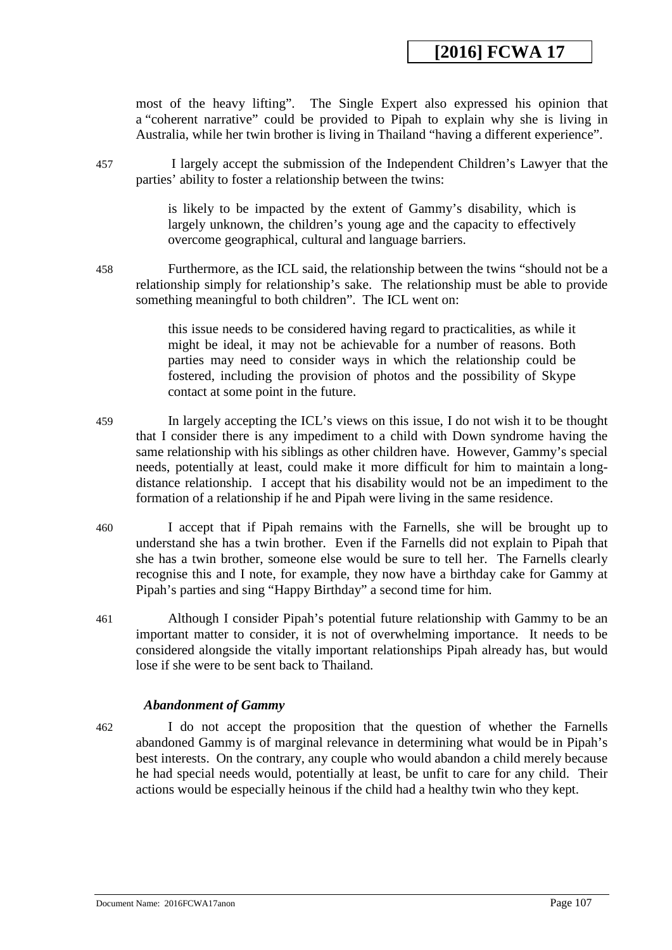most of the heavy lifting". The Single Expert also expressed his opinion that a "coherent narrative" could be provided to Pipah to explain why she is living in Australia, while her twin brother is living in Thailand "having a different experience".

457 I largely accept the submission of the Independent Children's Lawyer that the parties' ability to foster a relationship between the twins:

> is likely to be impacted by the extent of Gammy's disability, which is largely unknown, the children's young age and the capacity to effectively overcome geographical, cultural and language barriers.

458 Furthermore, as the ICL said, the relationship between the twins "should not be a relationship simply for relationship's sake. The relationship must be able to provide something meaningful to both children". The ICL went on:

> this issue needs to be considered having regard to practicalities, as while it might be ideal, it may not be achievable for a number of reasons. Both parties may need to consider ways in which the relationship could be fostered, including the provision of photos and the possibility of Skype contact at some point in the future.

- 459 In largely accepting the ICL's views on this issue, I do not wish it to be thought that I consider there is any impediment to a child with Down syndrome having the same relationship with his siblings as other children have. However, Gammy's special needs, potentially at least, could make it more difficult for him to maintain a longdistance relationship. I accept that his disability would not be an impediment to the formation of a relationship if he and Pipah were living in the same residence.
- 460 I accept that if Pipah remains with the Farnells, she will be brought up to understand she has a twin brother. Even if the Farnells did not explain to Pipah that she has a twin brother, someone else would be sure to tell her. The Farnells clearly recognise this and I note, for example, they now have a birthday cake for Gammy at Pipah's parties and sing "Happy Birthday" a second time for him.
- 461 Although I consider Pipah's potential future relationship with Gammy to be an important matter to consider, it is not of overwhelming importance. It needs to be considered alongside the vitally important relationships Pipah already has, but would lose if she were to be sent back to Thailand.

## *Abandonment of Gammy*

<span id="page-106-0"></span>462 I do not accept the proposition that the question of whether the Farnells abandoned Gammy is of marginal relevance in determining what would be in Pipah's best interests. On the contrary, any couple who would abandon a child merely because he had special needs would, potentially at least, be unfit to care for any child. Their actions would be especially heinous if the child had a healthy twin who they kept.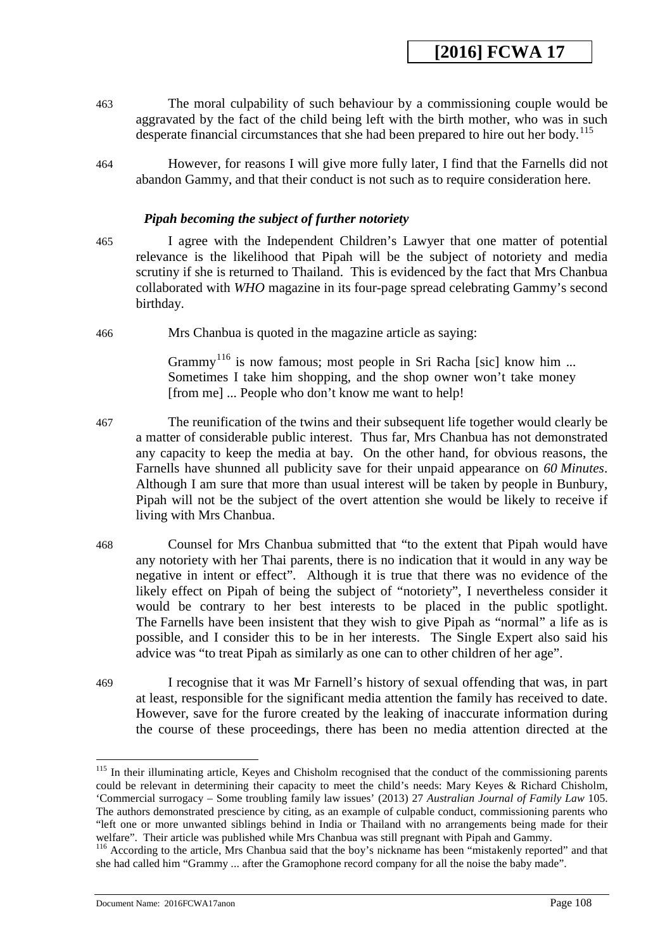- 463 The moral culpability of such behaviour by a commissioning couple would be aggravated by the fact of the child being left with the birth mother, who was in such desperate financial circumstances that she had been prepared to hire out her body.<sup>[115](#page-108-0)</sup>
- 464 However, for reasons I will give more fully later, I find that the Farnells did not abandon Gammy, and that their conduct is not such as to require consideration here.

#### *Pipah becoming the subject of further notoriety*

- 465 I agree with the Independent Children's Lawyer that one matter of potential relevance is the likelihood that Pipah will be the subject of notoriety and media scrutiny if she is returned to Thailand. This is evidenced by the fact that Mrs Chanbua collaborated with *WHO* magazine in its four-page spread celebrating Gammy's second birthday.
- 466 Mrs Chanbua is quoted in the magazine article as saying:

Grammy<sup>[116](#page-108-1)</sup> is now famous; most people in Sri Racha [sic] know him ... Sometimes I take him shopping, and the shop owner won't take money [from me] ... People who don't know me want to help!

- 467 The reunification of the twins and their subsequent life together would clearly be a matter of considerable public interest. Thus far, Mrs Chanbua has not demonstrated any capacity to keep the media at bay. On the other hand, for obvious reasons, the Farnells have shunned all publicity save for their unpaid appearance on *60 Minutes*. Although I am sure that more than usual interest will be taken by people in Bunbury, Pipah will not be the subject of the overt attention she would be likely to receive if living with Mrs Chanbua.
- 468 Counsel for Mrs Chanbua submitted that "to the extent that Pipah would have any notoriety with her Thai parents, there is no indication that it would in any way be negative in intent or effect". Although it is true that there was no evidence of the likely effect on Pipah of being the subject of "notoriety", I nevertheless consider it would be contrary to her best interests to be placed in the public spotlight. The Farnells have been insistent that they wish to give Pipah as "normal" a life as is possible, and I consider this to be in her interests. The Single Expert also said his advice was "to treat Pipah as similarly as one can to other children of her age".
- 469 I recognise that it was Mr Farnell's history of sexual offending that was, in part at least, responsible for the significant media attention the family has received to date. However, save for the furore created by the leaking of inaccurate information during the course of these proceedings, there has been no media attention directed at the

<sup>&</sup>lt;sup>115</sup> In their illuminating article, Keyes and Chisholm recognised that the conduct of the commissioning parents could be relevant in determining their capacity to meet the child's needs: Mary Keyes & Richard Chisholm, 'Commercial surrogacy – Some troubling family law issues' (2013) 27 *Australian Journal of Family Law* 105. The authors demonstrated prescience by citing, as an example of culpable conduct, commissioning parents who "left one or more unwanted siblings behind in India or Thailand with no arrangements being made for their welfare". Their article was published while Mrs Chanbua was still pregnant with Pipah and Gammy.

<sup>116</sup> According to the article, Mrs Chanbua said that the boy's nickname has been "mistakenly reported" and that she had called him "Grammy ... after the Gramophone record company for all the noise the baby made".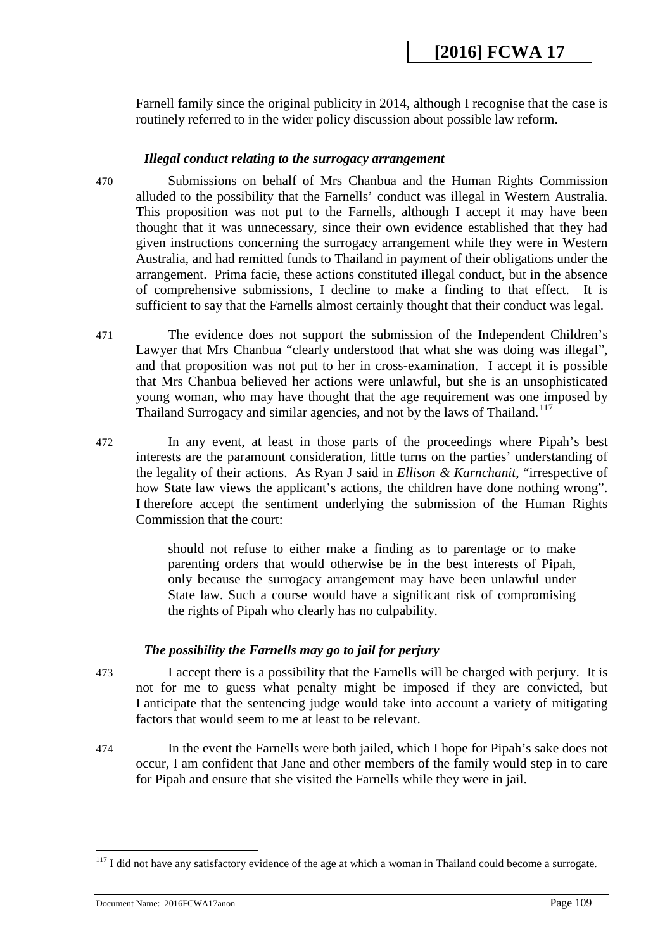Farnell family since the original publicity in 2014, although I recognise that the case is routinely referred to in the wider policy discussion about possible law reform.

### *Illegal conduct relating to the surrogacy arrangement*

470 Submissions on behalf of Mrs Chanbua and the Human Rights Commission alluded to the possibility that the Farnells' conduct was illegal in Western Australia. This proposition was not put to the Farnells, although I accept it may have been thought that it was unnecessary, since their own evidence established that they had given instructions concerning the surrogacy arrangement while they were in Western Australia, and had remitted funds to Thailand in payment of their obligations under the arrangement. Prima facie, these actions constituted illegal conduct, but in the absence of comprehensive submissions, I decline to make a finding to that effect. It is sufficient to say that the Farnells almost certainly thought that their conduct was legal.

- 471 The evidence does not support the submission of the Independent Children's Lawyer that Mrs Chanbua "clearly understood that what she was doing was illegal", and that proposition was not put to her in cross-examination. I accept it is possible that Mrs Chanbua believed her actions were unlawful, but she is an unsophisticated young woman, who may have thought that the age requirement was one imposed by Thailand Surrogacy and similar agencies, and not by the laws of Thailand.<sup>[117](#page-109-0)</sup>
- 472 In any event, at least in those parts of the proceedings where Pipah's best interests are the paramount consideration, little turns on the parties' understanding of the legality of their actions. As Ryan J said in *Ellison & Karnchanit*, "irrespective of how State law views the applicant's actions, the children have done nothing wrong". I therefore accept the sentiment underlying the submission of the Human Rights Commission that the court:

should not refuse to either make a finding as to parentage or to make parenting orders that would otherwise be in the best interests of Pipah, only because the surrogacy arrangement may have been unlawful under State law. Such a course would have a significant risk of compromising the rights of Pipah who clearly has no culpability.

### *The possibility the Farnells may go to jail for perjury*

- 473 I accept there is a possibility that the Farnells will be charged with perjury. It is not for me to guess what penalty might be imposed if they are convicted, but I anticipate that the sentencing judge would take into account a variety of mitigating factors that would seem to me at least to be relevant.
- 474 In the event the Farnells were both jailed, which I hope for Pipah's sake does not occur, I am confident that Jane and other members of the family would step in to care for Pipah and ensure that she visited the Farnells while they were in jail.

<u>.</u>

 $117$  I did not have any satisfactory evidence of the age at which a woman in Thailand could become a surrogate.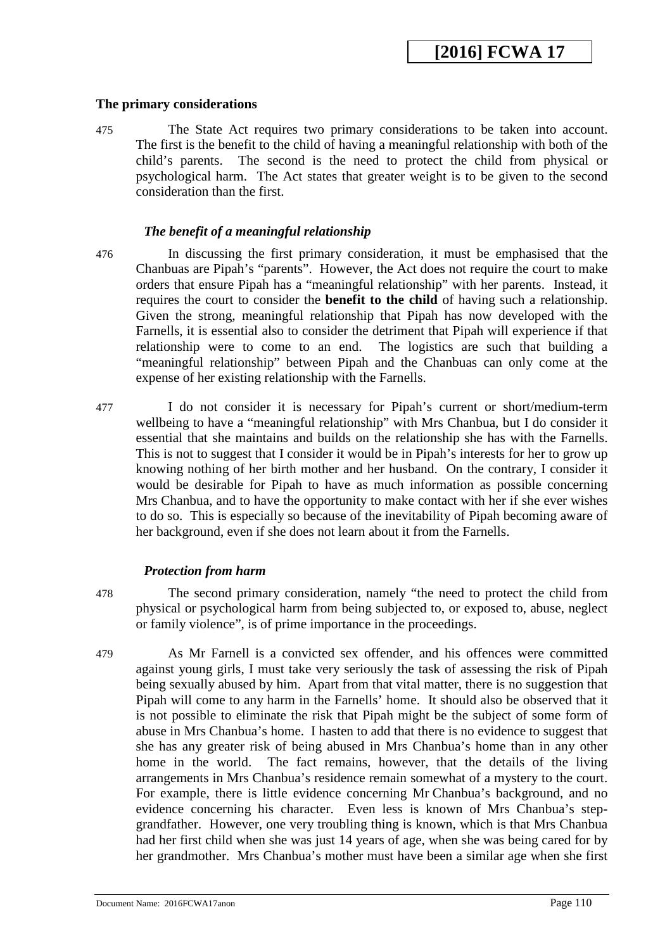#### **The primary considerations**

475 The State Act requires two primary considerations to be taken into account. The first is the benefit to the child of having a meaningful relationship with both of the child's parents. The second is the need to protect the child from physical or psychological harm. The Act states that greater weight is to be given to the second consideration than the first.

### *The benefit of a meaningful relationship*

- 476 In discussing the first primary consideration, it must be emphasised that the Chanbuas are Pipah's "parents". However, the Act does not require the court to make orders that ensure Pipah has a "meaningful relationship" with her parents. Instead, it requires the court to consider the **benefit to the child** of having such a relationship. Given the strong, meaningful relationship that Pipah has now developed with the Farnells, it is essential also to consider the detriment that Pipah will experience if that relationship were to come to an end. The logistics are such that building a "meaningful relationship" between Pipah and the Chanbuas can only come at the expense of her existing relationship with the Farnells.
- 477 I do not consider it is necessary for Pipah's current or short/medium-term wellbeing to have a "meaningful relationship" with Mrs Chanbua, but I do consider it essential that she maintains and builds on the relationship she has with the Farnells. This is not to suggest that I consider it would be in Pipah's interests for her to grow up knowing nothing of her birth mother and her husband. On the contrary, I consider it would be desirable for Pipah to have as much information as possible concerning Mrs Chanbua, and to have the opportunity to make contact with her if she ever wishes to do so. This is especially so because of the inevitability of Pipah becoming aware of her background, even if she does not learn about it from the Farnells.

#### *Protection from harm*

478 The second primary consideration, namely "the need to protect the child from physical or psychological harm from being subjected to, or exposed to, abuse, neglect or family violence", is of prime importance in the proceedings.

<span id="page-109-0"></span>479 As Mr Farnell is a convicted sex offender, and his offences were committed against young girls, I must take very seriously the task of assessing the risk of Pipah being sexually abused by him. Apart from that vital matter, there is no suggestion that Pipah will come to any harm in the Farnells' home. It should also be observed that it is not possible to eliminate the risk that Pipah might be the subject of some form of abuse in Mrs Chanbua's home. I hasten to add that there is no evidence to suggest that she has any greater risk of being abused in Mrs Chanbua's home than in any other home in the world. The fact remains, however, that the details of the living arrangements in Mrs Chanbua's residence remain somewhat of a mystery to the court. For example, there is little evidence concerning Mr Chanbua's background, and no evidence concerning his character. Even less is known of Mrs Chanbua's stepgrandfather. However, one very troubling thing is known, which is that Mrs Chanbua had her first child when she was just 14 years of age, when she was being cared for by her grandmother. Mrs Chanbua's mother must have been a similar age when she first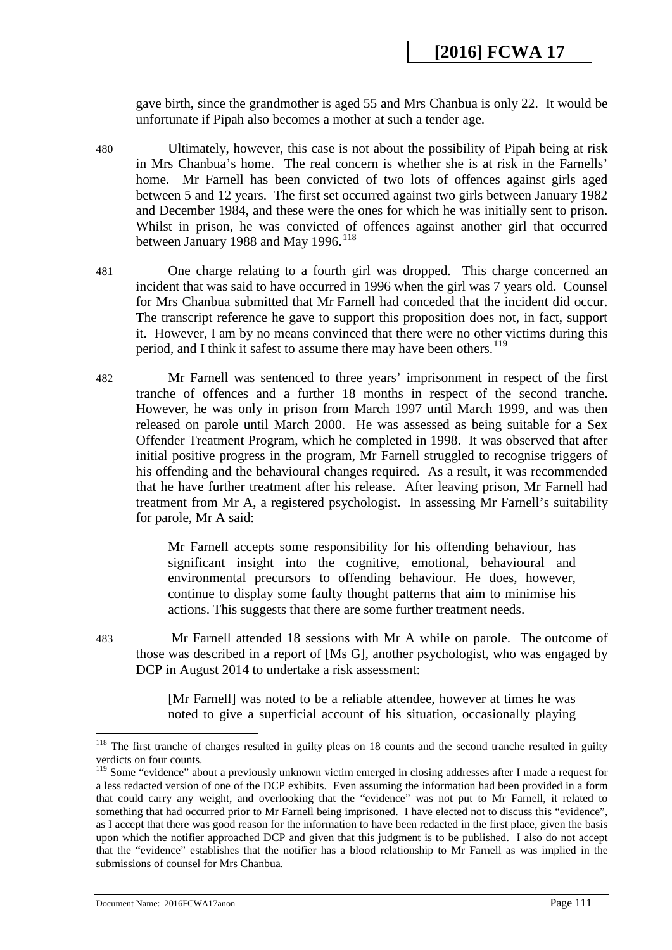gave birth, since the grandmother is aged 55 and Mrs Chanbua is only 22. It would be unfortunate if Pipah also becomes a mother at such a tender age.

- 480 Ultimately, however, this case is not about the possibility of Pipah being at risk in Mrs Chanbua's home. The real concern is whether she is at risk in the Farnells' home. Mr Farnell has been convicted of two lots of offences against girls aged between 5 and 12 years. The first set occurred against two girls between January 1982 and December 1984, and these were the ones for which he was initially sent to prison. Whilst in prison, he was convicted of offences against another girl that occurred between January 1988 and May 1996.<sup>[118](#page-111-0)</sup>
- 481 One charge relating to a fourth girl was dropped. This charge concerned an incident that was said to have occurred in 1996 when the girl was 7 years old. Counsel for Mrs Chanbua submitted that Mr Farnell had conceded that the incident did occur. The transcript reference he gave to support this proposition does not, in fact, support it. However, I am by no means convinced that there were no other victims during this period, and I think it safest to assume there may have been others.<sup>119</sup>
- 482 Mr Farnell was sentenced to three years' imprisonment in respect of the first tranche of offences and a further 18 months in respect of the second tranche. However, he was only in prison from March 1997 until March 1999, and was then released on parole until March 2000. He was assessed as being suitable for a Sex Offender Treatment Program, which he completed in 1998. It was observed that after initial positive progress in the program, Mr Farnell struggled to recognise triggers of his offending and the behavioural changes required. As a result, it was recommended that he have further treatment after his release. After leaving prison, Mr Farnell had treatment from Mr A, a registered psychologist. In assessing Mr Farnell's suitability for parole, Mr A said:

Mr Farnell accepts some responsibility for his offending behaviour, has significant insight into the cognitive, emotional, behavioural and environmental precursors to offending behaviour. He does, however, continue to display some faulty thought patterns that aim to minimise his actions. This suggests that there are some further treatment needs.

483 Mr Farnell attended 18 sessions with Mr A while on parole. The outcome of those was described in a report of [Ms G], another psychologist, who was engaged by DCP in August 2014 to undertake a risk assessment:

> [Mr Farnell] was noted to be a reliable attendee, however at times he was noted to give a superficial account of his situation, occasionally playing

Document Name: 2016FCWA17anon Page 111

 $118$  The first tranche of charges resulted in guilty pleas on 18 counts and the second tranche resulted in guilty verdicts on four counts. -

<sup>&</sup>lt;sup>119</sup> Some "evidence" about a previously unknown victim emerged in closing addresses after I made a request for a less redacted version of one of the DCP exhibits. Even assuming the information had been provided in a form that could carry any weight, and overlooking that the "evidence" was not put to Mr Farnell, it related to something that had occurred prior to Mr Farnell being imprisoned. I have elected not to discuss this "evidence", as I accept that there was good reason for the information to have been redacted in the first place, given the basis upon which the notifier approached DCP and given that this judgment is to be published. I also do not accept that the "evidence" establishes that the notifier has a blood relationship to Mr Farnell as was implied in the submissions of counsel for Mrs Chanbua.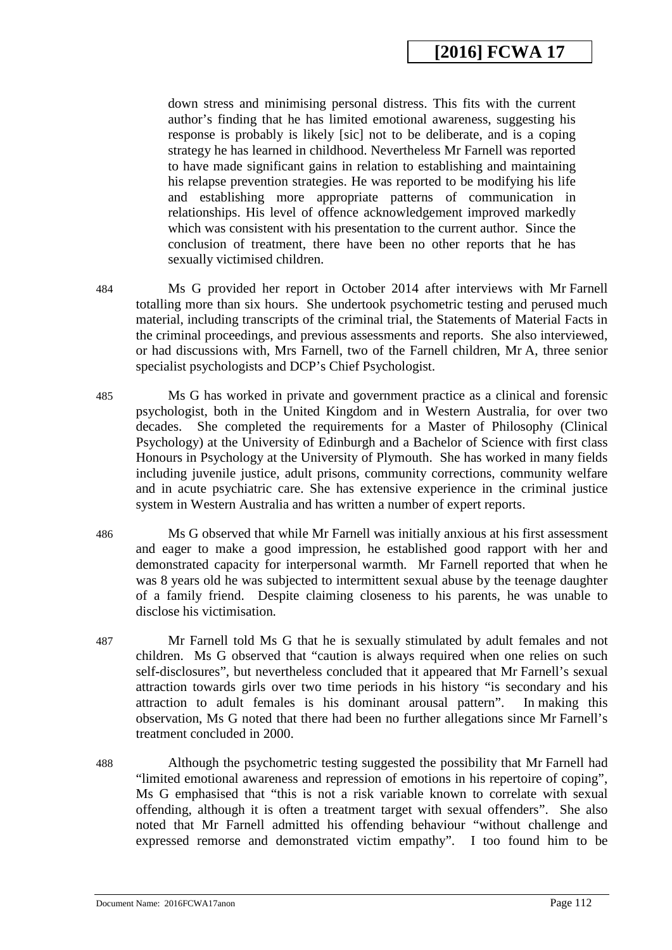down stress and minimising personal distress. This fits with the current author's finding that he has limited emotional awareness, suggesting his response is probably is likely [sic] not to be deliberate, and is a coping strategy he has learned in childhood. Nevertheless Mr Farnell was reported to have made significant gains in relation to establishing and maintaining his relapse prevention strategies. He was reported to be modifying his life and establishing more appropriate patterns of communication in relationships. His level of offence acknowledgement improved markedly which was consistent with his presentation to the current author. Since the conclusion of treatment, there have been no other reports that he has sexually victimised children.

- 484 Ms G provided her report in October 2014 after interviews with Mr Farnell totalling more than six hours. She undertook psychometric testing and perused much material, including transcripts of the criminal trial, the Statements of Material Facts in the criminal proceedings, and previous assessments and reports. She also interviewed, or had discussions with, Mrs Farnell, two of the Farnell children, Mr A, three senior specialist psychologists and DCP's Chief Psychologist.
- 485 Ms G has worked in private and government practice as a clinical and forensic psychologist, both in the United Kingdom and in Western Australia, for over two decades. She completed the requirements for a Master of Philosophy (Clinical Psychology) at the University of Edinburgh and a Bachelor of Science with first class Honours in Psychology at the University of Plymouth. She has worked in many fields including juvenile justice, adult prisons, community corrections, community welfare and in acute psychiatric care. She has extensive experience in the criminal justice system in Western Australia and has written a number of expert reports.
- 486 Ms G observed that while Mr Farnell was initially anxious at his first assessment and eager to make a good impression, he established good rapport with her and demonstrated capacity for interpersonal warmth. Mr Farnell reported that when he was 8 years old he was subjected to intermittent sexual abuse by the teenage daughter of a family friend. Despite claiming closeness to his parents, he was unable to disclose his victimisation.
- 487 Mr Farnell told Ms G that he is sexually stimulated by adult females and not children. Ms G observed that "caution is always required when one relies on such self-disclosures", but nevertheless concluded that it appeared that Mr Farnell's sexual attraction towards girls over two time periods in his history "is secondary and his attraction to adult females is his dominant arousal pattern". In making this observation, Ms G noted that there had been no further allegations since Mr Farnell's treatment concluded in 2000.
- <span id="page-111-1"></span><span id="page-111-0"></span>488 Although the psychometric testing suggested the possibility that Mr Farnell had "limited emotional awareness and repression of emotions in his repertoire of coping", Ms G emphasised that "this is not a risk variable known to correlate with sexual offending, although it is often a treatment target with sexual offenders". She also noted that Mr Farnell admitted his offending behaviour "without challenge and expressed remorse and demonstrated victim empathy". I too found him to be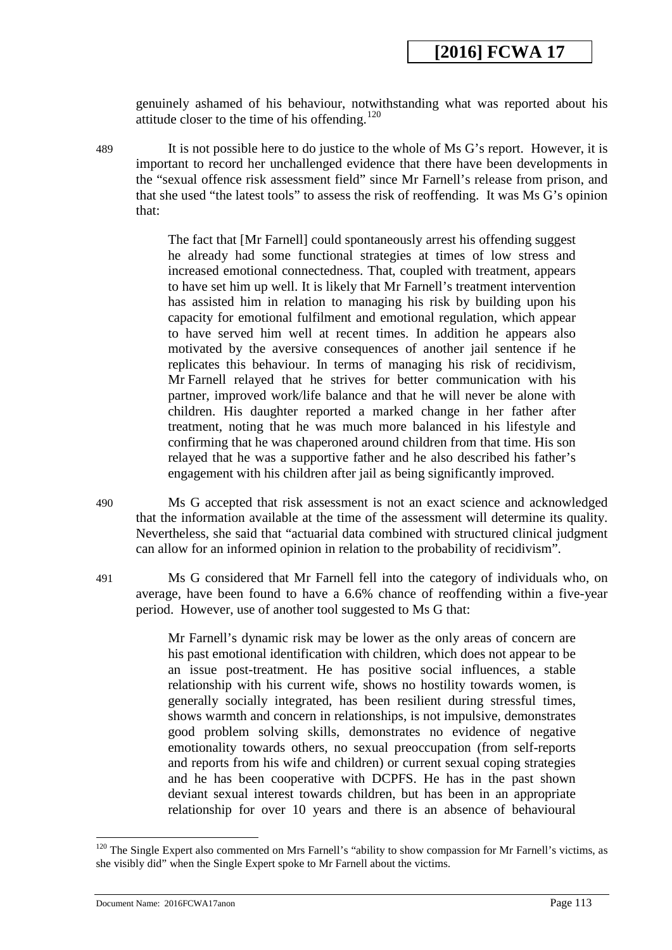genuinely ashamed of his behaviour, notwithstanding what was reported about his attitude closer to the time of his offending.<sup>[120](#page-113-0)</sup>

489 It is not possible here to do justice to the whole of Ms G's report. However, it is important to record her unchallenged evidence that there have been developments in the "sexual offence risk assessment field" since Mr Farnell's release from prison, and that she used "the latest tools" to assess the risk of reoffending. It was Ms G's opinion that:

> The fact that [Mr Farnell] could spontaneously arrest his offending suggest he already had some functional strategies at times of low stress and increased emotional connectedness. That, coupled with treatment, appears to have set him up well. It is likely that Mr Farnell's treatment intervention has assisted him in relation to managing his risk by building upon his capacity for emotional fulfilment and emotional regulation, which appear to have served him well at recent times. In addition he appears also motivated by the aversive consequences of another jail sentence if he replicates this behaviour. In terms of managing his risk of recidivism, Mr Farnell relayed that he strives for better communication with his partner, improved work/life balance and that he will never be alone with children. His daughter reported a marked change in her father after treatment, noting that he was much more balanced in his lifestyle and confirming that he was chaperoned around children from that time. His son relayed that he was a supportive father and he also described his father's engagement with his children after jail as being significantly improved.

- 490 Ms G accepted that risk assessment is not an exact science and acknowledged that the information available at the time of the assessment will determine its quality. Nevertheless, she said that "actuarial data combined with structured clinical judgment can allow for an informed opinion in relation to the probability of recidivism".
- 491 Ms G considered that Mr Farnell fell into the category of individuals who, on average, have been found to have a 6.6% chance of reoffending within a five-year period. However, use of another tool suggested to Ms G that:

Mr Farnell's dynamic risk may be lower as the only areas of concern are his past emotional identification with children, which does not appear to be an issue post-treatment. He has positive social influences, a stable relationship with his current wife, shows no hostility towards women, is generally socially integrated, has been resilient during stressful times, shows warmth and concern in relationships, is not impulsive, demonstrates good problem solving skills, demonstrates no evidence of negative emotionality towards others, no sexual preoccupation (from self-reports and reports from his wife and children) or current sexual coping strategies and he has been cooperative with DCPFS. He has in the past shown deviant sexual interest towards children, but has been in an appropriate relationship for over 10 years and there is an absence of behavioural

<sup>&</sup>lt;sup>120</sup> The Single Expert also commented on Mrs Farnell's "ability to show compassion for Mr Farnell's victims, as she visibly did" when the Single Expert spoke to Mr Farnell about the victims.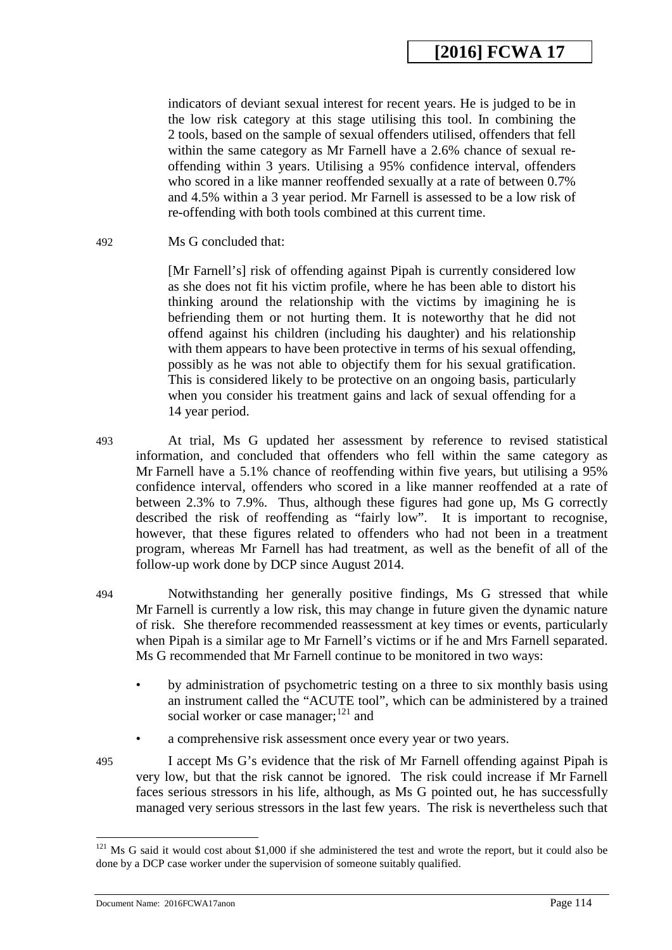indicators of deviant sexual interest for recent years. He is judged to be in the low risk category at this stage utilising this tool. In combining the 2 tools, based on the sample of sexual offenders utilised, offenders that fell within the same category as Mr Farnell have a 2.6% chance of sexual reoffending within 3 years. Utilising a 95% confidence interval, offenders who scored in a like manner reoffended sexually at a rate of between 0.7% and 4.5% within a 3 year period. Mr Farnell is assessed to be a low risk of re-offending with both tools combined at this current time.

492 Ms G concluded that:

[Mr Farnell's] risk of offending against Pipah is currently considered low as she does not fit his victim profile, where he has been able to distort his thinking around the relationship with the victims by imagining he is befriending them or not hurting them. It is noteworthy that he did not offend against his children (including his daughter) and his relationship with them appears to have been protective in terms of his sexual offending, possibly as he was not able to objectify them for his sexual gratification. This is considered likely to be protective on an ongoing basis, particularly when you consider his treatment gains and lack of sexual offending for a 14 year period.

493 At trial, Ms G updated her assessment by reference to revised statistical information, and concluded that offenders who fell within the same category as Mr Farnell have a 5.1% chance of reoffending within five years, but utilising a 95% confidence interval, offenders who scored in a like manner reoffended at a rate of between 2.3% to 7.9%. Thus, although these figures had gone up, Ms G correctly described the risk of reoffending as "fairly low". It is important to recognise, however, that these figures related to offenders who had not been in a treatment program, whereas Mr Farnell has had treatment, as well as the benefit of all of the follow-up work done by DCP since August 2014.

494 Notwithstanding her generally positive findings, Ms G stressed that while Mr Farnell is currently a low risk, this may change in future given the dynamic nature of risk. She therefore recommended reassessment at key times or events, particularly when Pipah is a similar age to Mr Farnell's victims or if he and Mrs Farnell separated. Ms G recommended that Mr Farnell continue to be monitored in two ways:

- by administration of psychometric testing on a three to six monthly basis using an instrument called the "ACUTE tool", which can be administered by a trained social worker or case manager; $^{121}$  $^{121}$  $^{121}$  and
- a comprehensive risk assessment once every year or two years.

495 I accept Ms G's evidence that the risk of Mr Farnell offending against Pipah is very low, but that the risk cannot be ignored. The risk could increase if Mr Farnell faces serious stressors in his life, although, as Ms G pointed out, he has successfully managed very serious stressors in the last few years. The risk is nevertheless such that

<span id="page-113-0"></span> $121$  Ms G said it would cost about \$1,000 if she administered the test and wrote the report, but it could also be done by a DCP case worker under the supervision of someone suitably qualified.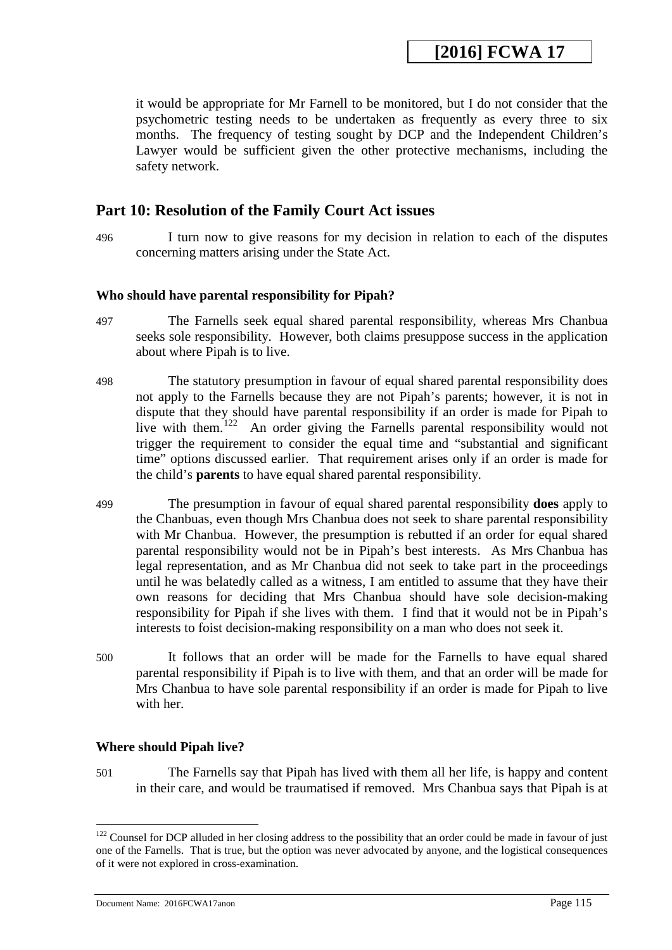**[2016] FCWA 17** 

it would be appropriate for Mr Farnell to be monitored, but I do not consider that the psychometric testing needs to be undertaken as frequently as every three to six months. The frequency of testing sought by DCP and the Independent Children's Lawyer would be sufficient given the other protective mechanisms, including the safety network.

### **Part 10: Resolution of the Family Court Act issues**

496 I turn now to give reasons for my decision in relation to each of the disputes concerning matters arising under the State Act.

### **Who should have parental responsibility for Pipah?**

- 497 The Farnells seek equal shared parental responsibility, whereas Mrs Chanbua seeks sole responsibility. However, both claims presuppose success in the application about where Pipah is to live.
- 498 The statutory presumption in favour of equal shared parental responsibility does not apply to the Farnells because they are not Pipah's parents; however, it is not in dispute that they should have parental responsibility if an order is made for Pipah to live with them.<sup>122</sup> An order giving the Farnells parental responsibility would not trigger the requirement to consider the equal time and "substantial and significant time" options discussed earlier. That requirement arises only if an order is made for the child's **parents** to have equal shared parental responsibility.
- 499 The presumption in favour of equal shared parental responsibility **does** apply to the Chanbuas, even though Mrs Chanbua does not seek to share parental responsibility with Mr Chanbua. However, the presumption is rebutted if an order for equal shared parental responsibility would not be in Pipah's best interests. As Mrs Chanbua has legal representation, and as Mr Chanbua did not seek to take part in the proceedings until he was belatedly called as a witness, I am entitled to assume that they have their own reasons for deciding that Mrs Chanbua should have sole decision-making responsibility for Pipah if she lives with them. I find that it would not be in Pipah's interests to foist decision-making responsibility on a man who does not seek it.
- 500 It follows that an order will be made for the Farnells to have equal shared parental responsibility if Pipah is to live with them, and that an order will be made for Mrs Chanbua to have sole parental responsibility if an order is made for Pipah to live with her.

#### **Where should Pipah live?**

501 The Farnells say that Pipah has lived with them all her life, is happy and content in their care, and would be traumatised if removed. Mrs Chanbua says that Pipah is at

<span id="page-114-0"></span> $122$  Counsel for DCP alluded in her closing address to the possibility that an order could be made in favour of just one of the Farnells. That is true, but the option was never advocated by anyone, and the logistical consequences of it were not explored in cross-examination.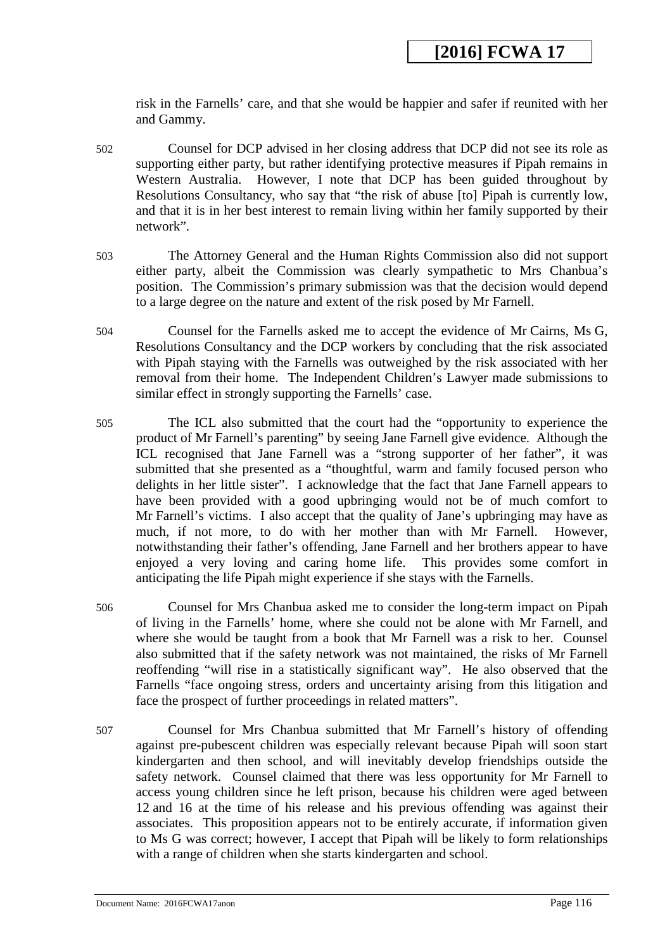risk in the Farnells' care, and that she would be happier and safer if reunited with her and Gammy.

- 502 Counsel for DCP advised in her closing address that DCP did not see its role as supporting either party, but rather identifying protective measures if Pipah remains in Western Australia. However, I note that DCP has been guided throughout by Resolutions Consultancy, who say that "the risk of abuse [to] Pipah is currently low, and that it is in her best interest to remain living within her family supported by their network".
- 503 The Attorney General and the Human Rights Commission also did not support either party, albeit the Commission was clearly sympathetic to Mrs Chanbua's position. The Commission's primary submission was that the decision would depend to a large degree on the nature and extent of the risk posed by Mr Farnell.
- 504 Counsel for the Farnells asked me to accept the evidence of Mr Cairns, Ms G, Resolutions Consultancy and the DCP workers by concluding that the risk associated with Pipah staying with the Farnells was outweighed by the risk associated with her removal from their home. The Independent Children's Lawyer made submissions to similar effect in strongly supporting the Farnells' case.
- 505 The ICL also submitted that the court had the "opportunity to experience the product of Mr Farnell's parenting" by seeing Jane Farnell give evidence. Although the ICL recognised that Jane Farnell was a "strong supporter of her father", it was submitted that she presented as a "thoughtful, warm and family focused person who delights in her little sister". I acknowledge that the fact that Jane Farnell appears to have been provided with a good upbringing would not be of much comfort to Mr Farnell's victims. I also accept that the quality of Jane's upbringing may have as much, if not more, to do with her mother than with Mr Farnell. However, notwithstanding their father's offending, Jane Farnell and her brothers appear to have enjoyed a very loving and caring home life. This provides some comfort in enjoyed a very loving and caring home life. anticipating the life Pipah might experience if she stays with the Farnells.
- 506 Counsel for Mrs Chanbua asked me to consider the long-term impact on Pipah of living in the Farnells' home, where she could not be alone with Mr Farnell, and where she would be taught from a book that Mr Farnell was a risk to her. Counsel also submitted that if the safety network was not maintained, the risks of Mr Farnell reoffending "will rise in a statistically significant way". He also observed that the Farnells "face ongoing stress, orders and uncertainty arising from this litigation and face the prospect of further proceedings in related matters".
- <span id="page-115-0"></span>507 Counsel for Mrs Chanbua submitted that Mr Farnell's history of offending against pre-pubescent children was especially relevant because Pipah will soon start kindergarten and then school, and will inevitably develop friendships outside the safety network. Counsel claimed that there was less opportunity for Mr Farnell to access young children since he left prison, because his children were aged between 12 and 16 at the time of his release and his previous offending was against their associates. This proposition appears not to be entirely accurate, if information given to Ms G was correct; however, I accept that Pipah will be likely to form relationships with a range of children when she starts kindergarten and school.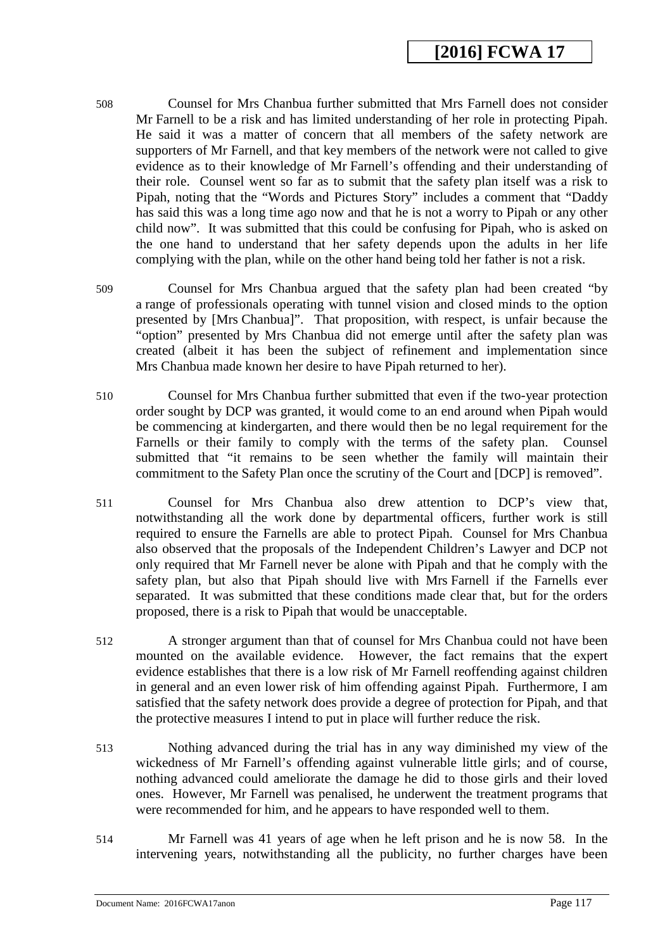- 508 Counsel for Mrs Chanbua further submitted that Mrs Farnell does not consider Mr Farnell to be a risk and has limited understanding of her role in protecting Pipah. He said it was a matter of concern that all members of the safety network are supporters of Mr Farnell, and that key members of the network were not called to give evidence as to their knowledge of Mr Farnell's offending and their understanding of their role. Counsel went so far as to submit that the safety plan itself was a risk to Pipah, noting that the "Words and Pictures Story" includes a comment that "Daddy has said this was a long time ago now and that he is not a worry to Pipah or any other child now". It was submitted that this could be confusing for Pipah, who is asked on the one hand to understand that her safety depends upon the adults in her life complying with the plan, while on the other hand being told her father is not a risk.
- 509 Counsel for Mrs Chanbua argued that the safety plan had been created "by a range of professionals operating with tunnel vision and closed minds to the option presented by [Mrs Chanbua]". That proposition, with respect, is unfair because the "option" presented by Mrs Chanbua did not emerge until after the safety plan was created (albeit it has been the subject of refinement and implementation since Mrs Chanbua made known her desire to have Pipah returned to her).
- 510 Counsel for Mrs Chanbua further submitted that even if the two-year protection order sought by DCP was granted, it would come to an end around when Pipah would be commencing at kindergarten, and there would then be no legal requirement for the Farnells or their family to comply with the terms of the safety plan. Counsel submitted that "it remains to be seen whether the family will maintain their commitment to the Safety Plan once the scrutiny of the Court and [DCP] is removed".
- 511 Counsel for Mrs Chanbua also drew attention to DCP's view that, notwithstanding all the work done by departmental officers, further work is still required to ensure the Farnells are able to protect Pipah. Counsel for Mrs Chanbua also observed that the proposals of the Independent Children's Lawyer and DCP not only required that Mr Farnell never be alone with Pipah and that he comply with the safety plan, but also that Pipah should live with Mrs Farnell if the Farnells ever separated. It was submitted that these conditions made clear that, but for the orders proposed, there is a risk to Pipah that would be unacceptable.
- 512 A stronger argument than that of counsel for Mrs Chanbua could not have been mounted on the available evidence. However, the fact remains that the expert evidence establishes that there is a low risk of Mr Farnell reoffending against children in general and an even lower risk of him offending against Pipah. Furthermore, I am satisfied that the safety network does provide a degree of protection for Pipah, and that the protective measures I intend to put in place will further reduce the risk.
- 513 Nothing advanced during the trial has in any way diminished my view of the wickedness of Mr Farnell's offending against vulnerable little girls; and of course, nothing advanced could ameliorate the damage he did to those girls and their loved ones. However, Mr Farnell was penalised, he underwent the treatment programs that were recommended for him, and he appears to have responded well to them.
- 514 Mr Farnell was 41 years of age when he left prison and he is now 58. In the intervening years, notwithstanding all the publicity, no further charges have been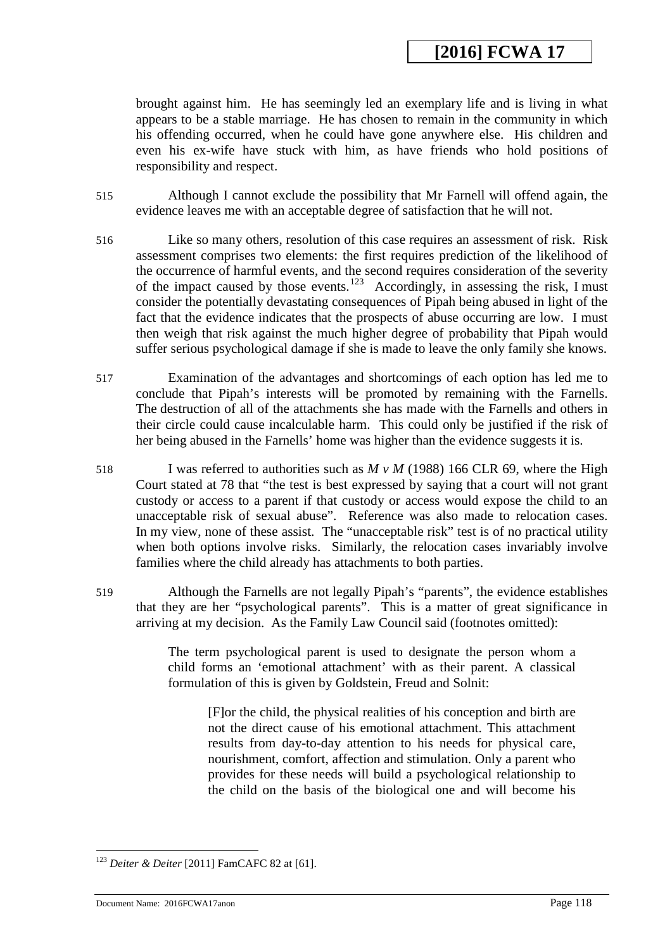brought against him. He has seemingly led an exemplary life and is living in what appears to be a stable marriage. He has chosen to remain in the community in which his offending occurred, when he could have gone anywhere else. His children and even his ex-wife have stuck with him, as have friends who hold positions of responsibility and respect.

- 515 Although I cannot exclude the possibility that Mr Farnell will offend again, the evidence leaves me with an acceptable degree of satisfaction that he will not.
- 516 Like so many others, resolution of this case requires an assessment of risk. Risk assessment comprises two elements: the first requires prediction of the likelihood of the occurrence of harmful events, and the second requires consideration of the severity of the impact caused by those events.<sup>123</sup> Accordingly, in assessing the risk, I must consider the potentially devastating consequences of Pipah being abused in light of the fact that the evidence indicates that the prospects of abuse occurring are low. I must then weigh that risk against the much higher degree of probability that Pipah would suffer serious psychological damage if she is made to leave the only family she knows.
- 517 Examination of the advantages and shortcomings of each option has led me to conclude that Pipah's interests will be promoted by remaining with the Farnells. The destruction of all of the attachments she has made with the Farnells and others in their circle could cause incalculable harm. This could only be justified if the risk of her being abused in the Farnells' home was higher than the evidence suggests it is.
- 518 I was referred to authorities such as *M v M* (1988) 166 CLR 69, where the High Court stated at 78 that "the test is best expressed by saying that a court will not grant custody or access to a parent if that custody or access would expose the child to an unacceptable risk of sexual abuse". Reference was also made to relocation cases. In my view, none of these assist. The "unacceptable risk" test is of no practical utility when both options involve risks. Similarly, the relocation cases invariably involve families where the child already has attachments to both parties.
- 519 Although the Farnells are not legally Pipah's "parents", the evidence establishes that they are her "psychological parents". This is a matter of great significance in arriving at my decision. As the Family Law Council said (footnotes omitted):

The term psychological parent is used to designate the person whom a child forms an 'emotional attachment' with as their parent. A classical formulation of this is given by Goldstein, Freud and Solnit:

[F]or the child, the physical realities of his conception and birth are not the direct cause of his emotional attachment. This attachment results from day-to-day attention to his needs for physical care, nourishment, comfort, affection and stimulation. Only a parent who provides for these needs will build a psychological relationship to the child on the basis of the biological one and will become his

<u>.</u>

<sup>123</sup> *Deiter & Deiter* [2011] FamCAFC 82 at [61].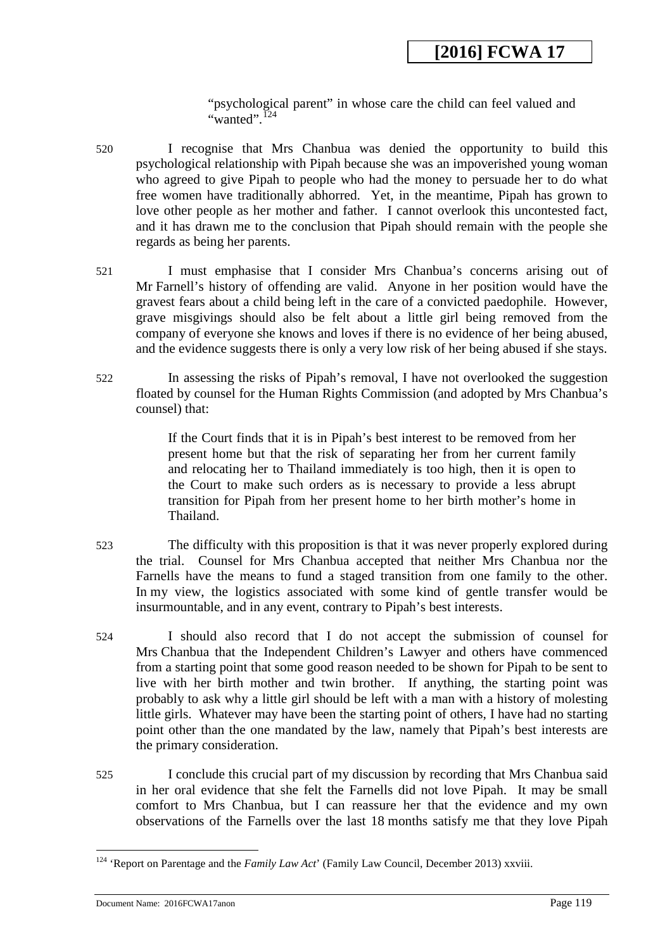"psychological parent" in whose care the child can feel valued and "wanted". $124$ 

- 520 I recognise that Mrs Chanbua was denied the opportunity to build this psychological relationship with Pipah because she was an impoverished young woman who agreed to give Pipah to people who had the money to persuade her to do what free women have traditionally abhorred. Yet, in the meantime, Pipah has grown to love other people as her mother and father. I cannot overlook this uncontested fact, and it has drawn me to the conclusion that Pipah should remain with the people she regards as being her parents.
- 521 I must emphasise that I consider Mrs Chanbua's concerns arising out of Mr Farnell's history of offending are valid. Anyone in her position would have the gravest fears about a child being left in the care of a convicted paedophile. However, grave misgivings should also be felt about a little girl being removed from the company of everyone she knows and loves if there is no evidence of her being abused, and the evidence suggests there is only a very low risk of her being abused if she stays.
- 522 In assessing the risks of Pipah's removal, I have not overlooked the suggestion floated by counsel for the Human Rights Commission (and adopted by Mrs Chanbua's counsel) that:

If the Court finds that it is in Pipah's best interest to be removed from her present home but that the risk of separating her from her current family and relocating her to Thailand immediately is too high, then it is open to the Court to make such orders as is necessary to provide a less abrupt transition for Pipah from her present home to her birth mother's home in Thailand.

- 523 The difficulty with this proposition is that it was never properly explored during the trial. Counsel for Mrs Chanbua accepted that neither Mrs Chanbua nor the Farnells have the means to fund a staged transition from one family to the other. In my view, the logistics associated with some kind of gentle transfer would be insurmountable, and in any event, contrary to Pipah's best interests.
- 524 I should also record that I do not accept the submission of counsel for Mrs Chanbua that the Independent Children's Lawyer and others have commenced from a starting point that some good reason needed to be shown for Pipah to be sent to live with her birth mother and twin brother. If anything, the starting point was probably to ask why a little girl should be left with a man with a history of molesting little girls. Whatever may have been the starting point of others, I have had no starting point other than the one mandated by the law, namely that Pipah's best interests are the primary consideration.
- 525 I conclude this crucial part of my discussion by recording that Mrs Chanbua said in her oral evidence that she felt the Farnells did not love Pipah. It may be small comfort to Mrs Chanbua, but I can reassure her that the evidence and my own observations of the Farnells over the last 18 months satisfy me that they love Pipah

<span id="page-118-0"></span><sup>&</sup>lt;sup>124</sup> 'Report on Parentage and the *Family Law Act*' (Family Law Council, December 2013) xxviii. <u>.</u>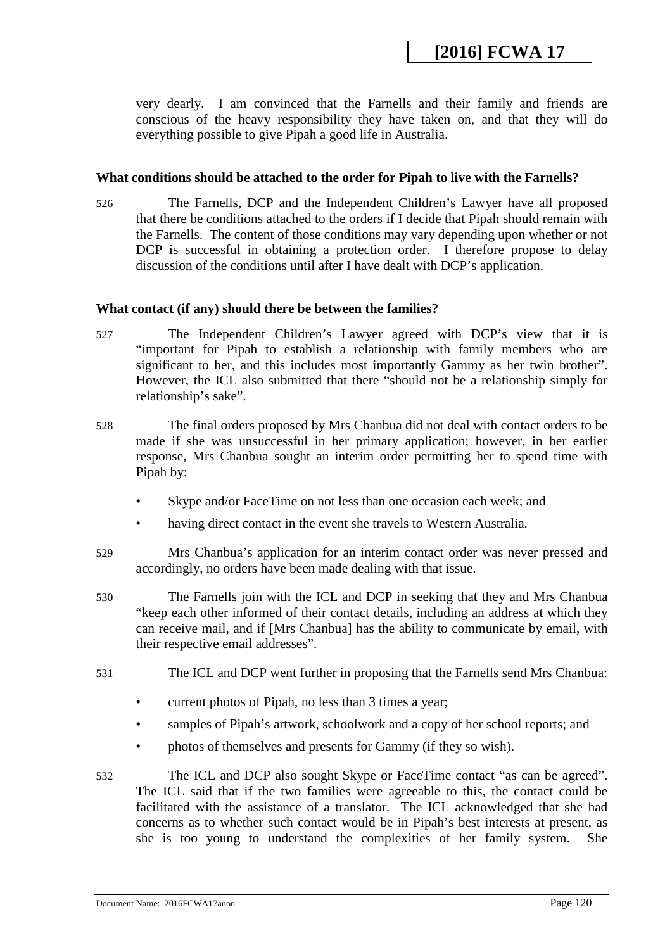very dearly. I am convinced that the Farnells and their family and friends are conscious of the heavy responsibility they have taken on, and that they will do everything possible to give Pipah a good life in Australia.

#### **What conditions should be attached to the order for Pipah to live with the Farnells?**

526 The Farnells, DCP and the Independent Children's Lawyer have all proposed that there be conditions attached to the orders if I decide that Pipah should remain with the Farnells. The content of those conditions may vary depending upon whether or not DCP is successful in obtaining a protection order. I therefore propose to delay discussion of the conditions until after I have dealt with DCP's application.

#### **What contact (if any) should there be between the families?**

- 527 The Independent Children's Lawyer agreed with DCP's view that it is "important for Pipah to establish a relationship with family members who are significant to her, and this includes most importantly Gammy as her twin brother". However, the ICL also submitted that there "should not be a relationship simply for relationship's sake".
- 528 The final orders proposed by Mrs Chanbua did not deal with contact orders to be made if she was unsuccessful in her primary application; however, in her earlier response, Mrs Chanbua sought an interim order permitting her to spend time with Pipah by:
	- Skype and/or FaceTime on not less than one occasion each week; and
	- having direct contact in the event she travels to Western Australia.
- 529 Mrs Chanbua's application for an interim contact order was never pressed and accordingly, no orders have been made dealing with that issue.
- 530 The Farnells join with the ICL and DCP in seeking that they and Mrs Chanbua "keep each other informed of their contact details, including an address at which they can receive mail, and if [Mrs Chanbua] has the ability to communicate by email, with their respective email addresses".
- 531 The ICL and DCP went further in proposing that the Farnells send Mrs Chanbua:
	- current photos of Pipah, no less than 3 times a year;
	- samples of Pipah's artwork, schoolwork and a copy of her school reports; and
	- photos of themselves and presents for Gammy (if they so wish).
- <span id="page-119-0"></span>532 The ICL and DCP also sought Skype or FaceTime contact "as can be agreed". The ICL said that if the two families were agreeable to this, the contact could be facilitated with the assistance of a translator. The ICL acknowledged that she had concerns as to whether such contact would be in Pipah's best interests at present, as she is too young to understand the complexities of her family system. She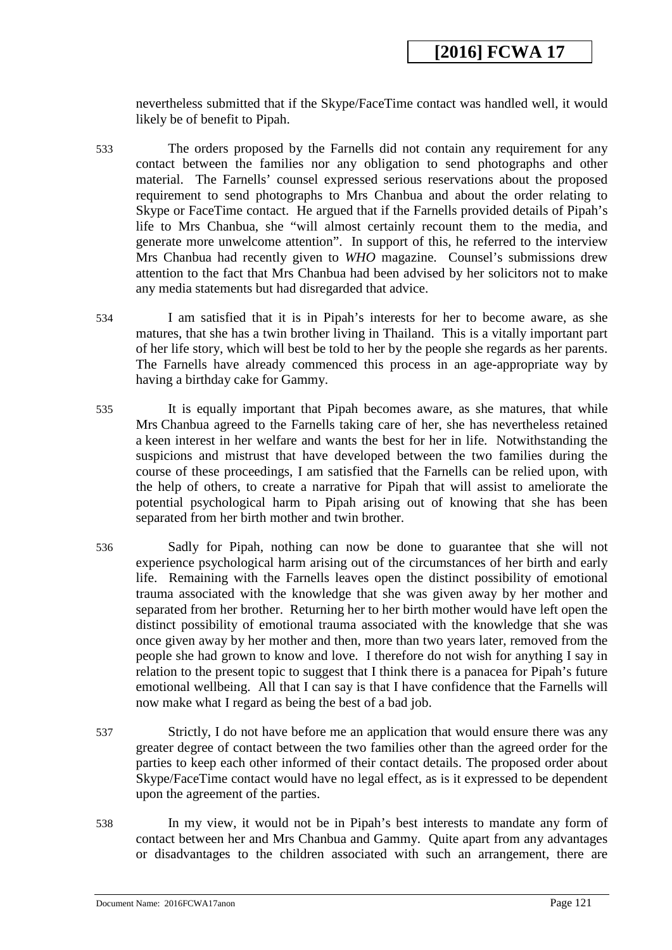nevertheless submitted that if the Skype/FaceTime contact was handled well, it would likely be of benefit to Pipah.

- 533 The orders proposed by the Farnells did not contain any requirement for any contact between the families nor any obligation to send photographs and other material. The Farnells' counsel expressed serious reservations about the proposed requirement to send photographs to Mrs Chanbua and about the order relating to Skype or FaceTime contact. He argued that if the Farnells provided details of Pipah's life to Mrs Chanbua, she "will almost certainly recount them to the media, and generate more unwelcome attention". In support of this, he referred to the interview Mrs Chanbua had recently given to *WHO* magazine. Counsel's submissions drew attention to the fact that Mrs Chanbua had been advised by her solicitors not to make any media statements but had disregarded that advice.
- 534 I am satisfied that it is in Pipah's interests for her to become aware, as she matures, that she has a twin brother living in Thailand. This is a vitally important part of her life story, which will best be told to her by the people she regards as her parents. The Farnells have already commenced this process in an age-appropriate way by having a birthday cake for Gammy.
- 535 It is equally important that Pipah becomes aware, as she matures, that while Mrs Chanbua agreed to the Farnells taking care of her, she has nevertheless retained a keen interest in her welfare and wants the best for her in life. Notwithstanding the suspicions and mistrust that have developed between the two families during the course of these proceedings, I am satisfied that the Farnells can be relied upon, with the help of others, to create a narrative for Pipah that will assist to ameliorate the potential psychological harm to Pipah arising out of knowing that she has been separated from her birth mother and twin brother.
- 536 Sadly for Pipah, nothing can now be done to guarantee that she will not experience psychological harm arising out of the circumstances of her birth and early life. Remaining with the Farnells leaves open the distinct possibility of emotional trauma associated with the knowledge that she was given away by her mother and separated from her brother. Returning her to her birth mother would have left open the distinct possibility of emotional trauma associated with the knowledge that she was once given away by her mother and then, more than two years later, removed from the people she had grown to know and love. I therefore do not wish for anything I say in relation to the present topic to suggest that I think there is a panacea for Pipah's future emotional wellbeing. All that I can say is that I have confidence that the Farnells will now make what I regard as being the best of a bad job.
- 537 Strictly, I do not have before me an application that would ensure there was any greater degree of contact between the two families other than the agreed order for the parties to keep each other informed of their contact details. The proposed order about Skype/FaceTime contact would have no legal effect, as is it expressed to be dependent upon the agreement of the parties.
- 538 In my view, it would not be in Pipah's best interests to mandate any form of contact between her and Mrs Chanbua and Gammy. Quite apart from any advantages or disadvantages to the children associated with such an arrangement, there are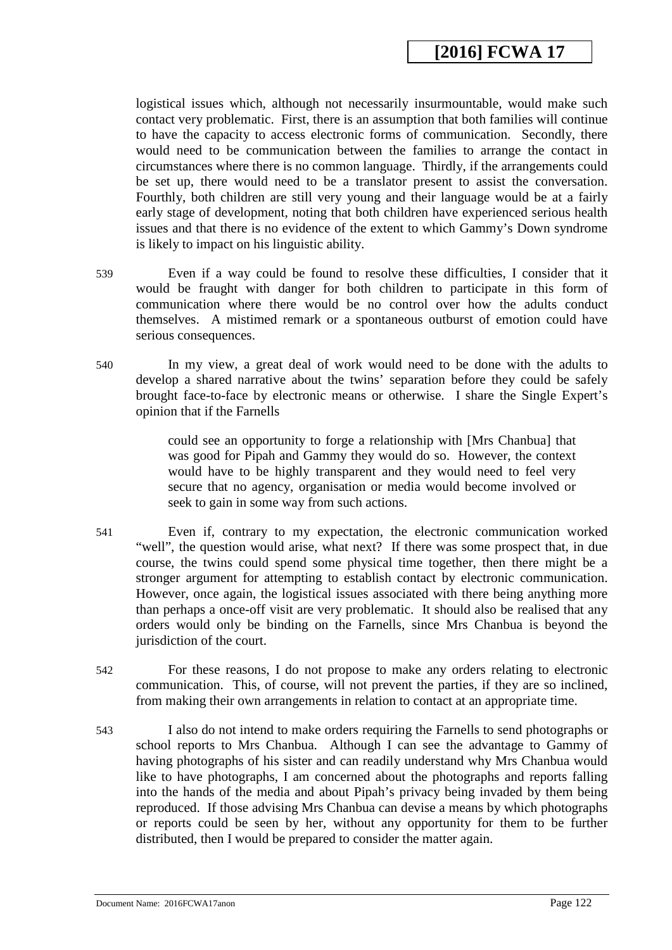logistical issues which, although not necessarily insurmountable, would make such contact very problematic. First, there is an assumption that both families will continue to have the capacity to access electronic forms of communication. Secondly, there would need to be communication between the families to arrange the contact in circumstances where there is no common language. Thirdly, if the arrangements could be set up, there would need to be a translator present to assist the conversation. Fourthly, both children are still very young and their language would be at a fairly early stage of development, noting that both children have experienced serious health issues and that there is no evidence of the extent to which Gammy's Down syndrome is likely to impact on his linguistic ability.

539 Even if a way could be found to resolve these difficulties, I consider that it would be fraught with danger for both children to participate in this form of communication where there would be no control over how the adults conduct themselves. A mistimed remark or a spontaneous outburst of emotion could have serious consequences.

540 In my view, a great deal of work would need to be done with the adults to develop a shared narrative about the twins' separation before they could be safely brought face-to-face by electronic means or otherwise. I share the Single Expert's opinion that if the Farnells

> could see an opportunity to forge a relationship with [Mrs Chanbua] that was good for Pipah and Gammy they would do so. However, the context would have to be highly transparent and they would need to feel very secure that no agency, organisation or media would become involved or seek to gain in some way from such actions.

- 541 Even if, contrary to my expectation, the electronic communication worked "well", the question would arise, what next? If there was some prospect that, in due course, the twins could spend some physical time together, then there might be a stronger argument for attempting to establish contact by electronic communication. However, once again, the logistical issues associated with there being anything more than perhaps a once-off visit are very problematic. It should also be realised that any orders would only be binding on the Farnells, since Mrs Chanbua is beyond the jurisdiction of the court.
- 542 For these reasons, I do not propose to make any orders relating to electronic communication. This, of course, will not prevent the parties, if they are so inclined, from making their own arrangements in relation to contact at an appropriate time.
- 543 I also do not intend to make orders requiring the Farnells to send photographs or school reports to Mrs Chanbua. Although I can see the advantage to Gammy of having photographs of his sister and can readily understand why Mrs Chanbua would like to have photographs, I am concerned about the photographs and reports falling into the hands of the media and about Pipah's privacy being invaded by them being reproduced. If those advising Mrs Chanbua can devise a means by which photographs or reports could be seen by her, without any opportunity for them to be further distributed, then I would be prepared to consider the matter again.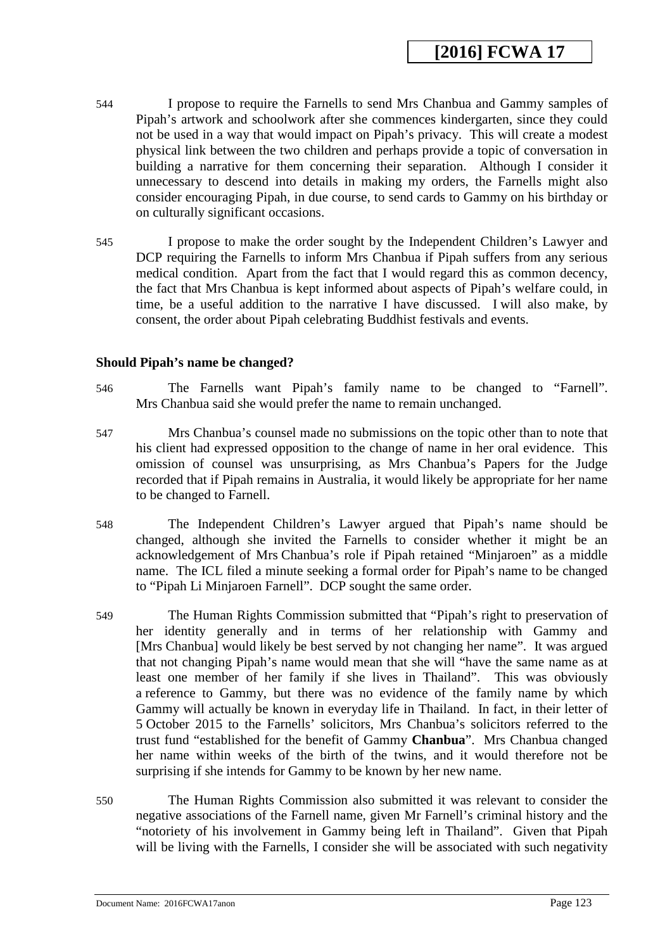- 544 I propose to require the Farnells to send Mrs Chanbua and Gammy samples of Pipah's artwork and schoolwork after she commences kindergarten, since they could not be used in a way that would impact on Pipah's privacy. This will create a modest physical link between the two children and perhaps provide a topic of conversation in building a narrative for them concerning their separation. Although I consider it unnecessary to descend into details in making my orders, the Farnells might also consider encouraging Pipah, in due course, to send cards to Gammy on his birthday or on culturally significant occasions.
- 545 I propose to make the order sought by the Independent Children's Lawyer and DCP requiring the Farnells to inform Mrs Chanbua if Pipah suffers from any serious medical condition. Apart from the fact that I would regard this as common decency, the fact that Mrs Chanbua is kept informed about aspects of Pipah's welfare could, in time, be a useful addition to the narrative I have discussed. I will also make, by consent, the order about Pipah celebrating Buddhist festivals and events.

#### **Should Pipah's name be changed?**

- 546 The Farnells want Pipah's family name to be changed to "Farnell". Mrs Chanbua said she would prefer the name to remain unchanged.
- 547 Mrs Chanbua's counsel made no submissions on the topic other than to note that his client had expressed opposition to the change of name in her oral evidence. This omission of counsel was unsurprising, as Mrs Chanbua's Papers for the Judge recorded that if Pipah remains in Australia, it would likely be appropriate for her name to be changed to Farnell.
- 548 The Independent Children's Lawyer argued that Pipah's name should be changed, although she invited the Farnells to consider whether it might be an acknowledgement of Mrs Chanbua's role if Pipah retained "Minjaroen" as a middle name. The ICL filed a minute seeking a formal order for Pipah's name to be changed to "Pipah Li Minjaroen Farnell". DCP sought the same order.
- 549 The Human Rights Commission submitted that "Pipah's right to preservation of her identity generally and in terms of her relationship with Gammy and [Mrs Chanbua] would likely be best served by not changing her name". It was argued that not changing Pipah's name would mean that she will "have the same name as at least one member of her family if she lives in Thailand". This was obviously a reference to Gammy, but there was no evidence of the family name by which Gammy will actually be known in everyday life in Thailand. In fact, in their letter of 5 October 2015 to the Farnells' solicitors, Mrs Chanbua's solicitors referred to the trust fund "established for the benefit of Gammy **Chanbua**". Mrs Chanbua changed her name within weeks of the birth of the twins, and it would therefore not be surprising if she intends for Gammy to be known by her new name.
- 550 The Human Rights Commission also submitted it was relevant to consider the negative associations of the Farnell name, given Mr Farnell's criminal history and the "notoriety of his involvement in Gammy being left in Thailand". Given that Pipah will be living with the Farnells, I consider she will be associated with such negativity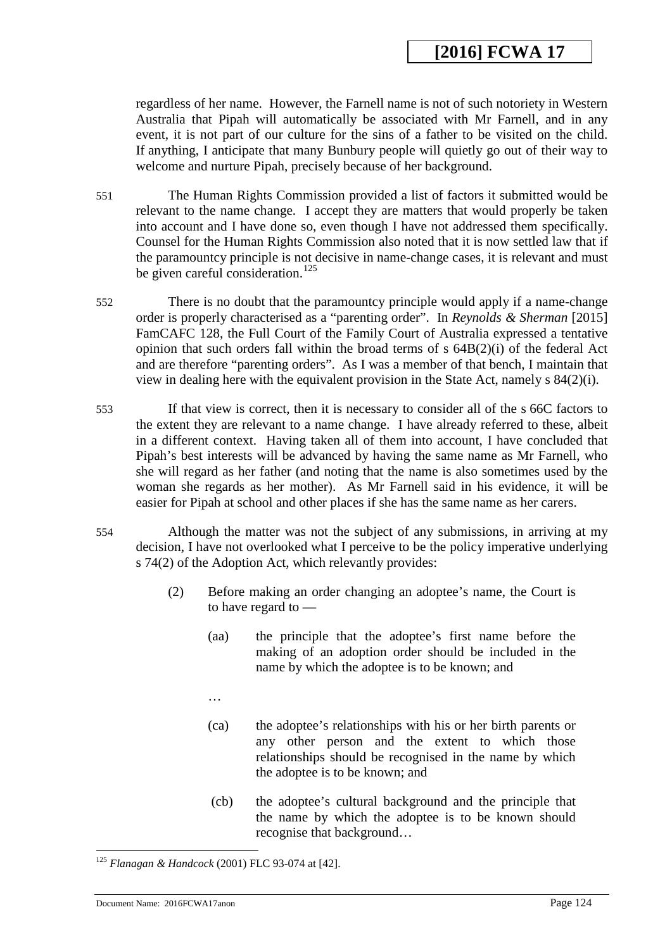regardless of her name. However, the Farnell name is not of such notoriety in Western Australia that Pipah will automatically be associated with Mr Farnell, and in any event, it is not part of our culture for the sins of a father to be visited on the child. If anything, I anticipate that many Bunbury people will quietly go out of their way to welcome and nurture Pipah, precisely because of her background.

- 551 The Human Rights Commission provided a list of factors it submitted would be relevant to the name change. I accept they are matters that would properly be taken into account and I have done so, even though I have not addressed them specifically. Counsel for the Human Rights Commission also noted that it is now settled law that if the paramountcy principle is not decisive in name-change cases, it is relevant and must be given careful consideration.<sup>[125](#page-124-0)</sup>
- 552 There is no doubt that the paramountcy principle would apply if a name-change order is properly characterised as a "parenting order". In *Reynolds & Sherman* [2015] FamCAFC 128, the Full Court of the Family Court of Australia expressed a tentative opinion that such orders fall within the broad terms of s 64B(2)(i) of the federal Act and are therefore "parenting orders". As I was a member of that bench, I maintain that view in dealing here with the equivalent provision in the State Act, namely s 84(2)(i).
- 553 If that view is correct, then it is necessary to consider all of the s 66C factors to the extent they are relevant to a name change. I have already referred to these, albeit in a different context. Having taken all of them into account, I have concluded that Pipah's best interests will be advanced by having the same name as Mr Farnell, who she will regard as her father (and noting that the name is also sometimes used by the woman she regards as her mother). As Mr Farnell said in his evidence, it will be easier for Pipah at school and other places if she has the same name as her carers.
- 554 Although the matter was not the subject of any submissions, in arriving at my decision, I have not overlooked what I perceive to be the policy imperative underlying s 74(2) of the Adoption Act, which relevantly provides:
	- (2) Before making an order changing an adoptee's name, the Court is to have regard to —
		- (aa) the principle that the adoptee's first name before the making of an adoption order should be included in the name by which the adoptee is to be known; and
		- …
		- (ca) the adoptee's relationships with his or her birth parents or any other person and the extent to which those relationships should be recognised in the name by which the adoptee is to be known; and
		- (cb) the adoptee's cultural background and the principle that the name by which the adoptee is to be known should recognise that background…

<sup>125</sup> *Flanagan & Handcock* (2001) FLC 93-074 at [42]. <u>.</u>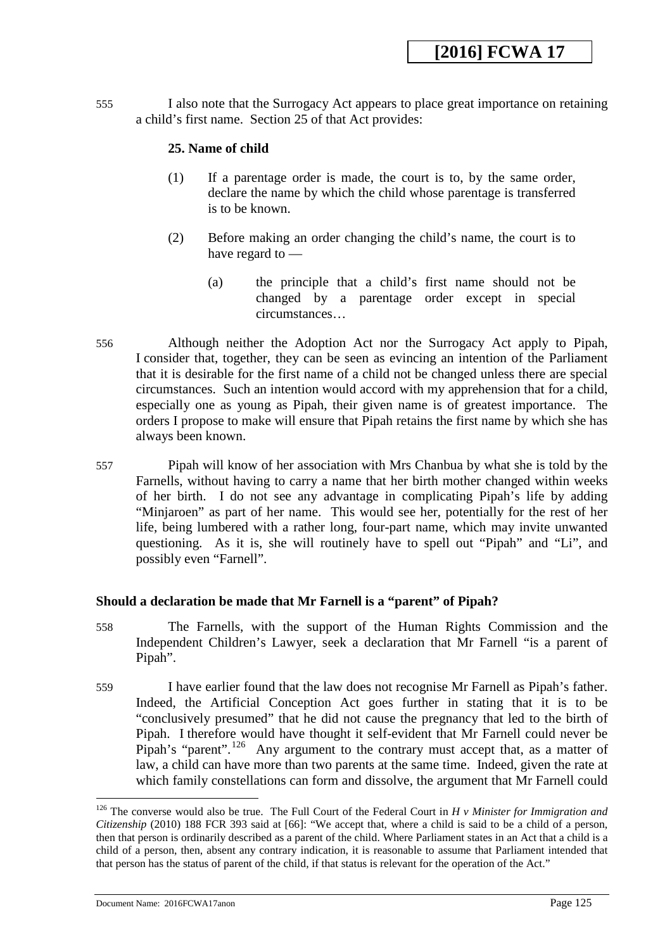555 I also note that the Surrogacy Act appears to place great importance on retaining a child's first name. Section 25 of that Act provides:

### **25. Name of child**

- (1) If a parentage order is made, the court is to, by the same order, declare the name by which the child whose parentage is transferred is to be known.
- (2) Before making an order changing the child's name, the court is to have regard to —
	- (a) the principle that a child's first name should not be changed by a parentage order except in special circumstances…
- 556 Although neither the Adoption Act nor the Surrogacy Act apply to Pipah, I consider that, together, they can be seen as evincing an intention of the Parliament that it is desirable for the first name of a child not be changed unless there are special circumstances. Such an intention would accord with my apprehension that for a child, especially one as young as Pipah, their given name is of greatest importance. The orders I propose to make will ensure that Pipah retains the first name by which she has always been known.
- 557 Pipah will know of her association with Mrs Chanbua by what she is told by the Farnells, without having to carry a name that her birth mother changed within weeks of her birth. I do not see any advantage in complicating Pipah's life by adding "Minjaroen" as part of her name. This would see her, potentially for the rest of her life, being lumbered with a rather long, four-part name, which may invite unwanted questioning. As it is, she will routinely have to spell out "Pipah" and "Li", and possibly even "Farnell".

### **Should a declaration be made that Mr Farnell is a "parent" of Pipah?**

- 558 The Farnells, with the support of the Human Rights Commission and the Independent Children's Lawyer, seek a declaration that Mr Farnell "is a parent of Pipah".
- 559 I have earlier found that the law does not recognise Mr Farnell as Pipah's father. Indeed, the Artificial Conception Act goes further in stating that it is to be "conclusively presumed" that he did not cause the pregnancy that led to the birth of Pipah. I therefore would have thought it self-evident that Mr Farnell could never be Pipah's "parent".<sup>126</sup> Any argument to the contrary must accept that, as a matter of law, a child can have more than two parents at the same time. Indeed, given the rate at which family constellations can form and dissolve, the argument that Mr Farnell could

<span id="page-124-0"></span>Document Name: 2016FCWA17anon Page 125

<sup>126</sup> The converse would also be true. The Full Court of the Federal Court in *H v Minister for Immigration and Citizenship* (2010) 188 FCR 393 said at [66]: "We accept that, where a child is said to be a child of a person, then that person is ordinarily described as a parent of the child. Where Parliament states in an Act that a child is a child of a person, then, absent any contrary indication, it is reasonable to assume that Parliament intended that that person has the status of parent of the child, if that status is relevant for the operation of the Act."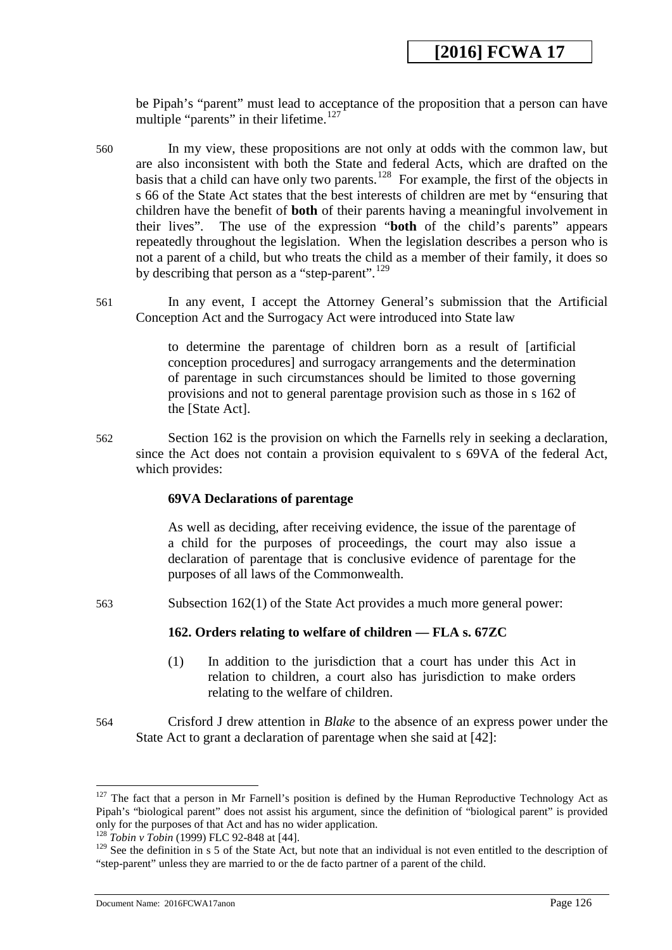be Pipah's "parent" must lead to acceptance of the proposition that a person can have multiple "parents" in their lifetime. $127$ 

- 560 In my view, these propositions are not only at odds with the common law, but are also inconsistent with both the State and federal Acts, which are drafted on the basis that a child can have only two parents.<sup>[128](#page-126-2)</sup> For example, the first of the objects in s 66 of the State Act states that the best interests of children are met by "ensuring that children have the benefit of **both** of their parents having a meaningful involvement in their lives". The use of the expression "**both** of the child's parents" appears repeatedly throughout the legislation. When the legislation describes a person who is not a parent of a child, but who treats the child as a member of their family, it does so by describing that person as a "step-parent".<sup>[129](#page-126-3)</sup>
- 561 In any event, I accept the Attorney General's submission that the Artificial Conception Act and the Surrogacy Act were introduced into State law

to determine the parentage of children born as a result of [artificial conception procedures] and surrogacy arrangements and the determination of parentage in such circumstances should be limited to those governing provisions and not to general parentage provision such as those in s 162 of the [State Act].

562 Section 162 is the provision on which the Farnells rely in seeking a declaration, since the Act does not contain a provision equivalent to s 69VA of the federal Act, which provides:

### **69VA Declarations of parentage**

As well as deciding, after receiving evidence, the issue of the parentage of a child for the purposes of proceedings, the court may also issue a declaration of parentage that is conclusive evidence of parentage for the purposes of all laws of the Commonwealth.

563 Subsection 162(1) of the State Act provides a much more general power:

### **162. Orders relating to welfare of children — FLA s. 67ZC**

- (1) In addition to the jurisdiction that a court has under this Act in relation to children, a court also has jurisdiction to make orders relating to the welfare of children.
- 564 Crisford J drew attention in *Blake* to the absence of an express power under the State Act to grant a declaration of parentage when she said at [42]:

 $127$  The fact that a person in Mr Farnell's position is defined by the Human Reproductive Technology Act as Pipah's "biological parent" does not assist his argument, since the definition of "biological parent" is provided only for the purposes of that Act and has no wider application.

<sup>128</sup> *Tobin v Tobin* (1999) FLC 92-848 at [44].

 $129$  See the definition in s 5 of the State Act, but note that an individual is not even entitled to the description of "step-parent" unless they are married to or the de facto partner of a parent of the child.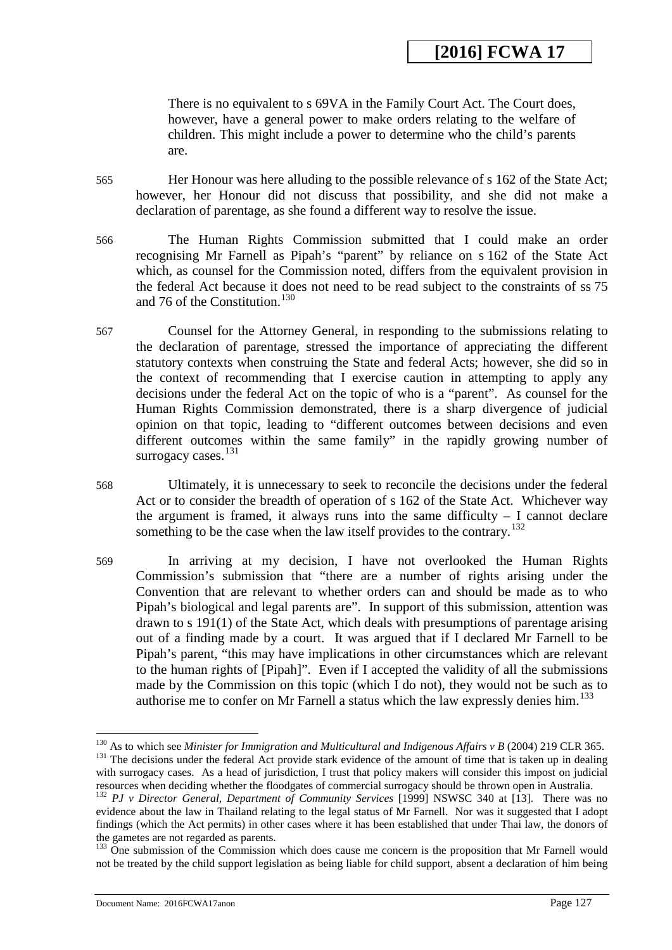There is no equivalent to s 69VA in the Family Court Act. The Court does, however, have a general power to make orders relating to the welfare of children. This might include a power to determine who the child's parents are.

- 565 Her Honour was here alluding to the possible relevance of s 162 of the State Act; however, her Honour did not discuss that possibility, and she did not make a declaration of parentage, as she found a different way to resolve the issue.
- 566 The Human Rights Commission submitted that I could make an order recognising Mr Farnell as Pipah's "parent" by reliance on s 162 of the State Act which, as counsel for the Commission noted, differs from the equivalent provision in the federal Act because it does not need to be read subject to the constraints of ss 75 and 76 of the Constitution.<sup>[130](#page-127-0)</sup>
- 567 Counsel for the Attorney General, in responding to the submissions relating to the declaration of parentage, stressed the importance of appreciating the different statutory contexts when construing the State and federal Acts; however, she did so in the context of recommending that I exercise caution in attempting to apply any decisions under the federal Act on the topic of who is a "parent". As counsel for the Human Rights Commission demonstrated, there is a sharp divergence of judicial opinion on that topic, leading to "different outcomes between decisions and even different outcomes within the same family" in the rapidly growing number of surrogacy cases. $131$
- 568 Ultimately, it is unnecessary to seek to reconcile the decisions under the federal Act or to consider the breadth of operation of s 162 of the State Act. Whichever way the argument is framed, it always runs into the same difficulty  $-1$  cannot declare something to be the case when the law itself provides to the contrary.<sup>[132](#page-127-2)</sup>
- 569 In arriving at my decision, I have not overlooked the Human Rights Commission's submission that "there are a number of rights arising under the Convention that are relevant to whether orders can and should be made as to who Pipah's biological and legal parents are". In support of this submission, attention was drawn to s 191(1) of the State Act, which deals with presumptions of parentage arising out of a finding made by a court. It was argued that if I declared Mr Farnell to be Pipah's parent, "this may have implications in other circumstances which are relevant to the human rights of [Pipah]". Even if I accepted the validity of all the submissions made by the Commission on this topic (which I do not), they would not be such as to authorise me to confer on Mr Farnell a status which the law expressly denies him.<sup>[133](#page-128-0)</sup>

<span id="page-126-0"></span><sup>&</sup>lt;sup>131</sup> The decisions under the federal Act provide stark evidence of the amount of time that is taken up in dealing with surrogacy cases. As a head of jurisdiction, I trust that policy makers will consider this impost on judicial resources when deciding whether the floodgates of commercial surrogacy should be thrown open in Australia.  $^{130}$  As to which see Minister for Immigration and Multicultural and Indigenous Affairs v B (2004) 219 CLR 365.

<span id="page-126-1"></span><sup>&</sup>lt;sup>132</sup> PJ v Director General, Department of Community Services [1999] NSWSC 340 at [13]. There was no evidence about the law in Thailand relating to the legal status of Mr Farnell. Nor was it suggested that I adopt findings (which the Act permits) in other cases where it has been established that under Thai law, the donors of the gametes are not regarded as parents.

<span id="page-126-3"></span><span id="page-126-2"></span><sup>&</sup>lt;sup>133</sup> One submission of the Commission which does cause me concern is the proposition that Mr Farnell would not be treated by the child support legislation as being liable for child support, absent a declaration of him being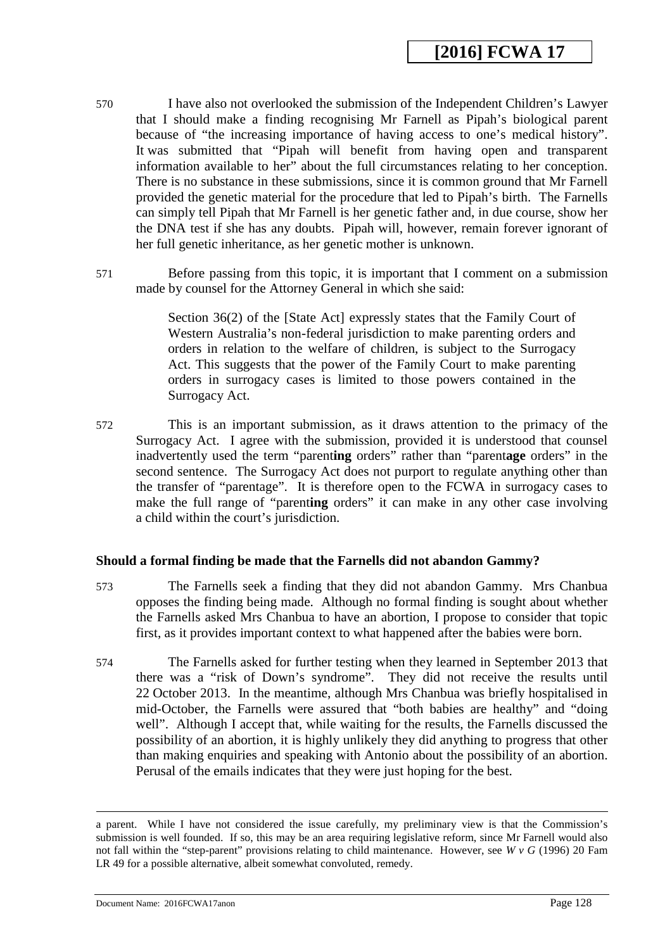- 570 I have also not overlooked the submission of the Independent Children's Lawyer that I should make a finding recognising Mr Farnell as Pipah's biological parent because of "the increasing importance of having access to one's medical history". It was submitted that "Pipah will benefit from having open and transparent information available to her" about the full circumstances relating to her conception. There is no substance in these submissions, since it is common ground that Mr Farnell provided the genetic material for the procedure that led to Pipah's birth. The Farnells can simply tell Pipah that Mr Farnell is her genetic father and, in due course, show her the DNA test if she has any doubts. Pipah will, however, remain forever ignorant of her full genetic inheritance, as her genetic mother is unknown.
- 571 Before passing from this topic, it is important that I comment on a submission made by counsel for the Attorney General in which she said:

Section 36(2) of the [State Act] expressly states that the Family Court of Western Australia's non-federal jurisdiction to make parenting orders and orders in relation to the welfare of children, is subject to the Surrogacy Act. This suggests that the power of the Family Court to make parenting orders in surrogacy cases is limited to those powers contained in the Surrogacy Act.

572 This is an important submission, as it draws attention to the primacy of the Surrogacy Act. I agree with the submission, provided it is understood that counsel inadvertently used the term "parent**ing** orders" rather than "parent**age** orders" in the second sentence. The Surrogacy Act does not purport to regulate anything other than the transfer of "parentage". It is therefore open to the FCWA in surrogacy cases to make the full range of "parent**ing** orders" it can make in any other case involving a child within the court's jurisdiction.

#### **Should a formal finding be made that the Farnells did not abandon Gammy?**

- 573 The Farnells seek a finding that they did not abandon Gammy. Mrs Chanbua opposes the finding being made. Although no formal finding is sought about whether the Farnells asked Mrs Chanbua to have an abortion, I propose to consider that topic first, as it provides important context to what happened after the babies were born.
- 574 The Farnells asked for further testing when they learned in September 2013 that there was a "risk of Down's syndrome". They did not receive the results until 22 October 2013. In the meantime, although Mrs Chanbua was briefly hospitalised in mid-October, the Farnells were assured that "both babies are healthy" and "doing well". Although I accept that, while waiting for the results, the Farnells discussed the possibility of an abortion, it is highly unlikely they did anything to progress that other than making enquiries and speaking with Antonio about the possibility of an abortion. Perusal of the emails indicates that they were just hoping for the best.

Document Name: 2016FCWA17anon Page 128

<span id="page-127-2"></span><span id="page-127-1"></span><span id="page-127-0"></span>a parent. While I have not considered the issue carefully, my preliminary view is that the Commission's submission is well founded. If so, this may be an area requiring legislative reform, since Mr Farnell would also not fall within the "step-parent" provisions relating to child maintenance. However, see *W v G* (1996) 20 Fam LR 49 for a possible alternative, albeit somewhat convoluted, remedy.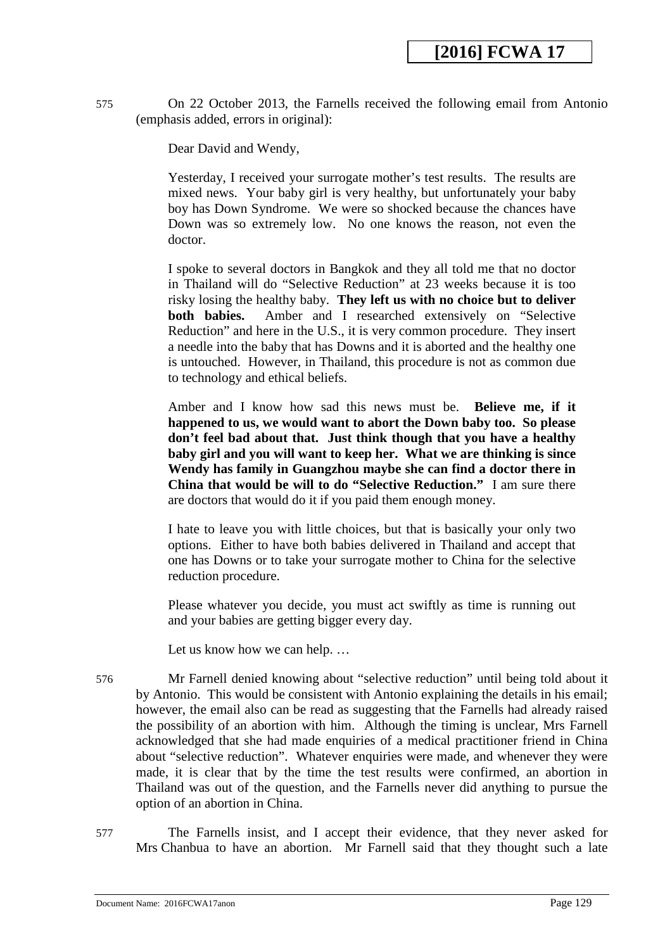575 On 22 October 2013, the Farnells received the following email from Antonio (emphasis added, errors in original):

Dear David and Wendy,

Yesterday, I received your surrogate mother's test results. The results are mixed news. Your baby girl is very healthy, but unfortunately your baby boy has Down Syndrome. We were so shocked because the chances have Down was so extremely low. No one knows the reason, not even the doctor.

I spoke to several doctors in Bangkok and they all told me that no doctor in Thailand will do "Selective Reduction" at 23 weeks because it is too risky losing the healthy baby. **They left us with no choice but to deliver**  Amber and I researched extensively on "Selective" Reduction" and here in the U.S., it is very common procedure. They insert a needle into the baby that has Downs and it is aborted and the healthy one is untouched. However, in Thailand, this procedure is not as common due to technology and ethical beliefs.

Amber and I know how sad this news must be. **Believe me, if it happened to us, we would want to abort the Down baby too. So please don't feel bad about that. Just think though that you have a healthy baby girl and you will want to keep her. What we are thinking is since Wendy has family in Guangzhou maybe she can find a doctor there in China that would be will to do "Selective Reduction."** I am sure there are doctors that would do it if you paid them enough money.

I hate to leave you with little choices, but that is basically your only two options. Either to have both babies delivered in Thailand and accept that one has Downs or to take your surrogate mother to China for the selective reduction procedure.

Please whatever you decide, you must act swiftly as time is running out and your babies are getting bigger every day.

Let us know how we can help. …

576 Mr Farnell denied knowing about "selective reduction" until being told about it by Antonio. This would be consistent with Antonio explaining the details in his email; however, the email also can be read as suggesting that the Farnells had already raised the possibility of an abortion with him. Although the timing is unclear, Mrs Farnell acknowledged that she had made enquiries of a medical practitioner friend in China about "selective reduction". Whatever enquiries were made, and whenever they were made, it is clear that by the time the test results were confirmed, an abortion in Thailand was out of the question, and the Farnells never did anything to pursue the option of an abortion in China.

<span id="page-128-0"></span>577 The Farnells insist, and I accept their evidence, that they never asked for Mrs Chanbua to have an abortion. Mr Farnell said that they thought such a late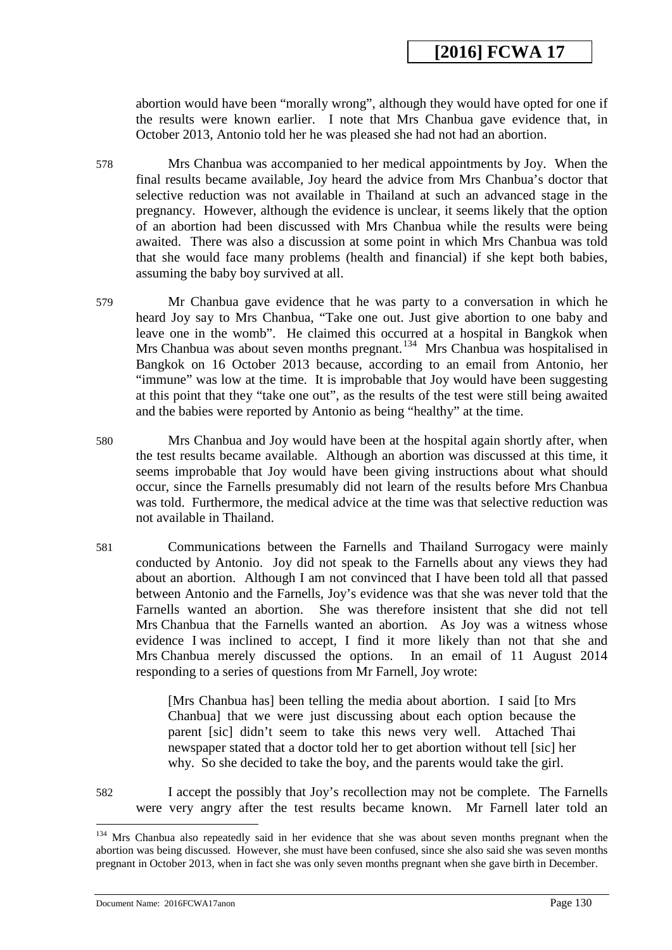abortion would have been "morally wrong", although they would have opted for one if the results were known earlier. I note that Mrs Chanbua gave evidence that, in October 2013, Antonio told her he was pleased she had not had an abortion.

- 578 Mrs Chanbua was accompanied to her medical appointments by Joy. When the final results became available, Joy heard the advice from Mrs Chanbua's doctor that selective reduction was not available in Thailand at such an advanced stage in the pregnancy. However, although the evidence is unclear, it seems likely that the option of an abortion had been discussed with Mrs Chanbua while the results were being awaited. There was also a discussion at some point in which Mrs Chanbua was told that she would face many problems (health and financial) if she kept both babies, assuming the baby boy survived at all.
- 579 Mr Chanbua gave evidence that he was party to a conversation in which he heard Joy say to Mrs Chanbua, "Take one out. Just give abortion to one baby and leave one in the womb". He claimed this occurred at a hospital in Bangkok when Mrs Chanbua was about seven months pregnant.<sup>134</sup> Mrs Chanbua was hospitalised in Bangkok on 16 October 2013 because, according to an email from Antonio, her "immune" was low at the time. It is improbable that Joy would have been suggesting at this point that they "take one out", as the results of the test were still being awaited and the babies were reported by Antonio as being "healthy" at the time.
- 580 Mrs Chanbua and Joy would have been at the hospital again shortly after, when the test results became available. Although an abortion was discussed at this time, it seems improbable that Joy would have been giving instructions about what should occur, since the Farnells presumably did not learn of the results before Mrs Chanbua was told. Furthermore, the medical advice at the time was that selective reduction was not available in Thailand.
- 581 Communications between the Farnells and Thailand Surrogacy were mainly conducted by Antonio. Joy did not speak to the Farnells about any views they had about an abortion. Although I am not convinced that I have been told all that passed between Antonio and the Farnells, Joy's evidence was that she was never told that the Farnells wanted an abortion. She was therefore insistent that she did not tell Mrs Chanbua that the Farnells wanted an abortion. As Joy was a witness whose evidence I was inclined to accept, I find it more likely than not that she and Mrs Chanbua merely discussed the options. In an email of 11 August 2014 responding to a series of questions from Mr Farnell, Joy wrote:

[Mrs Chanbua has] been telling the media about abortion. I said [to Mrs Chanbua] that we were just discussing about each option because the parent [sic] didn't seem to take this news very well. Attached Thai newspaper stated that a doctor told her to get abortion without tell [sic] her why. So she decided to take the boy, and the parents would take the girl.

582 I accept the possibly that Joy's recollection may not be complete. The Farnells were very angry after the test results became known. Mr Farnell later told an

Document Name: 2016FCWA17anon Page 130

<sup>&</sup>lt;sup>134</sup> Mrs Chanbua also repeatedly said in her evidence that she was about seven months pregnant when the abortion was being discussed. However, she must have been confused, since she also said she was seven months pregnant in October 2013, when in fact she was only seven months pregnant when she gave birth in December.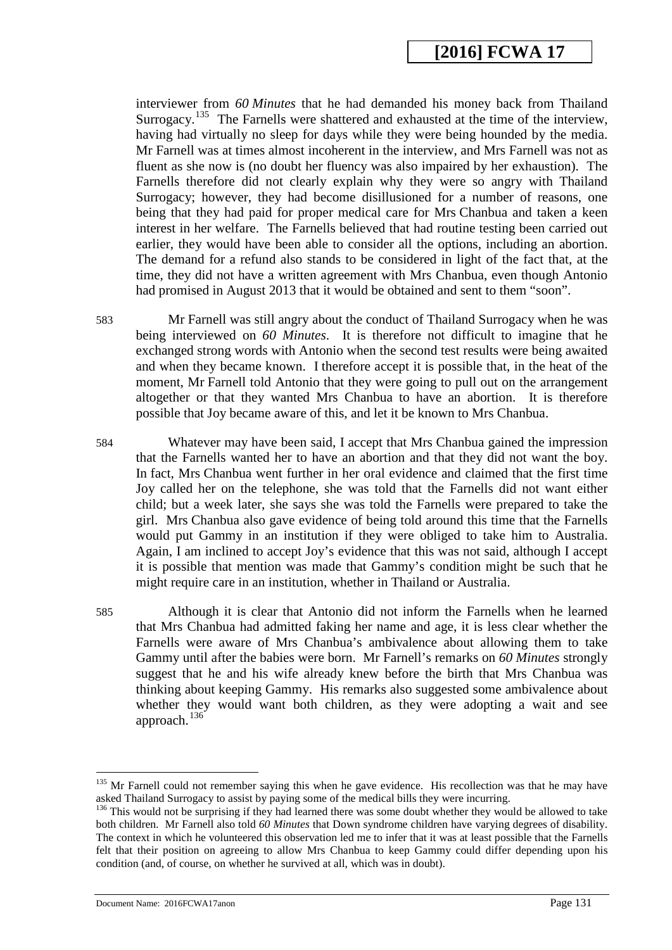interviewer from *60 Minutes* that he had demanded his money back from Thailand Surrogacy.<sup>135</sup> The Farnells were shattered and exhausted at the time of the interview, having had virtually no sleep for days while they were being hounded by the media. Mr Farnell was at times almost incoherent in the interview, and Mrs Farnell was not as fluent as she now is (no doubt her fluency was also impaired by her exhaustion). The Farnells therefore did not clearly explain why they were so angry with Thailand Surrogacy; however, they had become disillusioned for a number of reasons, one being that they had paid for proper medical care for Mrs Chanbua and taken a keen interest in her welfare. The Farnells believed that had routine testing been carried out earlier, they would have been able to consider all the options, including an abortion. The demand for a refund also stands to be considered in light of the fact that, at the time, they did not have a written agreement with Mrs Chanbua, even though Antonio had promised in August 2013 that it would be obtained and sent to them "soon".

583 Mr Farnell was still angry about the conduct of Thailand Surrogacy when he was being interviewed on *60 Minutes*. It is therefore not difficult to imagine that he exchanged strong words with Antonio when the second test results were being awaited and when they became known. I therefore accept it is possible that, in the heat of the moment, Mr Farnell told Antonio that they were going to pull out on the arrangement altogether or that they wanted Mrs Chanbua to have an abortion. It is therefore possible that Joy became aware of this, and let it be known to Mrs Chanbua.

- 584 Whatever may have been said, I accept that Mrs Chanbua gained the impression that the Farnells wanted her to have an abortion and that they did not want the boy. In fact, Mrs Chanbua went further in her oral evidence and claimed that the first time Joy called her on the telephone, she was told that the Farnells did not want either child; but a week later, she says she was told the Farnells were prepared to take the girl. Mrs Chanbua also gave evidence of being told around this time that the Farnells would put Gammy in an institution if they were obliged to take him to Australia. Again, I am inclined to accept Joy's evidence that this was not said, although I accept it is possible that mention was made that Gammy's condition might be such that he might require care in an institution, whether in Thailand or Australia.
- 585 Although it is clear that Antonio did not inform the Farnells when he learned that Mrs Chanbua had admitted faking her name and age, it is less clear whether the Farnells were aware of Mrs Chanbua's ambivalence about allowing them to take Gammy until after the babies were born. Mr Farnell's remarks on *60 Minutes* strongly suggest that he and his wife already knew before the birth that Mrs Chanbua was thinking about keeping Gammy. His remarks also suggested some ambivalence about whether they would want both children, as they were adopting a wait and see approach.<sup>[136](#page-132-0)</sup>

Document Name: 2016FCWA17anon Page 131

<sup>&</sup>lt;sup>135</sup> Mr Farnell could not remember saying this when he gave evidence. His recollection was that he may have asked Thailand Surrogacy to assist by paying some of the medical bills they were incurring.

<span id="page-130-0"></span><sup>&</sup>lt;sup>136</sup> This would not be surprising if they had learned there was some doubt whether they would be allowed to take both children. Mr Farnell also told *60 Minutes* that Down syndrome children have varying degrees of disability. The context in which he volunteered this observation led me to infer that it was at least possible that the Farnells felt that their position on agreeing to allow Mrs Chanbua to keep Gammy could differ depending upon his condition (and, of course, on whether he survived at all, which was in doubt).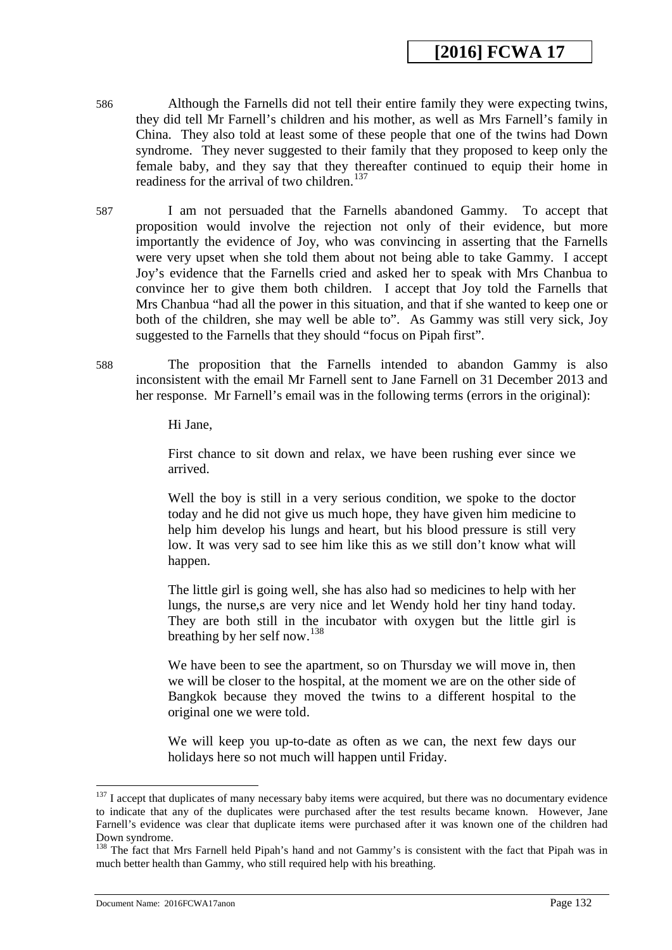- 586 Although the Farnells did not tell their entire family they were expecting twins, they did tell Mr Farnell's children and his mother, as well as Mrs Farnell's family in China. They also told at least some of these people that one of the twins had Down syndrome. They never suggested to their family that they proposed to keep only the female baby, and they say that they thereafter continued to equip their home in readiness for the arrival of two children.<sup>[137](#page-132-1)</sup>
- 587 I am not persuaded that the Farnells abandoned Gammy. To accept that proposition would involve the rejection not only of their evidence, but more importantly the evidence of Joy, who was convincing in asserting that the Farnells were very upset when she told them about not being able to take Gammy. I accept Joy's evidence that the Farnells cried and asked her to speak with Mrs Chanbua to convince her to give them both children. I accept that Joy told the Farnells that Mrs Chanbua "had all the power in this situation, and that if she wanted to keep one or both of the children, she may well be able to". As Gammy was still very sick, Joy suggested to the Farnells that they should "focus on Pipah first".
- 588 The proposition that the Farnells intended to abandon Gammy is also inconsistent with the email Mr Farnell sent to Jane Farnell on 31 December 2013 and her response. Mr Farnell's email was in the following terms (errors in the original):

Hi Jane,

First chance to sit down and relax, we have been rushing ever since we arrived.

Well the boy is still in a very serious condition, we spoke to the doctor today and he did not give us much hope, they have given him medicine to help him develop his lungs and heart, but his blood pressure is still very low. It was very sad to see him like this as we still don't know what will happen.

The little girl is going well, she has also had so medicines to help with her lungs, the nurse,s are very nice and let Wendy hold her tiny hand today. They are both still in the incubator with oxygen but the little girl is breathing by her self now.[138](#page-133-0)

We have been to see the apartment, so on Thursday we will move in, then we will be closer to the hospital, at the moment we are on the other side of Bangkok because they moved the twins to a different hospital to the original one we were told.

We will keep you up-to-date as often as we can, the next few days our holidays here so not much will happen until Friday.

<sup>&</sup>lt;sup>137</sup> I accept that duplicates of many necessary baby items were acquired, but there was no documentary evidence to indicate that any of the duplicates were purchased after the test results became known. However, Jane Farnell's evidence was clear that duplicate items were purchased after it was known one of the children had Down syndrome. -

<span id="page-131-0"></span><sup>&</sup>lt;sup>138</sup> The fact that Mrs Farnell held Pipah's hand and not Gammy's is consistent with the fact that Pipah was in much better health than Gammy, who still required help with his breathing.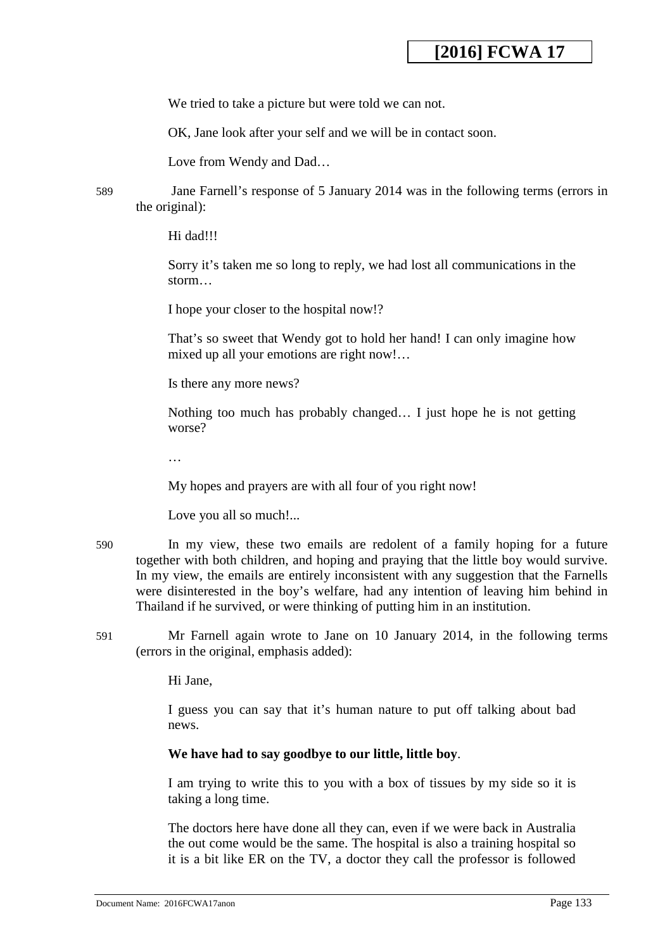We tried to take a picture but were told we can not.

OK, Jane look after your self and we will be in contact soon.

Love from Wendy and Dad…

589 Jane Farnell's response of 5 January 2014 was in the following terms (errors in the original):

Hi dad!!!

Sorry it's taken me so long to reply, we had lost all communications in the storm…

I hope your closer to the hospital now!?

That's so sweet that Wendy got to hold her hand! I can only imagine how mixed up all your emotions are right now!…

Is there any more news?

Nothing too much has probably changed… I just hope he is not getting worse?

…

My hopes and prayers are with all four of you right now!

Love you all so much!...

- 590 In my view, these two emails are redolent of a family hoping for a future together with both children, and hoping and praying that the little boy would survive. In my view, the emails are entirely inconsistent with any suggestion that the Farnells were disinterested in the boy's welfare, had any intention of leaving him behind in Thailand if he survived, or were thinking of putting him in an institution.
- <span id="page-132-0"></span>591 Mr Farnell again wrote to Jane on 10 January 2014, in the following terms (errors in the original, emphasis added):

Hi Jane,

I guess you can say that it's human nature to put off talking about bad news.

#### **We have had to say goodbye to our little, little boy**.

I am trying to write this to you with a box of tissues by my side so it is taking a long time.

<span id="page-132-1"></span>The doctors here have done all they can, even if we were back in Australia the out come would be the same. The hospital is also a training hospital so it is a bit like ER on the TV, a doctor they call the professor is followed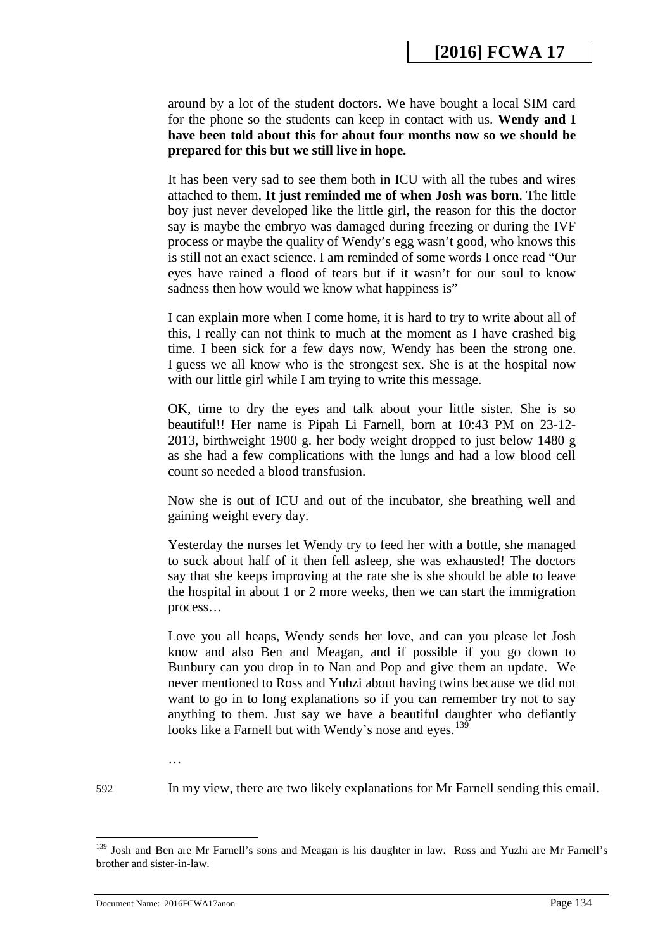around by a lot of the student doctors. We have bought a local SIM card for the phone so the students can keep in contact with us. **Wendy and I have been told about this for about four months now so we should be prepared for this but we still live in hope.**

It has been very sad to see them both in ICU with all the tubes and wires attached to them, **It just reminded me of when Josh was born**. The little boy just never developed like the little girl, the reason for this the doctor say is maybe the embryo was damaged during freezing or during the IVF process or maybe the quality of Wendy's egg wasn't good, who knows this is still not an exact science. I am reminded of some words I once read "Our eyes have rained a flood of tears but if it wasn't for our soul to know sadness then how would we know what happiness is"

I can explain more when I come home, it is hard to try to write about all of this, I really can not think to much at the moment as I have crashed big time. I been sick for a few days now, Wendy has been the strong one. I guess we all know who is the strongest sex. She is at the hospital now with our little girl while I am trying to write this message.

OK, time to dry the eyes and talk about your little sister. She is so beautiful!! Her name is Pipah Li Farnell, born at 10:43 PM on 23-12- 2013, birthweight 1900 g. her body weight dropped to just below 1480 g as she had a few complications with the lungs and had a low blood cell count so needed a blood transfusion.

Now she is out of ICU and out of the incubator, she breathing well and gaining weight every day.

Yesterday the nurses let Wendy try to feed her with a bottle, she managed to suck about half of it then fell asleep, she was exhausted! The doctors say that she keeps improving at the rate she is she should be able to leave the hospital in about 1 or 2 more weeks, then we can start the immigration process…

Love you all heaps, Wendy sends her love, and can you please let Josh know and also Ben and Meagan, and if possible if you go down to Bunbury can you drop in to Nan and Pop and give them an update. We never mentioned to Ross and Yuhzi about having twins because we did not want to go in to long explanations so if you can remember try not to say anything to them. Just say we have a beautiful daughter who defiantly looks like a Farnell but with Wendy's nose and eyes.<sup>139</sup>

…

-

592 In my view, there are two likely explanations for Mr Farnell sending this email.

<span id="page-133-0"></span><sup>&</sup>lt;sup>139</sup> Josh and Ben are Mr Farnell's sons and Meagan is his daughter in law. Ross and Yuzhi are Mr Farnell's brother and sister-in-law.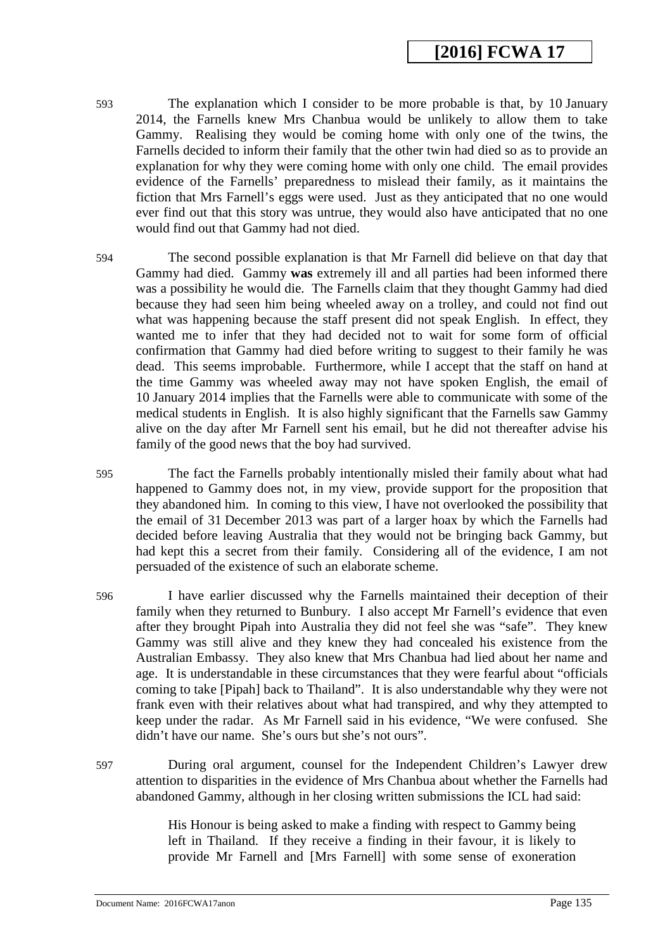- 593 The explanation which I consider to be more probable is that, by 10 January 2014, the Farnells knew Mrs Chanbua would be unlikely to allow them to take Gammy. Realising they would be coming home with only one of the twins, the Farnells decided to inform their family that the other twin had died so as to provide an explanation for why they were coming home with only one child. The email provides evidence of the Farnells' preparedness to mislead their family, as it maintains the fiction that Mrs Farnell's eggs were used. Just as they anticipated that no one would ever find out that this story was untrue, they would also have anticipated that no one would find out that Gammy had not died.
- 594 The second possible explanation is that Mr Farnell did believe on that day that Gammy had died. Gammy **was** extremely ill and all parties had been informed there was a possibility he would die. The Farnells claim that they thought Gammy had died because they had seen him being wheeled away on a trolley, and could not find out what was happening because the staff present did not speak English. In effect, they wanted me to infer that they had decided not to wait for some form of official confirmation that Gammy had died before writing to suggest to their family he was dead. This seems improbable. Furthermore, while I accept that the staff on hand at the time Gammy was wheeled away may not have spoken English, the email of 10 January 2014 implies that the Farnells were able to communicate with some of the medical students in English. It is also highly significant that the Farnells saw Gammy alive on the day after Mr Farnell sent his email, but he did not thereafter advise his family of the good news that the boy had survived.
- 595 The fact the Farnells probably intentionally misled their family about what had happened to Gammy does not, in my view, provide support for the proposition that they abandoned him. In coming to this view, I have not overlooked the possibility that the email of 31 December 2013 was part of a larger hoax by which the Farnells had decided before leaving Australia that they would not be bringing back Gammy, but had kept this a secret from their family. Considering all of the evidence, I am not persuaded of the existence of such an elaborate scheme.
- 596 I have earlier discussed why the Farnells maintained their deception of their family when they returned to Bunbury. I also accept Mr Farnell's evidence that even after they brought Pipah into Australia they did not feel she was "safe". They knew Gammy was still alive and they knew they had concealed his existence from the Australian Embassy. They also knew that Mrs Chanbua had lied about her name and age. It is understandable in these circumstances that they were fearful about "officials coming to take [Pipah] back to Thailand". It is also understandable why they were not frank even with their relatives about what had transpired, and why they attempted to keep under the radar. As Mr Farnell said in his evidence, "We were confused. She didn't have our name. She's ours but she's not ours".
- 597 During oral argument, counsel for the Independent Children's Lawyer drew attention to disparities in the evidence of Mrs Chanbua about whether the Farnells had abandoned Gammy, although in her closing written submissions the ICL had said:

His Honour is being asked to make a finding with respect to Gammy being left in Thailand. If they receive a finding in their favour, it is likely to provide Mr Farnell and [Mrs Farnell] with some sense of exoneration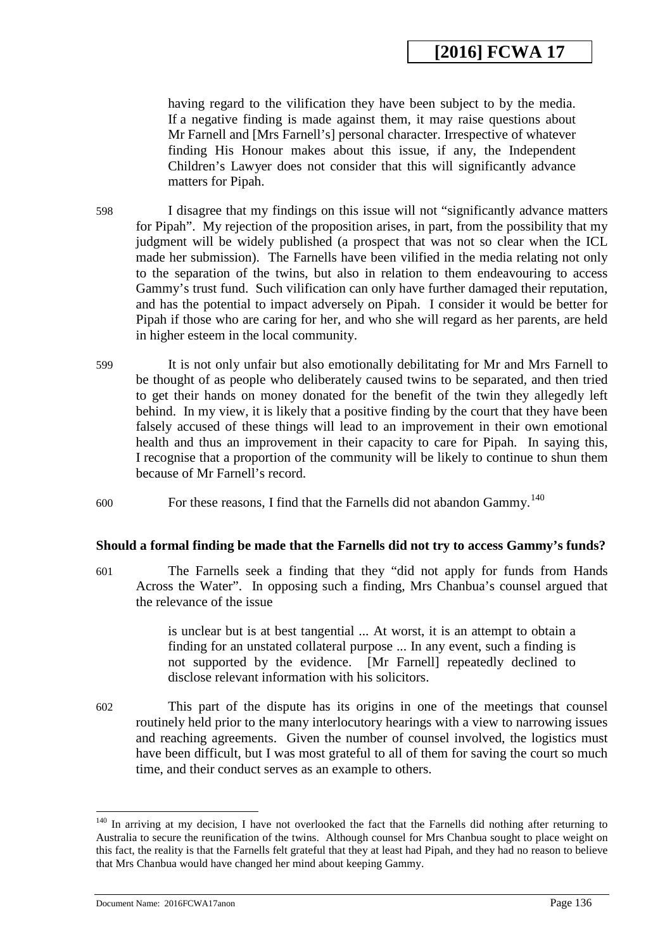having regard to the vilification they have been subject to by the media. If a negative finding is made against them, it may raise questions about Mr Farnell and [Mrs Farnell's] personal character. Irrespective of whatever finding His Honour makes about this issue, if any, the Independent Children's Lawyer does not consider that this will significantly advance matters for Pipah.

598 I disagree that my findings on this issue will not "significantly advance matters for Pipah". My rejection of the proposition arises, in part, from the possibility that my judgment will be widely published (a prospect that was not so clear when the ICL made her submission). The Farnells have been vilified in the media relating not only to the separation of the twins, but also in relation to them endeavouring to access Gammy's trust fund. Such vilification can only have further damaged their reputation, and has the potential to impact adversely on Pipah. I consider it would be better for Pipah if those who are caring for her, and who she will regard as her parents, are held in higher esteem in the local community.

- 599 It is not only unfair but also emotionally debilitating for Mr and Mrs Farnell to be thought of as people who deliberately caused twins to be separated, and then tried to get their hands on money donated for the benefit of the twin they allegedly left behind. In my view, it is likely that a positive finding by the court that they have been falsely accused of these things will lead to an improvement in their own emotional health and thus an improvement in their capacity to care for Pipah. In saying this, I recognise that a proportion of the community will be likely to continue to shun them because of Mr Farnell's record.
- $600$  For these reasons, I find that the Farnells did not abandon Gammy.<sup>[140](#page-136-0)</sup>

### **Should a formal finding be made that the Farnells did not try to access Gammy's funds?**

601 The Farnells seek a finding that they "did not apply for funds from Hands Across the Water". In opposing such a finding, Mrs Chanbua's counsel argued that the relevance of the issue

> is unclear but is at best tangential ... At worst, it is an attempt to obtain a finding for an unstated collateral purpose ... In any event, such a finding is not supported by the evidence. [Mr Farnell] repeatedly declined to disclose relevant information with his solicitors.

602 This part of the dispute has its origins in one of the meetings that counsel routinely held prior to the many interlocutory hearings with a view to narrowing issues and reaching agreements. Given the number of counsel involved, the logistics must have been difficult, but I was most grateful to all of them for saving the court so much time, and their conduct serves as an example to others.

<span id="page-135-0"></span><sup>&</sup>lt;sup>140</sup> In arriving at my decision, I have not overlooked the fact that the Farnells did nothing after returning to Australia to secure the reunification of the twins. Although counsel for Mrs Chanbua sought to place weight on this fact, the reality is that the Farnells felt grateful that they at least had Pipah, and they had no reason to believe that Mrs Chanbua would have changed her mind about keeping Gammy.

Document Name: 2016FCWA17anon Page 136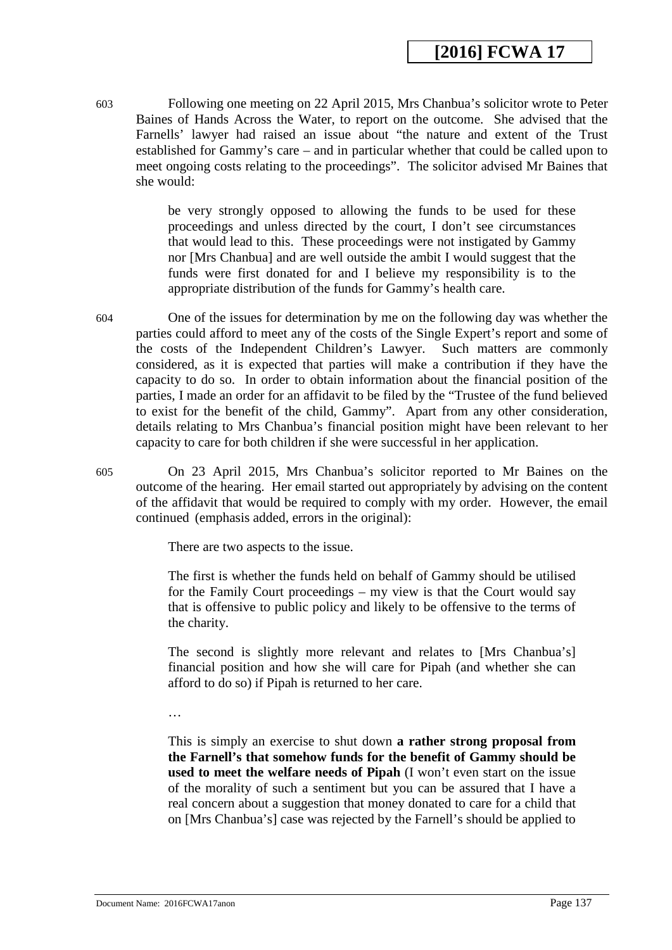603 Following one meeting on 22 April 2015, Mrs Chanbua's solicitor wrote to Peter Baines of Hands Across the Water, to report on the outcome. She advised that the Farnells' lawyer had raised an issue about "the nature and extent of the Trust established for Gammy's care – and in particular whether that could be called upon to meet ongoing costs relating to the proceedings". The solicitor advised Mr Baines that she would:

> be very strongly opposed to allowing the funds to be used for these proceedings and unless directed by the court, I don't see circumstances that would lead to this. These proceedings were not instigated by Gammy nor [Mrs Chanbua] and are well outside the ambit I would suggest that the funds were first donated for and I believe my responsibility is to the appropriate distribution of the funds for Gammy's health care.

- 604 One of the issues for determination by me on the following day was whether the parties could afford to meet any of the costs of the Single Expert's report and some of the costs of the Independent Children's Lawyer. Such matters are commonly considered, as it is expected that parties will make a contribution if they have the capacity to do so. In order to obtain information about the financial position of the parties, I made an order for an affidavit to be filed by the "Trustee of the fund believed to exist for the benefit of the child, Gammy". Apart from any other consideration, details relating to Mrs Chanbua's financial position might have been relevant to her capacity to care for both children if she were successful in her application.
- 605 On 23 April 2015, Mrs Chanbua's solicitor reported to Mr Baines on the outcome of the hearing. Her email started out appropriately by advising on the content of the affidavit that would be required to comply with my order. However, the email continued (emphasis added, errors in the original):

There are two aspects to the issue.

The first is whether the funds held on behalf of Gammy should be utilised for the Family Court proceedings – my view is that the Court would say that is offensive to public policy and likely to be offensive to the terms of the charity.

The second is slightly more relevant and relates to [Mrs Chanbua's] financial position and how she will care for Pipah (and whether she can afford to do so) if Pipah is returned to her care.

…

<span id="page-136-0"></span>This is simply an exercise to shut down **a rather strong proposal from the Farnell's that somehow funds for the benefit of Gammy should be used to meet the welfare needs of Pipah** (I won't even start on the issue of the morality of such a sentiment but you can be assured that I have a real concern about a suggestion that money donated to care for a child that on [Mrs Chanbua's] case was rejected by the Farnell's should be applied to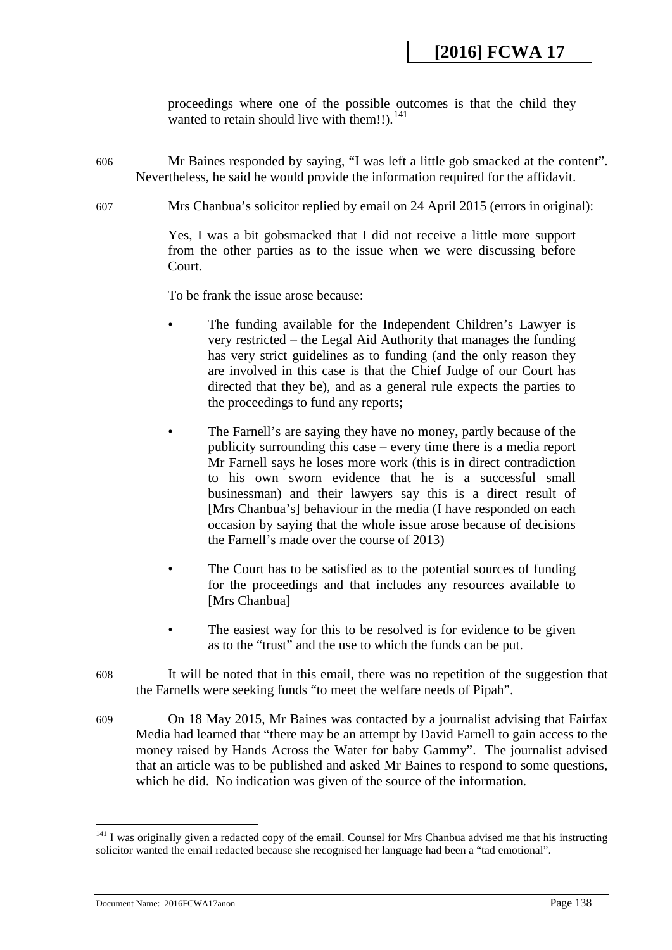proceedings where one of the possible outcomes is that the child they wanted to retain should live with them!!). $^{141}$  $^{141}$  $^{141}$ 

- 606 Mr Baines responded by saying, "I was left a little gob smacked at the content". Nevertheless, he said he would provide the information required for the affidavit.
- 607 Mrs Chanbua's solicitor replied by email on 24 April 2015 (errors in original):

Yes, I was a bit gobsmacked that I did not receive a little more support from the other parties as to the issue when we were discussing before Court.

To be frank the issue arose because:

- The funding available for the Independent Children's Lawyer is very restricted – the Legal Aid Authority that manages the funding has very strict guidelines as to funding (and the only reason they are involved in this case is that the Chief Judge of our Court has directed that they be), and as a general rule expects the parties to the proceedings to fund any reports;
- The Farnell's are saying they have no money, partly because of the publicity surrounding this case – every time there is a media report Mr Farnell says he loses more work (this is in direct contradiction to his own sworn evidence that he is a successful small businessman) and their lawyers say this is a direct result of [Mrs Chanbua's] behaviour in the media (I have responded on each occasion by saying that the whole issue arose because of decisions the Farnell's made over the course of 2013)
- The Court has to be satisfied as to the potential sources of funding for the proceedings and that includes any resources available to [Mrs Chanbua]
- The easiest way for this to be resolved is for evidence to be given as to the "trust" and the use to which the funds can be put.
- 608 It will be noted that in this email, there was no repetition of the suggestion that the Farnells were seeking funds "to meet the welfare needs of Pipah".
- 609 On 18 May 2015, Mr Baines was contacted by a journalist advising that Fairfax Media had learned that "there may be an attempt by David Farnell to gain access to the money raised by Hands Across the Water for baby Gammy". The journalist advised that an article was to be published and asked Mr Baines to respond to some questions, which he did. No indication was given of the source of the information.

<sup>&</sup>lt;sup>141</sup> I was originally given a redacted copy of the email. Counsel for Mrs Chanbua advised me that his instructing solicitor wanted the email redacted because she recognised her language had been a "tad emotional". -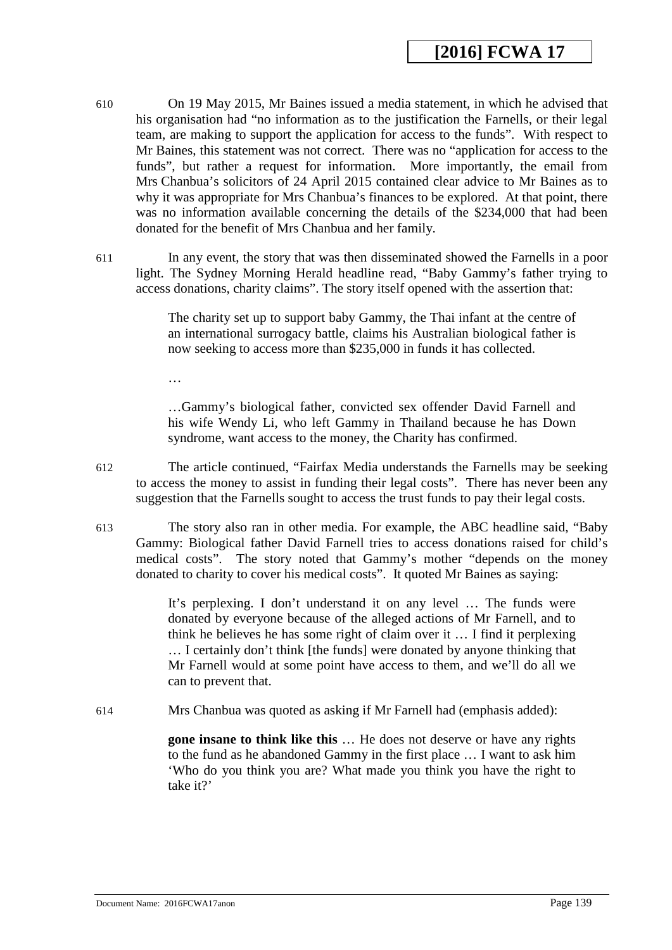- 610 On 19 May 2015, Mr Baines issued a media statement, in which he advised that his organisation had "no information as to the justification the Farnells, or their legal team, are making to support the application for access to the funds". With respect to Mr Baines, this statement was not correct. There was no "application for access to the funds", but rather a request for information. More importantly, the email from Mrs Chanbua's solicitors of 24 April 2015 contained clear advice to Mr Baines as to why it was appropriate for Mrs Chanbua's finances to be explored. At that point, there was no information available concerning the details of the \$234,000 that had been donated for the benefit of Mrs Chanbua and her family.
- 611 In any event, the story that was then disseminated showed the Farnells in a poor light. The Sydney Morning Herald headline read, "Baby Gammy's father trying to access donations, charity claims". The story itself opened with the assertion that:

The charity set up to support baby Gammy, the Thai infant at the centre of an international surrogacy battle, claims his Australian biological father is now seeking to access more than \$235,000 in funds it has collected.

…

…Gammy's biological father, convicted sex offender David Farnell and his wife Wendy Li, who left Gammy in Thailand because he has Down syndrome, want access to the money, the Charity has confirmed.

- 612 The article continued, "Fairfax Media understands the Farnells may be seeking to access the money to assist in funding their legal costs". There has never been any suggestion that the Farnells sought to access the trust funds to pay their legal costs.
- 613 The story also ran in other media. For example, the ABC headline said, "Baby Gammy: Biological father David Farnell tries to access donations raised for child's medical costs". The story noted that Gammy's mother "depends on the money donated to charity to cover his medical costs". It quoted Mr Baines as saying:

It's perplexing. I don't understand it on any level … The funds were donated by everyone because of the alleged actions of Mr Farnell, and to think he believes he has some right of claim over it … I find it perplexing … I certainly don't think [the funds] were donated by anyone thinking that Mr Farnell would at some point have access to them, and we'll do all we can to prevent that.

<span id="page-138-0"></span>614 Mrs Chanbua was quoted as asking if Mr Farnell had (emphasis added):

**gone insane to think like this** … He does not deserve or have any rights to the fund as he abandoned Gammy in the first place … I want to ask him 'Who do you think you are? What made you think you have the right to take it?'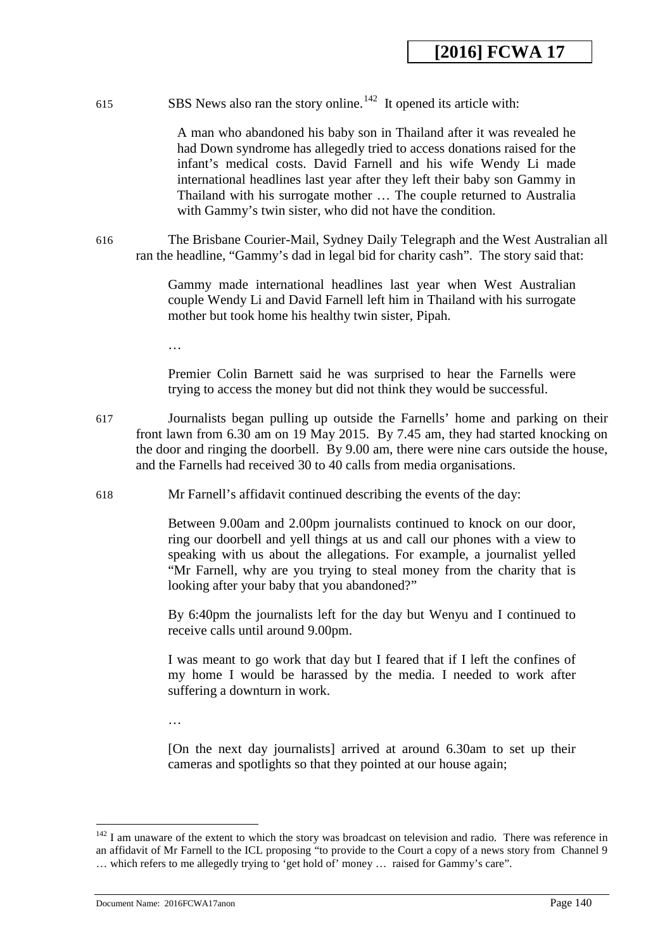615 SBS News also ran the story online.<sup>142</sup> It opened its article with:

A man who abandoned his baby son in Thailand after it was revealed he had Down syndrome has allegedly tried to access donations raised for the infant's medical costs. David Farnell and his wife Wendy Li made international headlines last year after they left their baby son Gammy in Thailand with his surrogate mother … The couple returned to Australia with Gammy's twin sister, who did not have the condition.

616 The Brisbane Courier-Mail, Sydney Daily Telegraph and the West Australian all ran the headline, "Gammy's dad in legal bid for charity cash". The story said that:

> Gammy made international headlines last year when West Australian couple Wendy Li and David Farnell left him in Thailand with his surrogate mother but took home his healthy twin sister, Pipah.

…

Premier Colin Barnett said he was surprised to hear the Farnells were trying to access the money but did not think they would be successful.

617 Journalists began pulling up outside the Farnells' home and parking on their front lawn from 6.30 am on 19 May 2015. By 7.45 am, they had started knocking on the door and ringing the doorbell. By 9.00 am, there were nine cars outside the house, and the Farnells had received 30 to 40 calls from media organisations.

618 Mr Farnell's affidavit continued describing the events of the day:

Between 9.00am and 2.00pm journalists continued to knock on our door, ring our doorbell and yell things at us and call our phones with a view to speaking with us about the allegations. For example, a journalist yelled "Mr Farnell, why are you trying to steal money from the charity that is looking after your baby that you abandoned?"

By 6:40pm the journalists left for the day but Wenyu and I continued to receive calls until around 9.00pm.

I was meant to go work that day but I feared that if I left the confines of my home I would be harassed by the media. I needed to work after suffering a downturn in work.

…

[On the next day journalists] arrived at around 6.30am to set up their cameras and spotlights so that they pointed at our house again;

Document Name: 2016FCWA17anon Page 140

 $142$  I am unaware of the extent to which the story was broadcast on television and radio. There was reference in an affidavit of Mr Farnell to the ICL proposing "to provide to the Court a copy of a news story from Channel 9 … which refers to me allegedly trying to 'get hold of' money … raised for Gammy's care".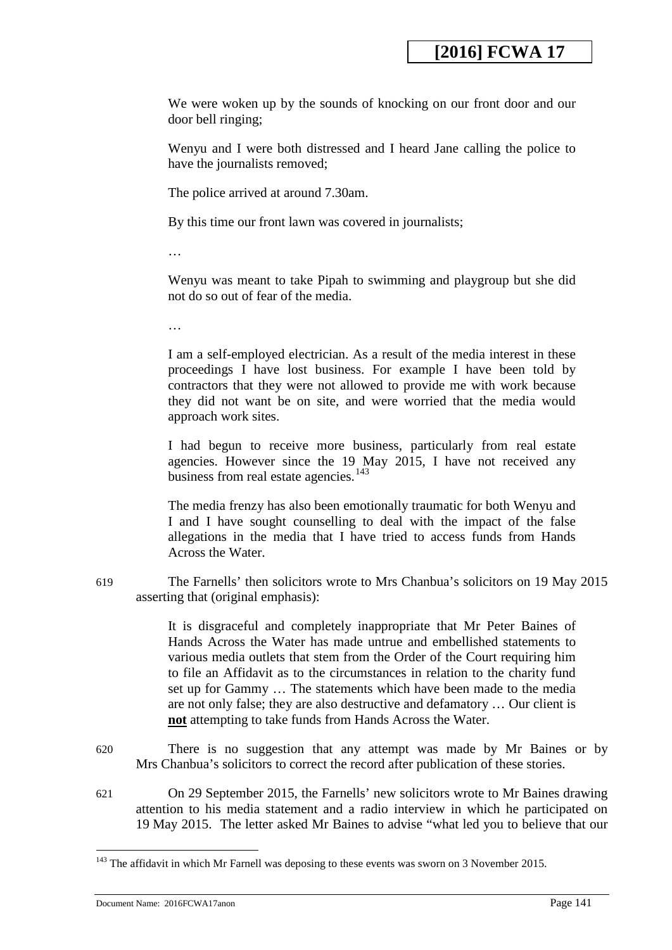We were woken up by the sounds of knocking on our front door and our door bell ringing;

Wenyu and I were both distressed and I heard Jane calling the police to have the journalists removed;

The police arrived at around 7.30am.

By this time our front lawn was covered in journalists;

…

Wenyu was meant to take Pipah to swimming and playgroup but she did not do so out of fear of the media.

…

I am a self-employed electrician. As a result of the media interest in these proceedings I have lost business. For example I have been told by contractors that they were not allowed to provide me with work because they did not want be on site, and were worried that the media would approach work sites.

I had begun to receive more business, particularly from real estate agencies. However since the 19 May 2015, I have not received any business from real estate agencies.<sup>[143](#page-141-0)</sup>

The media frenzy has also been emotionally traumatic for both Wenyu and I and I have sought counselling to deal with the impact of the false allegations in the media that I have tried to access funds from Hands Across the Water.

619 The Farnells' then solicitors wrote to Mrs Chanbua's solicitors on 19 May 2015 asserting that (original emphasis):

> It is disgraceful and completely inappropriate that Mr Peter Baines of Hands Across the Water has made untrue and embellished statements to various media outlets that stem from the Order of the Court requiring him to file an Affidavit as to the circumstances in relation to the charity fund set up for Gammy … The statements which have been made to the media are not only false; they are also destructive and defamatory … Our client is **not** attempting to take funds from Hands Across the Water.

- 620 There is no suggestion that any attempt was made by Mr Baines or by Mrs Chanbua's solicitors to correct the record after publication of these stories.
- 621 On 29 September 2015, the Farnells' new solicitors wrote to Mr Baines drawing attention to his media statement and a radio interview in which he participated on 19 May 2015. The letter asked Mr Baines to advise "what led you to believe that our

<span id="page-140-0"></span><u>.</u>

 $143$  The affidavit in which Mr Farnell was deposing to these events was sworn on 3 November 2015.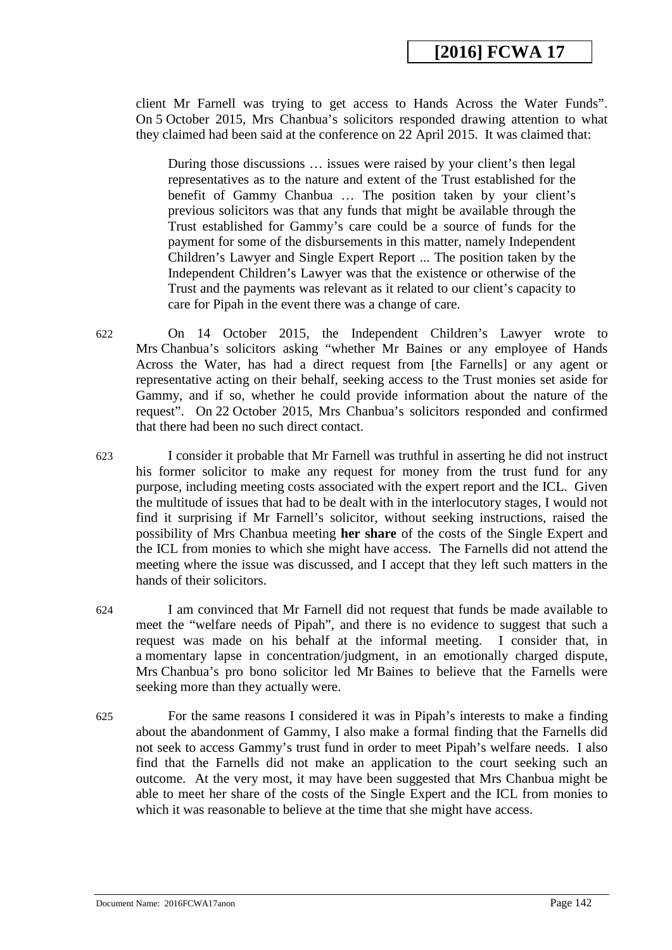client Mr Farnell was trying to get access to Hands Across the Water Funds". On 5 October 2015, Mrs Chanbua's solicitors responded drawing attention to what they claimed had been said at the conference on 22 April 2015. It was claimed that:

During those discussions … issues were raised by your client's then legal representatives as to the nature and extent of the Trust established for the benefit of Gammy Chanbua … The position taken by your client's previous solicitors was that any funds that might be available through the Trust established for Gammy's care could be a source of funds for the payment for some of the disbursements in this matter, namely Independent Children's Lawyer and Single Expert Report ... The position taken by the Independent Children's Lawyer was that the existence or otherwise of the Trust and the payments was relevant as it related to our client's capacity to care for Pipah in the event there was a change of care.

- 622 On 14 October 2015, the Independent Children's Lawyer wrote to Mrs Chanbua's solicitors asking "whether Mr Baines or any employee of Hands Across the Water, has had a direct request from [the Farnells] or any agent or representative acting on their behalf, seeking access to the Trust monies set aside for Gammy, and if so, whether he could provide information about the nature of the request". On 22 October 2015, Mrs Chanbua's solicitors responded and confirmed that there had been no such direct contact.
- 623 I consider it probable that Mr Farnell was truthful in asserting he did not instruct his former solicitor to make any request for money from the trust fund for any purpose, including meeting costs associated with the expert report and the ICL. Given the multitude of issues that had to be dealt with in the interlocutory stages, I would not find it surprising if Mr Farnell's solicitor, without seeking instructions, raised the possibility of Mrs Chanbua meeting **her share** of the costs of the Single Expert and the ICL from monies to which she might have access. The Farnells did not attend the meeting where the issue was discussed, and I accept that they left such matters in the hands of their solicitors.
- 624 I am convinced that Mr Farnell did not request that funds be made available to meet the "welfare needs of Pipah", and there is no evidence to suggest that such a request was made on his behalf at the informal meeting. I consider that, in a momentary lapse in concentration/judgment, in an emotionally charged dispute, Mrs Chanbua's pro bono solicitor led Mr Baines to believe that the Farnells were seeking more than they actually were.
- <span id="page-141-0"></span>625 For the same reasons I considered it was in Pipah's interests to make a finding about the abandonment of Gammy, I also make a formal finding that the Farnells did not seek to access Gammy's trust fund in order to meet Pipah's welfare needs. I also find that the Farnells did not make an application to the court seeking such an outcome. At the very most, it may have been suggested that Mrs Chanbua might be able to meet her share of the costs of the Single Expert and the ICL from monies to which it was reasonable to believe at the time that she might have access.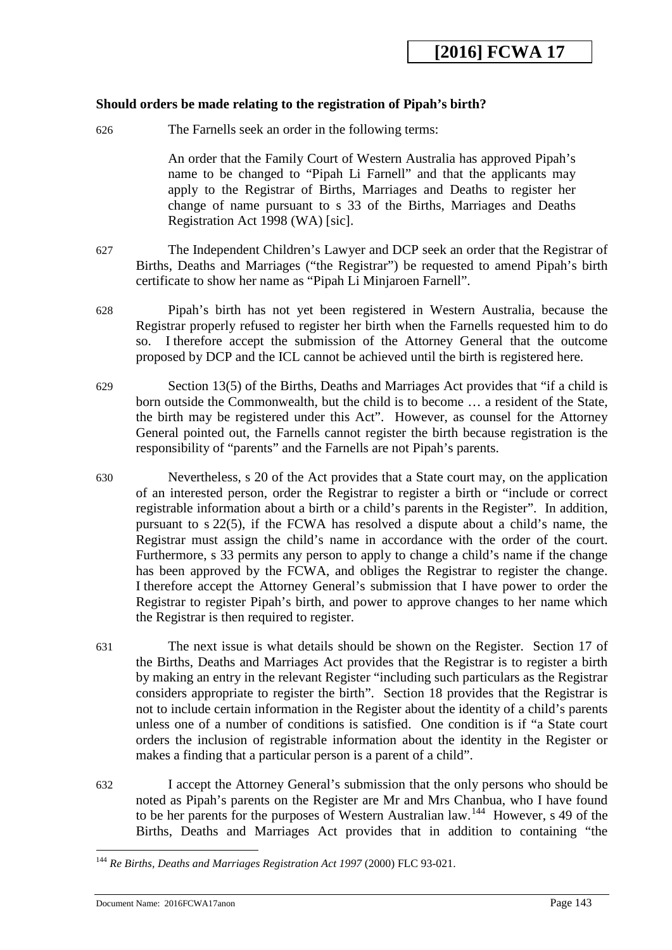### **Should orders be made relating to the registration of Pipah's birth?**

626 The Farnells seek an order in the following terms:

An order that the Family Court of Western Australia has approved Pipah's name to be changed to "Pipah Li Farnell" and that the applicants may apply to the Registrar of Births, Marriages and Deaths to register her change of name pursuant to s 33 of the Births, Marriages and Deaths Registration Act 1998 (WA) [sic].

- 627 The Independent Children's Lawyer and DCP seek an order that the Registrar of Births, Deaths and Marriages ("the Registrar") be requested to amend Pipah's birth certificate to show her name as "Pipah Li Minjaroen Farnell".
- 628 Pipah's birth has not yet been registered in Western Australia, because the Registrar properly refused to register her birth when the Farnells requested him to do so. I therefore accept the submission of the Attorney General that the outcome proposed by DCP and the ICL cannot be achieved until the birth is registered here.
- 629 Section 13(5) of the Births, Deaths and Marriages Act provides that "if a child is born outside the Commonwealth, but the child is to become … a resident of the State, the birth may be registered under this Act". However, as counsel for the Attorney General pointed out, the Farnells cannot register the birth because registration is the responsibility of "parents" and the Farnells are not Pipah's parents.
- 630 Nevertheless, s 20 of the Act provides that a State court may, on the application of an interested person, order the Registrar to register a birth or "include or correct registrable information about a birth or a child's parents in the Register". In addition, pursuant to s 22(5), if the FCWA has resolved a dispute about a child's name, the Registrar must assign the child's name in accordance with the order of the court. Furthermore, s 33 permits any person to apply to change a child's name if the change has been approved by the FCWA, and obliges the Registrar to register the change. I therefore accept the Attorney General's submission that I have power to order the Registrar to register Pipah's birth, and power to approve changes to her name which the Registrar is then required to register.
- 631 The next issue is what details should be shown on the Register. Section 17 of the Births, Deaths and Marriages Act provides that the Registrar is to register a birth by making an entry in the relevant Register "including such particulars as the Registrar considers appropriate to register the birth". Section 18 provides that the Registrar is not to include certain information in the Register about the identity of a child's parents unless one of a number of conditions is satisfied. One condition is if "a State court orders the inclusion of registrable information about the identity in the Register or makes a finding that a particular person is a parent of a child".
- 632 I accept the Attorney General's submission that the only persons who should be noted as Pipah's parents on the Register are Mr and Mrs Chanbua, who I have found to be her parents for the purposes of Western Australian law.<sup>[144](#page-144-0)</sup> However, s 49 of the Births, Deaths and Marriages Act provides that in addition to containing "the

<sup>144</sup> *Re Births, Deaths and Marriages Registration Act 1997* (2000) FLC 93-021. <u>.</u>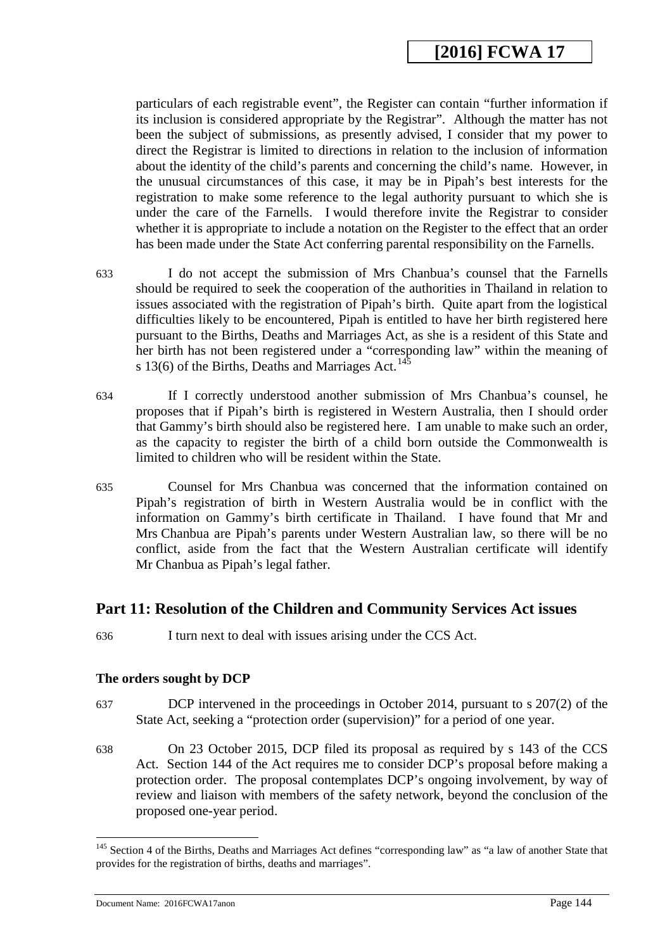particulars of each registrable event", the Register can contain "further information if its inclusion is considered appropriate by the Registrar". Although the matter has not been the subject of submissions, as presently advised, I consider that my power to direct the Registrar is limited to directions in relation to the inclusion of information about the identity of the child's parents and concerning the child's name. However, in the unusual circumstances of this case, it may be in Pipah's best interests for the registration to make some reference to the legal authority pursuant to which she is under the care of the Farnells. I would therefore invite the Registrar to consider whether it is appropriate to include a notation on the Register to the effect that an order has been made under the State Act conferring parental responsibility on the Farnells.

- 633 I do not accept the submission of Mrs Chanbua's counsel that the Farnells should be required to seek the cooperation of the authorities in Thailand in relation to issues associated with the registration of Pipah's birth. Quite apart from the logistical difficulties likely to be encountered, Pipah is entitled to have her birth registered here pursuant to the Births, Deaths and Marriages Act, as she is a resident of this State and her birth has not been registered under a "corresponding law" within the meaning of s 13(6) of the Births, Deaths and Marriages Act.<sup>[145](#page-144-1)</sup>
- 634 If I correctly understood another submission of Mrs Chanbua's counsel, he proposes that if Pipah's birth is registered in Western Australia, then I should order that Gammy's birth should also be registered here. I am unable to make such an order, as the capacity to register the birth of a child born outside the Commonwealth is limited to children who will be resident within the State.
- 635 Counsel for Mrs Chanbua was concerned that the information contained on Pipah's registration of birth in Western Australia would be in conflict with the information on Gammy's birth certificate in Thailand. I have found that Mr and Mrs Chanbua are Pipah's parents under Western Australian law, so there will be no conflict, aside from the fact that the Western Australian certificate will identify Mr Chanbua as Pipah's legal father.

## **Part 11: Resolution of the Children and Community Services Act issues**

636 I turn next to deal with issues arising under the CCS Act.

### **The orders sought by DCP**

- 637 DCP intervened in the proceedings in October 2014, pursuant to s 207(2) of the State Act, seeking a "protection order (supervision)" for a period of one year.
- 638 On 23 October 2015, DCP filed its proposal as required by s 143 of the CCS Act. Section 144 of the Act requires me to consider DCP's proposal before making a protection order. The proposal contemplates DCP's ongoing involvement, by way of review and liaison with members of the safety network, beyond the conclusion of the proposed one-year period.

<sup>&</sup>lt;sup>145</sup> Section 4 of the Births, Deaths and Marriages Act defines "corresponding law" as "a law of another State that provides for the registration of births, deaths and marriages".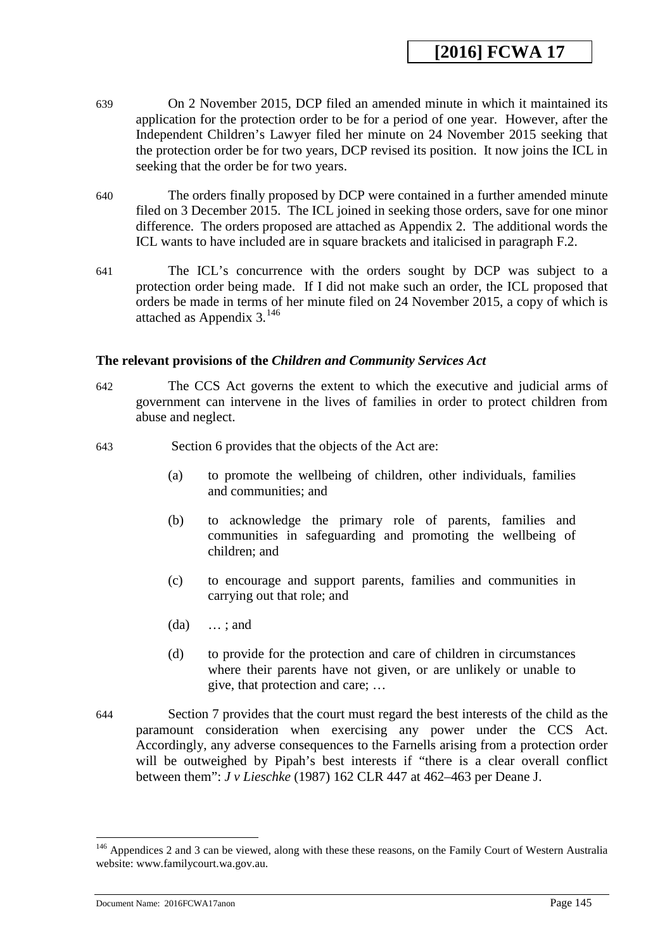- 639 On 2 November 2015, DCP filed an amended minute in which it maintained its application for the protection order to be for a period of one year. However, after the Independent Children's Lawyer filed her minute on 24 November 2015 seeking that the protection order be for two years, DCP revised its position. It now joins the ICL in seeking that the order be for two years.
- 640 The orders finally proposed by DCP were contained in a further amended minute filed on 3 December 2015. The ICL joined in seeking those orders, save for one minor difference. The orders proposed are attached as Appendix 2. The additional words the ICL wants to have included are in square brackets and italicised in paragraph F.2.
- 641 The ICL's concurrence with the orders sought by DCP was subject to a protection order being made. If I did not make such an order, the ICL proposed that orders be made in terms of her minute filed on 24 November 2015, a copy of which is attached as Appendix 3.[146](#page-145-0)

#### **The relevant provisions of the** *Children and Community Services Act*

- 642 The CCS Act governs the extent to which the executive and judicial arms of government can intervene in the lives of families in order to protect children from abuse and neglect.
- 643 Section 6 provides that the objects of the Act are:
	- (a) to promote the wellbeing of children, other individuals, families and communities; and
	- (b) to acknowledge the primary role of parents, families and communities in safeguarding and promoting the wellbeing of children; and
	- (c) to encourage and support parents, families and communities in carrying out that role; and
	- (da) … ; and
	- (d) to provide for the protection and care of children in circumstances where their parents have not given, or are unlikely or unable to give, that protection and care; …
- 644 Section 7 provides that the court must regard the best interests of the child as the paramount consideration when exercising any power under the CCS Act. Accordingly, any adverse consequences to the Farnells arising from a protection order will be outweighed by Pipah's best interests if "there is a clear overall conflict between them": *J v Lieschke* (1987) 162 CLR 447 at 462–463 per Deane J.

Document Name: 2016FCWA17anon Page 145

<sup>&</sup>lt;sup>146</sup> Appendices 2 and 3 can be viewed, along with these these reasons, on the Family Court of Western Australia website: www.familycourt.wa.gov.au.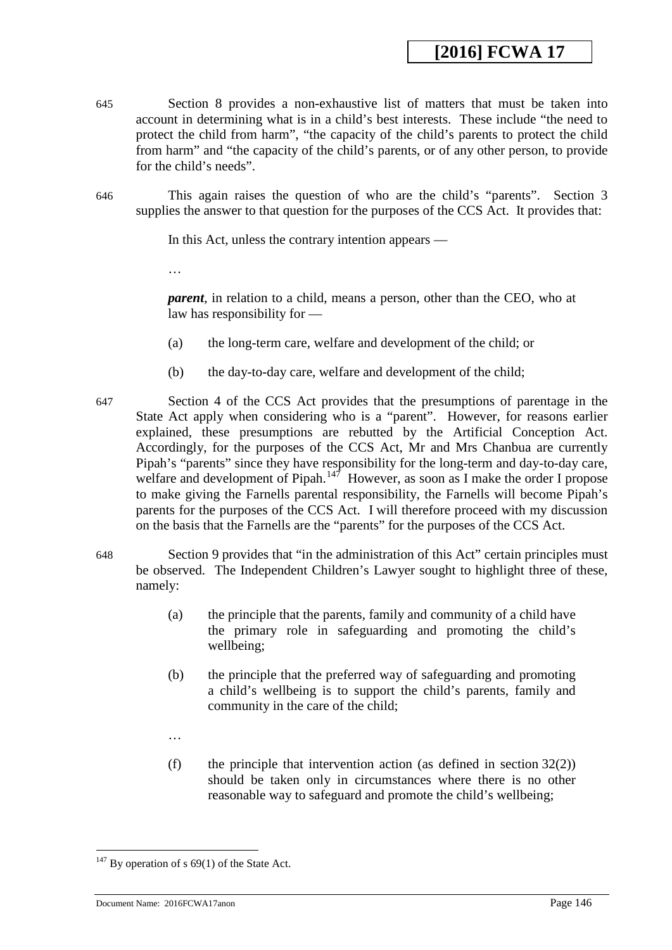- 645 Section 8 provides a non-exhaustive list of matters that must be taken into account in determining what is in a child's best interests. These include "the need to protect the child from harm", "the capacity of the child's parents to protect the child from harm" and "the capacity of the child's parents, or of any other person, to provide for the child's needs".
- 646 This again raises the question of who are the child's "parents". Section 3 supplies the answer to that question for the purposes of the CCS Act. It provides that:

In this Act, unless the contrary intention appears —

…

*parent*, in relation to a child, means a person, other than the CEO, who at law has responsibility for —

- (a) the long-term care, welfare and development of the child; or
- (b) the day-to-day care, welfare and development of the child;
- 647 Section 4 of the CCS Act provides that the presumptions of parentage in the State Act apply when considering who is a "parent". However, for reasons earlier explained, these presumptions are rebutted by the Artificial Conception Act. Accordingly, for the purposes of the CCS Act, Mr and Mrs Chanbua are currently Pipah's "parents" since they have responsibility for the long-term and day-to-day care, welfare and development of Pipah.<sup>147</sup> However, as soon as I make the order I propose to make giving the Farnells parental responsibility, the Farnells will become Pipah's parents for the purposes of the CCS Act. I will therefore proceed with my discussion on the basis that the Farnells are the "parents" for the purposes of the CCS Act.
- 648 Section 9 provides that "in the administration of this Act" certain principles must be observed. The Independent Children's Lawyer sought to highlight three of these, namely:
	- (a) the principle that the parents, family and community of a child have the primary role in safeguarding and promoting the child's wellbeing;
	- (b) the principle that the preferred way of safeguarding and promoting a child's wellbeing is to support the child's parents, family and community in the care of the child;
	- …
	- (f) the principle that intervention action (as defined in section  $32(2)$ ) should be taken only in circumstances where there is no other reasonable way to safeguard and promote the child's wellbeing;

<span id="page-145-0"></span><u>.</u>

 $147$  By operation of s 69(1) of the State Act.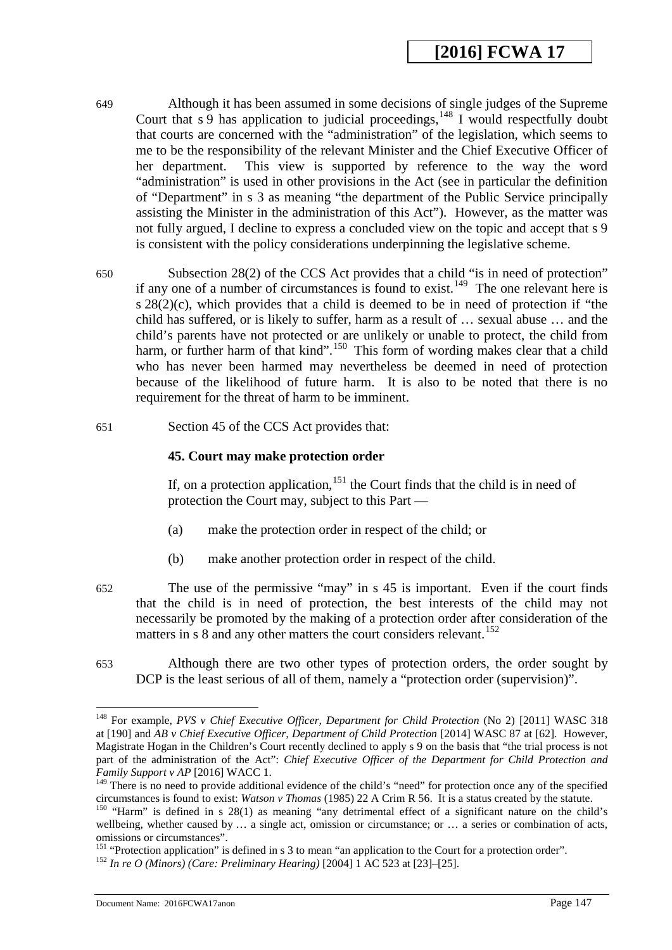- 649 Although it has been assumed in some decisions of single judges of the Supreme Court that  $s$  9 has application to judicial proceedings,  $148$  I would respectfully doubt that courts are concerned with the "administration" of the legislation, which seems to me to be the responsibility of the relevant Minister and the Chief Executive Officer of her department. This view is supported by reference to the way the word "administration" is used in other provisions in the Act (see in particular the definition of "Department" in s 3 as meaning "the department of the Public Service principally assisting the Minister in the administration of this Act"). However, as the matter was not fully argued, I decline to express a concluded view on the topic and accept that s 9 is consistent with the policy considerations underpinning the legislative scheme.
- 650 Subsection 28(2) of the CCS Act provides that a child "is in need of protection" if any one of a number of circumstances is found to exist.<sup>149</sup> The one relevant here is s  $28(2)(c)$ , which provides that a child is deemed to be in need of protection if "the child has suffered, or is likely to suffer, harm as a result of … sexual abuse … and the child's parents have not protected or are unlikely or unable to protect, the child from harm, or further harm of that kind".<sup>[150](#page-147-2)</sup> This form of wording makes clear that a child who has never been harmed may nevertheless be deemed in need of protection because of the likelihood of future harm. It is also to be noted that there is no requirement for the threat of harm to be imminent.
- 651 Section 45 of the CCS Act provides that:

#### **45. Court may make protection order**

If, on a protection application,  $151$  the Court finds that the child is in need of protection the Court may, subject to this Part —

- (a) make the protection order in respect of the child; or
- (b) make another protection order in respect of the child.
- 652 The use of the permissive "may" in s 45 is important. Even if the court finds that the child is in need of protection, the best interests of the child may not necessarily be promoted by the making of a protection order after consideration of the matters in  $s$  8 and any other matters the court considers relevant.<sup>152</sup>
- 653 Although there are two other types of protection orders, the order sought by DCP is the least serious of all of them, namely a "protection order (supervision)".

Document Name: 2016FCWA17anon Page 147

<sup>148</sup> For example, *PVS v Chief Executive Officer, Department for Child Protection* (No 2) [2011] WASC 318 at [190] and *AB v Chief Executive Officer, Department of Child Protection* [2014] WASC 87 at [62]. However, Magistrate Hogan in the Children's Court recently declined to apply s 9 on the basis that "the trial process is not part of the administration of the Act": *Chief Executive Officer of the Department for Child Protection and* 

*Family Support v AP* [2016] WACC 1.<br><sup>149</sup> There is no need to provide additional evidence of the child's "need" for protection once any of the specified<br>circumstances is found to exist: *Watson v Thomas* (1985) 22 A Crim

<sup>&</sup>lt;sup>150</sup> "Harm" is defined in s 28(1) as meaning "any detrimental effect of a significant nature on the child's wellbeing, whether caused by ... a single act, omission or circumstance; or ... a series or combination of acts, omissions or circumstances".

<sup>&</sup>lt;sup>151</sup> "Protection application" is defined in s 3 to mean "an application to the Court for a protection order".<br><sup>152</sup> *In re O (Minors) (Care: Preliminary Hearing)* [2004] 1 AC 523 at [23]–[25].

<span id="page-146-0"></span>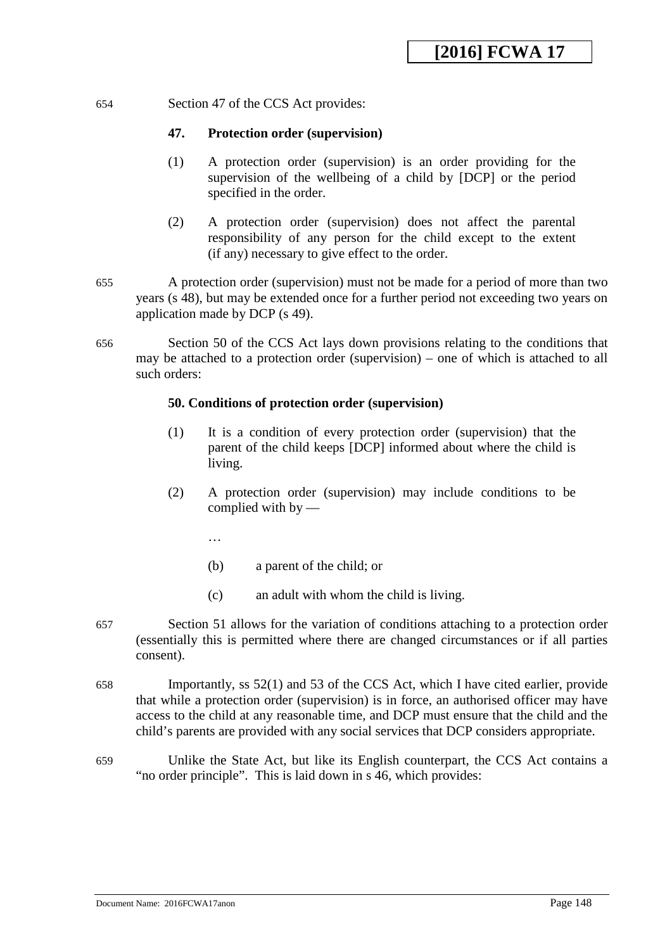#### 654 Section 47 of the CCS Act provides:

#### **47. Protection order (supervision)**

- (1) A protection order (supervision) is an order providing for the supervision of the wellbeing of a child by [DCP] or the period specified in the order.
- (2) A protection order (supervision) does not affect the parental responsibility of any person for the child except to the extent (if any) necessary to give effect to the order.
- 655 A protection order (supervision) must not be made for a period of more than two years (s 48), but may be extended once for a further period not exceeding two years on application made by DCP (s 49).
- 656 Section 50 of the CCS Act lays down provisions relating to the conditions that may be attached to a protection order (supervision) – one of which is attached to all such orders:

#### **50. Conditions of protection order (supervision)**

- (1) It is a condition of every protection order (supervision) that the parent of the child keeps [DCP] informed about where the child is living.
- (2) A protection order (supervision) may include conditions to be complied with by —

…

- (b) a parent of the child; or
- (c) an adult with whom the child is living.
- 657 Section 51 allows for the variation of conditions attaching to a protection order (essentially this is permitted where there are changed circumstances or if all parties consent).
- <span id="page-147-0"></span>658 Importantly, ss 52(1) and 53 of the CCS Act, which I have cited earlier, provide that while a protection order (supervision) is in force, an authorised officer may have access to the child at any reasonable time, and DCP must ensure that the child and the child's parents are provided with any social services that DCP considers appropriate.
- <span id="page-147-3"></span><span id="page-147-2"></span><span id="page-147-1"></span>659 Unlike the State Act, but like its English counterpart, the CCS Act contains a "no order principle". This is laid down in s 46, which provides: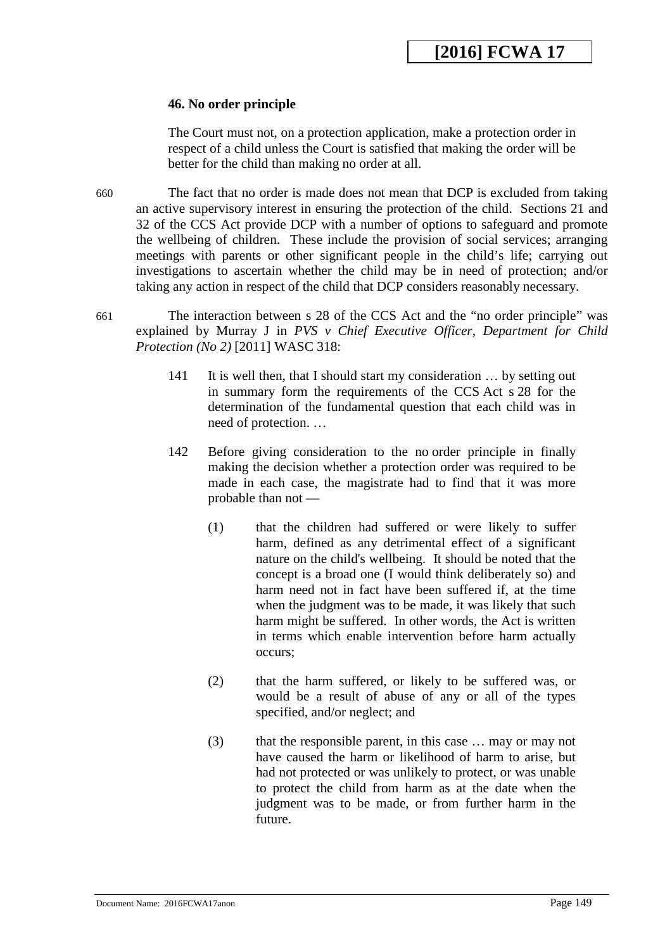#### **46. No order principle**

The Court must not, on a protection application, make a protection order in respect of a child unless the Court is satisfied that making the order will be better for the child than making no order at all.

- 660 The fact that no order is made does not mean that DCP is excluded from taking an active supervisory interest in ensuring the protection of the child. Sections 21 and 32 of the CCS Act provide DCP with a number of options to safeguard and promote the wellbeing of children. These include the provision of social services; arranging meetings with parents or other significant people in the child's life; carrying out investigations to ascertain whether the child may be in need of protection; and/or taking any action in respect of the child that DCP considers reasonably necessary.
- 661 The interaction between s 28 of the CCS Act and the "no order principle" was explained by Murray J in *PVS v Chief Executive Officer, Department for Child Protection (No 2)* [2011] WASC 318:
	- 141 It is well then, that I should start my consideration … by setting out in summary form the requirements of the CCS Act s 28 for the determination of the fundamental question that each child was in need of protection. …
	- 142 Before giving consideration to the no order principle in finally making the decision whether a protection order was required to be made in each case, the magistrate had to find that it was more probable than not —
		- (1) that the children had suffered or were likely to suffer harm, defined as any detrimental effect of a significant nature on the child's wellbeing. It should be noted that the concept is a broad one (I would think deliberately so) and harm need not in fact have been suffered if, at the time when the judgment was to be made, it was likely that such harm might be suffered. In other words, the Act is written in terms which enable intervention before harm actually occurs;
		- (2) that the harm suffered, or likely to be suffered was, or would be a result of abuse of any or all of the types specified, and/or neglect; and
		- (3) that the responsible parent, in this case … may or may not have caused the harm or likelihood of harm to arise, but had not protected or was unlikely to protect, or was unable to protect the child from harm as at the date when the judgment was to be made, or from further harm in the future.

<span id="page-148-0"></span>Document Name: 2016FCWA17anon Page 149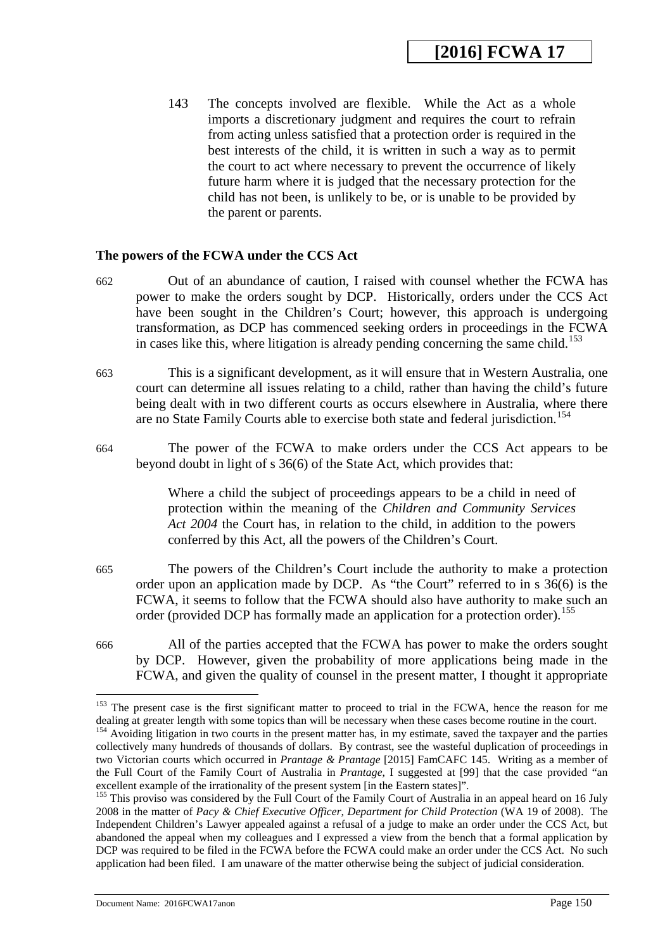143 The concepts involved are flexible. While the Act as a whole imports a discretionary judgment and requires the court to refrain from acting unless satisfied that a protection order is required in the best interests of the child, it is written in such a way as to permit the court to act where necessary to prevent the occurrence of likely future harm where it is judged that the necessary protection for the child has not been, is unlikely to be, or is unable to be provided by the parent or parents.

#### **The powers of the FCWA under the CCS Act**

- 662 Out of an abundance of caution, I raised with counsel whether the FCWA has power to make the orders sought by DCP. Historically, orders under the CCS Act have been sought in the Children's Court; however, this approach is undergoing transformation, as DCP has commenced seeking orders in proceedings in the FCWA in cases like this, where litigation is already pending concerning the same child.<sup>[153](#page-150-0)</sup>
- 663 This is a significant development, as it will ensure that in Western Australia, one court can determine all issues relating to a child, rather than having the child's future being dealt with in two different courts as occurs elsewhere in Australia, where there are no State Family Courts able to exercise both state and federal jurisdiction.<sup>[154](#page-150-1)</sup>
- 664 The power of the FCWA to make orders under the CCS Act appears to be beyond doubt in light of s 36(6) of the State Act, which provides that:

Where a child the subject of proceedings appears to be a child in need of protection within the meaning of the *Children and Community Services Act 2004* the Court has, in relation to the child, in addition to the powers conferred by this Act, all the powers of the Children's Court.

- 665 The powers of the Children's Court include the authority to make a protection order upon an application made by DCP. As "the Court" referred to in s 36(6) is the FCWA, it seems to follow that the FCWA should also have authority to make such an order (provided DCP has formally made an application for a protection order).<sup>[155](#page-151-0)</sup>
- 666 All of the parties accepted that the FCWA has power to make the orders sought by DCP. However, given the probability of more applications being made in the FCWA, and given the quality of counsel in the present matter, I thought it appropriate

<sup>&</sup>lt;sup>153</sup> The present case is the first significant matter to proceed to trial in the FCWA, hence the reason for me dealing at greater length with some topics than will be necessary when these cases become routine in the court.

<sup>&</sup>lt;sup>154</sup> Avoiding litigation in two courts in the present matter has, in my estimate, saved the taxpayer and the parties collectively many hundreds of thousands of dollars. By contrast, see the wasteful duplication of proceedings in two Victorian courts which occurred in *Prantage & Prantage* [2015] FamCAFC 145. Writing as a member of the Full Court of the Family Court of Australia in *Prantage*, I suggested at [99] that the case provided "an excellent example of the irrationality of the present system [in the Eastern states]".

<sup>&</sup>lt;sup>155</sup> This proviso was considered by the Full Court of the Family Court of Australia in an appeal heard on 16 July 2008 in the matter of *Pacy & Chief Executive Officer, Department for Child Protection* (WA 19 of 2008). The Independent Children's Lawyer appealed against a refusal of a judge to make an order under the CCS Act, but abandoned the appeal when my colleagues and I expressed a view from the bench that a formal application by DCP was required to be filed in the FCWA before the FCWA could make an order under the CCS Act. No such application had been filed. I am unaware of the matter otherwise being the subject of judicial consideration.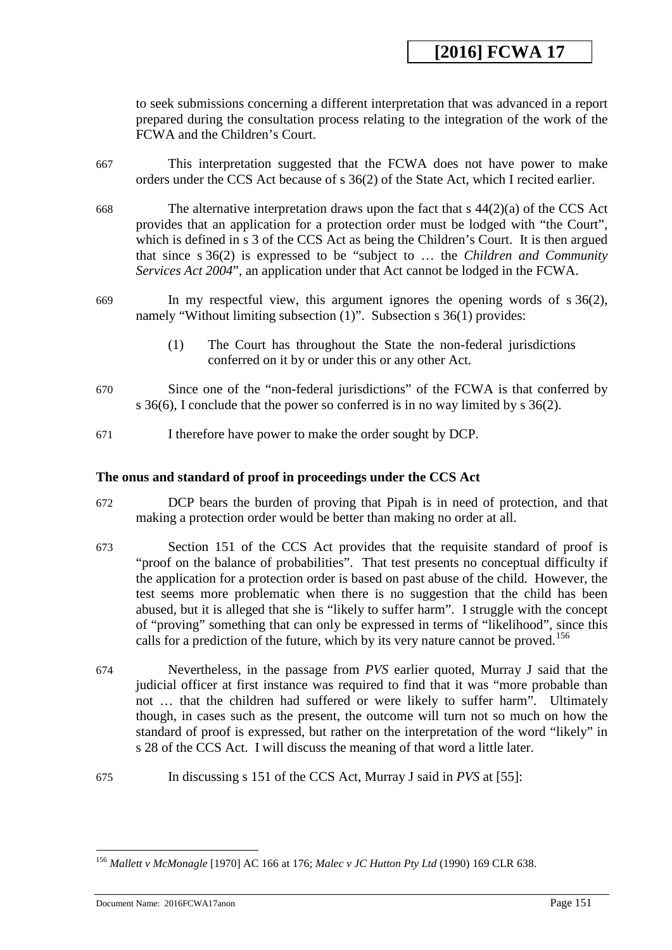to seek submissions concerning a different interpretation that was advanced in a report prepared during the consultation process relating to the integration of the work of the FCWA and the Children's Court.

- 667 This interpretation suggested that the FCWA does not have power to make orders under the CCS Act because of s 36(2) of the State Act, which I recited earlier.
- 668 The alternative interpretation draws upon the fact that s  $44(2)(a)$  of the CCS Act provides that an application for a protection order must be lodged with "the Court", which is defined in s 3 of the CCS Act as being the Children's Court. It is then argued that since s 36(2) is expressed to be "subject to … the *Children and Community Services Act 2004*", an application under that Act cannot be lodged in the FCWA.
- 669 In my respectful view, this argument ignores the opening words of s 36(2), namely "Without limiting subsection (1)". Subsection s 36(1) provides:
	- (1) The Court has throughout the State the non-federal jurisdictions conferred on it by or under this or any other Act.
- 670 Since one of the "non-federal jurisdictions" of the FCWA is that conferred by s 36(6), I conclude that the power so conferred is in no way limited by s 36(2).
- 671 I therefore have power to make the order sought by DCP.

#### **The onus and standard of proof in proceedings under the CCS Act**

- 672 DCP bears the burden of proving that Pipah is in need of protection, and that making a protection order would be better than making no order at all.
- 673 Section 151 of the CCS Act provides that the requisite standard of proof is "proof on the balance of probabilities". That test presents no conceptual difficulty if the application for a protection order is based on past abuse of the child. However, the test seems more problematic when there is no suggestion that the child has been abused, but it is alleged that she is "likely to suffer harm". I struggle with the concept of "proving" something that can only be expressed in terms of "likelihood", since this calls for a prediction of the future, which by its very nature cannot be proved.<sup>[156](#page-152-0)</sup>
- 674 Nevertheless, in the passage from *PVS* earlier quoted*,* Murray J said that the judicial officer at first instance was required to find that it was "more probable than not … that the children had suffered or were likely to suffer harm". Ultimately though, in cases such as the present, the outcome will turn not so much on how the standard of proof is expressed, but rather on the interpretation of the word "likely" in s 28 of the CCS Act. I will discuss the meaning of that word a little later.
- <span id="page-150-1"></span><span id="page-150-0"></span>675 In discussing s 151 of the CCS Act, Murray J said in *PVS* at [55]:

<sup>156</sup> *Mallett v McMonagle* [1970] AC 166 at 176; *Malec v JC Hutton Pty Ltd* (1990) 169 CLR 638. <u>.</u>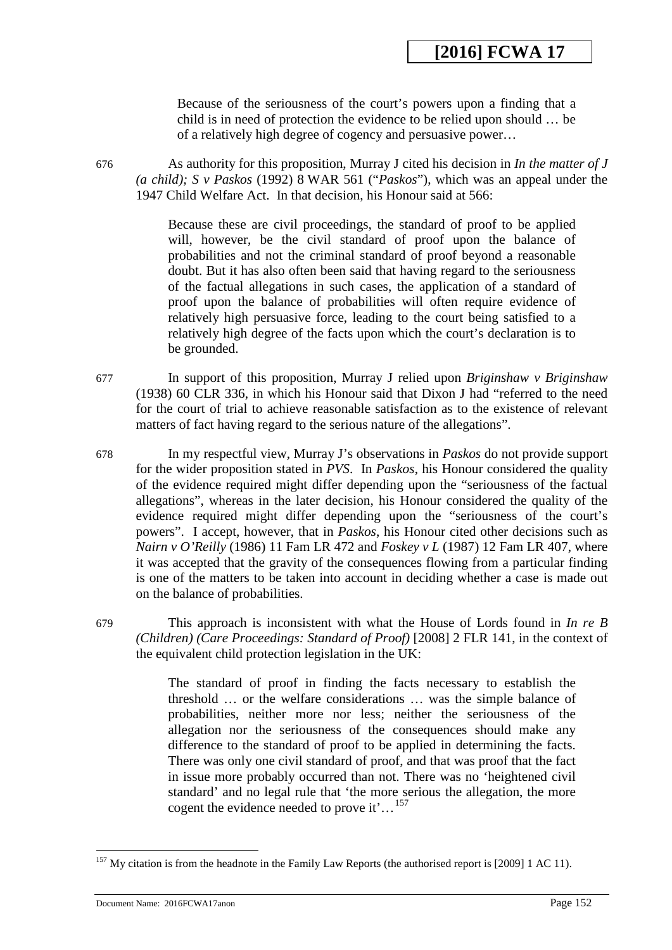Because of the seriousness of the court's powers upon a finding that a child is in need of protection the evidence to be relied upon should … be of a relatively high degree of cogency and persuasive power…

676 As authority for this proposition, Murray J cited his decision in *In the matter of J (a child); S v Paskos* (1992) 8 WAR 561 ("*Paskos*"), which was an appeal under the 1947 Child Welfare Act. In that decision, his Honour said at 566:

> Because these are civil proceedings, the standard of proof to be applied will, however, be the civil standard of proof upon the balance of probabilities and not the criminal standard of proof beyond a reasonable doubt. But it has also often been said that having regard to the seriousness of the factual allegations in such cases, the application of a standard of proof upon the balance of probabilities will often require evidence of relatively high persuasive force, leading to the court being satisfied to a relatively high degree of the facts upon which the court's declaration is to be grounded.

- 677 In support of this proposition, Murray J relied upon *Briginshaw v Briginshaw* (1938) 60 CLR 336, in which his Honour said that Dixon J had "referred to the need for the court of trial to achieve reasonable satisfaction as to the existence of relevant matters of fact having regard to the serious nature of the allegations".
- 678 In my respectful view, Murray J's observations in *Paskos* do not provide support for the wider proposition stated in *PVS*. In *Paskos*, his Honour considered the quality of the evidence required might differ depending upon the "seriousness of the factual allegations", whereas in the later decision, his Honour considered the quality of the evidence required might differ depending upon the "seriousness of the court's powers". I accept, however, that in *Paskos*, his Honour cited other decisions such as *Nairn v O'Reilly* (1986) 11 Fam LR 472 and *Foskey v L* (1987) 12 Fam LR 407, where it was accepted that the gravity of the consequences flowing from a particular finding is one of the matters to be taken into account in deciding whether a case is made out on the balance of probabilities.
- 679 This approach is inconsistent with what the House of Lords found in *In re B (Children) (Care Proceedings: Standard of Proof)* [2008] 2 FLR 141, in the context of the equivalent child protection legislation in the UK:

The standard of proof in finding the facts necessary to establish the threshold … or the welfare considerations … was the simple balance of probabilities, neither more nor less; neither the seriousness of the allegation nor the seriousness of the consequences should make any difference to the standard of proof to be applied in determining the facts. There was only one civil standard of proof, and that was proof that the fact in issue more probably occurred than not. There was no 'heightened civil standard' and no legal rule that 'the more serious the allegation, the more cogent the evidence needed to prove it'...<sup>[157](#page-153-0)</sup>

<span id="page-151-0"></span><u>.</u>

 $157$  My citation is from the headnote in the Family Law Reports (the authorised report is [2009] 1 AC 11).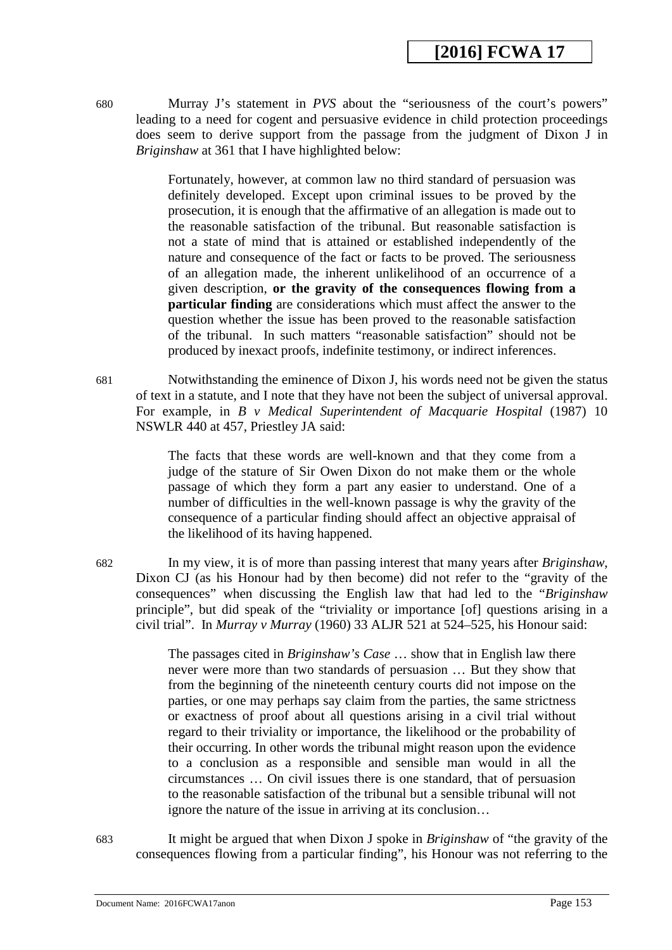680 Murray J's statement in *PVS* about the "seriousness of the court's powers" leading to a need for cogent and persuasive evidence in child protection proceedings does seem to derive support from the passage from the judgment of Dixon J in *Briginshaw* at 361 that I have highlighted below:

> Fortunately, however, at common law no third standard of persuasion was definitely developed. Except upon criminal issues to be proved by the prosecution, it is enough that the affirmative of an allegation is made out to the reasonable satisfaction of the tribunal. But reasonable satisfaction is not a state of mind that is attained or established independently of the nature and consequence of the fact or facts to be proved. The seriousness of an allegation made, the inherent unlikelihood of an occurrence of a given description, **or the gravity of the consequences flowing from a particular finding** are considerations which must affect the answer to the question whether the issue has been proved to the reasonable satisfaction of the tribunal. In such matters "reasonable satisfaction" should not be produced by inexact proofs, indefinite testimony, or indirect inferences.

681 Notwithstanding the eminence of Dixon J, his words need not be given the status of text in a statute, and I note that they have not been the subject of universal approval. For example, in *B v Medical Superintendent of Macquarie Hospital* (1987) 10 NSWLR 440 at 457, Priestley JA said:

> The facts that these words are well-known and that they come from a judge of the stature of Sir Owen Dixon do not make them or the whole passage of which they form a part any easier to understand. One of a number of difficulties in the well-known passage is why the gravity of the consequence of a particular finding should affect an objective appraisal of the likelihood of its having happened.

682 In my view, it is of more than passing interest that many years after *Briginshaw*, Dixon CJ (as his Honour had by then become) did not refer to the "gravity of the consequences" when discussing the English law that had led to the "*Briginshaw* principle", but did speak of the "triviality or importance [of] questions arising in a civil trial". In *Murray v Murray* (1960) 33 ALJR 521 at 524–525, his Honour said:

> The passages cited in *Briginshaw's Case* … show that in English law there never were more than two standards of persuasion … But they show that from the beginning of the nineteenth century courts did not impose on the parties, or one may perhaps say claim from the parties, the same strictness or exactness of proof about all questions arising in a civil trial without regard to their triviality or importance, the likelihood or the probability of their occurring. In other words the tribunal might reason upon the evidence to a conclusion as a responsible and sensible man would in all the circumstances … On civil issues there is one standard, that of persuasion to the reasonable satisfaction of the tribunal but a sensible tribunal will not ignore the nature of the issue in arriving at its conclusion…

<span id="page-152-0"></span>683 It might be argued that when Dixon J spoke in *Briginshaw* of "the gravity of the consequences flowing from a particular finding", his Honour was not referring to the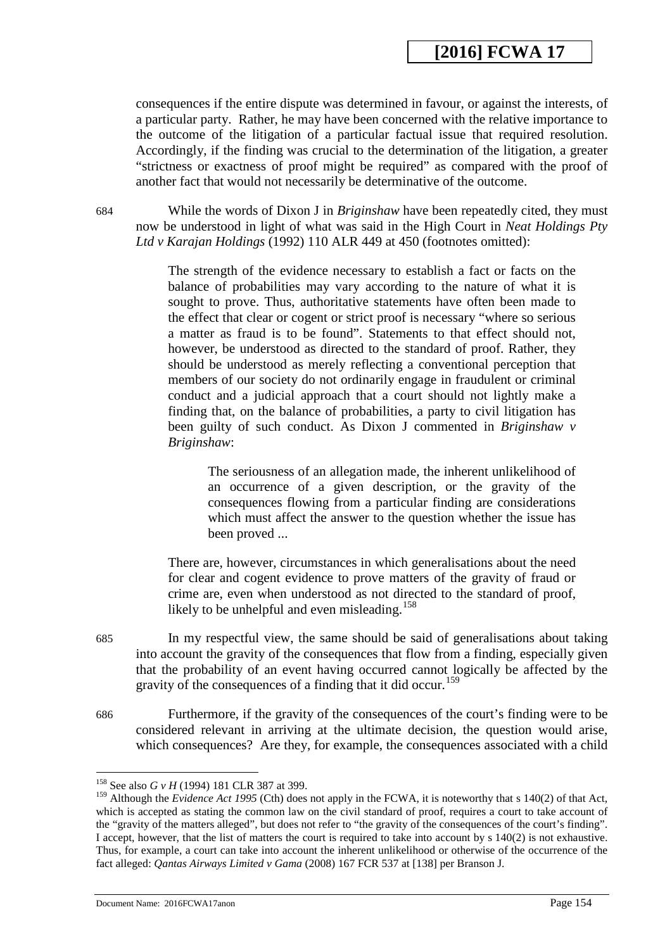consequences if the entire dispute was determined in favour, or against the interests, of a particular party. Rather, he may have been concerned with the relative importance to the outcome of the litigation of a particular factual issue that required resolution. Accordingly, if the finding was crucial to the determination of the litigation, a greater "strictness or exactness of proof might be required" as compared with the proof of another fact that would not necessarily be determinative of the outcome.

684 While the words of Dixon J in *Briginshaw* have been repeatedly cited, they must now be understood in light of what was said in the High Court in *Neat Holdings Pty Ltd v Karajan Holdings* (1992) 110 ALR 449 at 450 (footnotes omitted):

> The strength of the evidence necessary to establish a fact or facts on the balance of probabilities may vary according to the nature of what it is sought to prove. Thus, authoritative statements have often been made to the effect that clear or cogent or strict proof is necessary "where so serious a matter as fraud is to be found". Statements to that effect should not, however, be understood as directed to the standard of proof. Rather, they should be understood as merely reflecting a conventional perception that members of our society do not ordinarily engage in fraudulent or criminal conduct and a judicial approach that a court should not lightly make a finding that, on the balance of probabilities, a party to civil litigation has been guilty of such conduct. As Dixon J commented in *Briginshaw v Briginshaw*:

The seriousness of an allegation made, the inherent unlikelihood of an occurrence of a given description, or the gravity of the consequences flowing from a particular finding are considerations which must affect the answer to the question whether the issue has been proved ...

There are, however, circumstances in which generalisations about the need for clear and cogent evidence to prove matters of the gravity of fraud or crime are, even when understood as not directed to the standard of proof, likely to be unhelpful and even misleading.<sup>[158](#page-155-0)</sup>

- 685 In my respectful view, the same should be said of generalisations about taking into account the gravity of the consequences that flow from a finding, especially given that the probability of an event having occurred cannot logically be affected by the gravity of the consequences of a finding that it did occur.<sup>[159](#page-155-1)</sup>
- 686 Furthermore, if the gravity of the consequences of the court's finding were to be considered relevant in arriving at the ultimate decision, the question would arise, which consequences? Are they, for example, the consequences associated with a child

<span id="page-153-0"></span>

<sup>158</sup> See also *G v H* (1994) 181 CLR 387 at 399. -

<sup>&</sup>lt;sup>159</sup> Although the *Evidence Act 1995* (Cth) does not apply in the FCWA, it is noteworthy that s 140(2) of that Act, which is accepted as stating the common law on the civil standard of proof, requires a court to take account of the "gravity of the matters alleged", but does not refer to "the gravity of the consequences of the court's finding". I accept, however, that the list of matters the court is required to take into account by s 140(2) is not exhaustive. Thus, for example, a court can take into account the inherent unlikelihood or otherwise of the occurrence of the fact alleged: *Qantas Airways Limited v Gama* (2008) 167 FCR 537 at [138] per Branson J.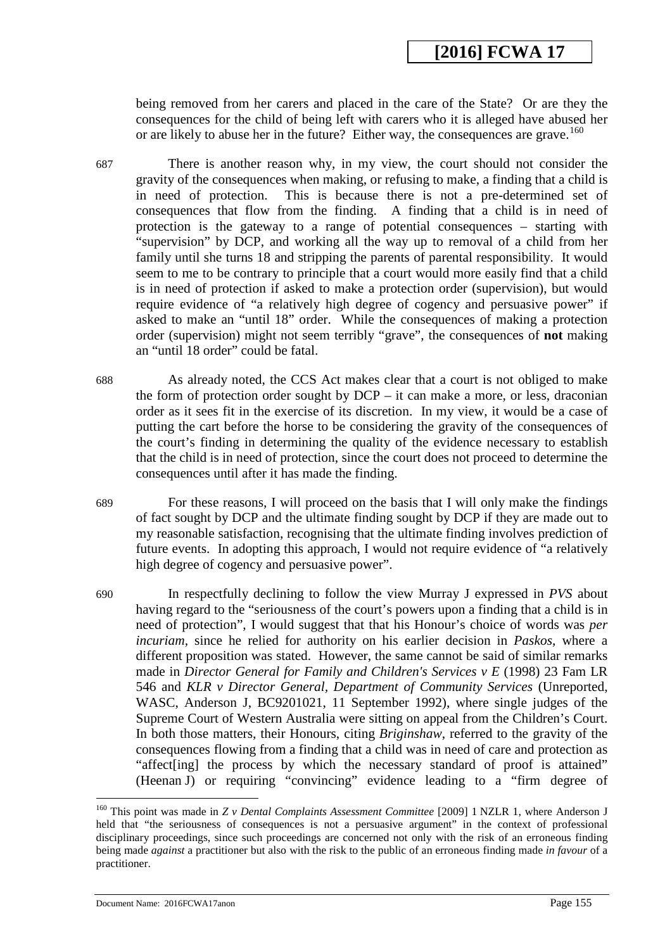being removed from her carers and placed in the care of the State? Or are they the consequences for the child of being left with carers who it is alleged have abused her or are likely to abuse her in the future? Either way, the consequences are grave.<sup>[160](#page-155-2)</sup>

- 687 There is another reason why, in my view, the court should not consider the gravity of the consequences when making, or refusing to make, a finding that a child is<br>in need of protection. This is because there is not a pre-determined set of This is because there is not a pre-determined set of consequences that flow from the finding. A finding that a child is in need of protection is the gateway to a range of potential consequences – starting with "supervision" by DCP, and working all the way up to removal of a child from her family until she turns 18 and stripping the parents of parental responsibility. It would seem to me to be contrary to principle that a court would more easily find that a child is in need of protection if asked to make a protection order (supervision), but would require evidence of "a relatively high degree of cogency and persuasive power" if asked to make an "until 18" order. While the consequences of making a protection order (supervision) might not seem terribly "grave", the consequences of **not** making an "until 18 order" could be fatal.
- 688 As already noted, the CCS Act makes clear that a court is not obliged to make the form of protection order sought by DCP – it can make a more, or less, draconian order as it sees fit in the exercise of its discretion. In my view, it would be a case of putting the cart before the horse to be considering the gravity of the consequences of the court's finding in determining the quality of the evidence necessary to establish that the child is in need of protection, since the court does not proceed to determine the consequences until after it has made the finding.
- 689 For these reasons, I will proceed on the basis that I will only make the findings of fact sought by DCP and the ultimate finding sought by DCP if they are made out to my reasonable satisfaction, recognising that the ultimate finding involves prediction of future events. In adopting this approach, I would not require evidence of "a relatively high degree of cogency and persuasive power".
- 690 In respectfully declining to follow the view Murray J expressed in *PVS* about having regard to the "seriousness of the court's powers upon a finding that a child is in need of protection", I would suggest that that his Honour's choice of words was *per incuriam,* since he relied for authority on his earlier decision in *Paskos*, where a different proposition was stated. However, the same cannot be said of similar remarks made in *Director General for Family and Children's Services v E* (1998) 23 Fam LR 546 and *KLR v Director General, Department of Community Services* (Unreported, WASC, Anderson J, BC9201021, 11 September 1992), where single judges of the Supreme Court of Western Australia were sitting on appeal from the Children's Court. In both those matters, their Honours, citing *Briginshaw*, referred to the gravity of the consequences flowing from a finding that a child was in need of care and protection as "affect[ing] the process by which the necessary standard of proof is attained" (Heenan J) or requiring "convincing" evidence leading to a "firm degree of

Document Name: 2016FCWA17anon Page 155

<sup>160</sup> This point was made in *Z v Dental Complaints Assessment Committee* [2009] 1 NZLR 1, where Anderson J held that "the seriousness of consequences is not a persuasive argument" in the context of professional disciplinary proceedings, since such proceedings are concerned not only with the risk of an erroneous finding being made *against* a practitioner but also with the risk to the public of an erroneous finding made *in favour* of a practitioner.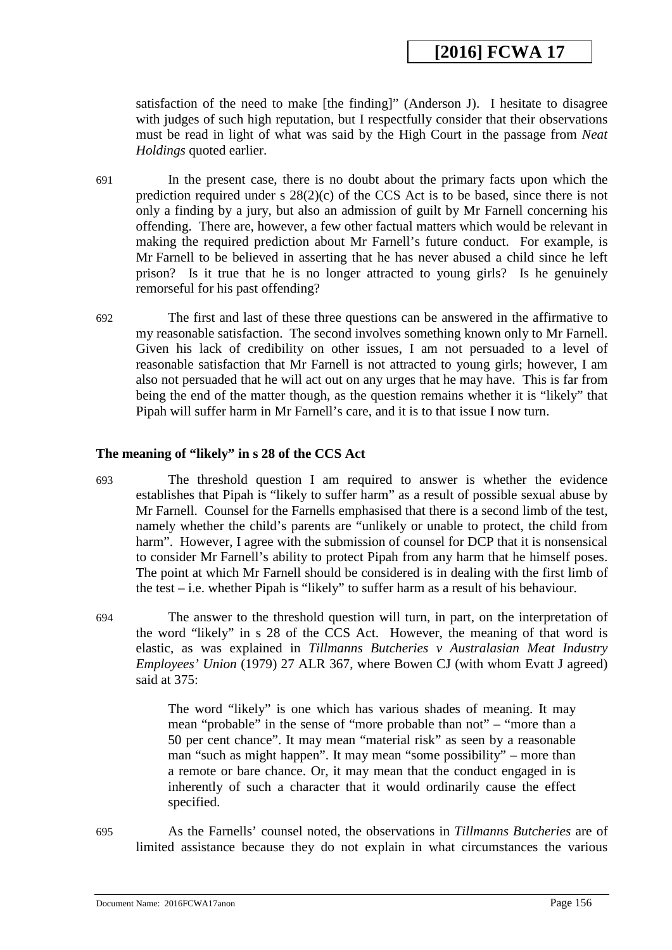satisfaction of the need to make [the finding]" (Anderson J). I hesitate to disagree with judges of such high reputation, but I respectfully consider that their observations must be read in light of what was said by the High Court in the passage from *Neat Holdings* quoted earlier.

- 691 In the present case, there is no doubt about the primary facts upon which the prediction required under s 28(2)(c) of the CCS Act is to be based, since there is not only a finding by a jury, but also an admission of guilt by Mr Farnell concerning his offending. There are, however, a few other factual matters which would be relevant in making the required prediction about Mr Farnell's future conduct. For example, is Mr Farnell to be believed in asserting that he has never abused a child since he left prison? Is it true that he is no longer attracted to young girls? Is he genuinely remorseful for his past offending?
- 692 The first and last of these three questions can be answered in the affirmative to my reasonable satisfaction. The second involves something known only to Mr Farnell. Given his lack of credibility on other issues, I am not persuaded to a level of reasonable satisfaction that Mr Farnell is not attracted to young girls; however, I am also not persuaded that he will act out on any urges that he may have. This is far from being the end of the matter though, as the question remains whether it is "likely" that Pipah will suffer harm in Mr Farnell's care, and it is to that issue I now turn.

#### **The meaning of "likely" in s 28 of the CCS Act**

- 693 The threshold question I am required to answer is whether the evidence establishes that Pipah is "likely to suffer harm" as a result of possible sexual abuse by Mr Farnell. Counsel for the Farnells emphasised that there is a second limb of the test, namely whether the child's parents are "unlikely or unable to protect, the child from harm". However, I agree with the submission of counsel for DCP that it is nonsensical to consider Mr Farnell's ability to protect Pipah from any harm that he himself poses. The point at which Mr Farnell should be considered is in dealing with the first limb of the test – i.e. whether Pipah is "likely" to suffer harm as a result of his behaviour.
- <span id="page-155-1"></span><span id="page-155-0"></span>694 The answer to the threshold question will turn, in part, on the interpretation of the word "likely" in s 28 of the CCS Act. However, the meaning of that word is elastic, as was explained in *Tillmanns Butcheries v Australasian Meat Industry Employees' Union* (1979) 27 ALR 367, where Bowen CJ (with whom Evatt J agreed) said at 375:

The word "likely" is one which has various shades of meaning. It may mean "probable" in the sense of "more probable than not" – "more than a 50 per cent chance". It may mean "material risk" as seen by a reasonable man "such as might happen". It may mean "some possibility" – more than a remote or bare chance. Or, it may mean that the conduct engaged in is inherently of such a character that it would ordinarily cause the effect specified.

<span id="page-155-2"></span>695 As the Farnells' counsel noted, the observations in *Tillmanns Butcheries* are of limited assistance because they do not explain in what circumstances the various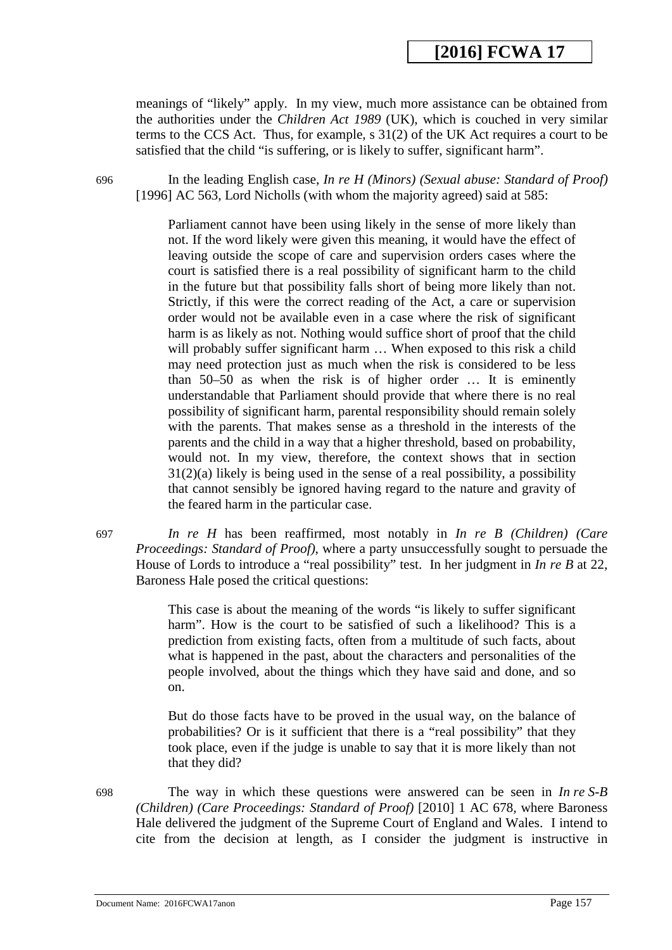meanings of "likely" apply. In my view, much more assistance can be obtained from the authorities under the *Children Act 1989* (UK), which is couched in very similar terms to the CCS Act. Thus, for example, s 31(2) of the UK Act requires a court to be satisfied that the child "is suffering, or is likely to suffer, significant harm".

696 In the leading English case, *In re H (Minors) (Sexual abuse: Standard of Proof)* [1996] AC 563, Lord Nicholls (with whom the majority agreed) said at 585:

> Parliament cannot have been using likely in the sense of more likely than not. If the word likely were given this meaning, it would have the effect of leaving outside the scope of care and supervision orders cases where the court is satisfied there is a real possibility of significant harm to the child in the future but that possibility falls short of being more likely than not. Strictly, if this were the correct reading of the Act, a care or supervision order would not be available even in a case where the risk of significant harm is as likely as not. Nothing would suffice short of proof that the child will probably suffer significant harm ... When exposed to this risk a child may need protection just as much when the risk is considered to be less than 50–50 as when the risk is of higher order … It is eminently understandable that Parliament should provide that where there is no real possibility of significant harm, parental responsibility should remain solely with the parents. That makes sense as a threshold in the interests of the parents and the child in a way that a higher threshold, based on probability, would not. In my view, therefore, the context shows that in section 31(2)(a) likely is being used in the sense of a real possibility, a possibility that cannot sensibly be ignored having regard to the nature and gravity of the feared harm in the particular case.

697 *In re H* has been reaffirmed, most notably in *In re B (Children) (Care Proceedings: Standard of Proof)*, where a party unsuccessfully sought to persuade the House of Lords to introduce a "real possibility" test. In her judgment in *In re B* at 22, Baroness Hale posed the critical questions:

> This case is about the meaning of the words "is likely to suffer significant harm". How is the court to be satisfied of such a likelihood? This is a prediction from existing facts, often from a multitude of such facts, about what is happened in the past, about the characters and personalities of the people involved, about the things which they have said and done, and so on.

> But do those facts have to be proved in the usual way, on the balance of probabilities? Or is it sufficient that there is a "real possibility" that they took place, even if the judge is unable to say that it is more likely than not that they did?

698 The way in which these questions were answered can be seen in *In re S-B (Children) (Care Proceedings: Standard of Proof)* [2010] 1 AC 678*,* where Baroness Hale delivered the judgment of the Supreme Court of England and Wales. I intend to cite from the decision at length, as I consider the judgment is instructive in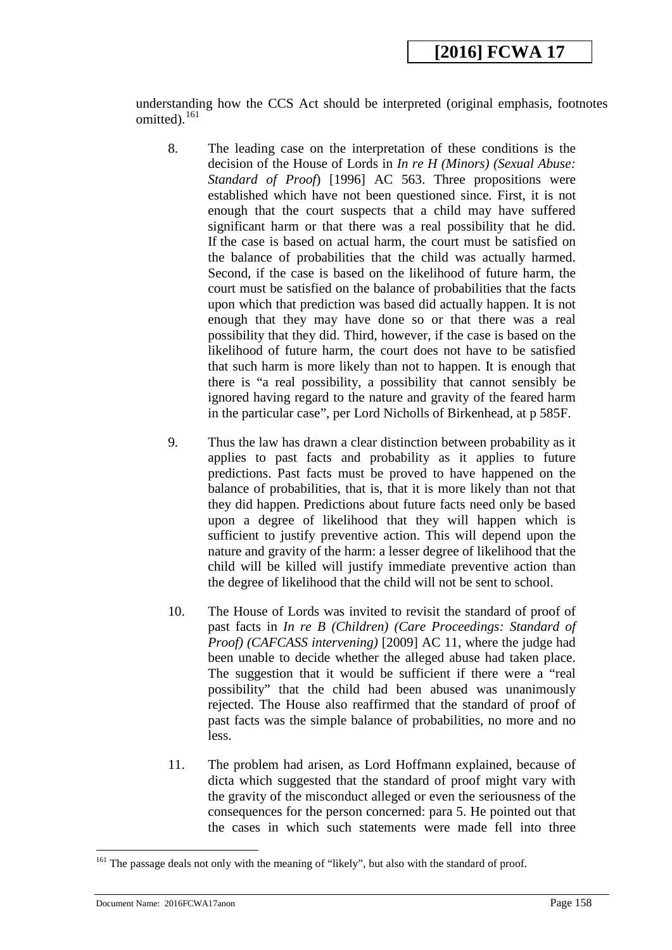understanding how the CCS Act should be interpreted (original emphasis, footnotes omitted).[161](#page-158-0) 

- 8. The leading case on the interpretation of these conditions is the decision of the House of Lords in *In re H (Minors) (Sexual Abuse: Standard of Proof*) [1996] AC 563. Three propositions were established which have not been questioned since. First, it is not enough that the court suspects that a child may have suffered significant harm or that there was a real possibility that he did. If the case is based on actual harm, the court must be satisfied on the balance of probabilities that the child was actually harmed. Second, if the case is based on the likelihood of future harm, the court must be satisfied on the balance of probabilities that the facts upon which that prediction was based did actually happen. It is not enough that they may have done so or that there was a real possibility that they did. Third, however, if the case is based on the likelihood of future harm, the court does not have to be satisfied that such harm is more likely than not to happen. It is enough that there is "a real possibility, a possibility that cannot sensibly be ignored having regard to the nature and gravity of the feared harm in the particular case", per Lord Nicholls of Birkenhead, at p 585F.
- 9. Thus the law has drawn a clear distinction between probability as it applies to past facts and probability as it applies to future predictions. Past facts must be proved to have happened on the balance of probabilities, that is, that it is more likely than not that they did happen. Predictions about future facts need only be based upon a degree of likelihood that they will happen which is sufficient to justify preventive action. This will depend upon the nature and gravity of the harm: a lesser degree of likelihood that the child will be killed will justify immediate preventive action than the degree of likelihood that the child will not be sent to school.
- 10. The House of Lords was invited to revisit the standard of proof of past facts in *In re B (Children) (Care Proceedings: Standard of Proof) (CAFCASS intervening)* [2009] AC 11, where the judge had been unable to decide whether the alleged abuse had taken place. The suggestion that it would be sufficient if there were a "real possibility" that the child had been abused was unanimously rejected. The House also reaffirmed that the standard of proof of past facts was the simple balance of probabilities, no more and no less.
- 11. The problem had arisen, as Lord Hoffmann explained, because of dicta which suggested that the standard of proof might vary with the gravity of the misconduct alleged or even the seriousness of the consequences for the person concerned: para 5. He pointed out that the cases in which such statements were made fell into three

<u>.</u>

<sup>&</sup>lt;sup>161</sup> The passage deals not only with the meaning of "likely", but also with the standard of proof.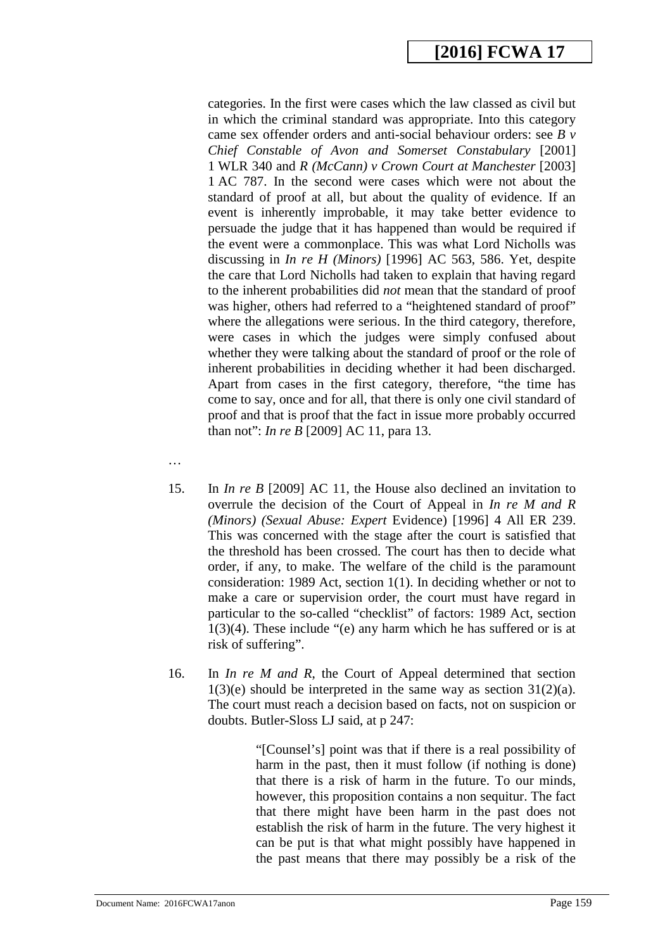categories. In the first were cases which the law classed as civil but in which the criminal standard was appropriate. Into this category came sex offender orders and anti-social behaviour orders: see *B v Chief Constable of Avon and Somerset Constabulary* [2001] 1 WLR 340 and *R (McCann) v Crown Court at Manchester* [2003] 1 AC 787. In the second were cases which were not about the standard of proof at all, but about the quality of evidence. If an event is inherently improbable, it may take better evidence to persuade the judge that it has happened than would be required if the event were a commonplace. This was what Lord Nicholls was discussing in *In re H (Minors)* [1996] AC 563, 586. Yet, despite the care that Lord Nicholls had taken to explain that having regard to the inherent probabilities did *not* mean that the standard of proof was higher, others had referred to a "heightened standard of proof" where the allegations were serious. In the third category, therefore, were cases in which the judges were simply confused about whether they were talking about the standard of proof or the role of inherent probabilities in deciding whether it had been discharged. Apart from cases in the first category, therefore, "the time has come to say, once and for all, that there is only one civil standard of proof and that is proof that the fact in issue more probably occurred than not": *In re B* [2009] AC 11, para 13.

- …
- 15. In *In re B* [2009] AC 11, the House also declined an invitation to overrule the decision of the Court of Appeal in *In re M and R (Minors) (Sexual Abuse: Expert* Evidence) [1996] 4 All ER 239. This was concerned with the stage after the court is satisfied that the threshold has been crossed. The court has then to decide what order, if any, to make. The welfare of the child is the paramount consideration: 1989 Act, section 1(1). In deciding whether or not to make a care or supervision order, the court must have regard in particular to the so-called "checklist" of factors: 1989 Act, section 1(3)(4). These include "(e) any harm which he has suffered or is at risk of suffering".
- <span id="page-158-0"></span>16. In *In re M and R*, the Court of Appeal determined that section  $1(3)(e)$  should be interpreted in the same way as section  $31(2)(a)$ . The court must reach a decision based on facts, not on suspicion or doubts. Butler-Sloss LJ said, at p 247:

"[Counsel's] point was that if there is a real possibility of harm in the past, then it must follow (if nothing is done) that there is a risk of harm in the future. To our minds, however, this proposition contains a non sequitur. The fact that there might have been harm in the past does not establish the risk of harm in the future. The very highest it can be put is that what might possibly have happened in the past means that there may possibly be a risk of the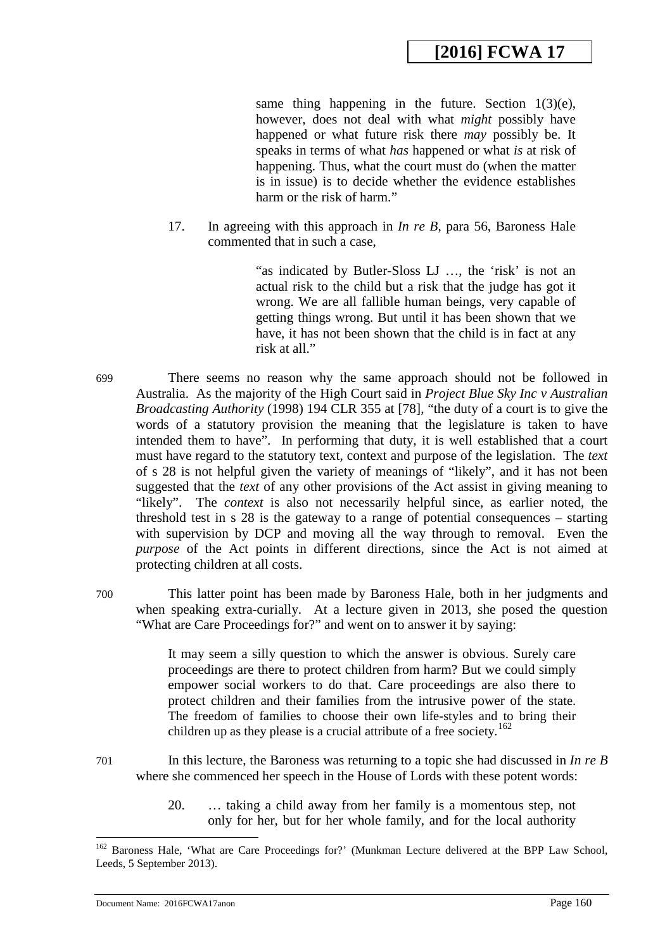same thing happening in the future. Section  $1(3)(e)$ , however, does not deal with what *might* possibly have happened or what future risk there *may* possibly be. It speaks in terms of what *has* happened or what *is* at risk of happening. Thus, what the court must do (when the matter is in issue) is to decide whether the evidence establishes harm or the risk of harm."

17. In agreeing with this approach in *In re B*, para 56, Baroness Hale commented that in such a case,

> "as indicated by Butler-Sloss LJ …, the 'risk' is not an actual risk to the child but a risk that the judge has got it wrong. We are all fallible human beings, very capable of getting things wrong. But until it has been shown that we have, it has not been shown that the child is in fact at any risk at all."

699 There seems no reason why the same approach should not be followed in Australia. As the majority of the High Court said in *Project Blue Sky Inc v Australian Broadcasting Authority* (1998) 194 CLR 355 at [78], "the duty of a court is to give the words of a statutory provision the meaning that the legislature is taken to have intended them to have". In performing that duty, it is well established that a court must have regard to the statutory text, context and purpose of the legislation. The *text* of s 28 is not helpful given the variety of meanings of "likely", and it has not been suggested that the *text* of any other provisions of the Act assist in giving meaning to "likely". The *context* is also not necessarily helpful since, as earlier noted, the threshold test in s 28 is the gateway to a range of potential consequences – starting with supervision by DCP and moving all the way through to removal. Even the *purpose* of the Act points in different directions, since the Act is not aimed at protecting children at all costs.

-

700 This latter point has been made by Baroness Hale, both in her judgments and when speaking extra-curially. At a lecture given in 2013, she posed the question "What are Care Proceedings for?" and went on to answer it by saying:

> It may seem a silly question to which the answer is obvious. Surely care proceedings are there to protect children from harm? But we could simply empower social workers to do that. Care proceedings are also there to protect children and their families from the intrusive power of the state. The freedom of families to choose their own life-styles and to bring their children up as they please is a crucial attribute of a free society.<sup>[162](#page-161-0)</sup>

- 701 In this lecture, the Baroness was returning to a topic she had discussed in *In re B* where she commenced her speech in the House of Lords with these potent words:
	- 20. … taking a child away from her family is a momentous step, not only for her, but for her whole family, and for the local authority

<sup>&</sup>lt;sup>162</sup> Baroness Hale, 'What are Care Proceedings for?' (Munkman Lecture delivered at the BPP Law School, Leeds, 5 September 2013).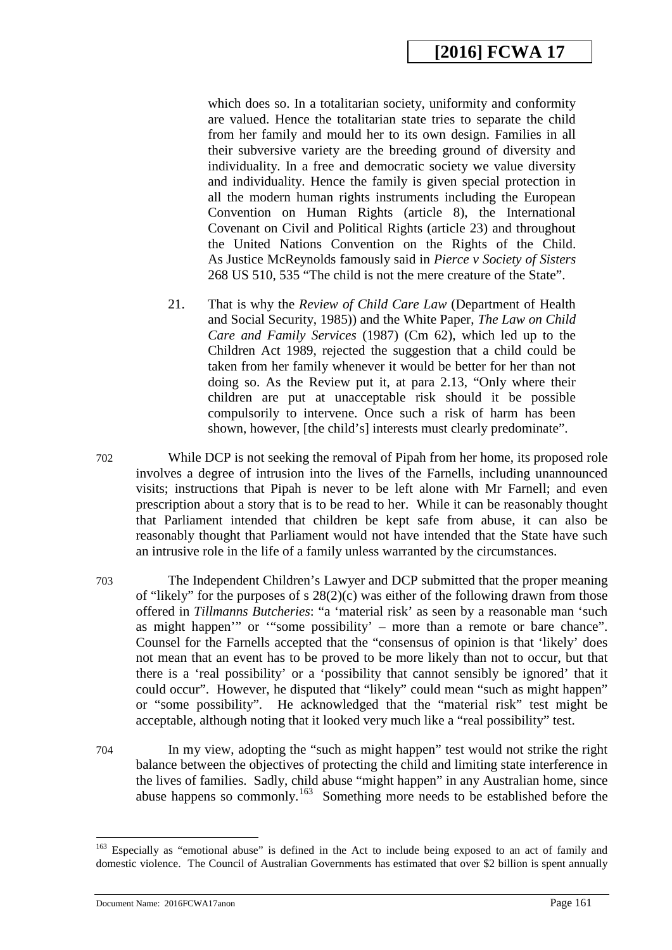which does so. In a totalitarian society, uniformity and conformity are valued. Hence the totalitarian state tries to separate the child from her family and mould her to its own design. Families in all their subversive variety are the breeding ground of diversity and individuality. In a free and democratic society we value diversity and individuality. Hence the family is given special protection in all the modern human rights instruments including the European Convention on Human Rights (article 8), the International Covenant on Civil and Political Rights (article 23) and throughout the United Nations Convention on the Rights of the Child. As Justice McReynolds famously said in *Pierce v Society of Sisters*  268 US 510, 535 "The child is not the mere creature of the State".

- 21. That is why the *Review of Child Care Law* (Department of Health and Social Security, 1985)) and the White Paper, *The Law on Child Care and Family Services* (1987) (Cm 62), which led up to the Children Act 1989, rejected the suggestion that a child could be taken from her family whenever it would be better for her than not doing so. As the Review put it, at para 2.13, "Only where their children are put at unacceptable risk should it be possible compulsorily to intervene. Once such a risk of harm has been shown, however, [the child's] interests must clearly predominate".
- 702 While DCP is not seeking the removal of Pipah from her home, its proposed role involves a degree of intrusion into the lives of the Farnells, including unannounced visits; instructions that Pipah is never to be left alone with Mr Farnell; and even prescription about a story that is to be read to her. While it can be reasonably thought that Parliament intended that children be kept safe from abuse, it can also be reasonably thought that Parliament would not have intended that the State have such an intrusive role in the life of a family unless warranted by the circumstances.
- 703 The Independent Children's Lawyer and DCP submitted that the proper meaning of "likely" for the purposes of s 28(2)(c) was either of the following drawn from those offered in *Tillmanns Butcheries*: "a 'material risk' as seen by a reasonable man 'such as might happen'" or '"some possibility' – more than a remote or bare chance". Counsel for the Farnells accepted that the "consensus of opinion is that 'likely' does not mean that an event has to be proved to be more likely than not to occur, but that there is a 'real possibility' or a 'possibility that cannot sensibly be ignored' that it could occur". However, he disputed that "likely" could mean "such as might happen" or "some possibility". He acknowledged that the "material risk" test might be acceptable, although noting that it looked very much like a "real possibility" test.
- 704 In my view, adopting the "such as might happen" test would not strike the right balance between the objectives of protecting the child and limiting state interference in the lives of families. Sadly, child abuse "might happen" in any Australian home, since abuse happens so commonly.<sup>163</sup> Something more needs to be established before the

<sup>&</sup>lt;sup>163</sup> Especially as "emotional abuse" is defined in the Act to include being exposed to an act of family and domestic violence. The Council of Australian Governments has estimated that over \$2 billion is spent annually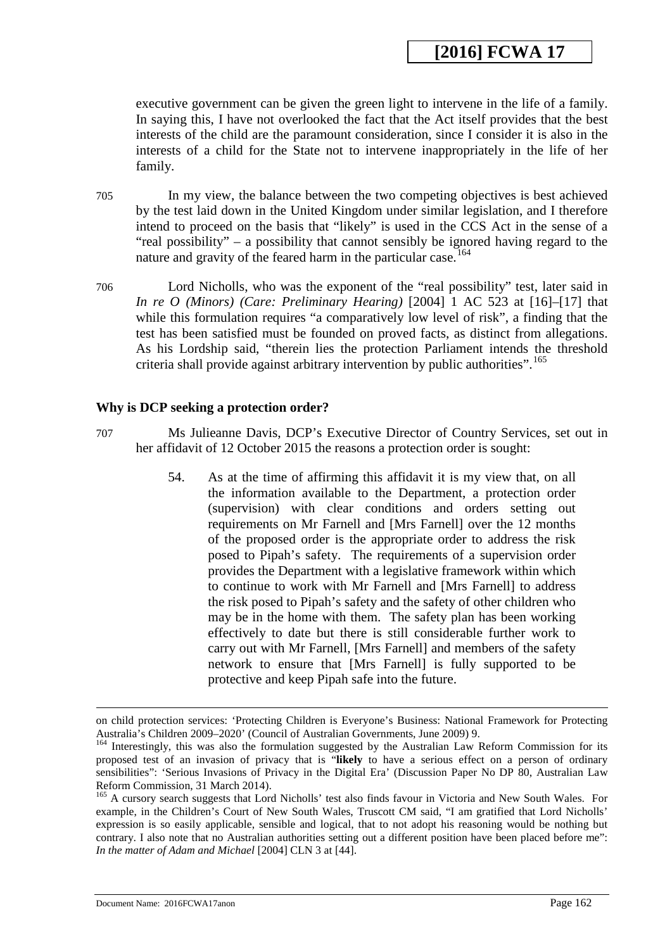executive government can be given the green light to intervene in the life of a family. In saying this, I have not overlooked the fact that the Act itself provides that the best interests of the child are the paramount consideration, since I consider it is also in the interests of a child for the State not to intervene inappropriately in the life of her family.

- 705 In my view, the balance between the two competing objectives is best achieved by the test laid down in the United Kingdom under similar legislation, and I therefore intend to proceed on the basis that "likely" is used in the CCS Act in the sense of a "real possibility" – a possibility that cannot sensibly be ignored having regard to the nature and gravity of the feared harm in the particular case.<sup>[164](#page-162-1)</sup>
- 706 Lord Nicholls, who was the exponent of the "real possibility" test, later said in *In re O (Minors) (Care: Preliminary Hearing)* [2004] 1 AC 523 at [16]–[17] that while this formulation requires "a comparatively low level of risk", a finding that the test has been satisfied must be founded on proved facts, as distinct from allegations. As his Lordship said, "therein lies the protection Parliament intends the threshold criteria shall provide against arbitrary intervention by public authorities".<sup>[165](#page-163-0)</sup>

#### **Why is DCP seeking a protection order?**

- 707 Ms Julieanne Davis, DCP's Executive Director of Country Services, set out in her affidavit of 12 October 2015 the reasons a protection order is sought:
	- 54. As at the time of affirming this affidavit it is my view that, on all the information available to the Department, a protection order (supervision) with clear conditions and orders setting out requirements on Mr Farnell and [Mrs Farnell] over the 12 months of the proposed order is the appropriate order to address the risk posed to Pipah's safety. The requirements of a supervision order provides the Department with a legislative framework within which to continue to work with Mr Farnell and [Mrs Farnell] to address the risk posed to Pipah's safety and the safety of other children who may be in the home with them. The safety plan has been working effectively to date but there is still considerable further work to carry out with Mr Farnell, [Mrs Farnell] and members of the safety network to ensure that [Mrs Farnell] is fully supported to be protective and keep Pipah safe into the future.

on child protection services: 'Protecting Children is Everyone's Business: National Framework for Protecting Australia's Children 2009–2020' (Council of Australian Governments, June 2009) 9.

<sup>&</sup>lt;sup>164</sup> Interestingly, this was also the formulation suggested by the Australian Law Reform Commission for its proposed test of an invasion of privacy that is "**likely** to have a serious effect on a person of ordinary sensibilities": 'Serious Invasions of Privacy in the Digital Era' (Discussion Paper No DP 80, Australian Law Reform Commission, 31 March 2014).

<span id="page-161-0"></span><sup>&</sup>lt;sup>165</sup> A cursory search suggests that Lord Nicholls' test also finds favour in Victoria and New South Wales. For example, in the Children's Court of New South Wales, Truscott CM said, "I am gratified that Lord Nicholls' expression is so easily applicable, sensible and logical, that to not adopt his reasoning would be nothing but contrary. I also note that no Australian authorities setting out a different position have been placed before me": *In the matter of Adam and Michael* [2004] CLN 3 at [44].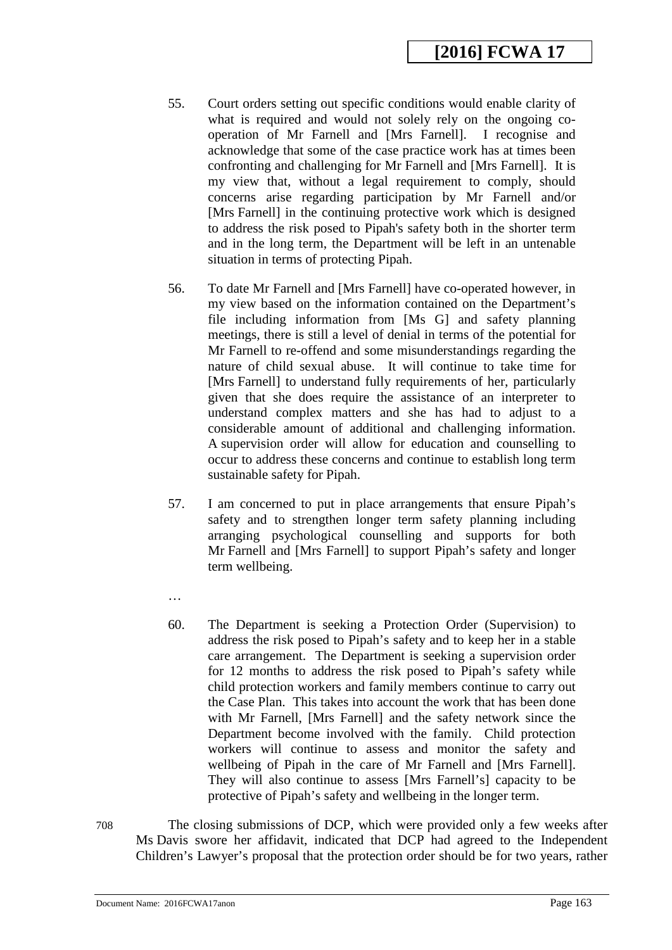- 55. Court orders setting out specific conditions would enable clarity of what is required and would not solely rely on the ongoing cooperation of Mr Farnell and [Mrs Farnell]. I recognise and acknowledge that some of the case practice work has at times been confronting and challenging for Mr Farnell and [Mrs Farnell]. It is my view that, without a legal requirement to comply, should concerns arise regarding participation by Mr Farnell and/or [Mrs Farnell] in the continuing protective work which is designed to address the risk posed to Pipah's safety both in the shorter term and in the long term, the Department will be left in an untenable situation in terms of protecting Pipah.
- 56. To date Mr Farnell and [Mrs Farnell] have co-operated however, in my view based on the information contained on the Department's file including information from [Ms G] and safety planning meetings, there is still a level of denial in terms of the potential for Mr Farnell to re-offend and some misunderstandings regarding the nature of child sexual abuse. It will continue to take time for [Mrs Farnell] to understand fully requirements of her, particularly given that she does require the assistance of an interpreter to understand complex matters and she has had to adjust to a considerable amount of additional and challenging information. A supervision order will allow for education and counselling to occur to address these concerns and continue to establish long term sustainable safety for Pipah.
- 57. I am concerned to put in place arrangements that ensure Pipah's safety and to strengthen longer term safety planning including arranging psychological counselling and supports for both Mr Farnell and [Mrs Farnell] to support Pipah's safety and longer term wellbeing.
- …
- 60. The Department is seeking a Protection Order (Supervision) to address the risk posed to Pipah's safety and to keep her in a stable care arrangement. The Department is seeking a supervision order for 12 months to address the risk posed to Pipah's safety while child protection workers and family members continue to carry out the Case Plan. This takes into account the work that has been done with Mr Farnell, [Mrs Farnell] and the safety network since the Department become involved with the family. Child protection workers will continue to assess and monitor the safety and wellbeing of Pipah in the care of Mr Farnell and [Mrs Farnell]. They will also continue to assess [Mrs Farnell's] capacity to be protective of Pipah's safety and wellbeing in the longer term.
- <span id="page-162-1"></span><span id="page-162-0"></span>708 The closing submissions of DCP, which were provided only a few weeks after Ms Davis swore her affidavit, indicated that DCP had agreed to the Independent Children's Lawyer's proposal that the protection order should be for two years, rather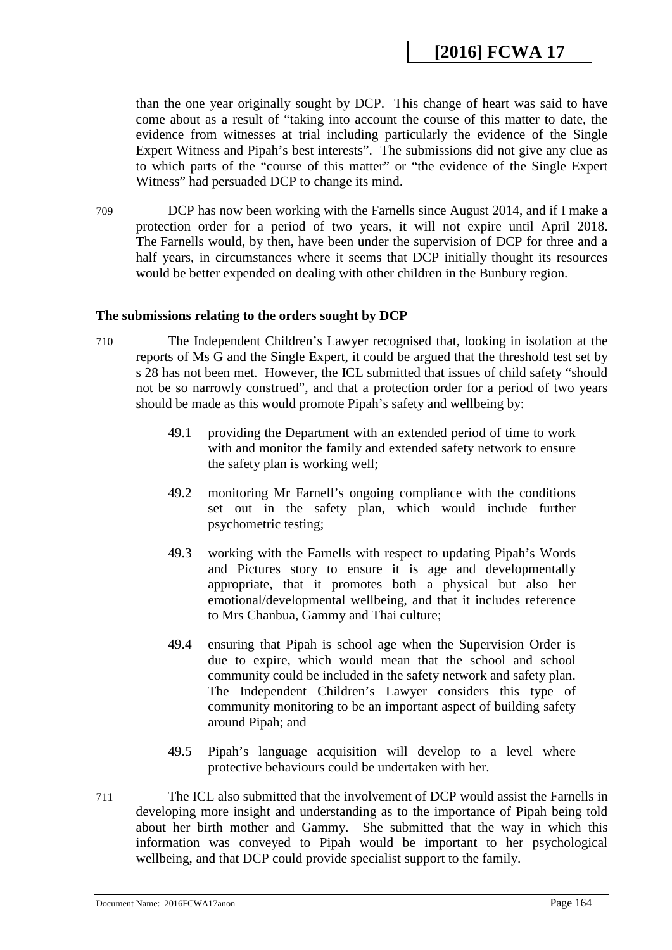than the one year originally sought by DCP. This change of heart was said to have come about as a result of "taking into account the course of this matter to date, the evidence from witnesses at trial including particularly the evidence of the Single Expert Witness and Pipah's best interests". The submissions did not give any clue as to which parts of the "course of this matter" or "the evidence of the Single Expert Witness" had persuaded DCP to change its mind.

709 DCP has now been working with the Farnells since August 2014, and if I make a protection order for a period of two years, it will not expire until April 2018. The Farnells would, by then, have been under the supervision of DCP for three and a half years, in circumstances where it seems that DCP initially thought its resources would be better expended on dealing with other children in the Bunbury region.

#### **The submissions relating to the orders sought by DCP**

- 710 The Independent Children's Lawyer recognised that, looking in isolation at the reports of Ms G and the Single Expert, it could be argued that the threshold test set by s 28 has not been met. However, the ICL submitted that issues of child safety "should not be so narrowly construed", and that a protection order for a period of two years should be made as this would promote Pipah's safety and wellbeing by:
	- 49.1 providing the Department with an extended period of time to work with and monitor the family and extended safety network to ensure the safety plan is working well;
	- 49.2 monitoring Mr Farnell's ongoing compliance with the conditions set out in the safety plan, which would include further psychometric testing;
	- 49.3 working with the Farnells with respect to updating Pipah's Words and Pictures story to ensure it is age and developmentally appropriate, that it promotes both a physical but also her emotional/developmental wellbeing, and that it includes reference to Mrs Chanbua, Gammy and Thai culture;
	- 49.4 ensuring that Pipah is school age when the Supervision Order is due to expire, which would mean that the school and school community could be included in the safety network and safety plan. The Independent Children's Lawyer considers this type of community monitoring to be an important aspect of building safety around Pipah; and
	- 49.5 Pipah's language acquisition will develop to a level where protective behaviours could be undertaken with her.
- <span id="page-163-0"></span>711 The ICL also submitted that the involvement of DCP would assist the Farnells in developing more insight and understanding as to the importance of Pipah being told about her birth mother and Gammy. She submitted that the way in which this information was conveyed to Pipah would be important to her psychological wellbeing, and that DCP could provide specialist support to the family.

Document Name: 2016FCWA17anon Page 164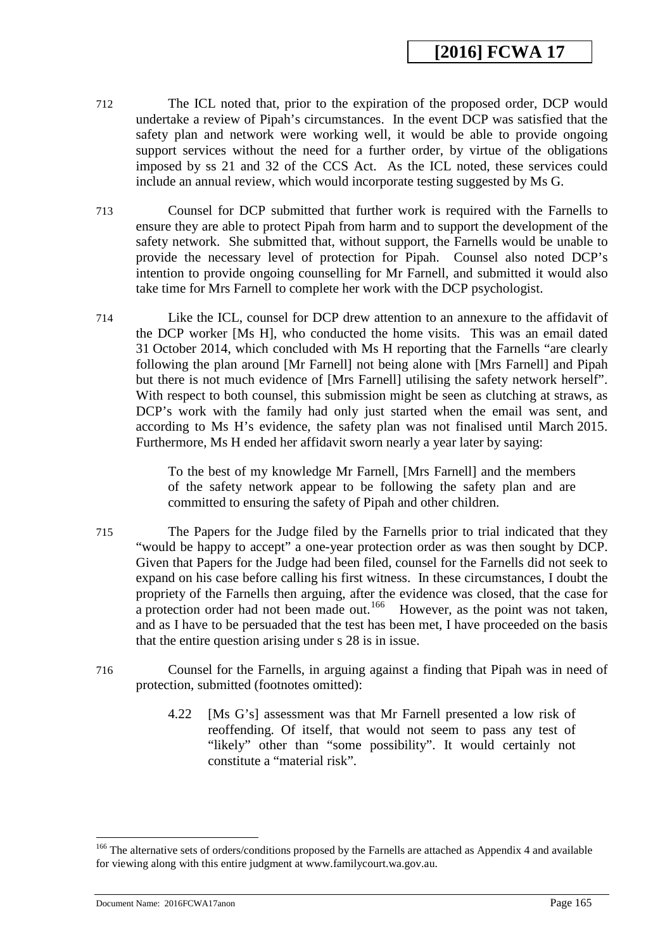- 712 The ICL noted that, prior to the expiration of the proposed order, DCP would undertake a review of Pipah's circumstances. In the event DCP was satisfied that the safety plan and network were working well, it would be able to provide ongoing support services without the need for a further order, by virtue of the obligations imposed by ss 21 and 32 of the CCS Act. As the ICL noted, these services could include an annual review, which would incorporate testing suggested by Ms G.
- 713 Counsel for DCP submitted that further work is required with the Farnells to ensure they are able to protect Pipah from harm and to support the development of the safety network. She submitted that, without support, the Farnells would be unable to provide the necessary level of protection for Pipah. Counsel also noted DCP's intention to provide ongoing counselling for Mr Farnell, and submitted it would also take time for Mrs Farnell to complete her work with the DCP psychologist.
- 714 Like the ICL, counsel for DCP drew attention to an annexure to the affidavit of the DCP worker [Ms H], who conducted the home visits. This was an email dated 31 October 2014, which concluded with Ms H reporting that the Farnells "are clearly following the plan around [Mr Farnell] not being alone with [Mrs Farnell] and Pipah but there is not much evidence of [Mrs Farnell] utilising the safety network herself". With respect to both counsel, this submission might be seen as clutching at straws, as DCP's work with the family had only just started when the email was sent, and according to Ms H's evidence, the safety plan was not finalised until March 2015. Furthermore, Ms H ended her affidavit sworn nearly a year later by saying:

To the best of my knowledge Mr Farnell, [Mrs Farnell] and the members of the safety network appear to be following the safety plan and are committed to ensuring the safety of Pipah and other children.

- 715 The Papers for the Judge filed by the Farnells prior to trial indicated that they "would be happy to accept" a one-year protection order as was then sought by DCP. Given that Papers for the Judge had been filed, counsel for the Farnells did not seek to expand on his case before calling his first witness. In these circumstances, I doubt the propriety of the Farnells then arguing, after the evidence was closed, that the case for a protection order had not been made out.<sup>[166](#page-166-0)</sup> However, as the point was not taken, and as I have to be persuaded that the test has been met, I have proceeded on the basis that the entire question arising under s 28 is in issue.
- 716 Counsel for the Farnells, in arguing against a finding that Pipah was in need of protection, submitted (footnotes omitted):
	- 4.22 [Ms G's] assessment was that Mr Farnell presented a low risk of reoffending. Of itself, that would not seem to pass any test of "likely" other than "some possibility". It would certainly not constitute a "material risk".

<sup>&</sup>lt;sup>166</sup> The alternative sets of orders/conditions proposed by the Farnells are attached as Appendix 4 and available for viewing along with this entire judgment at www.familycourt.wa.gov.au.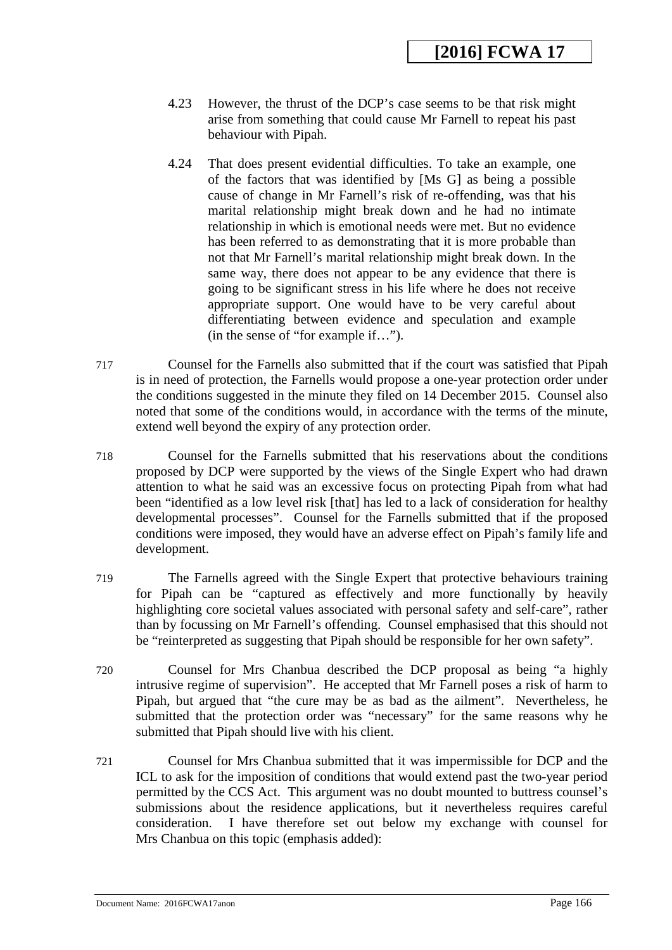- 4.23 However, the thrust of the DCP's case seems to be that risk might arise from something that could cause Mr Farnell to repeat his past behaviour with Pipah.
- 4.24 That does present evidential difficulties. To take an example, one of the factors that was identified by [Ms G] as being a possible cause of change in Mr Farnell's risk of re-offending, was that his marital relationship might break down and he had no intimate relationship in which is emotional needs were met. But no evidence has been referred to as demonstrating that it is more probable than not that Mr Farnell's marital relationship might break down. In the same way, there does not appear to be any evidence that there is going to be significant stress in his life where he does not receive appropriate support. One would have to be very careful about differentiating between evidence and speculation and example (in the sense of "for example if…").
- 717 Counsel for the Farnells also submitted that if the court was satisfied that Pipah is in need of protection, the Farnells would propose a one-year protection order under the conditions suggested in the minute they filed on 14 December 2015. Counsel also noted that some of the conditions would, in accordance with the terms of the minute, extend well beyond the expiry of any protection order.
- 718 Counsel for the Farnells submitted that his reservations about the conditions proposed by DCP were supported by the views of the Single Expert who had drawn attention to what he said was an excessive focus on protecting Pipah from what had been "identified as a low level risk [that] has led to a lack of consideration for healthy developmental processes". Counsel for the Farnells submitted that if the proposed conditions were imposed, they would have an adverse effect on Pipah's family life and development.
- 719 The Farnells agreed with the Single Expert that protective behaviours training for Pipah can be "captured as effectively and more functionally by heavily highlighting core societal values associated with personal safety and self-care", rather than by focussing on Mr Farnell's offending. Counsel emphasised that this should not be "reinterpreted as suggesting that Pipah should be responsible for her own safety".
- 720 Counsel for Mrs Chanbua described the DCP proposal as being "a highly intrusive regime of supervision". He accepted that Mr Farnell poses a risk of harm to Pipah, but argued that "the cure may be as bad as the ailment". Nevertheless, he submitted that the protection order was "necessary" for the same reasons why he submitted that Pipah should live with his client.
- 721 Counsel for Mrs Chanbua submitted that it was impermissible for DCP and the ICL to ask for the imposition of conditions that would extend past the two-year period permitted by the CCS Act. This argument was no doubt mounted to buttress counsel's submissions about the residence applications, but it nevertheless requires careful consideration. I have therefore set out below my exchange with counsel for Mrs Chanbua on this topic (emphasis added):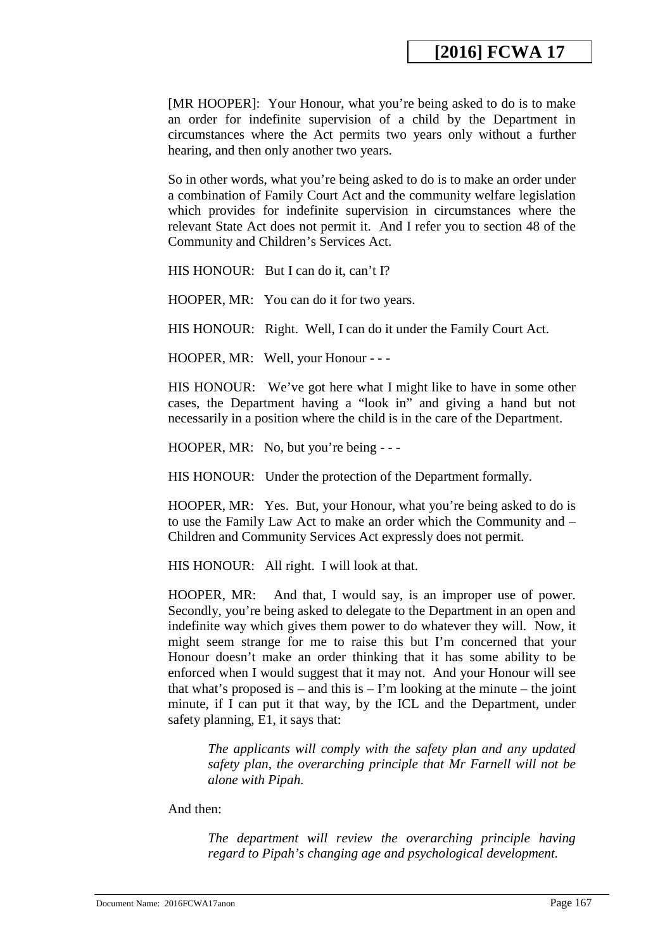[MR HOOPER]: Your Honour, what you're being asked to do is to make an order for indefinite supervision of a child by the Department in circumstances where the Act permits two years only without a further hearing, and then only another two years.

So in other words, what you're being asked to do is to make an order under a combination of Family Court Act and the community welfare legislation which provides for indefinite supervision in circumstances where the relevant State Act does not permit it. And I refer you to section 48 of the Community and Children's Services Act.

HIS HONOUR: But I can do it, can't I?

HOOPER, MR: You can do it for two years.

HIS HONOUR: Right. Well, I can do it under the Family Court Act.

HOOPER, MR: Well, your Honour - - -

HIS HONOUR: We've got here what I might like to have in some other cases, the Department having a "look in" and giving a hand but not necessarily in a position where the child is in the care of the Department.

HOOPER, MR: No, but you're being - - -

HIS HONOUR: Under the protection of the Department formally.

HOOPER, MR: Yes. But, your Honour, what you're being asked to do is to use the Family Law Act to make an order which the Community and – Children and Community Services Act expressly does not permit.

HIS HONOUR: All right. I will look at that.

HOOPER, MR: And that, I would say, is an improper use of power. Secondly, you're being asked to delegate to the Department in an open and indefinite way which gives them power to do whatever they will. Now, it might seem strange for me to raise this but I'm concerned that your Honour doesn't make an order thinking that it has some ability to be enforced when I would suggest that it may not. And your Honour will see that what's proposed is – and this is – I'm looking at the minute – the joint minute, if I can put it that way, by the ICL and the Department, under safety planning, E1, it says that:

*The applicants will comply with the safety plan and any updated safety plan, the overarching principle that Mr Farnell will not be alone with Pipah.* 

<span id="page-166-0"></span>And then:

*The department will review the overarching principle having regard to Pipah's changing age and psychological development.*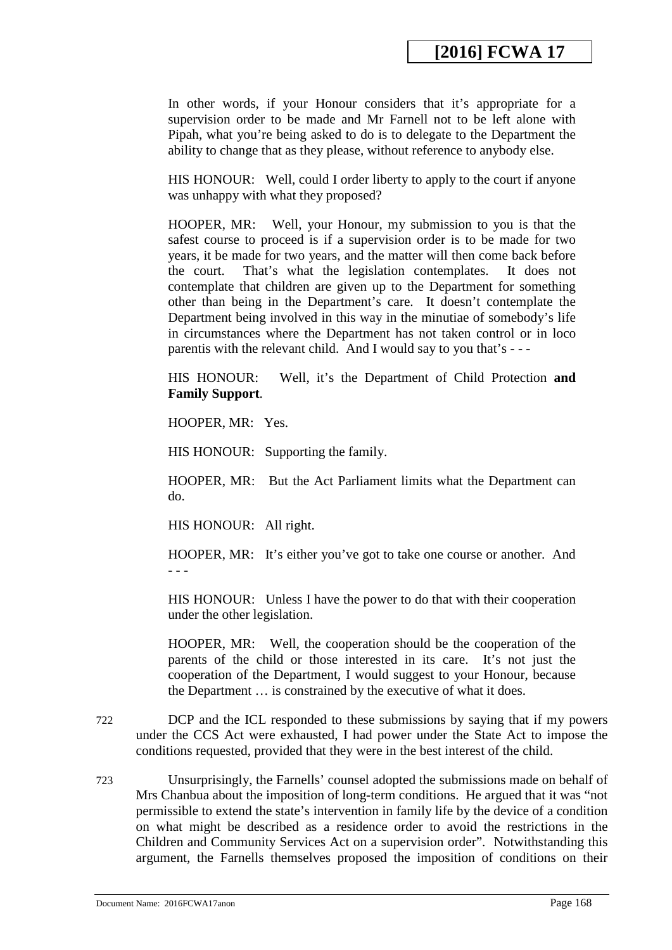In other words, if your Honour considers that it's appropriate for a supervision order to be made and Mr Farnell not to be left alone with Pipah, what you're being asked to do is to delegate to the Department the ability to change that as they please, without reference to anybody else.

HIS HONOUR: Well, could I order liberty to apply to the court if anyone was unhappy with what they proposed?

HOOPER, MR: Well, your Honour, my submission to you is that the safest course to proceed is if a supervision order is to be made for two years, it be made for two years, and the matter will then come back before the court. That's what the legislation contemplates. It does not contemplate that children are given up to the Department for something other than being in the Department's care. It doesn't contemplate the Department being involved in this way in the minutiae of somebody's life in circumstances where the Department has not taken control or in loco parentis with the relevant child. And I would say to you that's - - -

HIS HONOUR: Well, it's the Department of Child Protection **and Family Support**.

HOOPER, MR: Yes.

HIS HONOUR: Supporting the family.

HOOPER, MR: But the Act Parliament limits what the Department can do.

HIS HONOUR: All right.

HOOPER, MR: It's either you've got to take one course or another. And - - -

HIS HONOUR: Unless I have the power to do that with their cooperation under the other legislation.

HOOPER, MR: Well, the cooperation should be the cooperation of the parents of the child or those interested in its care. It's not just the cooperation of the Department, I would suggest to your Honour, because the Department … is constrained by the executive of what it does.

- 722 DCP and the ICL responded to these submissions by saying that if my powers under the CCS Act were exhausted, I had power under the State Act to impose the conditions requested, provided that they were in the best interest of the child.
- 723 Unsurprisingly, the Farnells' counsel adopted the submissions made on behalf of Mrs Chanbua about the imposition of long-term conditions. He argued that it was "not permissible to extend the state's intervention in family life by the device of a condition on what might be described as a residence order to avoid the restrictions in the Children and Community Services Act on a supervision order". Notwithstanding this argument, the Farnells themselves proposed the imposition of conditions on their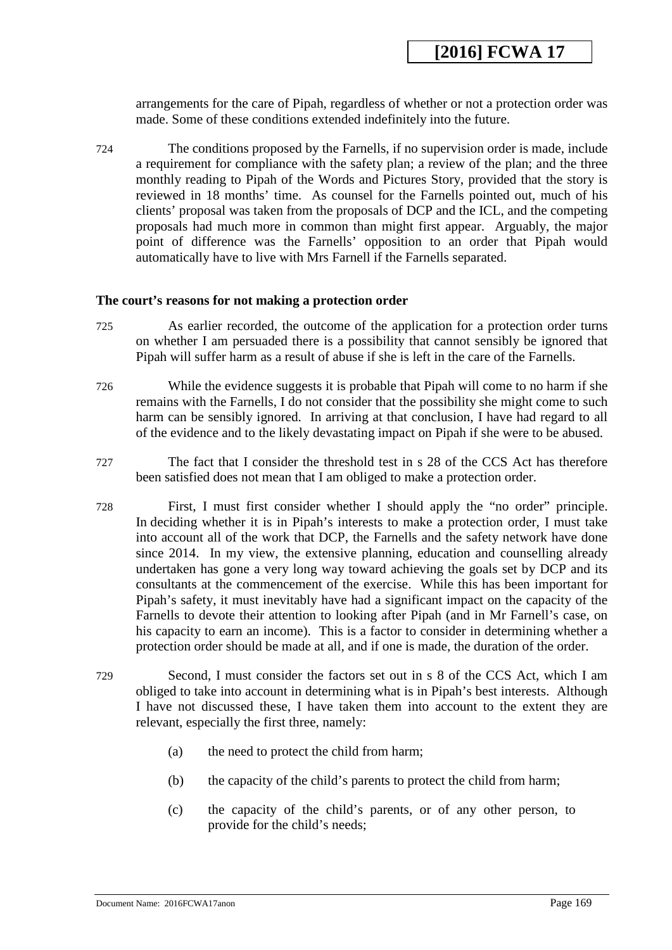arrangements for the care of Pipah, regardless of whether or not a protection order was made. Some of these conditions extended indefinitely into the future.

724 The conditions proposed by the Farnells, if no supervision order is made, include a requirement for compliance with the safety plan; a review of the plan; and the three monthly reading to Pipah of the Words and Pictures Story, provided that the story is reviewed in 18 months' time. As counsel for the Farnells pointed out, much of his clients' proposal was taken from the proposals of DCP and the ICL, and the competing proposals had much more in common than might first appear. Arguably, the major point of difference was the Farnells' opposition to an order that Pipah would automatically have to live with Mrs Farnell if the Farnells separated.

#### **The court's reasons for not making a protection order**

- 725 As earlier recorded, the outcome of the application for a protection order turns on whether I am persuaded there is a possibility that cannot sensibly be ignored that Pipah will suffer harm as a result of abuse if she is left in the care of the Farnells.
- 726 While the evidence suggests it is probable that Pipah will come to no harm if she remains with the Farnells, I do not consider that the possibility she might come to such harm can be sensibly ignored. In arriving at that conclusion, I have had regard to all of the evidence and to the likely devastating impact on Pipah if she were to be abused.
- 727 The fact that I consider the threshold test in s 28 of the CCS Act has therefore been satisfied does not mean that I am obliged to make a protection order.
- 728 First, I must first consider whether I should apply the "no order" principle. In deciding whether it is in Pipah's interests to make a protection order, I must take into account all of the work that DCP, the Farnells and the safety network have done since 2014. In my view, the extensive planning, education and counselling already undertaken has gone a very long way toward achieving the goals set by DCP and its consultants at the commencement of the exercise. While this has been important for Pipah's safety, it must inevitably have had a significant impact on the capacity of the Farnells to devote their attention to looking after Pipah (and in Mr Farnell's case, on his capacity to earn an income). This is a factor to consider in determining whether a protection order should be made at all, and if one is made, the duration of the order.
- 729 Second, I must consider the factors set out in s 8 of the CCS Act, which I am obliged to take into account in determining what is in Pipah's best interests. Although I have not discussed these, I have taken them into account to the extent they are relevant, especially the first three, namely:
	- (a) the need to protect the child from harm;
	- (b) the capacity of the child's parents to protect the child from harm;
	- (c) the capacity of the child's parents, or of any other person, to provide for the child's needs;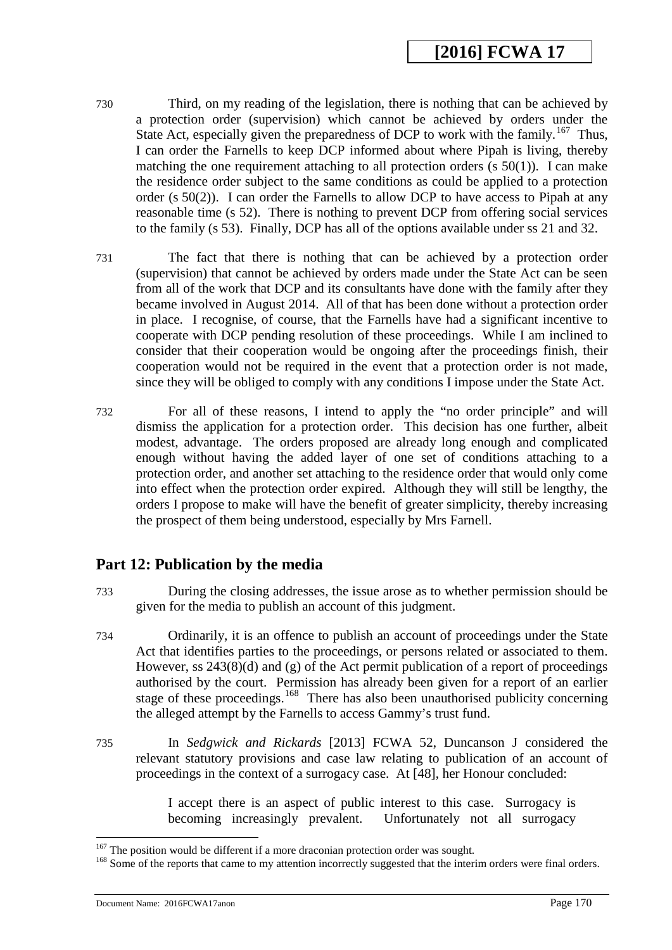- 730 Third, on my reading of the legislation, there is nothing that can be achieved by a protection order (supervision) which cannot be achieved by orders under the State Act, especially given the preparedness of DCP to work with the family.<sup>[167](#page-170-0)</sup> Thus, I can order the Farnells to keep DCP informed about where Pipah is living, thereby matching the one requirement attaching to all protection orders  $(s 50(1))$ . I can make the residence order subject to the same conditions as could be applied to a protection order (s 50(2)). I can order the Farnells to allow DCP to have access to Pipah at any reasonable time (s 52). There is nothing to prevent DCP from offering social services to the family (s 53). Finally, DCP has all of the options available under ss 21 and 32.
- 731 The fact that there is nothing that can be achieved by a protection order (supervision) that cannot be achieved by orders made under the State Act can be seen from all of the work that DCP and its consultants have done with the family after they became involved in August 2014. All of that has been done without a protection order in place. I recognise, of course, that the Farnells have had a significant incentive to cooperate with DCP pending resolution of these proceedings. While I am inclined to consider that their cooperation would be ongoing after the proceedings finish, their cooperation would not be required in the event that a protection order is not made, since they will be obliged to comply with any conditions I impose under the State Act.
- 732 For all of these reasons, I intend to apply the "no order principle" and will dismiss the application for a protection order. This decision has one further, albeit modest, advantage. The orders proposed are already long enough and complicated enough without having the added layer of one set of conditions attaching to a protection order, and another set attaching to the residence order that would only come into effect when the protection order expired. Although they will still be lengthy, the orders I propose to make will have the benefit of greater simplicity, thereby increasing the prospect of them being understood, especially by Mrs Farnell.

#### **Part 12: Publication by the media**

- 733 During the closing addresses, the issue arose as to whether permission should be given for the media to publish an account of this judgment.
- 734 Ordinarily, it is an offence to publish an account of proceedings under the State Act that identifies parties to the proceedings, or persons related or associated to them. However, ss 243(8)(d) and (g) of the Act permit publication of a report of proceedings authorised by the court. Permission has already been given for a report of an earlier stage of these proceedings.<sup>168</sup> There has also been unauthorised publicity concerning the alleged attempt by the Farnells to access Gammy's trust fund.
- 735 In *Sedgwick and Rickards* [2013] FCWA 52, Duncanson J considered the relevant statutory provisions and case law relating to publication of an account of proceedings in the context of a surrogacy case. At [48], her Honour concluded:

I accept there is an aspect of public interest to this case. Surrogacy is becoming increasingly prevalent. Unfortunately not all surrogacy

 $167$  The position would be different if a more draconian protection order was sought.

<sup>&</sup>lt;sup>168</sup> Some of the reports that came to my attention incorrectly suggested that the interim orders were final orders.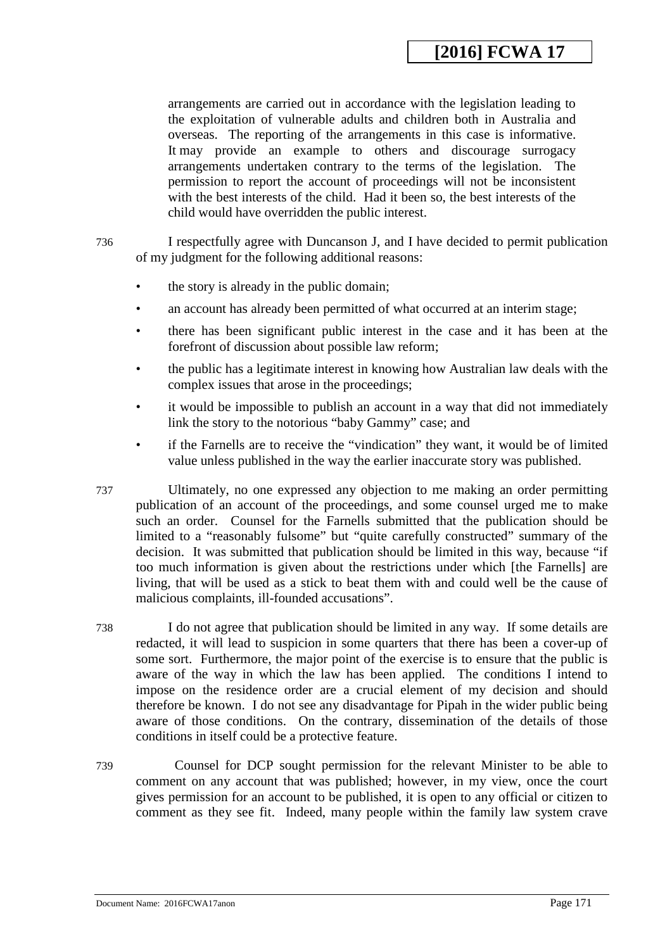arrangements are carried out in accordance with the legislation leading to the exploitation of vulnerable adults and children both in Australia and overseas. The reporting of the arrangements in this case is informative. It may provide an example to others and discourage surrogacy arrangements undertaken contrary to the terms of the legislation. The permission to report the account of proceedings will not be inconsistent with the best interests of the child. Had it been so, the best interests of the child would have overridden the public interest.

736 I respectfully agree with Duncanson J, and I have decided to permit publication of my judgment for the following additional reasons:

- the story is already in the public domain;
- an account has already been permitted of what occurred at an interim stage;
- there has been significant public interest in the case and it has been at the forefront of discussion about possible law reform;
- the public has a legitimate interest in knowing how Australian law deals with the complex issues that arose in the proceedings;
- it would be impossible to publish an account in a way that did not immediately link the story to the notorious "baby Gammy" case; and
- if the Farnells are to receive the "vindication" they want, it would be of limited value unless published in the way the earlier inaccurate story was published.
- 737 Ultimately, no one expressed any objection to me making an order permitting publication of an account of the proceedings, and some counsel urged me to make such an order. Counsel for the Farnells submitted that the publication should be limited to a "reasonably fulsome" but "quite carefully constructed" summary of the decision. It was submitted that publication should be limited in this way, because "if too much information is given about the restrictions under which [the Farnells] are living, that will be used as a stick to beat them with and could well be the cause of malicious complaints, ill-founded accusations".
- 738 I do not agree that publication should be limited in any way. If some details are redacted, it will lead to suspicion in some quarters that there has been a cover-up of some sort. Furthermore, the major point of the exercise is to ensure that the public is aware of the way in which the law has been applied. The conditions I intend to impose on the residence order are a crucial element of my decision and should therefore be known. I do not see any disadvantage for Pipah in the wider public being aware of those conditions. On the contrary, dissemination of the details of those conditions in itself could be a protective feature.
- <span id="page-170-0"></span>739 Counsel for DCP sought permission for the relevant Minister to be able to comment on any account that was published; however, in my view, once the court gives permission for an account to be published, it is open to any official or citizen to comment as they see fit. Indeed, many people within the family law system crave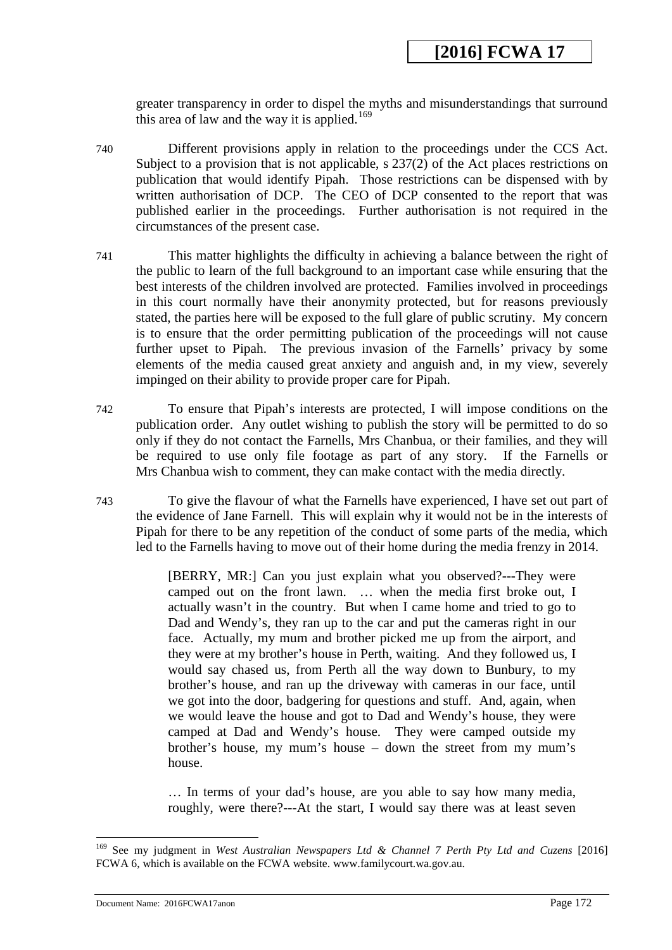greater transparency in order to dispel the myths and misunderstandings that surround this area of law and the way it is applied.<sup>169</sup>

- 740 Different provisions apply in relation to the proceedings under the CCS Act. Subject to a provision that is not applicable, s 237(2) of the Act places restrictions on publication that would identify Pipah. Those restrictions can be dispensed with by written authorisation of DCP. The CEO of DCP consented to the report that was published earlier in the proceedings. Further authorisation is not required in the circumstances of the present case.
- 741 This matter highlights the difficulty in achieving a balance between the right of the public to learn of the full background to an important case while ensuring that the best interests of the children involved are protected. Families involved in proceedings in this court normally have their anonymity protected, but for reasons previously stated, the parties here will be exposed to the full glare of public scrutiny. My concern is to ensure that the order permitting publication of the proceedings will not cause further upset to Pipah. The previous invasion of the Farnells' privacy by some elements of the media caused great anxiety and anguish and, in my view, severely impinged on their ability to provide proper care for Pipah.
- 742 To ensure that Pipah's interests are protected, I will impose conditions on the publication order. Any outlet wishing to publish the story will be permitted to do so only if they do not contact the Farnells, Mrs Chanbua, or their families, and they will be required to use only file footage as part of any story. If the Farnells or Mrs Chanbua wish to comment, they can make contact with the media directly.
- 743 To give the flavour of what the Farnells have experienced, I have set out part of the evidence of Jane Farnell. This will explain why it would not be in the interests of Pipah for there to be any repetition of the conduct of some parts of the media, which led to the Farnells having to move out of their home during the media frenzy in 2014.

[BERRY, MR:] Can you just explain what you observed?---They were camped out on the front lawn. … when the media first broke out, I actually wasn't in the country. But when I came home and tried to go to Dad and Wendy's, they ran up to the car and put the cameras right in our face. Actually, my mum and brother picked me up from the airport, and they were at my brother's house in Perth, waiting. And they followed us, I would say chased us, from Perth all the way down to Bunbury, to my brother's house, and ran up the driveway with cameras in our face, until we got into the door, badgering for questions and stuff. And, again, when we would leave the house and got to Dad and Wendy's house, they were camped at Dad and Wendy's house. They were camped outside my brother's house, my mum's house – down the street from my mum's house.

… In terms of your dad's house, are you able to say how many media, roughly, were there?---At the start, I would say there was at least seven

<span id="page-171-0"></span><sup>169</sup> See my judgment in *West Australian Newspapers Ltd & Channel 7 Perth Pty Ltd and Cuzens* [2016] FCWA 6, which is available on the FCWA website. www.familycourt.wa.gov.au.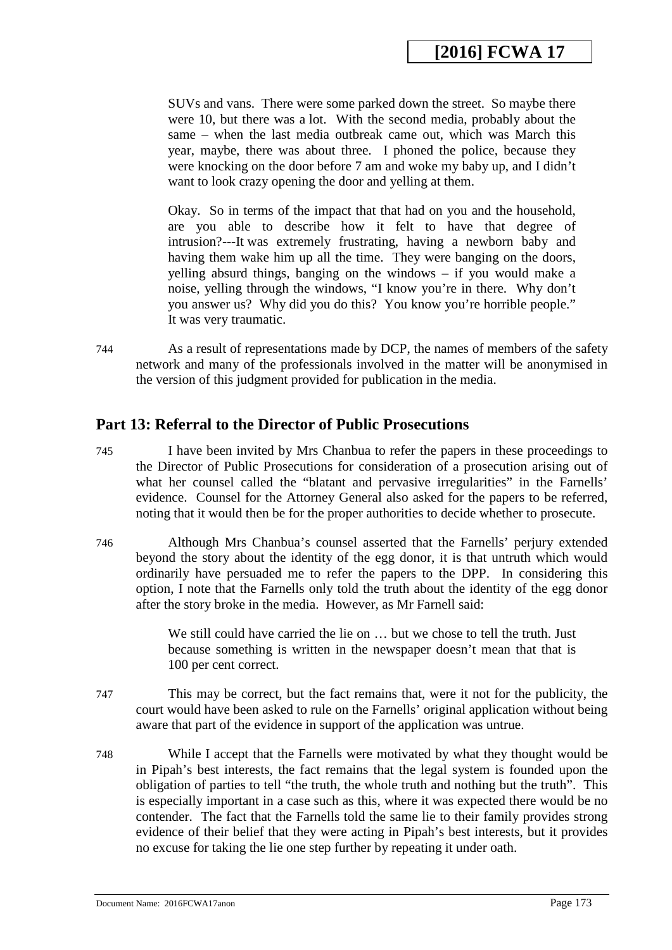SUVs and vans. There were some parked down the street. So maybe there were 10, but there was a lot. With the second media, probably about the same – when the last media outbreak came out, which was March this year, maybe, there was about three. I phoned the police, because they were knocking on the door before 7 am and woke my baby up, and I didn't want to look crazy opening the door and yelling at them.

Okay. So in terms of the impact that that had on you and the household, are you able to describe how it felt to have that degree of intrusion?---It was extremely frustrating, having a newborn baby and having them wake him up all the time. They were banging on the doors, yelling absurd things, banging on the windows – if you would make a noise, yelling through the windows, "I know you're in there. Why don't you answer us? Why did you do this? You know you're horrible people." It was very traumatic.

744 As a result of representations made by DCP, the names of members of the safety network and many of the professionals involved in the matter will be anonymised in the version of this judgment provided for publication in the media.

#### **Part 13: Referral to the Director of Public Prosecutions**

- 745 I have been invited by Mrs Chanbua to refer the papers in these proceedings to the Director of Public Prosecutions for consideration of a prosecution arising out of what her counsel called the "blatant and pervasive irregularities" in the Farnells' evidence. Counsel for the Attorney General also asked for the papers to be referred, noting that it would then be for the proper authorities to decide whether to prosecute.
- 746 Although Mrs Chanbua's counsel asserted that the Farnells' perjury extended beyond the story about the identity of the egg donor, it is that untruth which would ordinarily have persuaded me to refer the papers to the DPP. In considering this option, I note that the Farnells only told the truth about the identity of the egg donor after the story broke in the media. However, as Mr Farnell said:

We still could have carried the lie on ... but we chose to tell the truth. Just because something is written in the newspaper doesn't mean that that is 100 per cent correct.

- 747 This may be correct, but the fact remains that, were it not for the publicity, the court would have been asked to rule on the Farnells' original application without being aware that part of the evidence in support of the application was untrue.
- <span id="page-172-0"></span>748 While I accept that the Farnells were motivated by what they thought would be in Pipah's best interests, the fact remains that the legal system is founded upon the obligation of parties to tell "the truth, the whole truth and nothing but the truth". This is especially important in a case such as this, where it was expected there would be no contender. The fact that the Farnells told the same lie to their family provides strong evidence of their belief that they were acting in Pipah's best interests, but it provides no excuse for taking the lie one step further by repeating it under oath.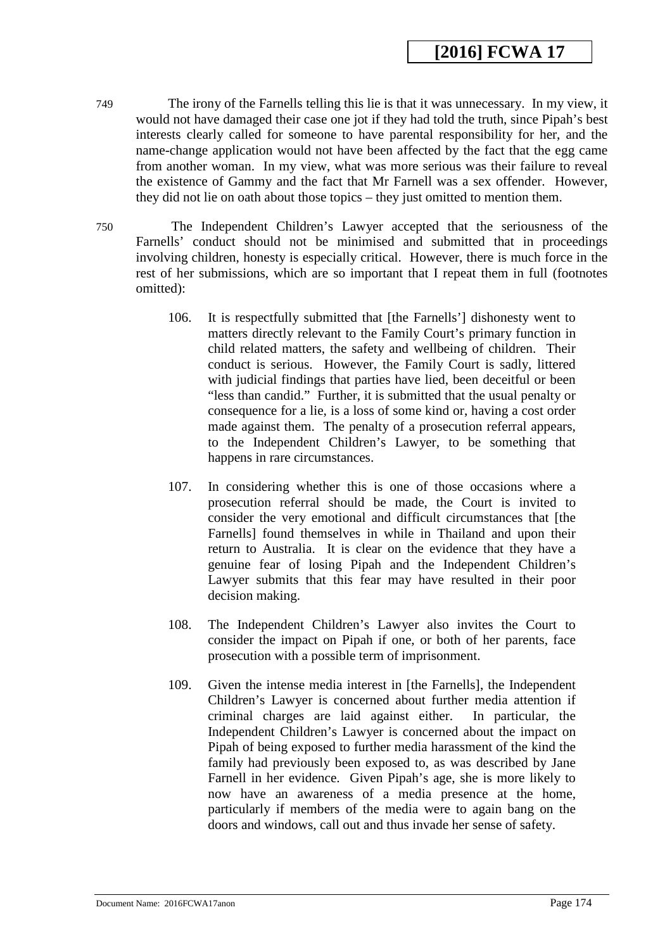- 749 The irony of the Farnells telling this lie is that it was unnecessary. In my view, it would not have damaged their case one jot if they had told the truth, since Pipah's best interests clearly called for someone to have parental responsibility for her, and the name-change application would not have been affected by the fact that the egg came from another woman. In my view, what was more serious was their failure to reveal the existence of Gammy and the fact that Mr Farnell was a sex offender. However, they did not lie on oath about those topics – they just omitted to mention them.
- 750 The Independent Children's Lawyer accepted that the seriousness of the Farnells' conduct should not be minimised and submitted that in proceedings involving children, honesty is especially critical. However, there is much force in the rest of her submissions, which are so important that I repeat them in full (footnotes omitted):
	- 106. It is respectfully submitted that [the Farnells'] dishonesty went to matters directly relevant to the Family Court's primary function in child related matters, the safety and wellbeing of children. Their conduct is serious. However, the Family Court is sadly, littered with judicial findings that parties have lied, been deceitful or been "less than candid." Further, it is submitted that the usual penalty or consequence for a lie, is a loss of some kind or, having a cost order made against them. The penalty of a prosecution referral appears, to the Independent Children's Lawyer, to be something that happens in rare circumstances.
	- 107. In considering whether this is one of those occasions where a prosecution referral should be made, the Court is invited to consider the very emotional and difficult circumstances that [the Farnells] found themselves in while in Thailand and upon their return to Australia. It is clear on the evidence that they have a genuine fear of losing Pipah and the Independent Children's Lawyer submits that this fear may have resulted in their poor decision making.
	- 108. The Independent Children's Lawyer also invites the Court to consider the impact on Pipah if one, or both of her parents, face prosecution with a possible term of imprisonment.
	- 109. Given the intense media interest in [the Farnells], the Independent Children's Lawyer is concerned about further media attention if criminal charges are laid against either. In particular, the Independent Children's Lawyer is concerned about the impact on Pipah of being exposed to further media harassment of the kind the family had previously been exposed to, as was described by Jane Farnell in her evidence. Given Pipah's age, she is more likely to now have an awareness of a media presence at the home, particularly if members of the media were to again bang on the doors and windows, call out and thus invade her sense of safety.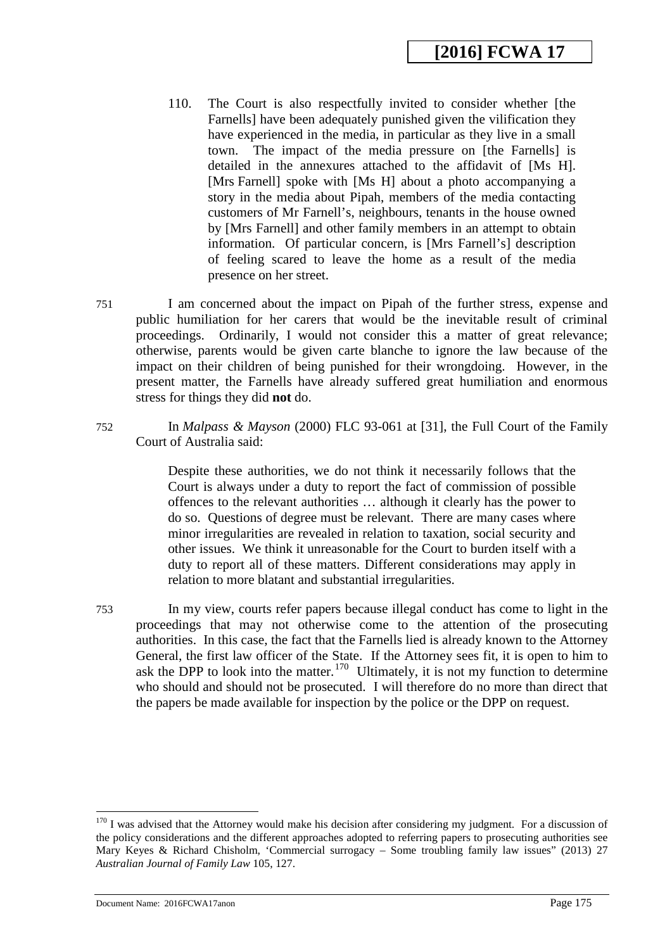- 110. The Court is also respectfully invited to consider whether [the Farnells] have been adequately punished given the vilification they have experienced in the media, in particular as they live in a small town. The impact of the media pressure on [the Farnells] is detailed in the annexures attached to the affidavit of [Ms H]. [Mrs Farnell] spoke with [Ms H] about a photo accompanying a story in the media about Pipah, members of the media contacting customers of Mr Farnell's, neighbours, tenants in the house owned by [Mrs Farnell] and other family members in an attempt to obtain information. Of particular concern, is [Mrs Farnell's] description of feeling scared to leave the home as a result of the media presence on her street.
- 751 I am concerned about the impact on Pipah of the further stress, expense and public humiliation for her carers that would be the inevitable result of criminal proceedings. Ordinarily, I would not consider this a matter of great relevance; otherwise, parents would be given carte blanche to ignore the law because of the impact on their children of being punished for their wrongdoing. However, in the present matter, the Farnells have already suffered great humiliation and enormous stress for things they did **not** do.
- 752 In *Malpass & Mayson* (2000) FLC 93-061 at [31], the Full Court of the Family Court of Australia said:

Despite these authorities, we do not think it necessarily follows that the Court is always under a duty to report the fact of commission of possible offences to the relevant authorities … although it clearly has the power to do so. Questions of degree must be relevant. There are many cases where minor irregularities are revealed in relation to taxation, social security and other issues. We think it unreasonable for the Court to burden itself with a duty to report all of these matters. Different considerations may apply in relation to more blatant and substantial irregularities.

753 In my view, courts refer papers because illegal conduct has come to light in the proceedings that may not otherwise come to the attention of the prosecuting authorities. In this case, the fact that the Farnells lied is already known to the Attorney General, the first law officer of the State. If the Attorney sees fit, it is open to him to ask the DPP to look into the matter.<sup>[170](#page-176-0)</sup> Ultimately, it is not my function to determine who should and should not be prosecuted. I will therefore do no more than direct that the papers be made available for inspection by the police or the DPP on request.

 $170$  I was advised that the Attorney would make his decision after considering my judgment. For a discussion of the policy considerations and the different approaches adopted to referring papers to prosecuting authorities see Mary Keyes & Richard Chisholm, 'Commercial surrogacy – Some troubling family law issues" (2013) 27 *Australian Journal of Family Law* 105, 127.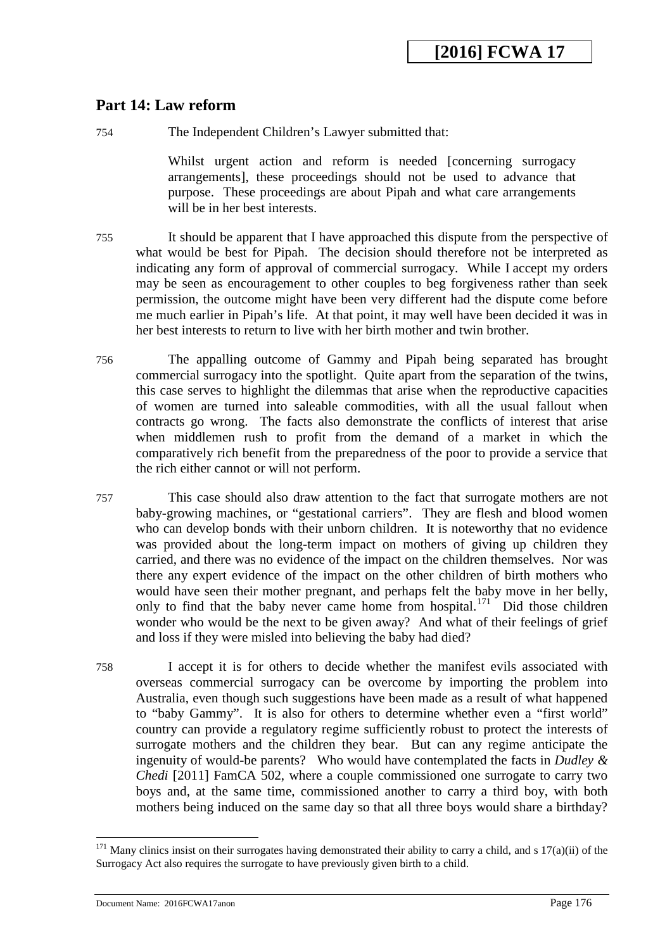#### **Part 14: Law reform**

754 The Independent Children's Lawyer submitted that:

Whilst urgent action and reform is needed [concerning surrogacy arrangements], these proceedings should not be used to advance that purpose. These proceedings are about Pipah and what care arrangements will be in her best interests.

- 755 It should be apparent that I have approached this dispute from the perspective of what would be best for Pipah. The decision should therefore not be interpreted as indicating any form of approval of commercial surrogacy. While I accept my orders may be seen as encouragement to other couples to beg forgiveness rather than seek permission, the outcome might have been very different had the dispute come before me much earlier in Pipah's life. At that point, it may well have been decided it was in her best interests to return to live with her birth mother and twin brother.
- 756 The appalling outcome of Gammy and Pipah being separated has brought commercial surrogacy into the spotlight. Quite apart from the separation of the twins, this case serves to highlight the dilemmas that arise when the reproductive capacities of women are turned into saleable commodities, with all the usual fallout when contracts go wrong. The facts also demonstrate the conflicts of interest that arise when middlemen rush to profit from the demand of a market in which the comparatively rich benefit from the preparedness of the poor to provide a service that the rich either cannot or will not perform.
- 757 This case should also draw attention to the fact that surrogate mothers are not baby-growing machines, or "gestational carriers". They are flesh and blood women who can develop bonds with their unborn children. It is noteworthy that no evidence was provided about the long-term impact on mothers of giving up children they carried, and there was no evidence of the impact on the children themselves. Nor was there any expert evidence of the impact on the other children of birth mothers who would have seen their mother pregnant, and perhaps felt the baby move in her belly, only to find that the baby never came home from hospital.<sup>[171](#page-177-0)</sup> Did those children wonder who would be the next to be given away? And what of their feelings of grief and loss if they were misled into believing the baby had died?
- 758 I accept it is for others to decide whether the manifest evils associated with overseas commercial surrogacy can be overcome by importing the problem into Australia, even though such suggestions have been made as a result of what happened to "baby Gammy". It is also for others to determine whether even a "first world" country can provide a regulatory regime sufficiently robust to protect the interests of surrogate mothers and the children they bear. But can any regime anticipate the ingenuity of would-be parents? Who would have contemplated the facts in *Dudley & Chedi* [2011] FamCA 502, where a couple commissioned one surrogate to carry two boys and, at the same time, commissioned another to carry a third boy, with both mothers being induced on the same day so that all three boys would share a birthday?

 $171$  Many clinics insist on their surrogates having demonstrated their ability to carry a child, and s  $17(a)(ii)$  of the Surrogacy Act also requires the surrogate to have previously given birth to a child.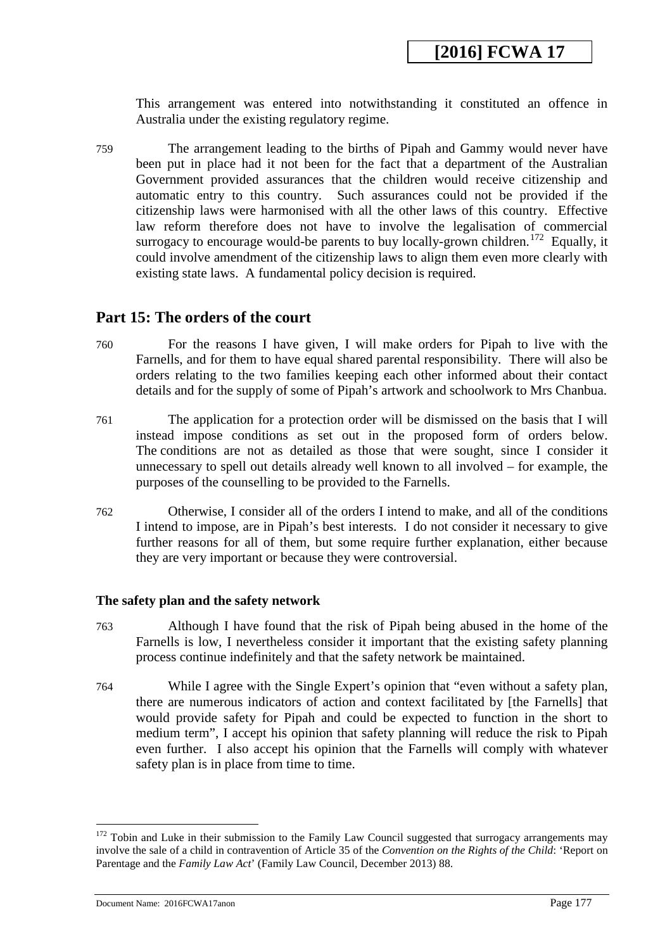This arrangement was entered into notwithstanding it constituted an offence in Australia under the existing regulatory regime.

759 The arrangement leading to the births of Pipah and Gammy would never have been put in place had it not been for the fact that a department of the Australian Government provided assurances that the children would receive citizenship and automatic entry to this country. Such assurances could not be provided if the citizenship laws were harmonised with all the other laws of this country. Effective law reform therefore does not have to involve the legalisation of commercial surrogacy to encourage would-be parents to buy locally-grown children.<sup>[172](#page-177-1)</sup> Equally, it could involve amendment of the citizenship laws to align them even more clearly with existing state laws. A fundamental policy decision is required.

#### **Part 15: The orders of the court**

- 760 For the reasons I have given, I will make orders for Pipah to live with the Farnells, and for them to have equal shared parental responsibility. There will also be orders relating to the two families keeping each other informed about their contact details and for the supply of some of Pipah's artwork and schoolwork to Mrs Chanbua.
- 761 The application for a protection order will be dismissed on the basis that I will instead impose conditions as set out in the proposed form of orders below. The conditions are not as detailed as those that were sought, since I consider it unnecessary to spell out details already well known to all involved – for example, the purposes of the counselling to be provided to the Farnells.
- 762 Otherwise, I consider all of the orders I intend to make, and all of the conditions I intend to impose, are in Pipah's best interests. I do not consider it necessary to give further reasons for all of them, but some require further explanation, either because they are very important or because they were controversial.

#### **The safety plan and the safety network**

- 763 Although I have found that the risk of Pipah being abused in the home of the Farnells is low, I nevertheless consider it important that the existing safety planning process continue indefinitely and that the safety network be maintained.
- 764 While I agree with the Single Expert's opinion that "even without a safety plan, there are numerous indicators of action and context facilitated by [the Farnells] that would provide safety for Pipah and could be expected to function in the short to medium term", I accept his opinion that safety planning will reduce the risk to Pipah even further. I also accept his opinion that the Farnells will comply with whatever safety plan is in place from time to time.

<span id="page-176-0"></span> $172$  Tobin and Luke in their submission to the Family Law Council suggested that surrogacy arrangements may involve the sale of a child in contravention of Article 35 of the *Convention on the Rights of the Child*: 'Report on Parentage and the *Family Law Act*' (Family Law Council, December 2013) 88.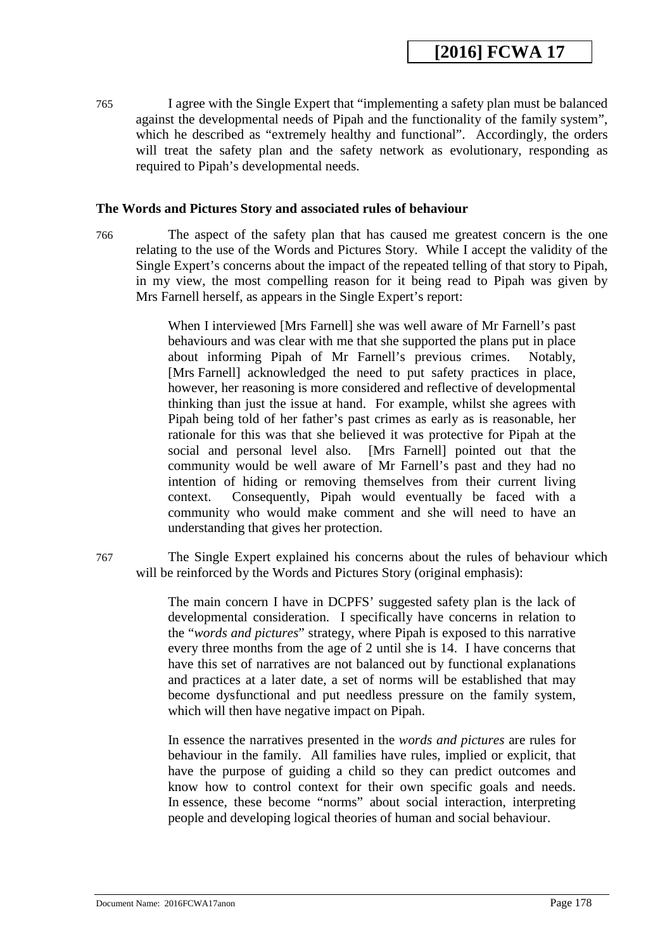765 I agree with the Single Expert that "implementing a safety plan must be balanced against the developmental needs of Pipah and the functionality of the family system", which he described as "extremely healthy and functional". Accordingly, the orders will treat the safety plan and the safety network as evolutionary, responding as required to Pipah's developmental needs.

#### **The Words and Pictures Story and associated rules of behaviour**

766 The aspect of the safety plan that has caused me greatest concern is the one relating to the use of the Words and Pictures Story. While I accept the validity of the Single Expert's concerns about the impact of the repeated telling of that story to Pipah, in my view, the most compelling reason for it being read to Pipah was given by Mrs Farnell herself, as appears in the Single Expert's report:

> When I interviewed [Mrs Farnell] she was well aware of Mr Farnell's past behaviours and was clear with me that she supported the plans put in place about informing Pipah of Mr Farnell's previous crimes. Notably, [Mrs Farnell] acknowledged the need to put safety practices in place, however, her reasoning is more considered and reflective of developmental thinking than just the issue at hand. For example, whilst she agrees with Pipah being told of her father's past crimes as early as is reasonable, her rationale for this was that she believed it was protective for Pipah at the social and personal level also. [Mrs Farnell] pointed out that the community would be well aware of Mr Farnell's past and they had no intention of hiding or removing themselves from their current living context. Consequently, Pipah would eventually be faced with a community who would make comment and she will need to have an understanding that gives her protection.

767 The Single Expert explained his concerns about the rules of behaviour which will be reinforced by the Words and Pictures Story (original emphasis):

> The main concern I have in DCPFS' suggested safety plan is the lack of developmental consideration. I specifically have concerns in relation to the "*words and pictures*" strategy, where Pipah is exposed to this narrative every three months from the age of 2 until she is 14. I have concerns that have this set of narratives are not balanced out by functional explanations and practices at a later date, a set of norms will be established that may become dysfunctional and put needless pressure on the family system, which will then have negative impact on Pipah.

> <span id="page-177-1"></span><span id="page-177-0"></span>In essence the narratives presented in the *words and pictures* are rules for behaviour in the family. All families have rules, implied or explicit, that have the purpose of guiding a child so they can predict outcomes and know how to control context for their own specific goals and needs. In essence, these become "norms" about social interaction, interpreting people and developing logical theories of human and social behaviour.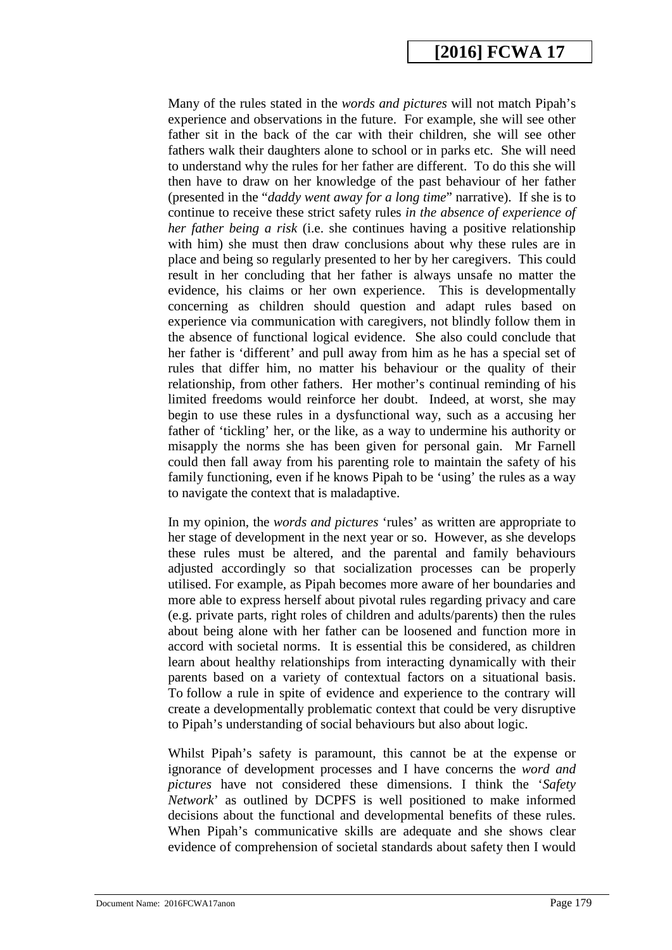Many of the rules stated in the *words and pictures* will not match Pipah's experience and observations in the future. For example, she will see other father sit in the back of the car with their children, she will see other fathers walk their daughters alone to school or in parks etc. She will need to understand why the rules for her father are different. To do this she will then have to draw on her knowledge of the past behaviour of her father (presented in the "*daddy went away for a long time*" narrative). If she is to continue to receive these strict safety rules *in the absence of experience of her father being a risk* (i.e. she continues having a positive relationship with him) she must then draw conclusions about why these rules are in place and being so regularly presented to her by her caregivers. This could result in her concluding that her father is always unsafe no matter the evidence, his claims or her own experience. This is developmentally concerning as children should question and adapt rules based on experience via communication with caregivers, not blindly follow them in the absence of functional logical evidence. She also could conclude that her father is 'different' and pull away from him as he has a special set of rules that differ him, no matter his behaviour or the quality of their relationship, from other fathers. Her mother's continual reminding of his limited freedoms would reinforce her doubt. Indeed, at worst, she may begin to use these rules in a dysfunctional way, such as a accusing her father of 'tickling' her, or the like, as a way to undermine his authority or misapply the norms she has been given for personal gain. Mr Farnell could then fall away from his parenting role to maintain the safety of his family functioning, even if he knows Pipah to be 'using' the rules as a way to navigate the context that is maladaptive.

In my opinion, the *words and pictures* 'rules' as written are appropriate to her stage of development in the next year or so. However, as she develops these rules must be altered, and the parental and family behaviours adjusted accordingly so that socialization processes can be properly utilised. For example, as Pipah becomes more aware of her boundaries and more able to express herself about pivotal rules regarding privacy and care (e.g. private parts, right roles of children and adults/parents) then the rules about being alone with her father can be loosened and function more in accord with societal norms. It is essential this be considered, as children learn about healthy relationships from interacting dynamically with their parents based on a variety of contextual factors on a situational basis. To follow a rule in spite of evidence and experience to the contrary will create a developmentally problematic context that could be very disruptive to Pipah's understanding of social behaviours but also about logic.

Whilst Pipah's safety is paramount, this cannot be at the expense or ignorance of development processes and I have concerns the *word and pictures* have not considered these dimensions. I think the '*Safety Network*' as outlined by DCPFS is well positioned to make informed decisions about the functional and developmental benefits of these rules. When Pipah's communicative skills are adequate and she shows clear evidence of comprehension of societal standards about safety then I would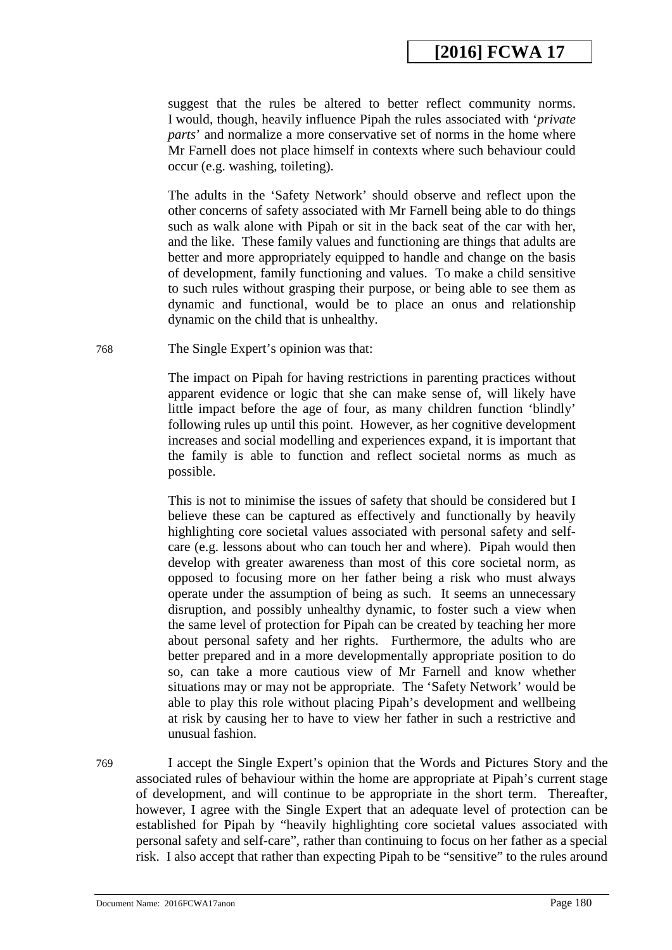suggest that the rules be altered to better reflect community norms. I would, though, heavily influence Pipah the rules associated with '*private parts*' and normalize a more conservative set of norms in the home where Mr Farnell does not place himself in contexts where such behaviour could occur (e.g. washing, toileting).

The adults in the 'Safety Network' should observe and reflect upon the other concerns of safety associated with Mr Farnell being able to do things such as walk alone with Pipah or sit in the back seat of the car with her, and the like. These family values and functioning are things that adults are better and more appropriately equipped to handle and change on the basis of development, family functioning and values. To make a child sensitive to such rules without grasping their purpose, or being able to see them as dynamic and functional, would be to place an onus and relationship dynamic on the child that is unhealthy.

768 The Single Expert's opinion was that:

The impact on Pipah for having restrictions in parenting practices without apparent evidence or logic that she can make sense of, will likely have little impact before the age of four, as many children function 'blindly' following rules up until this point. However, as her cognitive development increases and social modelling and experiences expand, it is important that the family is able to function and reflect societal norms as much as possible.

This is not to minimise the issues of safety that should be considered but I believe these can be captured as effectively and functionally by heavily highlighting core societal values associated with personal safety and selfcare (e.g. lessons about who can touch her and where). Pipah would then develop with greater awareness than most of this core societal norm, as opposed to focusing more on her father being a risk who must always operate under the assumption of being as such. It seems an unnecessary disruption, and possibly unhealthy dynamic, to foster such a view when the same level of protection for Pipah can be created by teaching her more about personal safety and her rights. Furthermore, the adults who are better prepared and in a more developmentally appropriate position to do so, can take a more cautious view of Mr Farnell and know whether situations may or may not be appropriate. The 'Safety Network' would be able to play this role without placing Pipah's development and wellbeing at risk by causing her to have to view her father in such a restrictive and unusual fashion.

769 I accept the Single Expert's opinion that the Words and Pictures Story and the associated rules of behaviour within the home are appropriate at Pipah's current stage of development, and will continue to be appropriate in the short term. Thereafter, however, I agree with the Single Expert that an adequate level of protection can be established for Pipah by "heavily highlighting core societal values associated with personal safety and self-care", rather than continuing to focus on her father as a special risk. I also accept that rather than expecting Pipah to be "sensitive" to the rules around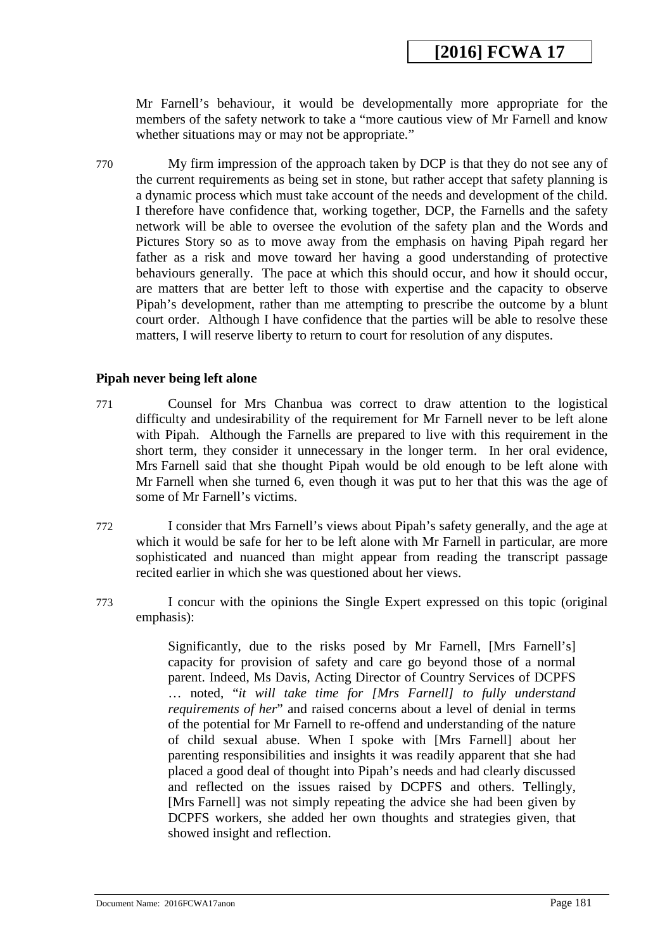Mr Farnell's behaviour, it would be developmentally more appropriate for the members of the safety network to take a "more cautious view of Mr Farnell and know whether situations may or may not be appropriate."

770 My firm impression of the approach taken by DCP is that they do not see any of the current requirements as being set in stone, but rather accept that safety planning is a dynamic process which must take account of the needs and development of the child. I therefore have confidence that, working together, DCP, the Farnells and the safety network will be able to oversee the evolution of the safety plan and the Words and Pictures Story so as to move away from the emphasis on having Pipah regard her father as a risk and move toward her having a good understanding of protective behaviours generally. The pace at which this should occur, and how it should occur, are matters that are better left to those with expertise and the capacity to observe Pipah's development, rather than me attempting to prescribe the outcome by a blunt court order. Although I have confidence that the parties will be able to resolve these matters, I will reserve liberty to return to court for resolution of any disputes.

## **Pipah never being left alone**

- 771 Counsel for Mrs Chanbua was correct to draw attention to the logistical difficulty and undesirability of the requirement for Mr Farnell never to be left alone with Pipah. Although the Farnells are prepared to live with this requirement in the short term, they consider it unnecessary in the longer term. In her oral evidence, Mrs Farnell said that she thought Pipah would be old enough to be left alone with Mr Farnell when she turned 6, even though it was put to her that this was the age of some of Mr Farnell's victims.
- 772 I consider that Mrs Farnell's views about Pipah's safety generally, and the age at which it would be safe for her to be left alone with Mr Farnell in particular, are more sophisticated and nuanced than might appear from reading the transcript passage recited earlier in which she was questioned about her views.
- 773 I concur with the opinions the Single Expert expressed on this topic (original emphasis):

Significantly, due to the risks posed by Mr Farnell, [Mrs Farnell's] capacity for provision of safety and care go beyond those of a normal parent. Indeed, Ms Davis, Acting Director of Country Services of DCPFS … noted, "*it will take time for [Mrs Farnell] to fully understand requirements of her*" and raised concerns about a level of denial in terms of the potential for Mr Farnell to re-offend and understanding of the nature of child sexual abuse. When I spoke with [Mrs Farnell] about her parenting responsibilities and insights it was readily apparent that she had placed a good deal of thought into Pipah's needs and had clearly discussed and reflected on the issues raised by DCPFS and others. Tellingly, [Mrs Farnell] was not simply repeating the advice she had been given by DCPFS workers, she added her own thoughts and strategies given, that showed insight and reflection.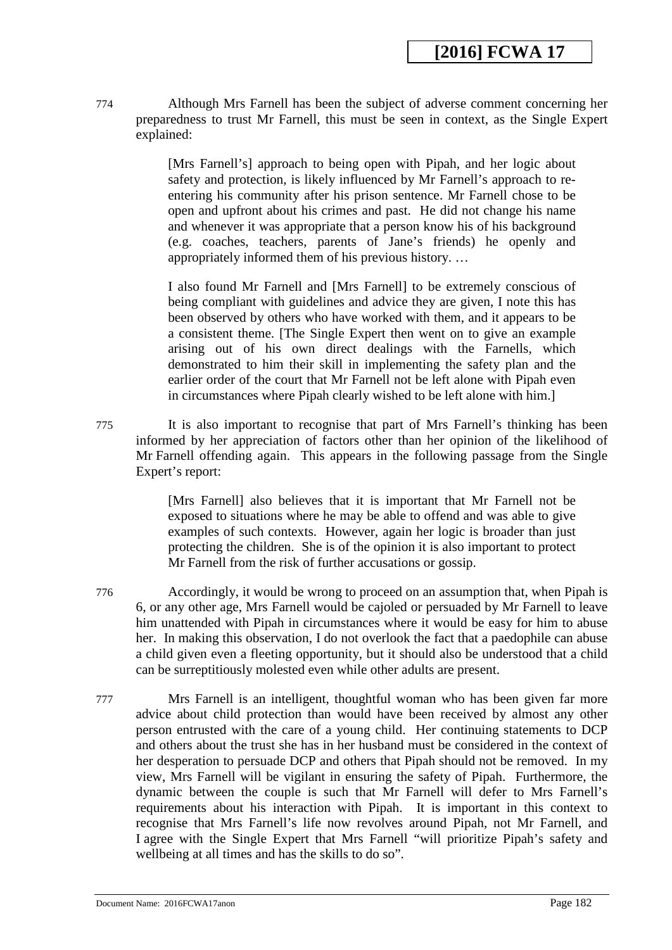774 Although Mrs Farnell has been the subject of adverse comment concerning her preparedness to trust Mr Farnell, this must be seen in context, as the Single Expert explained:

> [Mrs Farnell's] approach to being open with Pipah, and her logic about safety and protection, is likely influenced by Mr Farnell's approach to reentering his community after his prison sentence. Mr Farnell chose to be open and upfront about his crimes and past. He did not change his name and whenever it was appropriate that a person know his of his background (e.g. coaches, teachers, parents of Jane's friends) he openly and appropriately informed them of his previous history. …

> I also found Mr Farnell and [Mrs Farnell] to be extremely conscious of being compliant with guidelines and advice they are given, I note this has been observed by others who have worked with them, and it appears to be a consistent theme. [The Single Expert then went on to give an example arising out of his own direct dealings with the Farnells, which demonstrated to him their skill in implementing the safety plan and the earlier order of the court that Mr Farnell not be left alone with Pipah even in circumstances where Pipah clearly wished to be left alone with him.]

775 It is also important to recognise that part of Mrs Farnell's thinking has been informed by her appreciation of factors other than her opinion of the likelihood of Mr Farnell offending again. This appears in the following passage from the Single Expert's report:

> [Mrs Farnell] also believes that it is important that Mr Farnell not be exposed to situations where he may be able to offend and was able to give examples of such contexts. However, again her logic is broader than just protecting the children. She is of the opinion it is also important to protect Mr Farnell from the risk of further accusations or gossip.

776 Accordingly, it would be wrong to proceed on an assumption that, when Pipah is 6, or any other age, Mrs Farnell would be cajoled or persuaded by Mr Farnell to leave him unattended with Pipah in circumstances where it would be easy for him to abuse her. In making this observation, I do not overlook the fact that a paedophile can abuse a child given even a fleeting opportunity, but it should also be understood that a child can be surreptitiously molested even while other adults are present.

777 Mrs Farnell is an intelligent, thoughtful woman who has been given far more advice about child protection than would have been received by almost any other person entrusted with the care of a young child. Her continuing statements to DCP and others about the trust she has in her husband must be considered in the context of her desperation to persuade DCP and others that Pipah should not be removed. In my view, Mrs Farnell will be vigilant in ensuring the safety of Pipah. Furthermore, the dynamic between the couple is such that Mr Farnell will defer to Mrs Farnell's requirements about his interaction with Pipah. It is important in this context to recognise that Mrs Farnell's life now revolves around Pipah, not Mr Farnell, and I agree with the Single Expert that Mrs Farnell "will prioritize Pipah's safety and wellbeing at all times and has the skills to do so".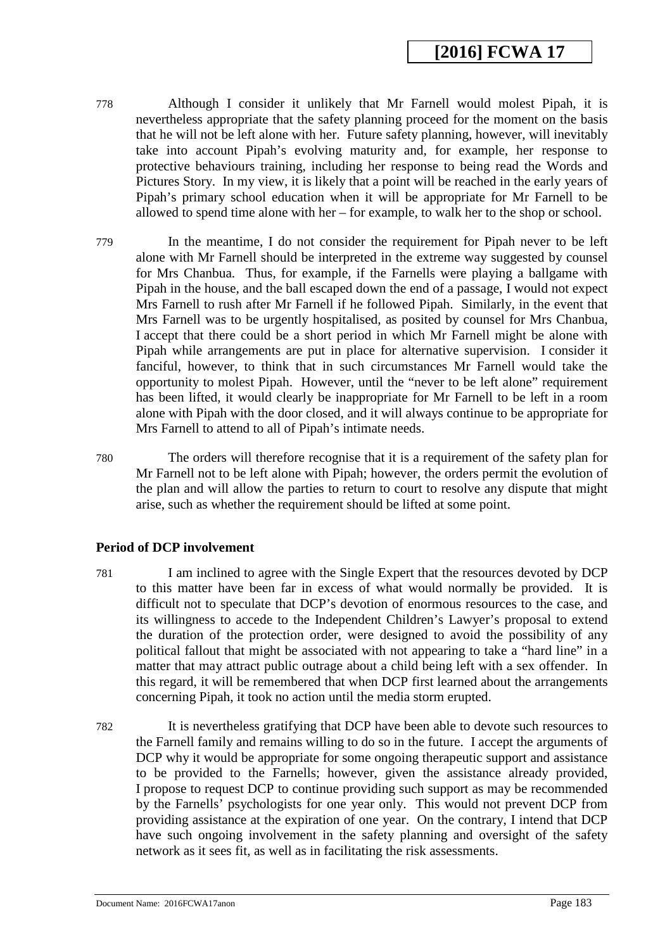# **[2016] FCWA 17**

- 778 Although I consider it unlikely that Mr Farnell would molest Pipah, it is nevertheless appropriate that the safety planning proceed for the moment on the basis that he will not be left alone with her. Future safety planning, however, will inevitably take into account Pipah's evolving maturity and, for example, her response to protective behaviours training, including her response to being read the Words and Pictures Story. In my view, it is likely that a point will be reached in the early years of Pipah's primary school education when it will be appropriate for Mr Farnell to be allowed to spend time alone with her – for example, to walk her to the shop or school.
- 779 In the meantime, I do not consider the requirement for Pipah never to be left alone with Mr Farnell should be interpreted in the extreme way suggested by counsel for Mrs Chanbua. Thus, for example, if the Farnells were playing a ballgame with Pipah in the house, and the ball escaped down the end of a passage, I would not expect Mrs Farnell to rush after Mr Farnell if he followed Pipah. Similarly, in the event that Mrs Farnell was to be urgently hospitalised, as posited by counsel for Mrs Chanbua, I accept that there could be a short period in which Mr Farnell might be alone with Pipah while arrangements are put in place for alternative supervision. I consider it fanciful, however, to think that in such circumstances Mr Farnell would take the opportunity to molest Pipah. However, until the "never to be left alone" requirement has been lifted, it would clearly be inappropriate for Mr Farnell to be left in a room alone with Pipah with the door closed, and it will always continue to be appropriate for Mrs Farnell to attend to all of Pipah's intimate needs.
- 780 The orders will therefore recognise that it is a requirement of the safety plan for Mr Farnell not to be left alone with Pipah; however, the orders permit the evolution of the plan and will allow the parties to return to court to resolve any dispute that might arise, such as whether the requirement should be lifted at some point.

# **Period of DCP involvement**

- 781 I am inclined to agree with the Single Expert that the resources devoted by DCP to this matter have been far in excess of what would normally be provided. It is difficult not to speculate that DCP's devotion of enormous resources to the case, and its willingness to accede to the Independent Children's Lawyer's proposal to extend the duration of the protection order, were designed to avoid the possibility of any political fallout that might be associated with not appearing to take a "hard line" in a matter that may attract public outrage about a child being left with a sex offender. In this regard, it will be remembered that when DCP first learned about the arrangements concerning Pipah, it took no action until the media storm erupted.
- 782 It is nevertheless gratifying that DCP have been able to devote such resources to the Farnell family and remains willing to do so in the future. I accept the arguments of DCP why it would be appropriate for some ongoing therapeutic support and assistance to be provided to the Farnells; however, given the assistance already provided, I propose to request DCP to continue providing such support as may be recommended by the Farnells' psychologists for one year only. This would not prevent DCP from providing assistance at the expiration of one year. On the contrary, I intend that DCP have such ongoing involvement in the safety planning and oversight of the safety network as it sees fit, as well as in facilitating the risk assessments.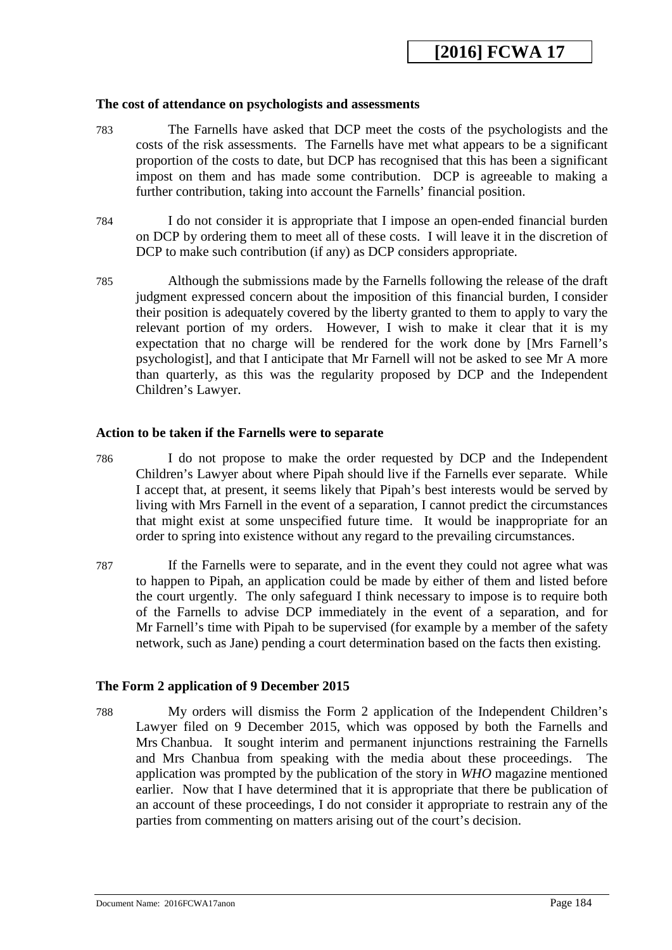#### **The cost of attendance on psychologists and assessments**

- 783 The Farnells have asked that DCP meet the costs of the psychologists and the costs of the risk assessments. The Farnells have met what appears to be a significant proportion of the costs to date, but DCP has recognised that this has been a significant impost on them and has made some contribution. DCP is agreeable to making a further contribution, taking into account the Farnells' financial position.
- 784 I do not consider it is appropriate that I impose an open-ended financial burden on DCP by ordering them to meet all of these costs. I will leave it in the discretion of DCP to make such contribution (if any) as DCP considers appropriate.
- 785 Although the submissions made by the Farnells following the release of the draft judgment expressed concern about the imposition of this financial burden, I consider their position is adequately covered by the liberty granted to them to apply to vary the relevant portion of my orders. However, I wish to make it clear that it is my expectation that no charge will be rendered for the work done by [Mrs Farnell's psychologist], and that I anticipate that Mr Farnell will not be asked to see Mr A more than quarterly, as this was the regularity proposed by DCP and the Independent Children's Lawyer.

## **Action to be taken if the Farnells were to separate**

- 786 I do not propose to make the order requested by DCP and the Independent Children's Lawyer about where Pipah should live if the Farnells ever separate. While I accept that, at present, it seems likely that Pipah's best interests would be served by living with Mrs Farnell in the event of a separation, I cannot predict the circumstances that might exist at some unspecified future time. It would be inappropriate for an order to spring into existence without any regard to the prevailing circumstances.
- 787 If the Farnells were to separate, and in the event they could not agree what was to happen to Pipah, an application could be made by either of them and listed before the court urgently. The only safeguard I think necessary to impose is to require both of the Farnells to advise DCP immediately in the event of a separation, and for Mr Farnell's time with Pipah to be supervised (for example by a member of the safety network, such as Jane) pending a court determination based on the facts then existing.

#### **The Form 2 application of 9 December 2015**

788 My orders will dismiss the Form 2 application of the Independent Children's Lawyer filed on 9 December 2015, which was opposed by both the Farnells and Mrs Chanbua. It sought interim and permanent injunctions restraining the Farnells and Mrs Chanbua from speaking with the media about these proceedings. The application was prompted by the publication of the story in *WHO* magazine mentioned earlier. Now that I have determined that it is appropriate that there be publication of an account of these proceedings, I do not consider it appropriate to restrain any of the parties from commenting on matters arising out of the court's decision.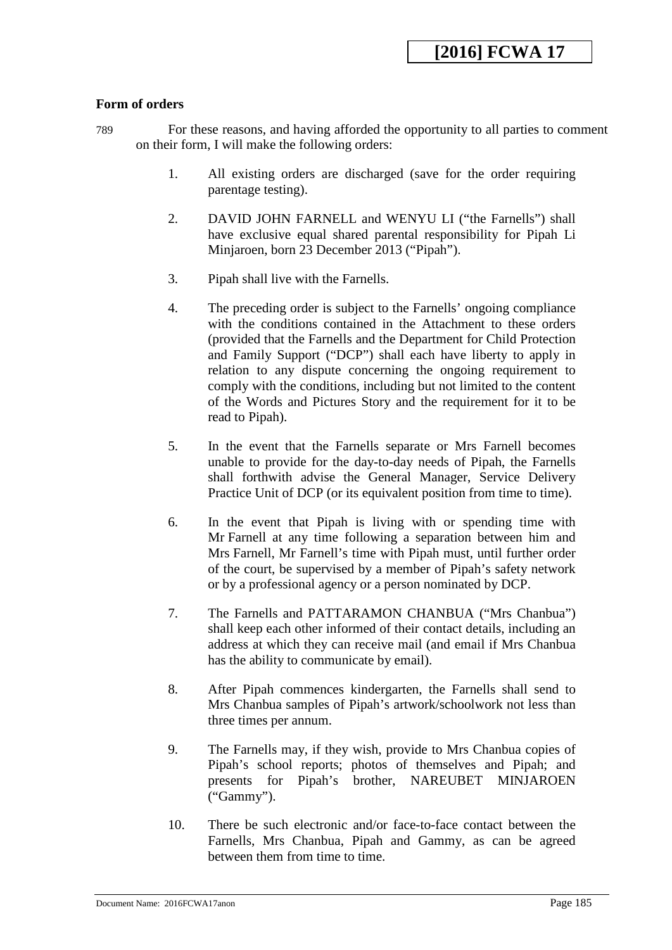# **Form of orders**

789 For these reasons, and having afforded the opportunity to all parties to comment on their form, I will make the following orders:

- 1. All existing orders are discharged (save for the order requiring parentage testing).
- 2. DAVID JOHN FARNELL and WENYU LI ("the Farnells") shall have exclusive equal shared parental responsibility for Pipah Li Minjaroen, born 23 December 2013 ("Pipah").
- 3. Pipah shall live with the Farnells.
- 4. The preceding order is subject to the Farnells' ongoing compliance with the conditions contained in the Attachment to these orders (provided that the Farnells and the Department for Child Protection and Family Support ("DCP") shall each have liberty to apply in relation to any dispute concerning the ongoing requirement to comply with the conditions, including but not limited to the content of the Words and Pictures Story and the requirement for it to be read to Pipah).
- 5. In the event that the Farnells separate or Mrs Farnell becomes unable to provide for the day-to-day needs of Pipah, the Farnells shall forthwith advise the General Manager, Service Delivery Practice Unit of DCP (or its equivalent position from time to time).
- 6. In the event that Pipah is living with or spending time with Mr Farnell at any time following a separation between him and Mrs Farnell, Mr Farnell's time with Pipah must, until further order of the court, be supervised by a member of Pipah's safety network or by a professional agency or a person nominated by DCP.
- 7. The Farnells and PATTARAMON CHANBUA ("Mrs Chanbua") shall keep each other informed of their contact details, including an address at which they can receive mail (and email if Mrs Chanbua has the ability to communicate by email).
- 8. After Pipah commences kindergarten, the Farnells shall send to Mrs Chanbua samples of Pipah's artwork/schoolwork not less than three times per annum.
- 9. The Farnells may, if they wish, provide to Mrs Chanbua copies of Pipah's school reports; photos of themselves and Pipah; and presents for Pipah's brother, NAREUBET MINJAROEN ("Gammy").
- 10. There be such electronic and/or face-to-face contact between the Farnells, Mrs Chanbua, Pipah and Gammy, as can be agreed between them from time to time.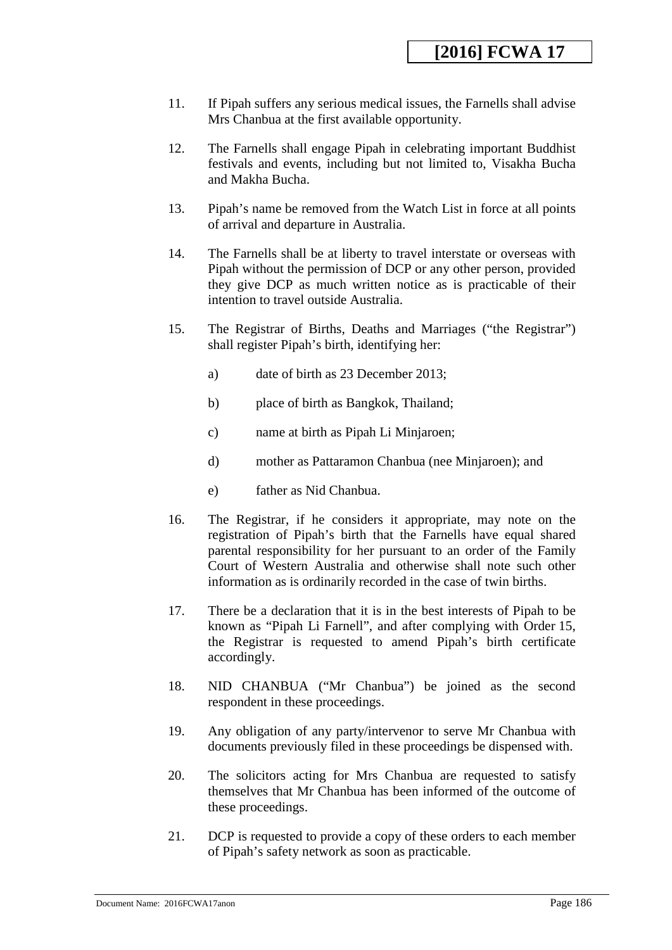- 11. If Pipah suffers any serious medical issues, the Farnells shall advise Mrs Chanbua at the first available opportunity.
- 12. The Farnells shall engage Pipah in celebrating important Buddhist festivals and events, including but not limited to, Visakha Bucha and Makha Bucha.
- 13. Pipah's name be removed from the Watch List in force at all points of arrival and departure in Australia.
- 14. The Farnells shall be at liberty to travel interstate or overseas with Pipah without the permission of DCP or any other person, provided they give DCP as much written notice as is practicable of their intention to travel outside Australia.
- 15. The Registrar of Births, Deaths and Marriages ("the Registrar") shall register Pipah's birth, identifying her:
	- a) date of birth as 23 December 2013;
	- b) place of birth as Bangkok, Thailand;
	- c) name at birth as Pipah Li Minjaroen;
	- d) mother as Pattaramon Chanbua (nee Minjaroen); and
	- e) father as Nid Chanbua.
- 16. The Registrar, if he considers it appropriate, may note on the registration of Pipah's birth that the Farnells have equal shared parental responsibility for her pursuant to an order of the Family Court of Western Australia and otherwise shall note such other information as is ordinarily recorded in the case of twin births.
- 17. There be a declaration that it is in the best interests of Pipah to be known as "Pipah Li Farnell", and after complying with Order 15, the Registrar is requested to amend Pipah's birth certificate accordingly.
- 18. NID CHANBUA ("Mr Chanbua") be joined as the second respondent in these proceedings.
- 19. Any obligation of any party/intervenor to serve Mr Chanbua with documents previously filed in these proceedings be dispensed with.
- 20. The solicitors acting for Mrs Chanbua are requested to satisfy themselves that Mr Chanbua has been informed of the outcome of these proceedings.
- 21. DCP is requested to provide a copy of these orders to each member of Pipah's safety network as soon as practicable.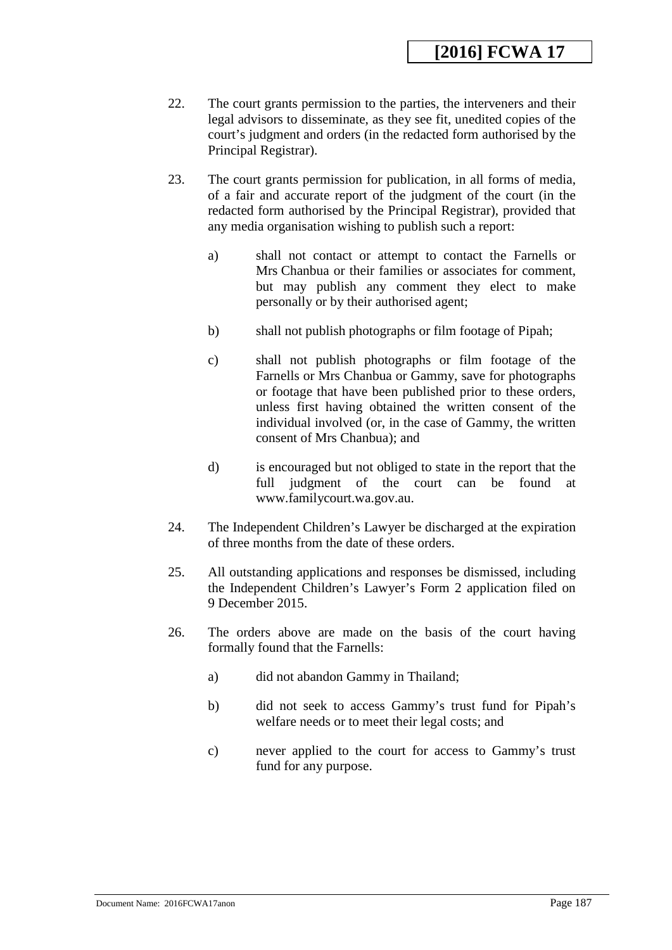- 22. The court grants permission to the parties, the interveners and their legal advisors to disseminate, as they see fit, unedited copies of the court's judgment and orders (in the redacted form authorised by the Principal Registrar).
- 23. The court grants permission for publication, in all forms of media, of a fair and accurate report of the judgment of the court (in the redacted form authorised by the Principal Registrar), provided that any media organisation wishing to publish such a report:
	- a) shall not contact or attempt to contact the Farnells or Mrs Chanbua or their families or associates for comment, but may publish any comment they elect to make personally or by their authorised agent;
	- b) shall not publish photographs or film footage of Pipah;
	- c) shall not publish photographs or film footage of the Farnells or Mrs Chanbua or Gammy, save for photographs or footage that have been published prior to these orders, unless first having obtained the written consent of the individual involved (or, in the case of Gammy, the written consent of Mrs Chanbua); and
	- d) is encouraged but not obliged to state in the report that the full judgment of the court can be found at www.familycourt.wa.gov.au.
- 24. The Independent Children's Lawyer be discharged at the expiration of three months from the date of these orders.
- 25. All outstanding applications and responses be dismissed, including the Independent Children's Lawyer's Form 2 application filed on 9 December 2015.
- 26. The orders above are made on the basis of the court having formally found that the Farnells:
	- a) did not abandon Gammy in Thailand;
	- b) did not seek to access Gammy's trust fund for Pipah's welfare needs or to meet their legal costs; and
	- c) never applied to the court for access to Gammy's trust fund for any purpose.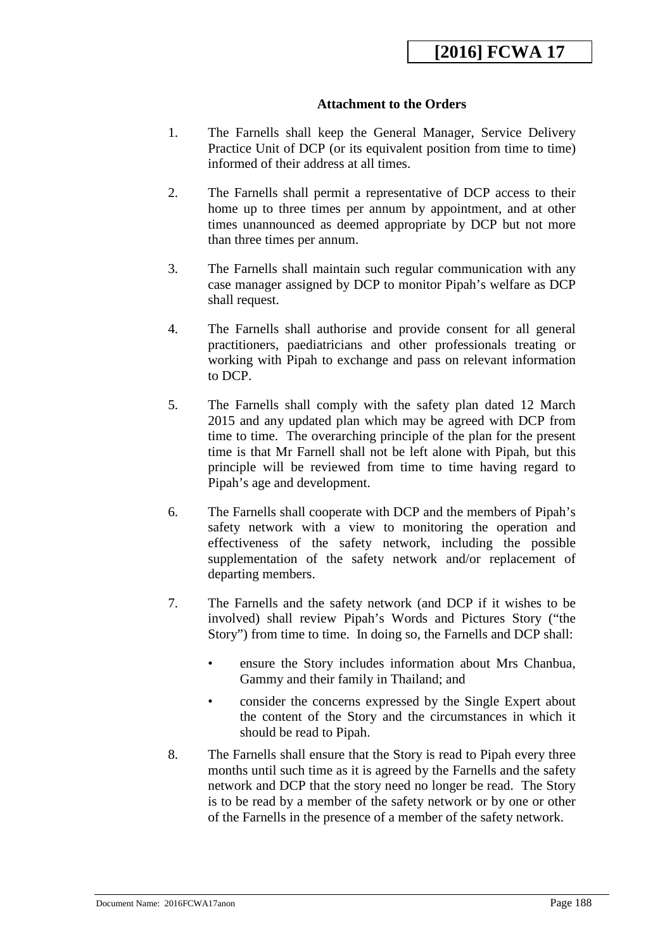# **Attachment to the Orders**

- 1. The Farnells shall keep the General Manager, Service Delivery Practice Unit of DCP (or its equivalent position from time to time) informed of their address at all times.
- 2. The Farnells shall permit a representative of DCP access to their home up to three times per annum by appointment, and at other times unannounced as deemed appropriate by DCP but not more than three times per annum.
- 3. The Farnells shall maintain such regular communication with any case manager assigned by DCP to monitor Pipah's welfare as DCP shall request.
- 4. The Farnells shall authorise and provide consent for all general practitioners, paediatricians and other professionals treating or working with Pipah to exchange and pass on relevant information to DCP.
- 5. The Farnells shall comply with the safety plan dated 12 March 2015 and any updated plan which may be agreed with DCP from time to time. The overarching principle of the plan for the present time is that Mr Farnell shall not be left alone with Pipah, but this principle will be reviewed from time to time having regard to Pipah's age and development.
- 6. The Farnells shall cooperate with DCP and the members of Pipah's safety network with a view to monitoring the operation and effectiveness of the safety network, including the possible supplementation of the safety network and/or replacement of departing members.
- 7. The Farnells and the safety network (and DCP if it wishes to be involved) shall review Pipah's Words and Pictures Story ("the Story") from time to time. In doing so, the Farnells and DCP shall:
	- ensure the Story includes information about Mrs Chanbua, Gammy and their family in Thailand; and
	- consider the concerns expressed by the Single Expert about the content of the Story and the circumstances in which it should be read to Pipah.
- 8. The Farnells shall ensure that the Story is read to Pipah every three months until such time as it is agreed by the Farnells and the safety network and DCP that the story need no longer be read. The Story is to be read by a member of the safety network or by one or other of the Farnells in the presence of a member of the safety network.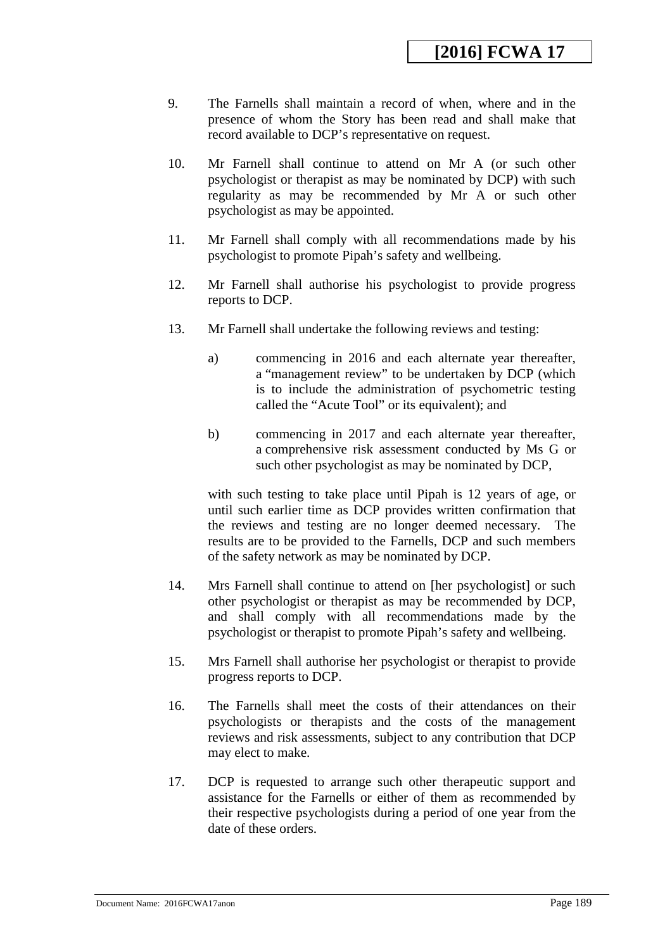- 9. The Farnells shall maintain a record of when, where and in the presence of whom the Story has been read and shall make that record available to DCP's representative on request.
- 10. Mr Farnell shall continue to attend on Mr A (or such other psychologist or therapist as may be nominated by DCP) with such regularity as may be recommended by Mr A or such other psychologist as may be appointed.
- 11. Mr Farnell shall comply with all recommendations made by his psychologist to promote Pipah's safety and wellbeing.
- 12. Mr Farnell shall authorise his psychologist to provide progress reports to DCP.
- 13. Mr Farnell shall undertake the following reviews and testing:
	- a) commencing in 2016 and each alternate year thereafter, a "management review" to be undertaken by DCP (which is to include the administration of psychometric testing called the "Acute Tool" or its equivalent); and
	- b) commencing in 2017 and each alternate year thereafter, a comprehensive risk assessment conducted by Ms G or such other psychologist as may be nominated by DCP,

with such testing to take place until Pipah is 12 years of age, or until such earlier time as DCP provides written confirmation that the reviews and testing are no longer deemed necessary. The results are to be provided to the Farnells, DCP and such members of the safety network as may be nominated by DCP.

- 14. Mrs Farnell shall continue to attend on [her psychologist] or such other psychologist or therapist as may be recommended by DCP, and shall comply with all recommendations made by the psychologist or therapist to promote Pipah's safety and wellbeing.
- 15. Mrs Farnell shall authorise her psychologist or therapist to provide progress reports to DCP.
- 16. The Farnells shall meet the costs of their attendances on their psychologists or therapists and the costs of the management reviews and risk assessments, subject to any contribution that DCP may elect to make.
- 17. DCP is requested to arrange such other therapeutic support and assistance for the Farnells or either of them as recommended by their respective psychologists during a period of one year from the date of these orders.